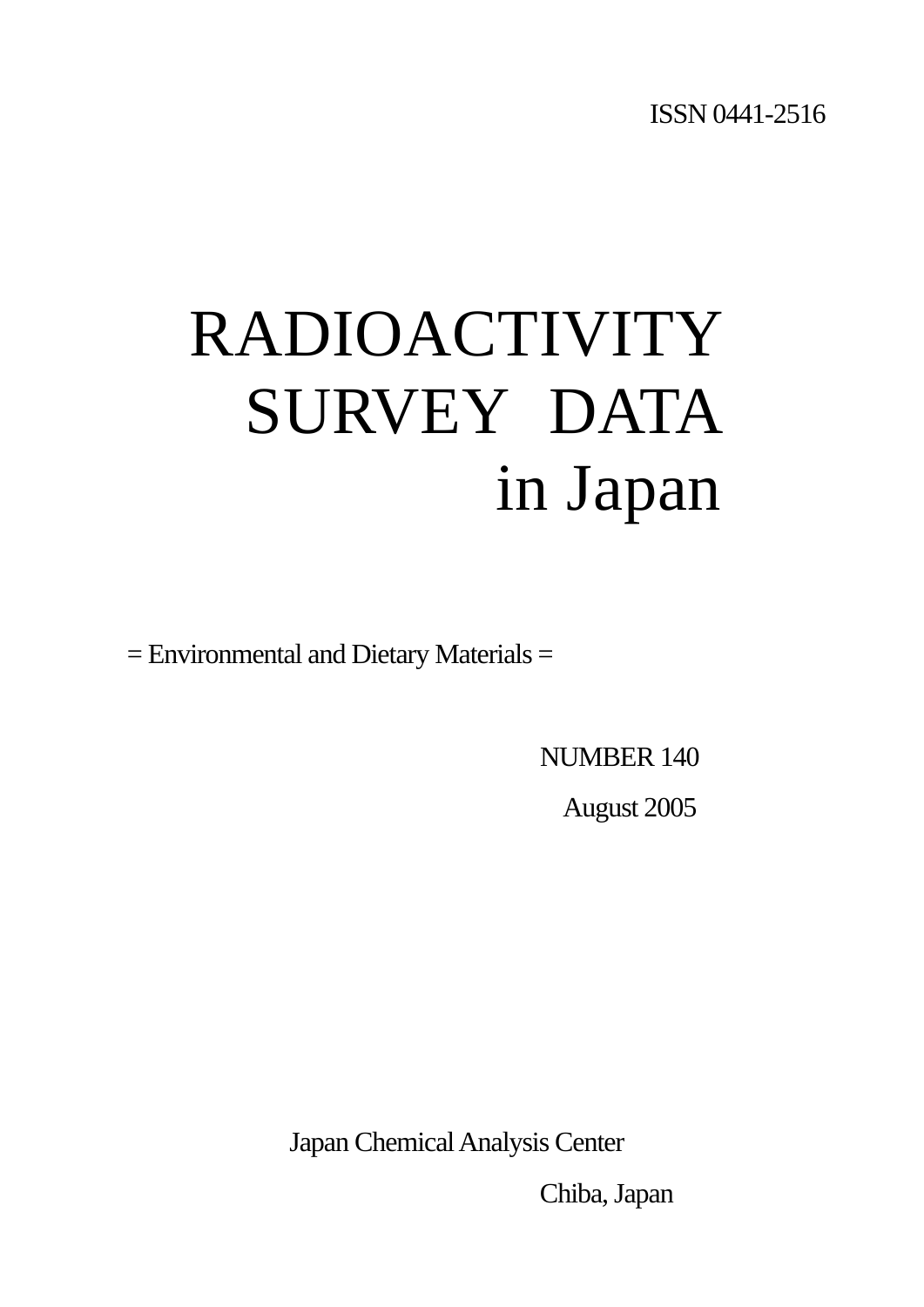# RADIOACTIVITY SURVEY DATA in Japan

= Environmental and Dietary Materials =

NUMBER 140

August 2005

Japan Chemical Analysis Center

Chiba, Japan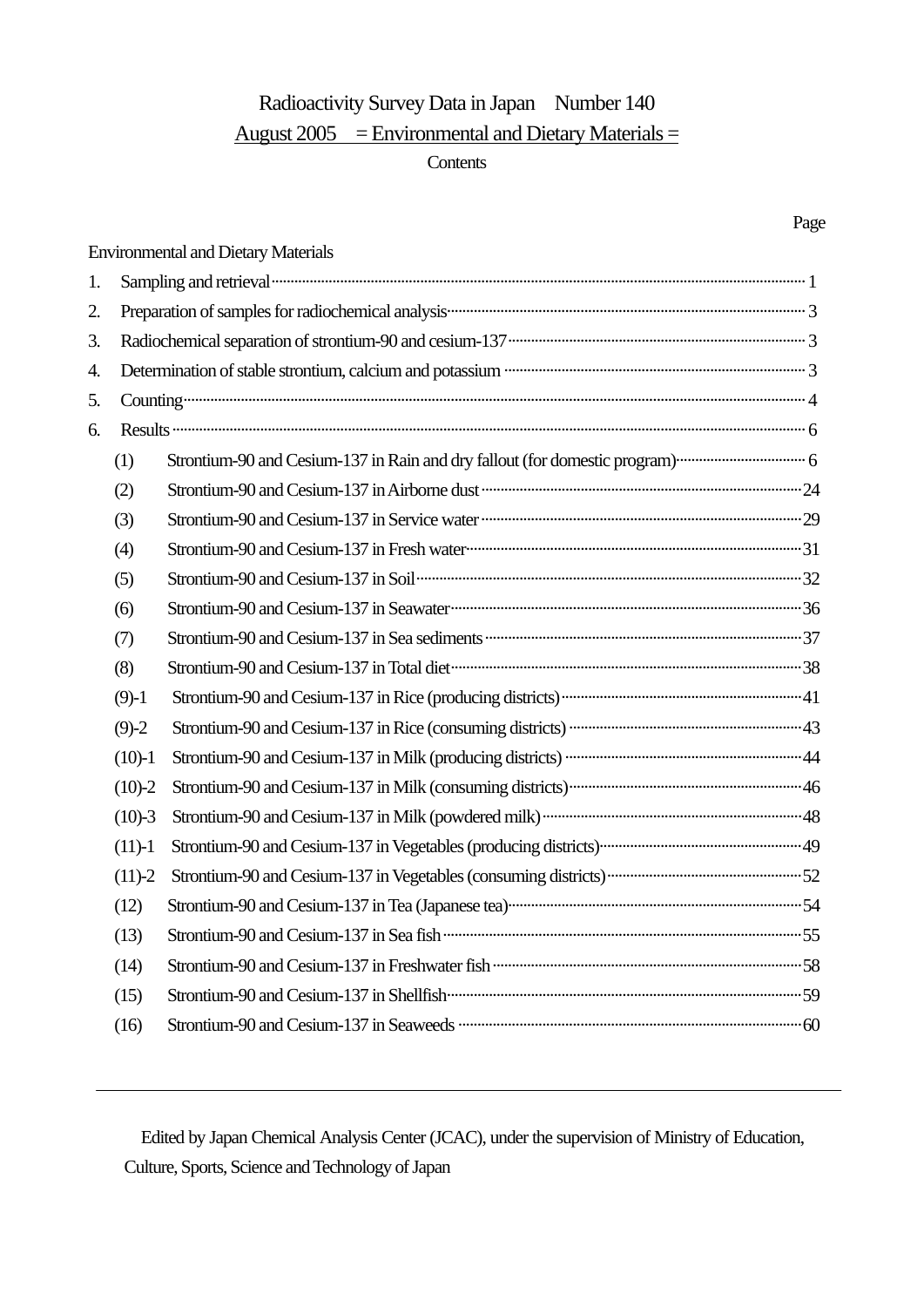## Radioactivity Survey Data in Japan Number 140 August  $2005$  = Environmental and Dietary Materials =

#### **Contents**

|    |            | <b>Environmental and Dietary Materials</b>                                                                                                                                                                                           |  |
|----|------------|--------------------------------------------------------------------------------------------------------------------------------------------------------------------------------------------------------------------------------------|--|
| 1. |            | Sampling and retrieval <b>contract and the contract of the contract of the contract of the contract of the contract of the contract of the contract of the contract of the contract of the contract of the contract of the contr</b> |  |
| 2. |            |                                                                                                                                                                                                                                      |  |
| 3. |            |                                                                                                                                                                                                                                      |  |
| 4. |            | Determination of stable strontium, calcium and potassium <b>material contact and potational contact and potation</b> 3                                                                                                               |  |
| 5. |            |                                                                                                                                                                                                                                      |  |
| 6. |            |                                                                                                                                                                                                                                      |  |
|    | (1)        |                                                                                                                                                                                                                                      |  |
|    | (2)        |                                                                                                                                                                                                                                      |  |
|    | (3)        | Strontium-90 and Cesium-137 in Service water <b>manufacture and contact the Cesium-29</b>                                                                                                                                            |  |
|    | (4)        |                                                                                                                                                                                                                                      |  |
|    | (5)        | Strontium-90 and Cesium-137 in Soil <b>continuum continuum continuum continuum</b> 32                                                                                                                                                |  |
|    | (6)        |                                                                                                                                                                                                                                      |  |
|    | (7)        | Strontium-90 and Cesium-137 in Sea sediments <b>manufactures</b> and contain a strong and Cesium-137 in Sea sediments <b>manufactures</b>                                                                                            |  |
|    | (8)        |                                                                                                                                                                                                                                      |  |
|    | $(9)-1$    |                                                                                                                                                                                                                                      |  |
|    | $(9)-2$    |                                                                                                                                                                                                                                      |  |
|    | $(10)-1$   |                                                                                                                                                                                                                                      |  |
|    | $(10)-2$   |                                                                                                                                                                                                                                      |  |
|    | $(10)-3$   |                                                                                                                                                                                                                                      |  |
|    | $(11)-1$   |                                                                                                                                                                                                                                      |  |
|    | $(11) - 2$ |                                                                                                                                                                                                                                      |  |
|    | (12)       |                                                                                                                                                                                                                                      |  |
|    | (13)       |                                                                                                                                                                                                                                      |  |
|    | (14)       | Strontium-90 and Cesium-137 in Freshwater fish ………………………………………………………………………………58                                                                                                                                                      |  |
|    | (15)       |                                                                                                                                                                                                                                      |  |
|    | (16)       |                                                                                                                                                                                                                                      |  |

 Edited by Japan Chemical Analysis Center (JCAC), under the supervision of Ministry of Education, Culture, Sports, Science and Technology of Japan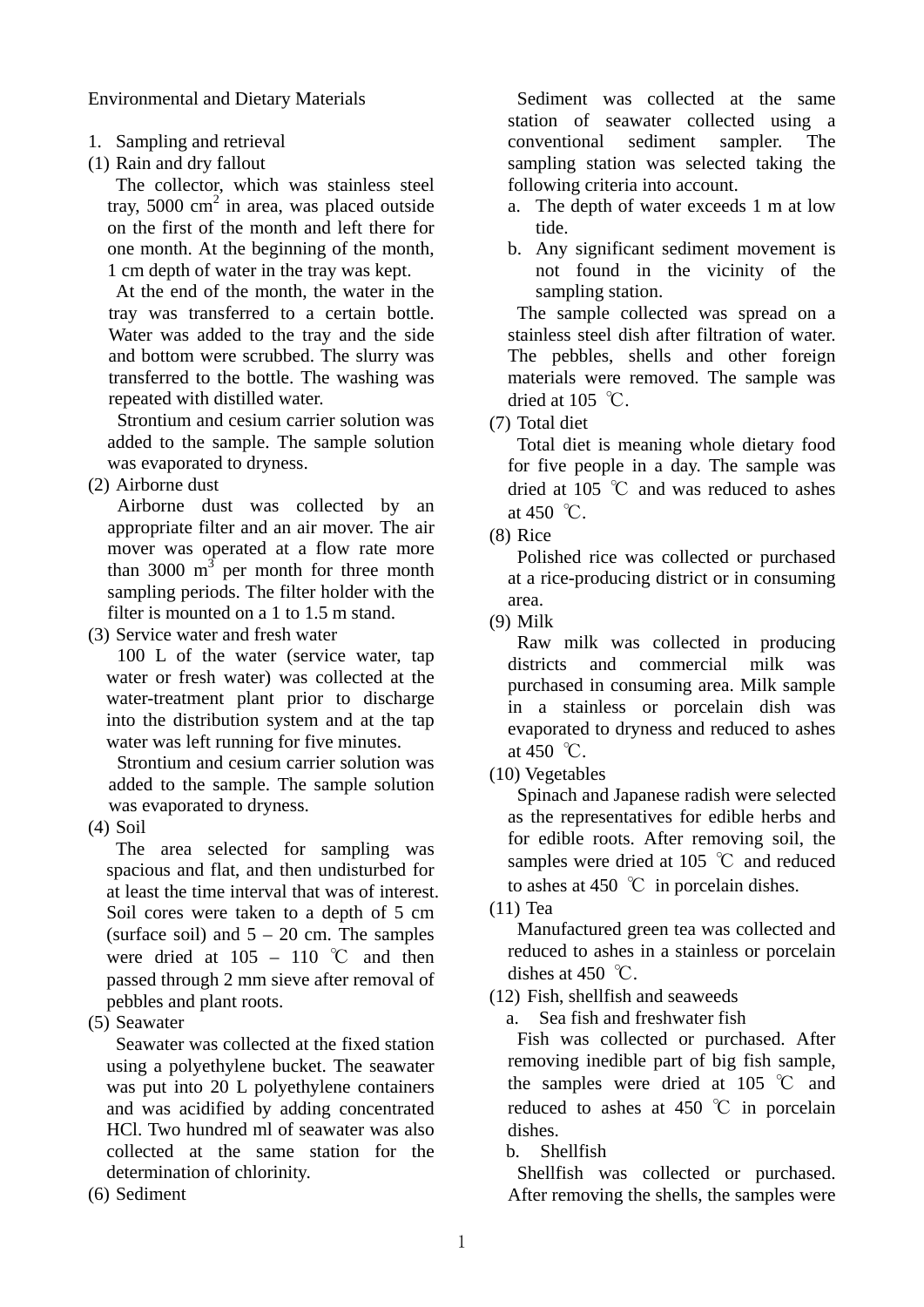Environmental and Dietary Materials

- 1. Sampling and retrieval
- (1) Rain and dry fallout

The collector, which was stainless steel tray, 5000  $\text{cm}^2$  in area, was placed outside on the first of the month and left there for one month. At the beginning of the month, 1 cm depth of water in the tray was kept.

At the end of the month, the water in the tray was transferred to a certain bottle. Water was added to the tray and the side and bottom were scrubbed. The slurry was transferred to the bottle. The washing was repeated with distilled water.

Strontium and cesium carrier solution was added to the sample. The sample solution was evaporated to dryness.

(2) Airborne dust

Airborne dust was collected by an appropriate filter and an air mover. The air mover was operated at a flow rate more than 3000  $m<sup>3</sup>$  per month for three month sampling periods. The filter holder with the filter is mounted on a 1 to 1.5 m stand.

(3) Service water and fresh water

100 L of the water (service water, tap water or fresh water) was collected at the water-treatment plant prior to discharge into the distribution system and at the tap water was left running for five minutes.

Strontium and cesium carrier solution was added to the sample. The sample solution was evaporated to dryness.

(4) Soil

The area selected for sampling was spacious and flat, and then undisturbed for at least the time interval that was of interest. Soil cores were taken to a depth of 5 cm (surface soil) and  $5 - 20$  cm. The samples were dried at  $105 - 110$  °C and then passed through 2 mm sieve after removal of pebbles and plant roots.

(5) Seawater

Seawater was collected at the fixed station using a polyethylene bucket. The seawater was put into 20 L polyethylene containers and was acidified by adding concentrated HCl. Two hundred ml of seawater was also collected at the same station for the determination of chlorinity.

(6) Sediment

Sediment was collected at the same station of seawater collected using a conventional sediment sampler. The sampling station was selected taking the following criteria into account.

- a. The depth of water exceeds 1 m at low tide.
- b. Any significant sediment movement is not found in the vicinity of the sampling station.

The sample collected was spread on a stainless steel dish after filtration of water. The pebbles, shells and other foreign materials were removed. The sample was dried at 105  $°C$ .

(7) Total diet

Total diet is meaning whole dietary food for five people in a day. The sample was dried at 105 ℃ and was reduced to ashes at 450 °C.

(8) Rice

Polished rice was collected or purchased at a rice-producing district or in consuming area.

(9) Milk

Raw milk was collected in producing districts and commercial milk was purchased in consuming area. Milk sample in a stainless or porcelain dish was evaporated to dryness and reduced to ashes at 450  $\degree$ C.

(10) Vegetables

Spinach and Japanese radish were selected as the representatives for edible herbs and for edible roots. After removing soil, the samples were dried at 105 ℃ and reduced to ashes at 450  $\degree$ C in porcelain dishes.

(11) Tea

Manufactured green tea was collected and reduced to ashes in a stainless or porcelain dishes at 450  $°C$ .

(12) Fish, shellfish and seaweeds

a. Sea fish and freshwater fish

Fish was collected or purchased. After removing inedible part of big fish sample, the samples were dried at 105 ℃ and reduced to ashes at 450  $\degree$ C in porcelain dishes.

b. Shellfish

Shellfish was collected or purchased. After removing the shells, the samples were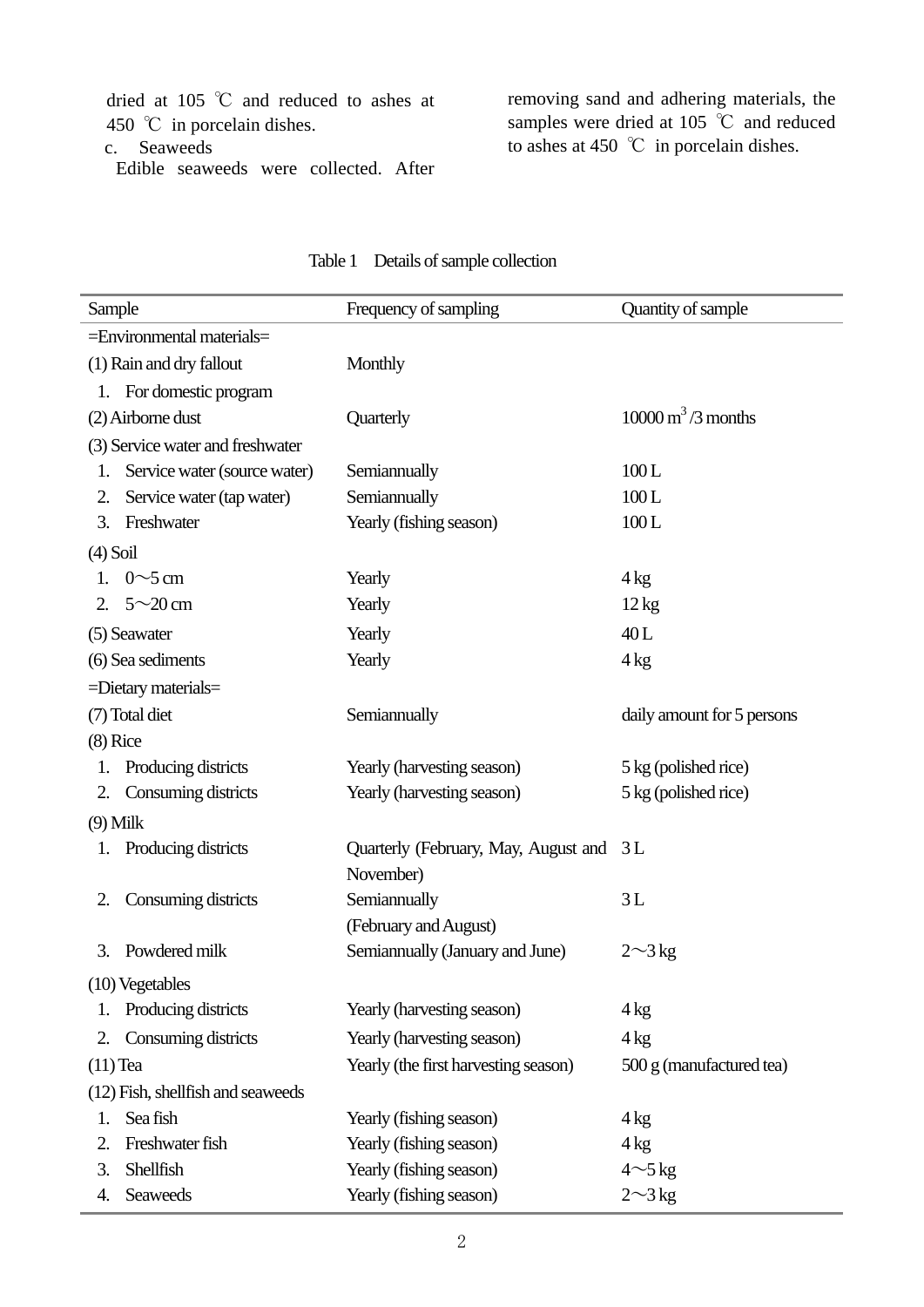dried at 105 ℃ and reduced to ashes at 450 °C in porcelain dishes.

c. Seaweeds

Edible seaweeds were collected. After

removing sand and adhering materials, the samples were dried at 105 ℃ and reduced to ashes at 450 ℃ in porcelain dishes.

| Sample     |                                   | Frequency of sampling                   | Quantity of sample                       |
|------------|-----------------------------------|-----------------------------------------|------------------------------------------|
|            | =Environmental materials=         |                                         |                                          |
|            | (1) Rain and dry fallout          | Monthly                                 |                                          |
|            | 1. For domestic program           |                                         |                                          |
|            | (2) Airborne dust                 | Quarterly                               | $10000 \,\mathrm{m}^3/\mathrm{3}$ months |
|            | (3) Service water and freshwater  |                                         |                                          |
| 1.         | Service water (source water)      | Semiannually                            | 100L                                     |
| 2.         | Service water (tap water)         | Semiannually                            | 100L                                     |
| 3.         | Freshwater                        | Yearly (fishing season)                 | 100L                                     |
| $(4)$ Soil |                                   |                                         |                                          |
|            | 1. $0 \sim 5$ cm                  | Yearly                                  | $4 \text{ kg}$                           |
| 2.         | $5 \sim 20$ cm                    | Yearly                                  | $12 \text{ kg}$                          |
|            | (5) Seawater                      | Yearly                                  | 40L                                      |
|            | (6) Sea sediments                 | Yearly                                  | $4 \text{ kg}$                           |
|            | =Dietary materials=               |                                         |                                          |
|            | (7) Total diet                    | Semiannually                            | daily amount for 5 persons               |
| $(8)$ Rice |                                   |                                         |                                          |
| 1.         | Producing districts               | Yearly (harvesting season)              | 5 kg (polished rice)                     |
| 2.         | Consuming districts               | Yearly (harvesting season)              | 5 kg (polished rice)                     |
| $(9)$ Milk |                                   |                                         |                                          |
|            | Producing districts               | Quarterly (February, May, August and 3L |                                          |
|            |                                   | November)                               |                                          |
| 2.         | Consuming districts               | Semiannually                            | 3L                                       |
|            |                                   | (February and August)                   |                                          |
| 3.         | Powdered milk                     | Semiannually (January and June)         | $2\sim$ 3 kg                             |
|            | (10) Vegetables                   |                                         |                                          |
| 1.         | Producing districts               | Yearly (harvesting season)              | 4 kg                                     |
| 2.         | Consuming districts               | Yearly (harvesting season)              | 4 <sub>kg</sub>                          |
| $(11)$ Tea |                                   | Yearly (the first harvesting season)    | 500 g (manufactured tea)                 |
|            | (12) Fish, shellfish and seaweeds |                                         |                                          |
| 1.         | Sea fish                          | Yearly (fishing season)                 | 4 kg                                     |
| 2.         | Freshwater fish                   | Yearly (fishing season)                 | 4 kg                                     |
| 3.         | Shellfish                         | Yearly (fishing season)                 | $4{\sim}5\,\mathrm{kg}$                  |
| 4.         | <b>Seaweeds</b>                   | Yearly (fishing season)                 | $2\sim3$ kg                              |

#### Table 1 Details of sample collection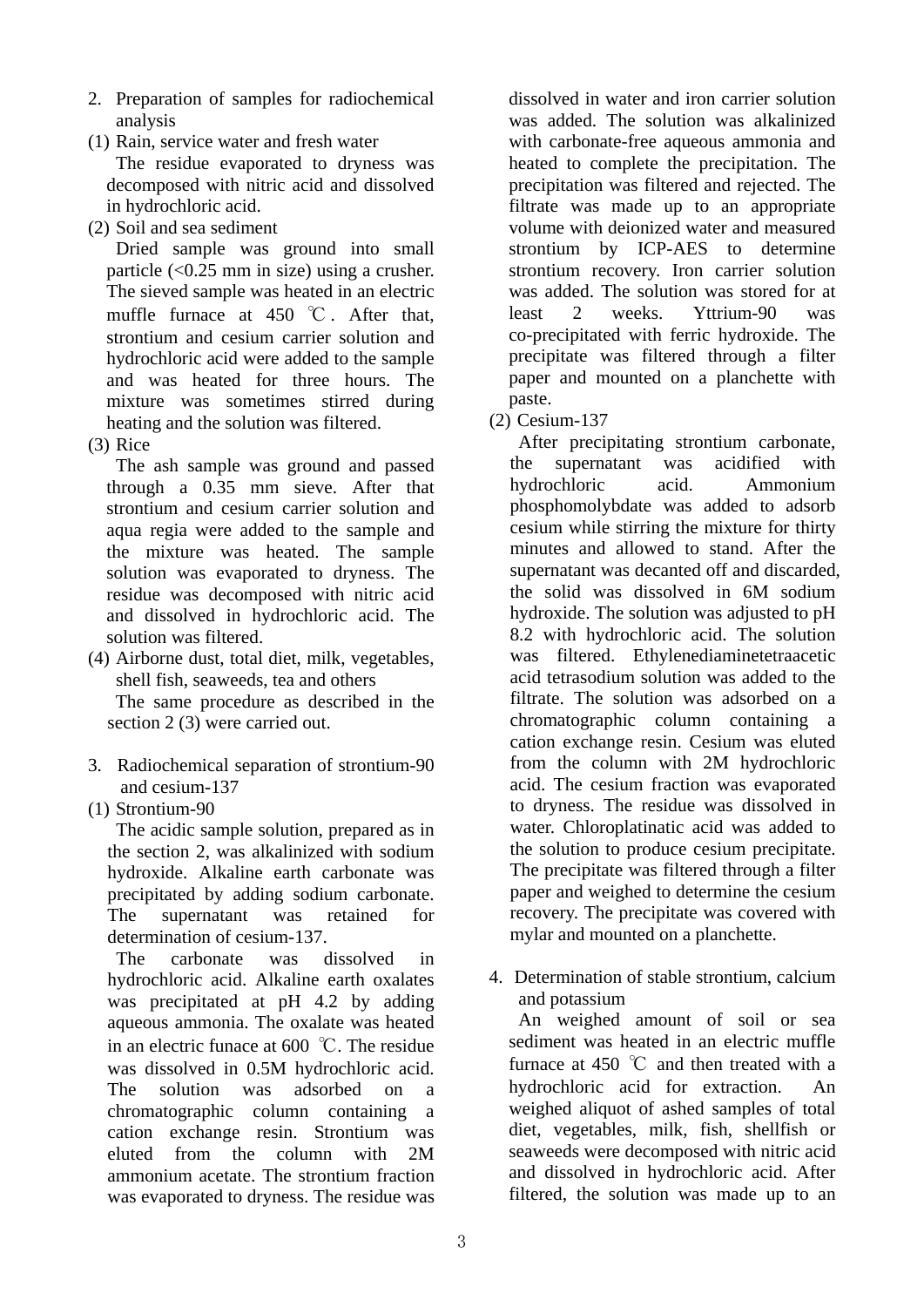- 2. Preparation of samples for radiochemical analysis
- (1) Rain, service water and fresh water

The residue evaporated to dryness was decomposed with nitric acid and dissolved in hydrochloric acid.

(2) Soil and sea sediment

Dried sample was ground into small particle  $(<0.25$  mm in size) using a crusher. The sieved sample was heated in an electric muffle furnace at 450  $\degree$ C. After that, strontium and cesium carrier solution and hydrochloric acid were added to the sample and was heated for three hours. The mixture was sometimes stirred during heating and the solution was filtered.

(3) Rice

The ash sample was ground and passed through a 0.35 mm sieve. After that strontium and cesium carrier solution and aqua regia were added to the sample and the mixture was heated. The sample solution was evaporated to dryness. The residue was decomposed with nitric acid and dissolved in hydrochloric acid. The solution was filtered.

- (4) Airborne dust, total diet, milk, vegetables, shell fish, seaweeds, tea and others The same procedure as described in the section 2 (3) were carried out.
- 3. Radiochemical separation of strontium-90 and cesium-137
- (1) Strontium-90

The acidic sample solution, prepared as in the section 2, was alkalinized with sodium hydroxide. Alkaline earth carbonate was precipitated by adding sodium carbonate. The supernatant was retained for determination of cesium-137.

The carbonate was dissolved in hydrochloric acid. Alkaline earth oxalates was precipitated at pH 4.2 by adding aqueous ammonia. The oxalate was heated in an electric funace at 600 ℃. The residue was dissolved in 0.5M hydrochloric acid. The solution was adsorbed on a chromatographic column containing a cation exchange resin. Strontium was eluted from the column with 2M ammonium acetate. The strontium fraction was evaporated to dryness. The residue was

dissolved in water and iron carrier solution was added. The solution was alkalinized with carbonate-free aqueous ammonia and heated to complete the precipitation. The precipitation was filtered and rejected. The filtrate was made up to an appropriate volume with deionized water and measured strontium by ICP-AES to determine strontium recovery. Iron carrier solution was added. The solution was stored for at least 2 weeks. Yttrium-90 was co-precipitated with ferric hydroxide. The precipitate was filtered through a filter paper and mounted on a planchette with paste.

(2) Cesium-137

After precipitating strontium carbonate, the supernatant was acidified with hydrochloric acid. Ammonium phosphomolybdate was added to adsorb cesium while stirring the mixture for thirty minutes and allowed to stand. After the supernatant was decanted off and discarded, the solid was dissolved in 6M sodium hydroxide. The solution was adjusted to pH 8.2 with hydrochloric acid. The solution was filtered. Ethylenediaminetetraacetic acid tetrasodium solution was added to the filtrate. The solution was adsorbed on a chromatographic column containing a cation exchange resin. Cesium was eluted from the column with 2M hydrochloric acid. The cesium fraction was evaporated to dryness. The residue was dissolved in water. Chloroplatinatic acid was added to the solution to produce cesium precipitate. The precipitate was filtered through a filter paper and weighed to determine the cesium recovery. The precipitate was covered with mylar and mounted on a planchette.

4. Determination of stable strontium, calcium and potassium

An weighed amount of soil or sea sediment was heated in an electric muffle furnace at 450  $\degree$ C and then treated with a hydrochloric acid for extraction. An weighed aliquot of ashed samples of total diet, vegetables, milk, fish, shellfish or seaweeds were decomposed with nitric acid and dissolved in hydrochloric acid. After filtered, the solution was made up to an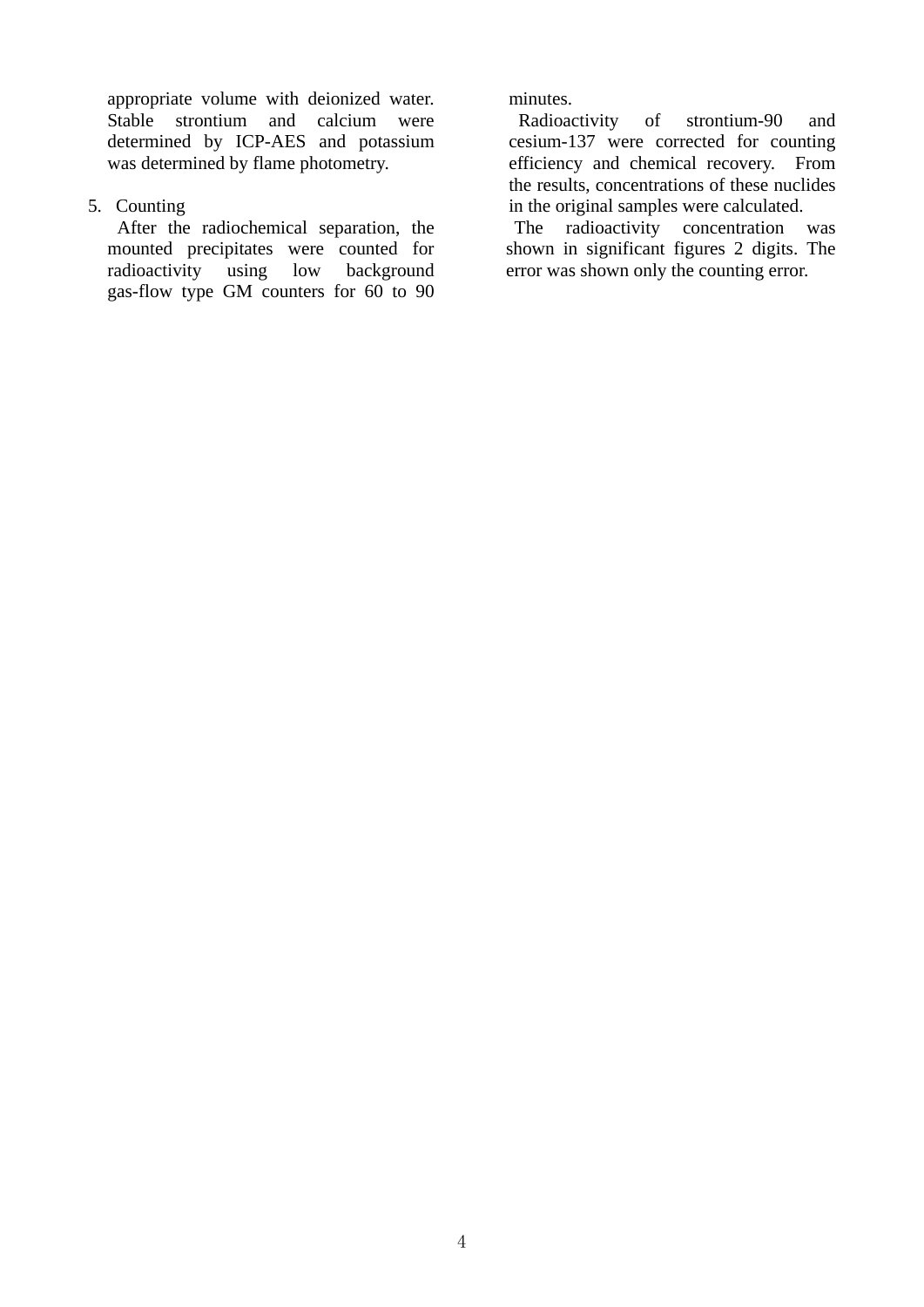appropriate volume with deionized water. Stable strontium and calcium were determined by ICP-AES and potassium was determined by flame photometry.

5. Counting

After the radiochemical separation, the mounted precipitates were counted for radioactivity using low background gas-flow type GM counters for 60 to 90 minutes.

Radioactivity of strontium-90 and cesium-137 were corrected for counting efficiency and chemical recovery. From the results, concentrations of these nuclides in the original samples were calculated.

The radioactivity concentration was shown in significant figures 2 digits. The error was shown only the counting error.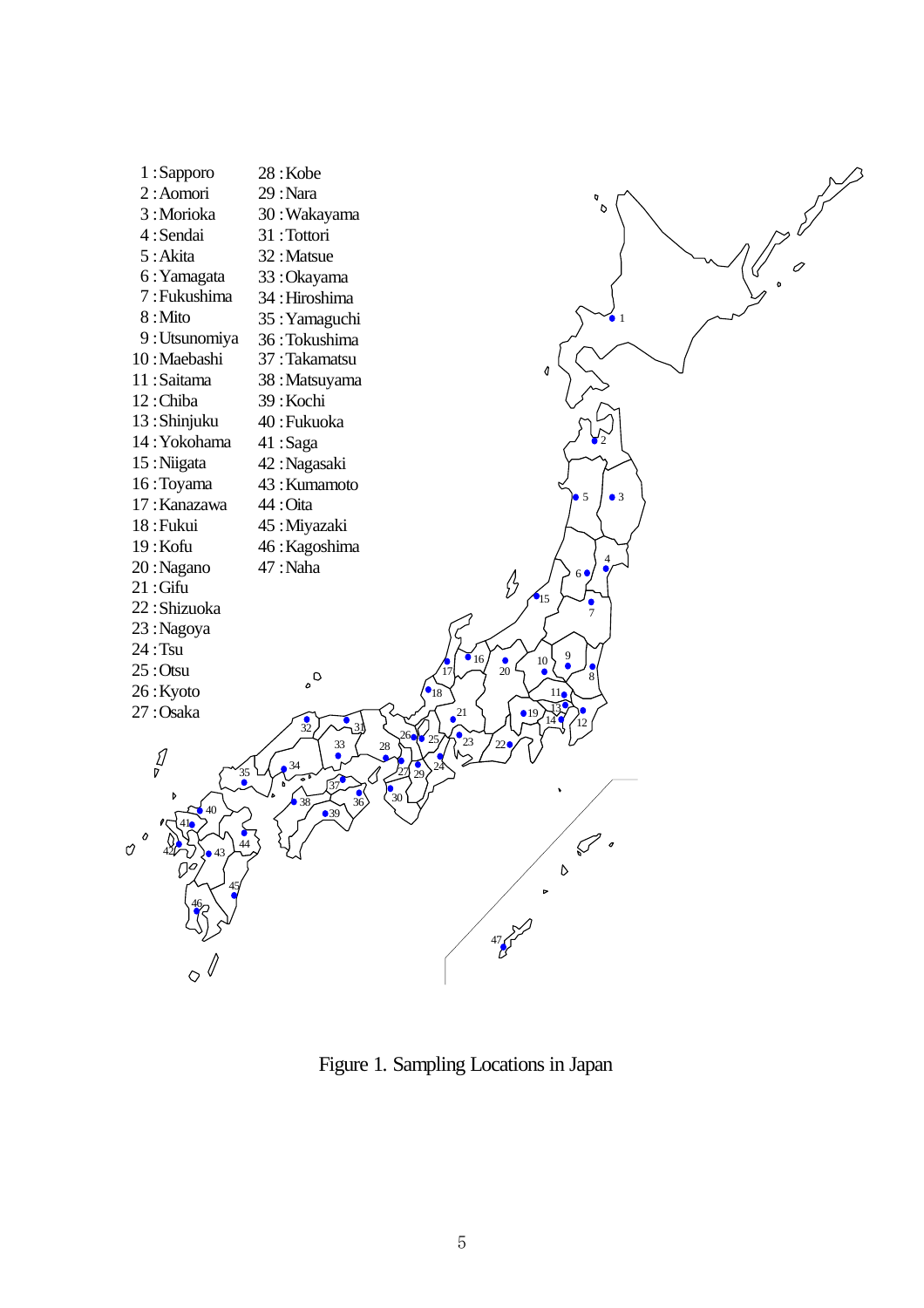

Figure 1. Sampling Locations in Japan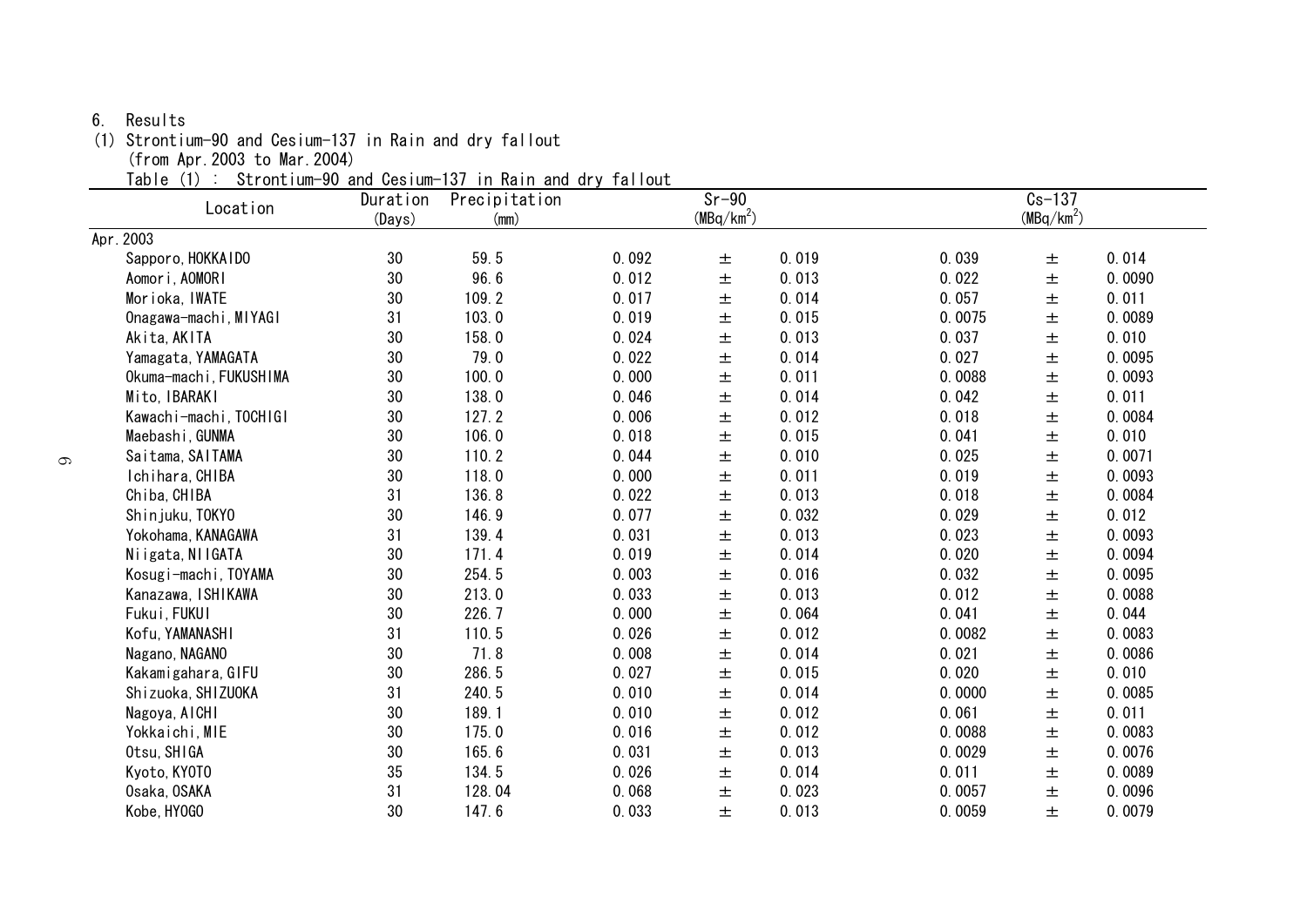#### 6. Results

(1) Strontium-90 and Cesium-137 in Rain and dry fallout

(from Apr.2003 to Mar.2004)

Table (1) : Strontium-90 and Cesium-137 in Rain and dry fallout

| Location               | Duration | Precipitation |       | $Sr-90$      |       |                        | $Cs - 137$ |        |  |
|------------------------|----------|---------------|-------|--------------|-------|------------------------|------------|--------|--|
|                        | (Days)   | (mm)          |       | $(MBq/km^2)$ |       | (MBq/km <sup>2</sup> ) |            |        |  |
| Apr. 2003              |          |               |       |              |       |                        |            |        |  |
| Sapporo, HOKKAIDO      | 30       | 59.5          | 0.092 | 土            | 0.019 | 0.039                  | 土          | 0.014  |  |
| Aomori, AOMORI         | 30       | 96.6          | 0.012 | 土            | 0.013 | 0.022                  | 土          | 0.0090 |  |
| Morioka, IWATE         | 30       | 109.2         | 0.017 | 土            | 0.014 | 0.057                  | $\pm$      | 0.011  |  |
| Onagawa-machi, MIYAGI  | 31       | 103.0         | 0.019 | 土            | 0.015 | 0.0075                 | 土          | 0.0089 |  |
| Akita, AKITA           | 30       | 158.0         | 0.024 | 土            | 0.013 | 0.037                  | 土          | 0.010  |  |
| Yamagata, YAMAGATA     | 30       | 79.0          | 0.022 | $\pm$        | 0.014 | 0.027                  | $\pm$      | 0.0095 |  |
| Okuma-machi, FUKUSHIMA | 30       | 100.0         | 0.000 | 土            | 0.011 | 0.0088                 | 土          | 0.0093 |  |
| Mito, IBARAKI          | 30       | 138.0         | 0.046 | 土            | 0.014 | 0.042                  | $\pm$      | 0.011  |  |
| Kawachi-machi, TOCHIGI | 30       | 127.2         | 0.006 | $\pm$        | 0.012 | 0.018                  | 土          | 0.0084 |  |
| Maebashi, GUNMA        | 30       | 106.0         | 0.018 | 土            | 0.015 | 0.041                  | 土          | 0.010  |  |
| Saitama, SAITAMA       | 30       | 110.2         | 0.044 | 土            | 0.010 | 0.025                  | $\pm$      | 0.0071 |  |
| Ichihara, CHIBA        | 30       | 118.0         | 0.000 | $\pm$        | 0.011 | 0.019                  | $\pm$      | 0.0093 |  |
| Chiba, CHIBA           | 31       | 136.8         | 0.022 | 土            | 0.013 | 0.018                  | 土          | 0.0084 |  |
| Shinjuku, TOKYO        | 30       | 146.9         | 0.077 | $\pm$        | 0.032 | 0.029                  | $\pm$      | 0.012  |  |
| Yokohama, KANAGAWA     | 31       | 139.4         | 0.031 | $\pm$        | 0.013 | 0.023                  | $\pm$      | 0.0093 |  |
| Niigata, NIIGATA       | 30       | 171.4         | 0.019 | 土            | 0.014 | 0.020                  | 土          | 0.0094 |  |
| Kosugi-machi, TOYAMA   | 30       | 254.5         | 0.003 | 土            | 0.016 | 0.032                  | $\pm$      | 0.0095 |  |
| Kanazawa, ISHIKAWA     | 30       | 213.0         | 0.033 | $\pm$        | 0.013 | 0.012                  | $\pm$      | 0.0088 |  |
| Fukui, FUKUI           | 30       | 226.7         | 0.000 | 土            | 0.064 | 0.041                  | 土          | 0.044  |  |
| Kofu, YAMANASHI        | 31       | 110.5         | 0.026 | $\pm$        | 0.012 | 0.0082                 | $\pm$      | 0.0083 |  |
| Nagano, NAGANO         | 30       | 71.8          | 0.008 | $\pm$        | 0.014 | 0.021                  | $\pm$      | 0.0086 |  |
| Kakamigahara, GIFU     | 30       | 286.5         | 0.027 | 土            | 0.015 | 0.020                  | 土          | 0.010  |  |
| Shizuoka, SHIZUOKA     | 31       | 240.5         | 0.010 | $\pm$        | 0.014 | 0.0000                 | 土          | 0.0085 |  |
| Nagoya, AICHI          | 30       | 189.1         | 0.010 | $\pm$        | 0.012 | 0.061                  | $\pm$      | 0.011  |  |
| Yokkaichi, MIE         | 30       | 175.0         | 0.016 | 土            | 0.012 | 0.0088                 | 土          | 0.0083 |  |
| Otsu, SHIGA            | 30       | 165.6         | 0.031 | 土            | 0.013 | 0.0029                 | $\pm$      | 0.0076 |  |
| Kyoto, KYOTO           | 35       | 134.5         | 0.026 | $\pm$        | 0.014 | 0.011                  | $\pm$      | 0.0089 |  |
| Osaka, OSAKA           | 31       | 128.04        | 0.068 | 土            | 0.023 | 0.0057                 | 土          | 0.0096 |  |
| Kobe, HY0GO            | 30       | 147.6         | 0.033 | 士            | 0.013 | 0.0059                 | 土          | 0.0079 |  |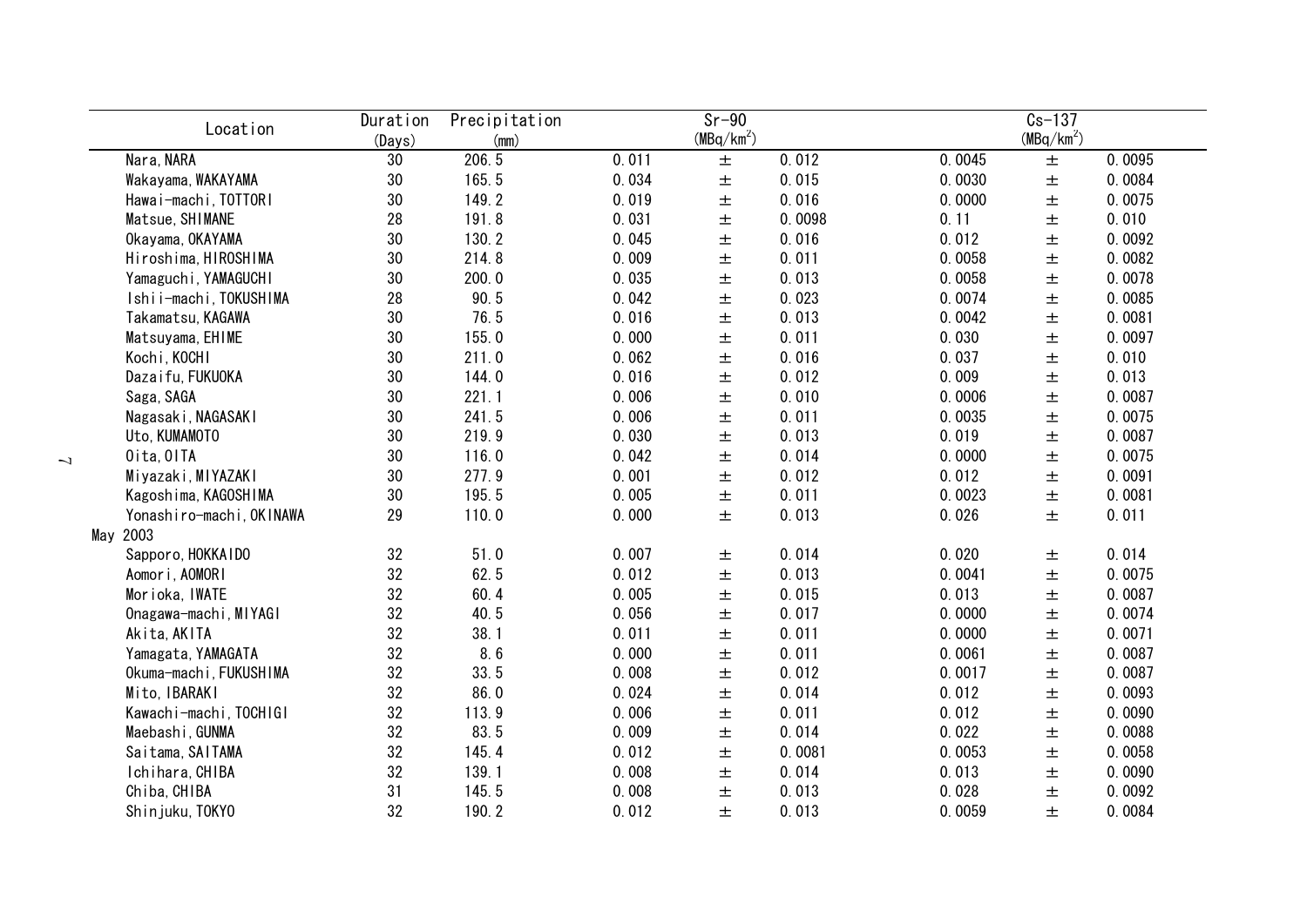| Location                 | Duration     | Precipitation |       | $Sr-90$      |        |        | $Cs-137$     |        |
|--------------------------|--------------|---------------|-------|--------------|--------|--------|--------------|--------|
| Nara, NARA               | (Days)<br>30 | (mm)<br>206.5 |       | $(MBq/km^2)$ | 0.012  | 0.0045 | $(MBq/km^2)$ | 0.0095 |
|                          |              | 165.5         | 0.011 | 土            | 0.015  |        | $\pm$        |        |
| Wakayama, WAKAYAMA       | 30           |               | 0.034 | $\pm$        |        | 0.0030 | $\pm$        | 0.0084 |
| Hawai-machi, TOTTORI     | 30           | 149.2         | 0.019 | $\pm$        | 0.016  | 0.0000 | $\pm$        | 0.0075 |
| Matsue, SHIMANE          | 28           | 191.8         | 0.031 | $\pm$        | 0.0098 | 0.11   | $\pm$        | 0.010  |
| Okayama, OKAYAMA         | 30           | 130.2         | 0.045 | $\pm$        | 0.016  | 0.012  | $\pm$        | 0.0092 |
| Hiroshima, HIROSHIMA     | 30           | 214.8         | 0.009 | $\pm$        | 0.011  | 0.0058 | $\pm$        | 0.0082 |
| Yamaguchi, YAMAGUCHI     | 30           | 200.0         | 0.035 | $\pm$        | 0.013  | 0.0058 | 土            | 0.0078 |
| Ishii-machi, TOKUSHIMA   | 28           | 90.5          | 0.042 | $\pm$        | 0.023  | 0.0074 | 土            | 0.0085 |
| Takamatsu, KAGAWA        | 30           | 76.5          | 0.016 | 士            | 0.013  | 0.0042 | 土            | 0.0081 |
| Matsuyama, EHIME         | 30           | 155.0         | 0.000 | 土            | 0.011  | 0.030  | 土            | 0.0097 |
| Kochi, KOCHI             | 30           | 211.0         | 0.062 | 土            | 0.016  | 0.037  | 土            | 0.010  |
| Dazaifu, FUKUOKA         | 30           | 144.0         | 0.016 | 土            | 0.012  | 0.009  | 土            | 0.013  |
| Saga, SAGA               | 30           | 221.1         | 0.006 | 土            | 0.010  | 0.0006 | 土            | 0.0087 |
| Nagasaki, NAGASAKI       | 30           | 241.5         | 0.006 | $\pm$        | 0.011  | 0.0035 | $\pm$        | 0.0075 |
| Uto, KUMAMOTO            | 30           | 219.9         | 0.030 | 土            | 0.013  | 0.019  | $\pm$        | 0.0087 |
| Oita, OITA               | 30           | 116.0         | 0.042 | $\pm$        | 0.014  | 0.0000 | $\pm$        | 0.0075 |
| Miyazaki, MIYAZAKI       | 30           | 277.9         | 0.001 | $\pm$        | 0.012  | 0.012  | $\pm$        | 0.0091 |
| Kagoshima, KAGOSHIMA     | 30           | 195.5         | 0.005 | $\pm$        | 0.011  | 0.0023 | $\pm$        | 0.0081 |
| Yonashiro-machi, OKINAWA | 29           | 110.0         | 0.000 | $\pm$        | 0.013  | 0.026  | $\pm$        | 0.011  |
| May 2003                 |              |               |       |              |        |        |              |        |
| Sapporo, HOKKAIDO        | 32           | 51.0          | 0.007 | 土            | 0.014  | 0.020  | 土            | 0.014  |
| Aomori, AOMORI           | 32           | 62.5          | 0.012 | $\pm$        | 0.013  | 0.0041 | $\pm$        | 0.0075 |
| Morioka, IWATE           | 32           | 60.4          | 0.005 | $\pm$        | 0.015  | 0.013  | $\pm$        | 0.0087 |
| Onagawa-machi, MIYAGI    | 32           | 40.5          | 0.056 | $\pm$        | 0.017  | 0.0000 | $\pm$        | 0.0074 |
| Akita, AKITA             | 32           | 38.1          | 0.011 | $\pm$        | 0.011  | 0.0000 | $\pm$        | 0.0071 |
| Yamagata, YAMAGATA       | 32           | 8.6           | 0.000 | $\pm$        | 0.011  | 0.0061 | $\pm$        | 0.0087 |
| Okuma-machi, FUKUSHIMA   | 32           | 33.5          | 0.008 | 士            | 0.012  | 0.0017 | 土            | 0.0087 |
| Mito, IBARAKI            | 32           | 86.0          | 0.024 | $\pm$        | 0.014  | 0.012  | 土            | 0.0093 |
| Kawachi-machi, TOCHIGI   | 32           | 113.9         | 0.006 | 土            | 0.011  | 0.012  | 土            | 0.0090 |
| Maebashi, GUNMA          | 32           | 83.5          | 0.009 | 土            | 0.014  | 0.022  | 土            | 0.0088 |
| Saitama, SAITAMA         | 32           | 145.4         | 0.012 | 土            | 0.0081 | 0.0053 | 土            | 0.0058 |
| Ichihara, CHIBA          | 32           | 139.1         | 0.008 | 土            | 0.014  | 0.013  | 土            | 0.0090 |
| Chiba, CHIBA             | 31           | 145.5         | 0.008 | 土            | 0.013  | 0.028  | 土            | 0.0092 |
| Shinjuku, TOKYO          | 32           | 190.2         | 0.012 | 士            | 0.013  | 0.0059 | 土            | 0.0084 |
|                          |              |               |       |              |        |        |              |        |

 $\overline{ }$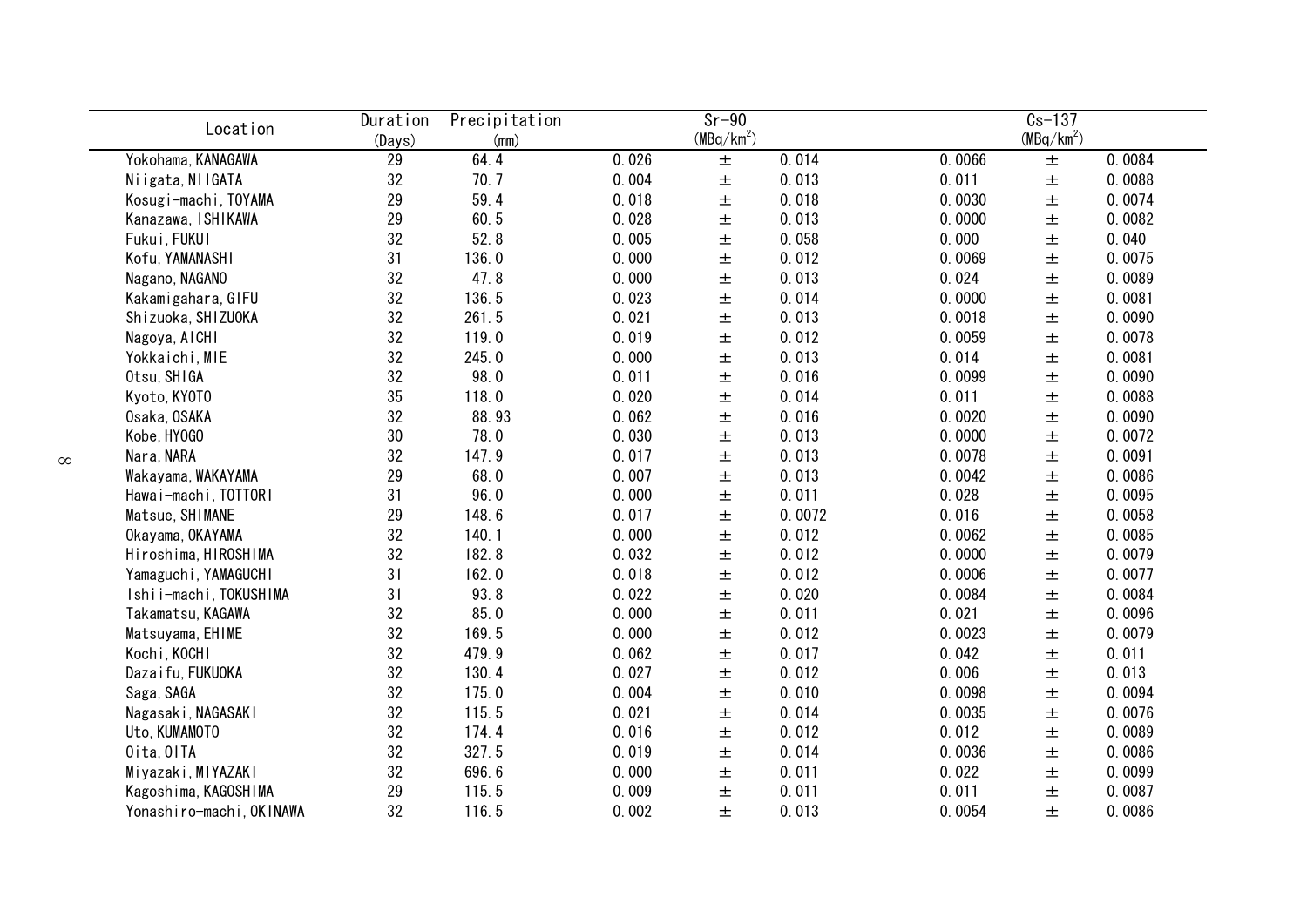| Location                 | Duration<br>(Days) | Precipitation<br>(mm) |       | $Sr-90$<br>$(MBq/km^2)$ |        |        | $Cs-137$<br>$(MBq/km^2)$ |        |
|--------------------------|--------------------|-----------------------|-------|-------------------------|--------|--------|--------------------------|--------|
| Yokohama, KANAGAWA       | 29                 | 64.4                  | 0.026 | 土                       | 0.014  | 0.0066 | $\pm$                    | 0.0084 |
| Niigata, NIIGATA         | 32                 | 70.7                  | 0.004 | $\pm$                   | 0.013  | 0.011  | $\pm$                    | 0.0088 |
| Kosugi-machi, TOYAMA     | 29                 | 59.4                  | 0.018 | $\pm$                   | 0.018  | 0.0030 | $\pm$                    | 0.0074 |
| Kanazawa, ISHIKAWA       | 29                 | 60.5                  | 0.028 | $\pm$                   | 0.013  | 0.0000 | $\pm$                    | 0.0082 |
| Fukui, FUKUI             | 32                 | 52.8                  | 0.005 | $\pm$                   | 0.058  | 0.000  | 士                        | 0.040  |
| Kofu, YAMANASHI          | 31                 | 136.0                 | 0.000 | 土                       | 0.012  | 0.0069 | 土                        | 0.0075 |
| Nagano, NAGANO           | 32                 | 47.8                  | 0.000 | 土                       | 0.013  | 0.024  | 土                        | 0.0089 |
| Kakamigahara, GIFU       | 32                 | 136.5                 | 0.023 | 土                       | 0.014  | 0.0000 | 土                        | 0.0081 |
| Shizuoka, SHIZUOKA       | 32                 | 261.5                 | 0.021 | 土                       | 0.013  | 0.0018 | 土                        | 0.0090 |
| Nagoya, AICHI            | 32                 | 119.0                 | 0.019 | 土                       | 0.012  | 0.0059 | 土                        | 0.0078 |
| Yokkaichi, MIE           | 32                 | 245.0                 | 0.000 | 土                       | 0.013  | 0.014  | $\pm$                    | 0.0081 |
| Otsu, SHIGA              | 32                 | 98.0                  | 0.011 | $\pm$                   | 0.016  | 0.0099 | 土                        | 0.0090 |
| Kyoto, KY0T0             | 35                 | 118.0                 | 0.020 | $\pm$                   | 0.014  | 0.011  | 土                        | 0.0088 |
| Osaka, OSAKA             | 32                 | 88.93                 | 0.062 | $\pm$                   | 0.016  | 0.0020 | 土                        | 0.0090 |
| Kobe, HY0GO              | 30                 | 78.0                  | 0.030 | 土                       | 0.013  | 0.0000 | 土                        | 0.0072 |
| Nara, NARA               | 32                 | 147.9                 | 0.017 | $\pm$                   | 0.013  | 0.0078 | 土                        | 0.0091 |
| Wakayama, WAKAYAMA       | 29                 | 68.0                  | 0.007 | $\pm$                   | 0.013  | 0.0042 | $\pm$                    | 0.0086 |
| Hawai-machi, TOTTORI     | 31                 | 96.0                  | 0.000 | $\pm$                   | 0.011  | 0.028  | $\pm$                    | 0.0095 |
| Matsue, SHIMANE          | 29                 | 148.6                 | 0.017 | $\pm$                   | 0.0072 | 0.016  | $\pm$                    | 0.0058 |
| Okayama, OKAYAMA         | 32                 | 140.1                 | 0.000 | $\pm$                   | 0.012  | 0.0062 | $\pm$                    | 0.0085 |
| Hiroshima, HIROSHIMA     | 32                 | 182.8                 | 0.032 | $\pm$                   | 0.012  | 0.0000 | $\pm$                    | 0.0079 |
| Yamaguchi, YAMAGUCHI     | 31                 | 162.0                 | 0.018 | $\pm$                   | 0.012  | 0.0006 | $\pm$                    | 0.0077 |
| Ishii-machi, TOKUSHIMA   | 31                 | 93.8                  | 0.022 | $\pm$                   | 0.020  | 0.0084 | $\pm$                    | 0.0084 |
| Takamatsu, KAGAWA        | 32                 | 85.0                  | 0.000 | $\pm$                   | 0.011  | 0.021  | $\pm$                    | 0.0096 |
| Matsuyama, EHIME         | 32                 | 169.5                 | 0.000 | 土                       | 0.012  | 0.0023 | 土                        | 0.0079 |
| Kochi, KOCHI             | 32                 | 479.9                 | 0.062 | 土                       | 0.017  | 0.042  | 土                        | 0.011  |
| Dazaifu, FUKUOKA         | 32                 | 130.4                 | 0.027 | 土                       | 0.012  | 0.006  | 土                        | 0.013  |
| Saga, SAGA               | 32                 | 175.0                 | 0.004 | 士                       | 0.010  | 0.0098 | 土                        | 0.0094 |
| Nagasaki, NAGASAKI       | 32                 | 115.5                 | 0.021 | 士                       | 0.014  | 0.0035 | 土                        | 0.0076 |
| Uto, KUMAMOTO            | 32                 | 174.4                 | 0.016 | 土                       | 0.012  | 0.012  | 土                        | 0.0089 |
| Oita, OITA               | 32                 | 327.5                 | 0.019 | 土                       | 0.014  | 0.0036 | 土                        | 0.0086 |
| Miyazaki, MIYAZAKI       | 32                 | 696.6                 | 0.000 | 土                       | 0.011  | 0.022  | 土                        | 0.0099 |
| Kagoshima, KAGOSHIMA     | 29                 | 115.5                 | 0.009 | 土                       | 0.011  | 0.011  | 土                        | 0.0087 |
| Yonashiro-machi, OKINAWA | 32                 | 116.5                 | 0.002 | 士                       | 0.013  | 0.0054 | 土                        | 0.0086 |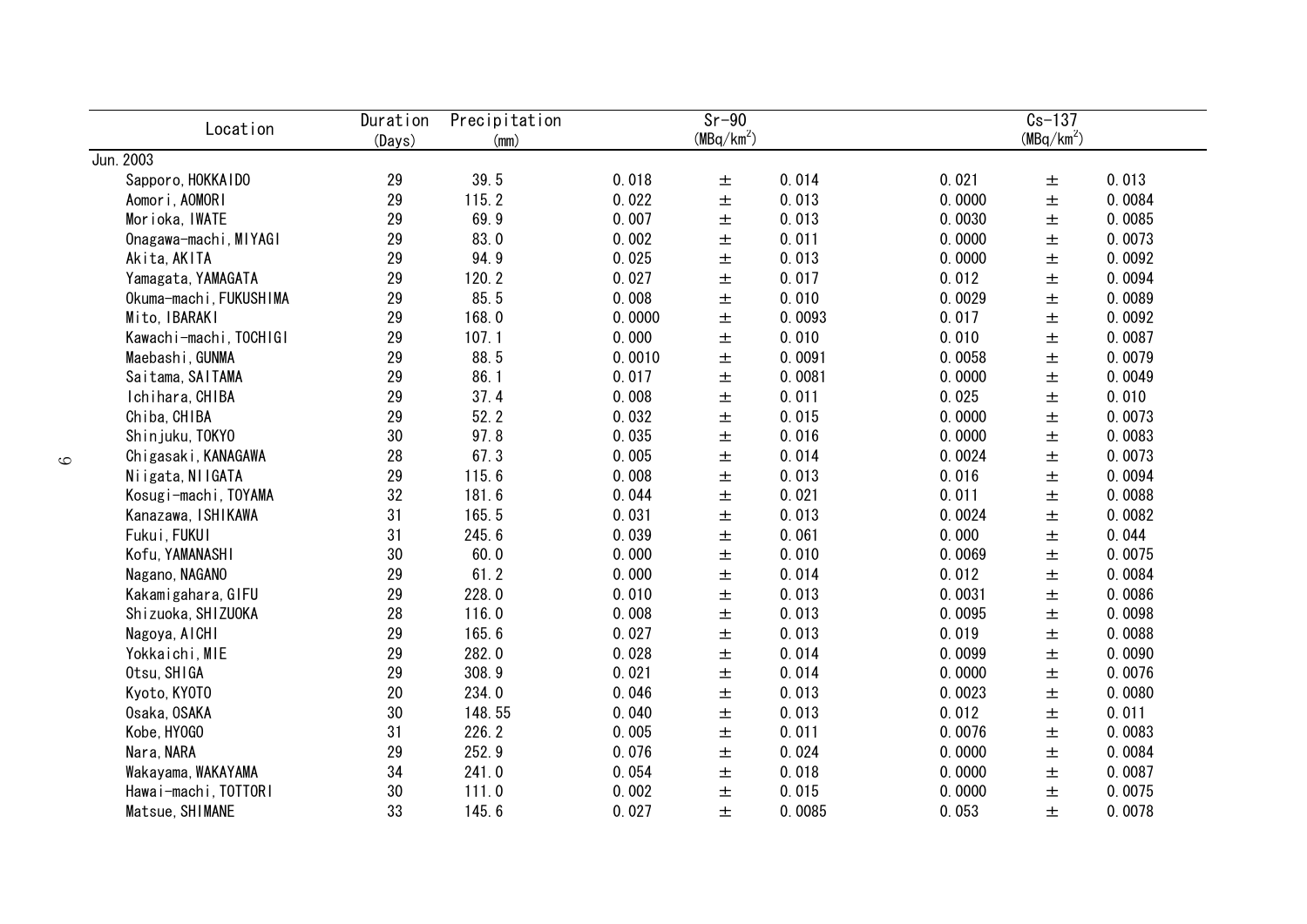| Location               | Duration<br>(Days) | Precipitation<br>(mm) |        | $\overline{s}$ r-90<br>(MBq/km <sup>2</sup> ) |        |        | $Cs-137$<br>(MBq/km <sup>2</sup> ) |        |
|------------------------|--------------------|-----------------------|--------|-----------------------------------------------|--------|--------|------------------------------------|--------|
| Jun. 2003              |                    |                       |        |                                               |        |        |                                    |        |
| Sapporo, HOKKAIDO      | 29                 | 39.5                  | 0.018  | $\pm$                                         | 0.014  | 0.021  | 土                                  | 0.013  |
| Aomori, AOMORI         | 29                 | 115.2                 | 0.022  | $\pm$                                         | 0.013  | 0.0000 | $\pm$                              | 0.0084 |
| Morioka, IWATE         | 29                 | 69.9                  | 0.007  | $\pm$                                         | 0.013  | 0.0030 | 土                                  | 0.0085 |
| Onagawa-machi, MIYAGI  | 29                 | 83.0                  | 0.002  | $\pm$                                         | 0.011  | 0.0000 | $\pm$                              | 0.0073 |
| Akita, AKITA           | 29                 | 94.9                  | 0.025  | $\pm$                                         | 0.013  | 0.0000 | $\pm$                              | 0.0092 |
| Yamagata, YAMAGATA     | 29                 | 120.2                 | 0.027  | $\pm$                                         | 0.017  | 0.012  | $\pm$                              | 0.0094 |
| Okuma-machi, FUKUSHIMA | 29                 | 85.5                  | 0.008  | $\pm$                                         | 0.010  | 0.0029 | $\pm$                              | 0.0089 |
| Mito, IBARAKI          | 29                 | 168.0                 | 0.0000 | $\pm$                                         | 0.0093 | 0.017  | $\pm$                              | 0.0092 |
| Kawachi-machi, TOCHIGI | 29                 | 107.1                 | 0.000  | 土                                             | 0.010  | 0.010  | 土                                  | 0.0087 |
| Maebashi, GUNMA        | 29                 | 88.5                  | 0.0010 | 土                                             | 0.0091 | 0.0058 | 土                                  | 0.0079 |
| Saitama, SAITAMA       | 29                 | 86.1                  | 0.017  | 土                                             | 0.0081 | 0.0000 | 土                                  | 0.0049 |
| Ichihara, CHIBA        | 29                 | 37.4                  | 0.008  | 土                                             | 0.011  | 0.025  | 土                                  | 0.010  |
| Chiba, CHIBA           | 29                 | 52.2                  | 0.032  | 土                                             | 0.015  | 0.0000 | 土                                  | 0.0073 |
| Shinjuku, TOKYO        | 30                 | 97.8                  | 0.035  | 土                                             | 0.016  | 0.0000 | 土                                  | 0.0083 |
| Chigasaki, KANAGAWA    | 28                 | 67.3                  | 0.005  | 土                                             | 0.014  | 0.0024 | 土                                  | 0.0073 |
| Niigata, NIIGATA       | 29                 | 115.6                 | 0.008  | $\pm$                                         | 0.013  | 0.016  | $\pm$                              | 0.0094 |
| Kosugi-machi, TOYAMA   | 32                 | 181.6                 | 0.044  | $\pm$                                         | 0.021  | 0.011  | $\pm$                              | 0.0088 |
| Kanazawa, ISHIKAWA     | 31                 | 165.5                 | 0.031  | $\pm$                                         | 0.013  | 0.0024 | 土                                  | 0.0082 |
| Fukui, FUKUI           | 31                 | 245.6                 | 0.039  | $\pm$                                         | 0.061  | 0.000  | 土                                  | 0.044  |
| Kofu, YAMANASHI        | $30\,$             | 60.0                  | 0.000  | $\pm$                                         | 0.010  | 0.0069 | $\pm$                              | 0.0075 |
| Nagano, NAGANO         | 29                 | 61.2                  | 0.000  | $\pm$                                         | 0.014  | 0.012  | $\pm$                              | 0.0084 |
| Kakamigahara, GIFU     | 29                 | 228.0                 | 0.010  | $\pm$                                         | 0.013  | 0.0031 | 土                                  | 0.0086 |
| Shizuoka, SHIZUOKA     | 28                 | 116.0                 | 0.008  | $\pm$                                         | 0.013  | 0.0095 | 土                                  | 0.0098 |
| Nagoya, AICHI          | 29                 | 165.6                 | 0.027  | $\pm$                                         | 0.013  | 0.019  | $\pm$                              | 0.0088 |
| Yokkaichi, MIE         | 29                 | 282.0                 | 0.028  | $\pm$                                         | 0.014  | 0.0099 | $\pm$                              | 0.0090 |
| Otsu, SHIGA            | 29                 | 308.9                 | 0.021  | $\pm$                                         | 0.014  | 0.0000 | 土                                  | 0.0076 |
| Kyoto, KY0T0           | 20                 | 234.0                 | 0.046  | 土                                             | 0.013  | 0.0023 | 土                                  | 0.0080 |
| Osaka, OSAKA           | 30                 | 148.55                | 0.040  | 土                                             | 0.013  | 0.012  | 土                                  | 0.011  |
| Kobe, HY0GO            | 31                 | 226.2                 | 0.005  | 土                                             | 0.011  | 0.0076 | 土                                  | 0.0083 |
| Nara, NARA             | 29                 | 252.9                 | 0.076  | 土                                             | 0.024  | 0.0000 | 土                                  | 0.0084 |
| Wakayama, WAKAYAMA     | 34                 | 241.0                 | 0.054  | 土                                             | 0.018  | 0.0000 | 土                                  | 0.0087 |
| Hawai-machi, TOTTORI   | 30                 | 111.0                 | 0.002  | 土                                             | 0.015  | 0.0000 | 土                                  | 0.0075 |
| Matsue, SHIMANE        | 33                 | 145.6                 | 0.027  | 土                                             | 0.0085 | 0.053  | 士                                  | 0.0078 |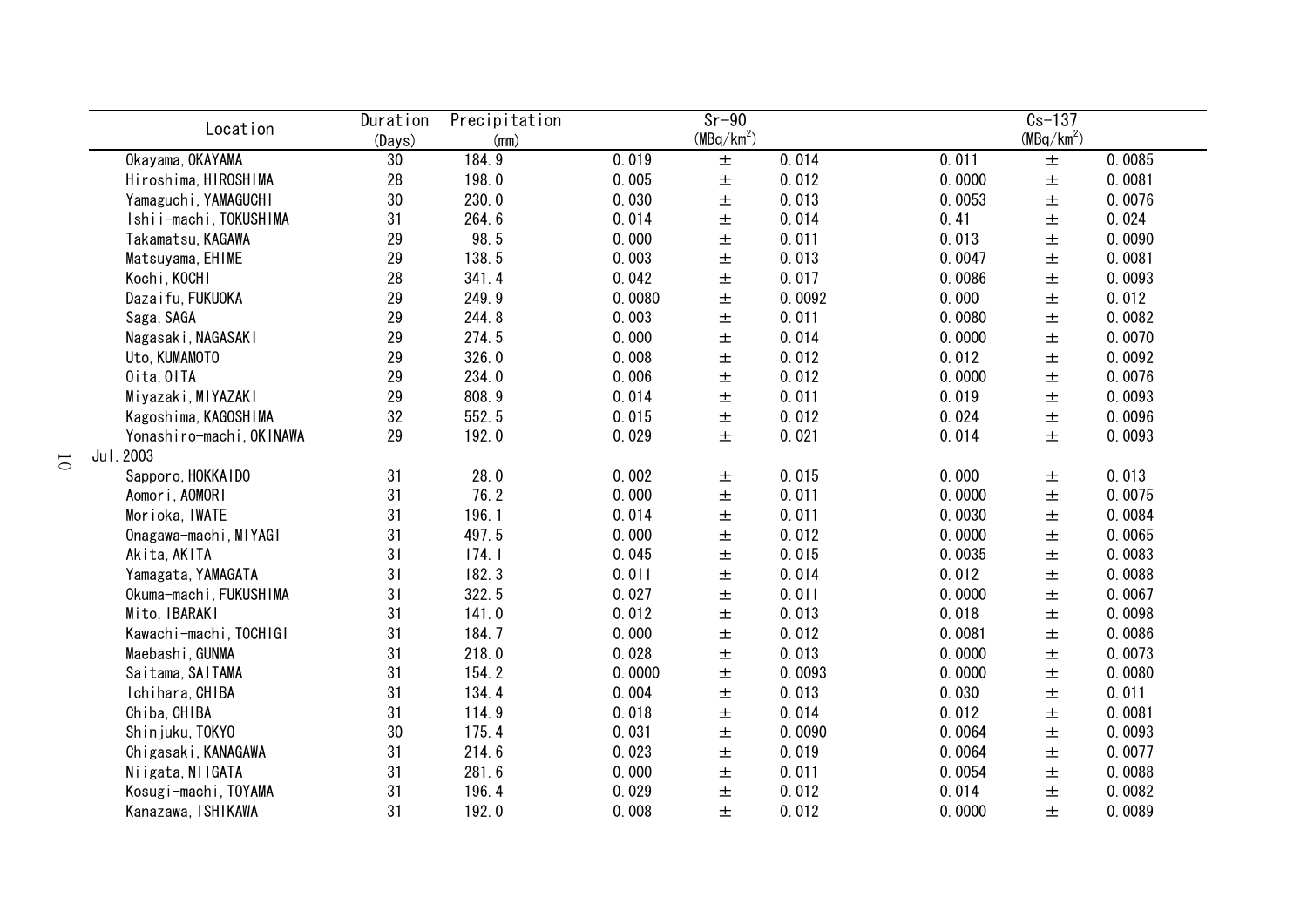| Location                 | Duration | Precipitation |        | $\overline{s}$ r-90    |        |        | $Cs - 137$             |        |
|--------------------------|----------|---------------|--------|------------------------|--------|--------|------------------------|--------|
|                          | (Days)   | (mm)          |        | (MBq/km <sup>2</sup> ) |        |        | (MBq/km <sup>2</sup> ) |        |
| Okayama, OKAYAMA         | 30       | 184.9         | 0.019  | $\pm$                  | 0.014  | 0.011  | $\pm$                  | 0.0085 |
| Hiroshima, HIROSHIMA     | 28       | 198.0         | 0.005  | $\pm$                  | 0.012  | 0.0000 | $\pm$                  | 0.0081 |
| Yamaguchi, YAMAGUCHI     | 30       | 230.0         | 0.030  | 土                      | 0.013  | 0.0053 | 土                      | 0.0076 |
| Ishii-machi, TOKUSHIMA   | 31       | 264.6         | 0.014  | $\pm$                  | 0.014  | 0.41   | $\pm$                  | 0.024  |
| Takamatsu, KAGAWA        | 29       | 98.5          | 0.000  | $\pm$                  | 0.011  | 0.013  | $\pm$                  | 0.0090 |
| Matsuyama, EHIME         | 29       | 138.5         | 0.003  | $\pm$                  | 0.013  | 0.0047 | $\pm$                  | 0.0081 |
| Kochi, KOCHI             | 28       | 341.4         | 0.042  | $\pm$                  | 0.017  | 0.0086 | $\pm$                  | 0.0093 |
| Dazaifu, FUKUOKA         | 29       | 249.9         | 0.0080 | 土                      | 0.0092 | 0.000  | $\pm$                  | 0.012  |
| Saga, SAGA               | 29       | 244.8         | 0.003  | $\pm$                  | 0.011  | 0.0080 | $\pm$                  | 0.0082 |
| Nagasaki, NAGASAKI       | 29       | 274.5         | 0.000  | 土                      | 0.014  | 0.0000 | $\pm$                  | 0.0070 |
| Uto, KUMAMOTO            | 29       | 326.0         | 0.008  | 土                      | 0.012  | 0.012  | $\pm$                  | 0.0092 |
| Oita, OITA               | 29       | 234.0         | 0.006  | 土                      | 0.012  | 0.0000 | $\pm$                  | 0.0076 |
| Miyazaki, MIYAZAKI       | 29       | 808.9         | 0.014  | 土                      | 0.011  | 0.019  | 土                      | 0.0093 |
| Kagoshima, KAGOSHIMA     | 32       | 552.5         | 0.015  | 土                      | 0.012  | 0.024  | 土                      | 0.0096 |
| Yonashiro-machi, OKINAWA | 29       | 192.0         | 0.029  | 土                      | 0.021  | 0.014  | 土                      | 0.0093 |
| Jul. 2003                |          |               |        |                        |        |        |                        |        |
| Sapporo, HOKKAIDO        | 31       | 28.0          | 0.002  | 土                      | 0.015  | 0.000  | $\pm$                  | 0.013  |
| Aomori, AOMORI           | 31       | 76.2          | 0.000  | $\pm$                  | 0.011  | 0.0000 | $\pm$                  | 0.0075 |
| Morioka, IWATE           | 31       | 196.1         | 0.014  | $\pm$                  | 0.011  | 0.0030 | $\pm$                  | 0.0084 |
| Onagawa-machi, MIYAGI    | 31       | 497.5         | 0.000  | $\pm$                  | 0.012  | 0.0000 | $\pm$                  | 0.0065 |
| Akita, AKITA             | 31       | 174.1         | 0.045  | $\pm$                  | 0.015  | 0.0035 | $\pm$                  | 0.0083 |
| Yamagata, YAMAGATA       | 31       | 182.3         | 0.011  | $\pm$                  | 0.014  | 0.012  | $\pm$                  | 0.0088 |
| Okuma-machi, FUKUSHIMA   | 31       | 322.5         | 0.027  | $\pm$                  | 0.011  | 0.0000 | $\pm$                  | 0.0067 |
| Mito, IBARAKI            | 31       | 141.0         | 0.012  | $\pm$                  | 0.013  | 0.018  | $\pm$                  | 0.0098 |
| Kawachi-machi, TOCHIGI   | 31       | 184.7         | 0.000  | $\pm$                  | 0.012  | 0.0081 | $\pm$                  | 0.0086 |
| Maebashi, GUNMA          | 31       | 218.0         | 0.028  | $\pm$                  | 0.013  | 0.0000 | $\pm$                  | 0.0073 |
| Saitama, SAITAMA         | 31       | 154.2         | 0.0000 | $\pm$                  | 0.0093 | 0.0000 | $\pm$                  | 0.0080 |
| Ichihara, CHIBA          | 31       | 134.4         | 0.004  | 土                      | 0.013  | 0.030  | 士                      | 0.011  |
| Chiba, CHIBA             | 31       | 114.9         | 0.018  | 土                      | 0.014  | 0.012  | $\pm$                  | 0.0081 |
| Shinjuku, TOKYO          | 30       | 175.4         | 0.031  | 土                      | 0.0090 | 0.0064 | $\pm$                  | 0.0093 |
| Chigasaki, KANAGAWA      | 31       | 214.6         | 0.023  | 土                      | 0.019  | 0.0064 | 土                      | 0.0077 |
| Niigata, NIIGATA         | 31       | 281.6         | 0.000  | 土                      | 0.011  | 0.0054 | 土                      | 0.0088 |
| Kosugi-machi, TOYAMA     | 31       | 196.4         | 0.029  | 土                      | 0.012  | 0.014  | 土                      | 0.0082 |
| Kanazawa, ISHIKAWA       | 31       | 192.0         | 0.008  | 土                      | 0.012  | 0.0000 | 土                      | 0.0089 |

10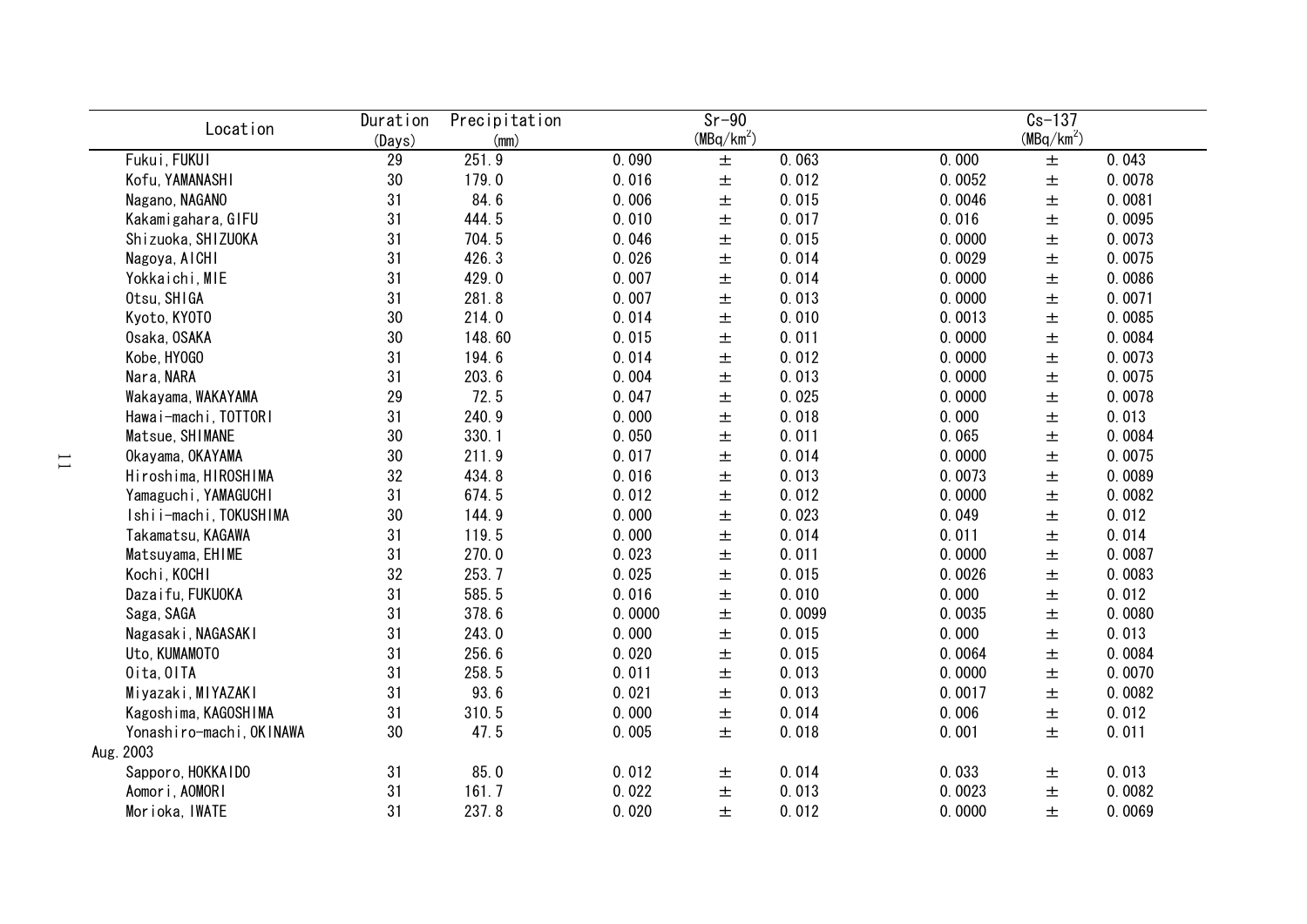| Location                 | Duration<br>(Days) | Precipitation<br>(mm) |        | $Sr-90$<br>$(MBq/km^2)$ |        |        | $Cs-137$<br>(MBq/km <sup>2</sup> ) |        |
|--------------------------|--------------------|-----------------------|--------|-------------------------|--------|--------|------------------------------------|--------|
| Fukui, FUKUI             | 29                 | 251.9                 | 0.090  | $\pm$                   | 0.063  | 0.000  | $\pm$                              | 0.043  |
| Kofu, YAMANASHI          | 30                 | 179.0                 | 0.016  | $\pm$                   | 0.012  | 0.0052 | $\pm$                              | 0.0078 |
| Nagano, NAGANO           | 31                 | 84.6                  | 0.006  | $\pm$                   | 0.015  | 0.0046 | $\pm$                              | 0.0081 |
| Kakamigahara, GIFU       | 31                 | 444.5                 | 0.010  | $\pm$                   | 0.017  | 0.016  | $\pm$                              | 0.0095 |
| Shizuoka, SHIZUOKA       | 31                 | 704.5                 | 0.046  | $\pm$                   | 0.015  | 0.0000 | $\pm$                              | 0.0073 |
| Nagoya, AICHI            | 31                 | 426.3                 | 0.026  | $\pm$                   | 0.014  | 0.0029 | 土                                  | 0.0075 |
| Yokkaichi, MIE           | 31                 | 429.0                 | 0.007  | $\pm$                   | 0.014  | 0.0000 | 土                                  | 0.0086 |
| Otsu, SHIGA              | 31                 | 281.8                 | 0.007  | 土                       | 0.013  | 0.0000 | 土                                  | 0.0071 |
| Kyoto, KYOTO             | 30                 | 214.0                 | 0.014  | 士                       | 0.010  | 0.0013 | 土                                  | 0.0085 |
| Osaka, OSAKA             | 30                 | 148.60                | 0.015  | 士                       | 0.011  | 0.0000 | $\pm$                              | 0.0084 |
| Kobe, HY0GO              | 31                 | 194.6                 | 0.014  | 土                       | 0.012  | 0.0000 | 土                                  | 0.0073 |
| Nara, NARA               | 31                 | 203.6                 | 0.004  | 土                       | 0.013  | 0.0000 | 土                                  | 0.0075 |
| Wakayama, WAKAYAMA       | 29                 | 72.5                  | 0.047  | 土                       | 0.025  | 0.0000 | 土                                  | 0.0078 |
| Hawai-machi, TOTTORI     | 31                 | 240.9                 | 0.000  | 土                       | 0.018  | 0.000  | 土                                  | 0.013  |
| Matsue, SHIMANE          | 30                 | 330.1                 | 0.050  | $\pm$                   | 0.011  | 0.065  | 土                                  | 0.0084 |
| Okayama, OKAYAMA         | 30                 | 211.9                 | 0.017  | $\pm$                   | 0.014  | 0.0000 | $\pm$                              | 0.0075 |
| Hiroshima, HIROSHIMA     | 32                 | 434.8                 | 0.016  | $\pm$                   | 0.013  | 0.0073 | 土                                  | 0.0089 |
| Yamaguchi, YAMAGUCHI     | 31                 | 674.5                 | 0.012  | $\pm$                   | 0.012  | 0.0000 | $\pm$                              | 0.0082 |
| Ishii-machi, TOKUSHIMA   | 30                 | 144.9                 | 0.000  | $\pm$                   | 0.023  | 0.049  | $\pm$                              | 0.012  |
| Takamatsu, KAGAWA        | 31                 | 119.5                 | 0.000  | $\pm$                   | 0.014  | 0.011  | $\pm$                              | 0.014  |
| Matsuyama, EHIME         | 31                 | 270.0                 | 0.023  | $\pm$                   | 0.011  | 0.0000 | $\pm$                              | 0.0087 |
| Kochi, KOCHI             | 32                 | 253.7                 | 0.025  | $\pm$                   | 0.015  | 0.0026 | $\pm$                              | 0.0083 |
| Dazaifu, FUKUOKA         | 31                 | 585.5                 | 0.016  | $\pm$                   | 0.010  | 0.000  | $\pm$                              | 0.012  |
| Saga, SAGA               | 31                 | 378.6                 | 0.0000 | 士                       | 0.0099 | 0.0035 | $\pm$                              | 0.0080 |
| Nagasaki, NAGASAKI       | 31                 | 243.0                 | 0.000  | $\pm$                   | 0.015  | 0.000  | $\pm$                              | 0.013  |
| Uto, KUMAMOTO            | 31                 | 256.6                 | 0.020  | $\pm$                   | 0.015  | 0.0064 | $\pm$                              | 0.0084 |
| Oita, OITA               | 31                 | 258.5                 | 0.011  | $\pm$                   | 0.013  | 0.0000 | 士                                  | 0.0070 |
| Miyazaki, MIYAZAKI       | 31                 | 93.6                  | 0.021  | 王                       | 0.013  | 0.0017 | 士                                  | 0.0082 |
| Kagoshima, KAGOSHIMA     | 31                 | 310.5                 | 0.000  | $\pm$                   | 0.014  | 0.006  | 土                                  | 0.012  |
| Yonashiro-machi, OKINAWA | 30                 | 47.5                  | 0.005  | 士                       | 0.018  | 0.001  | 土                                  | 0.011  |
| Aug. 2003                |                    |                       |        |                         |        |        |                                    |        |
| Sapporo, HOKKAIDO        | 31                 | 85.0                  | 0.012  | 士                       | 0.014  | 0.033  | 土                                  | 0.013  |
| Aomori, AOMORI           | 31                 | 161.7                 | 0.022  | 土                       | 0.013  | 0.0023 | 土                                  | 0.0082 |
| Morioka, IWATE           | 31                 | 237.8                 | 0.020  | 士                       | 0.012  | 0.0000 | 土                                  | 0.0069 |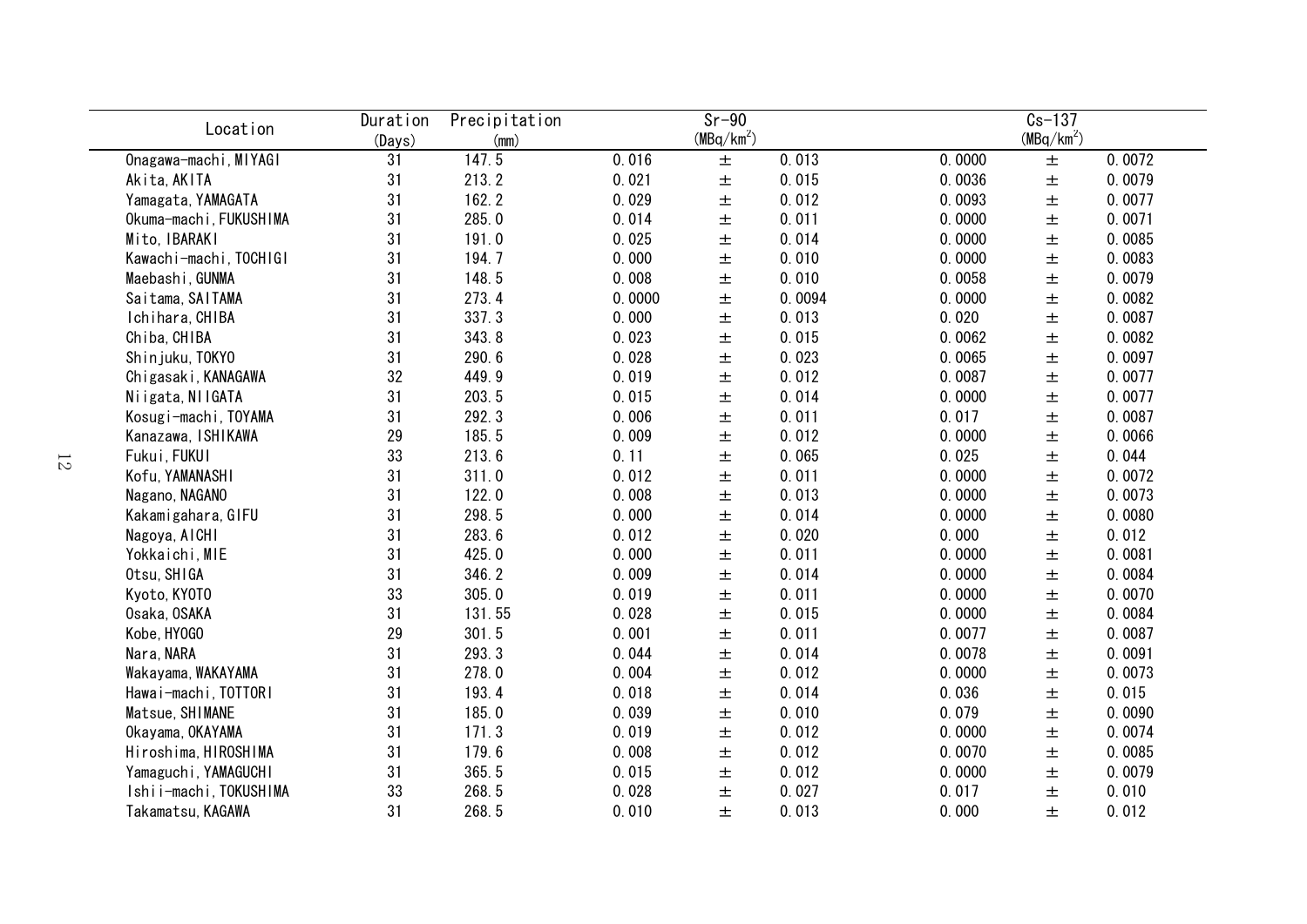| Location               | Duration | Precipitation |        | $Sr-90$      |        |        | $Cs-137$               |        |
|------------------------|----------|---------------|--------|--------------|--------|--------|------------------------|--------|
|                        | (Days)   | (mm)          |        | $(MBq/km^2)$ |        |        | (MBq/km <sup>2</sup> ) |        |
| Onagawa-machi, MIYAGI  | 31       | 147.5         | 0.016  | 土            | 0.013  | 0.0000 | $\pm$                  | 0.0072 |
| Akita, AKITA           | 31       | 213.2         | 0.021  | $\pm$        | 0.015  | 0.0036 | $\pm$                  | 0.0079 |
| Yamagata, YAMAGATA     | 31       | 162.2         | 0.029  | $\pm$        | 0.012  | 0.0093 | $\pm$                  | 0.0077 |
| Okuma-machi, FUKUSHIMA | 31       | 285.0         | 0.014  | $\pm$        | 0.011  | 0.0000 | $\pm$                  | 0.0071 |
| Mito, IBARAKI          | 31       | 191.0         | 0.025  | $\pm$        | 0.014  | 0.0000 | $\pm$                  | 0.0085 |
| Kawachi-machi, TOCHIGI | 31       | 194.7         | 0.000  | 土            | 0.010  | 0.0000 | $\pm$                  | 0.0083 |
| Maebashi, GUNMA        | 31       | 148.5         | 0.008  | $\pm$        | 0.010  | 0.0058 | $\pm$                  | 0.0079 |
| Saitama, SAITAMA       | 31       | 273.4         | 0.0000 | 土            | 0.0094 | 0.0000 | $\pm$                  | 0.0082 |
| Ichihara, CHIBA        | 31       | 337.3         | 0.000  | $\pm$        | 0.013  | 0.020  | $\pm$                  | 0.0087 |
| Chiba, CHIBA           | 31       | 343.8         | 0.023  | $\pm$        | 0.015  | 0.0062 | $\pm$                  | 0.0082 |
| Shinjuku, TOKYO        | 31       | 290.6         | 0.028  | 土            | 0.023  | 0.0065 | $\pm$                  | 0.0097 |
| Chigasaki, KANAGAWA    | 32       | 449.9         | 0.019  | 土            | 0.012  | 0.0087 | $\pm$                  | 0.0077 |
| Niigata, NIIGATA       | 31       | 203.5         | 0.015  | 土            | 0.014  | 0.0000 | $\pm$                  | 0.0077 |
| Kosugi-machi, TOYAMA   | 31       | 292.3         | 0.006  | 土            | 0.011  | 0.017  | $\pm$                  | 0.0087 |
| Kanazawa, ISHIKAWA     | 29       | 185.5         | 0.009  | 土            | 0.012  | 0.0000 | $\pm$                  | 0.0066 |
| Fukui, FUKUI           | 33       | 213.6         | 0.11   | 土            | 0.065  | 0.025  | $\pm$                  | 0.044  |
| Kofu, YAMANASHI        | 31       | 311.0         | 0.012  | $\pm$        | 0.011  | 0.0000 | $\pm$                  | 0.0072 |
| Nagano, NAGANO         | 31       | 122.0         | 0.008  | $\pm$        | 0.013  | 0.0000 | $\pm$                  | 0.0073 |
| Kakamigahara, GIFU     | 31       | 298.5         | 0.000  | $\pm$        | 0.014  | 0.0000 | $\pm$                  | 0.0080 |
| Nagoya, AICHI          | 31       | 283.6         | 0.012  | $\pm$        | 0.020  | 0.000  | $\pm$                  | 0.012  |
| Yokkaichi, MIE         | 31       | 425.0         | 0.000  | $\pm$        | 0.011  | 0.0000 | $\pm$                  | 0.0081 |
| Otsu, SHIGA            | 31       | 346.2         | 0.009  | $\pm$        | 0.014  | 0.0000 | $\pm$                  | 0.0084 |
| Kyoto, KY0T0           | 33       | 305.0         | 0.019  | $\pm$        | 0.011  | 0.0000 | $\pm$                  | 0.0070 |
| Osaka, OSAKA           | 31       | 131.55        | 0.028  | $\pm$        | 0.015  | 0.0000 | $\pm$                  | 0.0084 |
| Kobe, HY0G0            | 29       | 301.5         | 0.001  | $\pm$        | 0.011  | 0.0077 | $\pm$                  | 0.0087 |
| Nara, NARA             | 31       | 293.3         | 0.044  | $\pm$        | 0.014  | 0.0078 | $\pm$                  | 0.0091 |
| Wakayama, WAKAYAMA     | 31       | 278.0         | 0.004  | $\pm$        | 0.012  | 0.0000 | $\pm$                  | 0.0073 |
| Hawai-machi, TOTTORI   | 31       | 193.4         | 0.018  | $\pm$        | 0.014  | 0.036  | $\pm$                  | 0.015  |
| Matsue, SHIMANE        | 31       | 185.0         | 0.039  | 土            | 0.010  | 0.079  | $\pm$                  | 0.0090 |
| Okayama, OKAYAMA       | 31       | 171.3         | 0.019  | 土            | 0.012  | 0.0000 | $\pm$                  | 0.0074 |
| Hiroshima, HIROSHIMA   | 31       | 179.6         | 0.008  | 土            | 0.012  | 0.0070 | $\pm$                  | 0.0085 |
| Yamaguchi, YAMAGUCHI   | 31       | 365.5         | 0.015  | 土            | 0.012  | 0.0000 | $\pm$                  | 0.0079 |
| Ishii-machi, TOKUSHIMA | 33       | 268.5         | 0.028  | 土            | 0.027  | 0.017  | $\pm$                  | 0.010  |
| Takamatsu, KAGAWA      | 31       | 268.5         | 0.010  | 土            | 0.013  | 0.000  | $\pm$                  | 0.012  |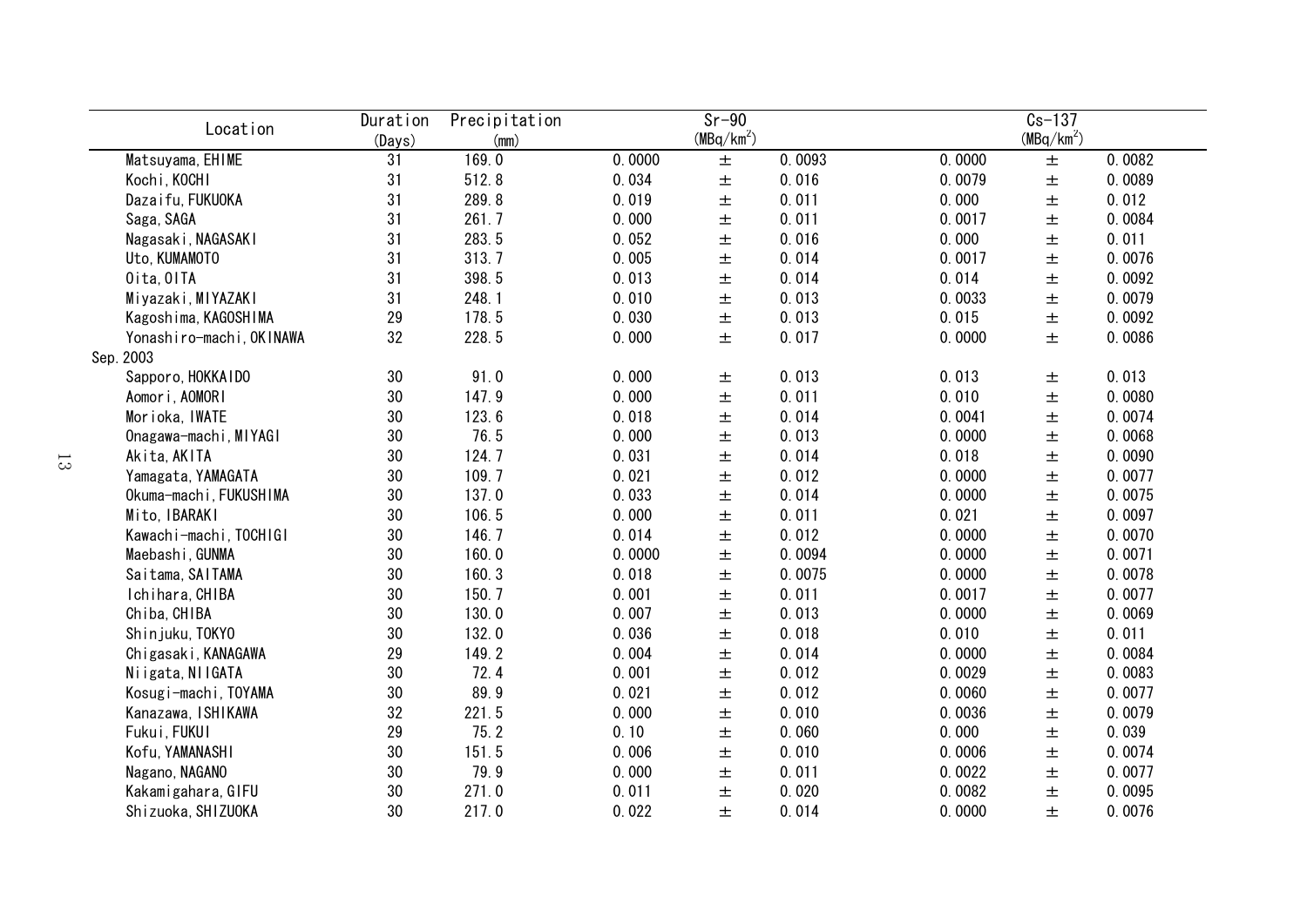| Location                 | Duration<br>(Days) | Precipitation<br>(mm) |        | $Sr-90$<br>$(MBq/km^2)$ |        |        | $Cs - 137$<br>(MBq/km <sup>2</sup> ) |        |
|--------------------------|--------------------|-----------------------|--------|-------------------------|--------|--------|--------------------------------------|--------|
| Matsuyama, EHIME         | 31                 | 169.0                 | 0.0000 | $\pm$                   | 0.0093 | 0.0000 | $\pm$                                | 0.0082 |
| Kochi, KOCHI             | 31                 | 512.8                 | 0.034  | $\pm$                   | 0.016  | 0.0079 | $\pm$                                | 0.0089 |
| Dazaifu, FUKUOKA         | 31                 | 289.8                 | 0.019  | 土                       | 0.011  | 0.000  | 土                                    | 0.012  |
| Saga, SAGA               | 31                 | 261.7                 | 0.000  | 土                       | 0.011  | 0.0017 | 土                                    | 0.0084 |
| Nagasaki, NAGASAKI       | 31                 | 283.5                 | 0.052  | 土                       | 0.016  | 0.000  | $\pm$                                | 0.011  |
| Uto, KUMAMOTO            | 31                 | 313.7                 | 0.005  | 土                       | 0.014  | 0.0017 | $\pm$                                | 0.0076 |
| Oita, OITA               | 31                 | 398.5                 | 0.013  | $\pm$                   | 0.014  | 0.014  | $\pm$                                | 0.0092 |
| Miyazaki, MIYAZAKI       | 31                 | 248.1                 | 0.010  | 土                       | 0.013  | 0.0033 | $\pm$                                | 0.0079 |
| Kagoshima, KAGOSHIMA     | 29                 | 178.5                 | 0.030  | $\pm$                   | 0.013  | 0.015  | $\pm$                                | 0.0092 |
| Yonashiro-machi, OKINAWA | 32                 | 228.5                 | 0.000  | 土                       | 0.017  | 0.0000 | $\pm$                                | 0.0086 |
| Sep. 2003                |                    |                       |        |                         |        |        |                                      |        |
| Sapporo, HOKKAIDO        | 30                 | 91.0                  | 0.000  | $\pm$                   | 0.013  | 0.013  | 土                                    | 0.013  |
| Aomori, AOMORI           | 30                 | 147.9                 | 0.000  | 土                       | 0.011  | 0.010  | 土                                    | 0.0080 |
| Morioka, IWATE           | 30                 | 123.6                 | 0.018  | 土                       | 0.014  | 0.0041 | 土                                    | 0.0074 |
| Onagawa-machi, MIYAGI    | 30                 | 76.5                  | 0.000  | 土                       | 0.013  | 0.0000 | 土                                    | 0.0068 |
| Akita, AKITA             | 30                 | 124.7                 | 0.031  | 土                       | 0.014  | 0.018  | $\pm$                                | 0.0090 |
| Yamagata, YAMAGATA       | 30                 | 109.7                 | 0.021  | 土                       | 0.012  | 0.0000 | $\pm$                                | 0.0077 |
| Okuma-machi, FUKUSHIMA   | 30                 | 137.0                 | 0.033  | 土                       | 0.014  | 0.0000 | 土                                    | 0.0075 |
| Mito, IBARAKI            | 30                 | 106.5                 | 0.000  | 土                       | 0.011  | 0.021  | 士                                    | 0.0097 |
| Kawachi-machi, TOCHIGI   | 30                 | 146.7                 | 0.014  | $\pm$                   | 0.012  | 0.0000 | $\pm$                                | 0.0070 |
| Maebashi, GUNMA          | 30                 | 160.0                 | 0.0000 | $\pm$                   | 0.0094 | 0.0000 | $\pm$                                | 0.0071 |
| Saitama, SAITAMA         | 30                 | 160.3                 | 0.018  | $\pm$                   | 0.0075 | 0.0000 | $\pm$                                | 0.0078 |
| Ichihara, CHIBA          | 30                 | 150.7                 | 0.001  | 土                       | 0.011  | 0.0017 | $\pm$                                | 0.0077 |
| Chiba, CHIBA             | 30                 | 130.0                 | 0.007  | 土                       | 0.013  | 0.0000 | $\pm$                                | 0.0069 |
| Shinjuku, TOKYO          | 30                 | 132.0                 | 0.036  | 土                       | 0.018  | 0.010  | $\pm$                                | 0.011  |
| Chigasaki, KANAGAWA      | 29                 | 149.2                 | 0.004  | $\pm$                   | 0.014  | 0.0000 | $\pm$                                | 0.0084 |
| Niigata, NIIGATA         | 30                 | 72.4                  | 0.001  | $\pm$                   | 0.012  | 0.0029 | $\pm$                                | 0.0083 |
| Kosugi-machi, TOYAMA     | 30                 | 89.9                  | 0.021  | 土                       | 0.012  | 0.0060 | $\pm$                                | 0.0077 |
| Kanazawa, ISHIKAWA       | 32                 | 221.5                 | 0.000  | 土                       | 0.010  | 0.0036 | 土                                    | 0.0079 |
| Fukui, FUKUI             | 29                 | 75.2                  | 0.10   | 土                       | 0.060  | 0.000  | 土                                    | 0.039  |
| Kofu, YAMANASHI          | 30                 | 151.5                 | 0.006  | 土                       | 0.010  | 0.0006 | 土                                    | 0.0074 |
| Nagano, NAGANO           | 30                 | 79.9                  | 0.000  | 土                       | 0.011  | 0.0022 | $\pm$                                | 0.0077 |
| Kakamigahara, GIFU       | 30                 | 271.0                 | 0.011  | 土                       | 0.020  | 0.0082 | 土                                    | 0.0095 |
| Shizuoka, SHIZUOKA       | 30                 | 217.0                 | 0.022  | 土                       | 0.014  | 0.0000 | 土                                    | 0.0076 |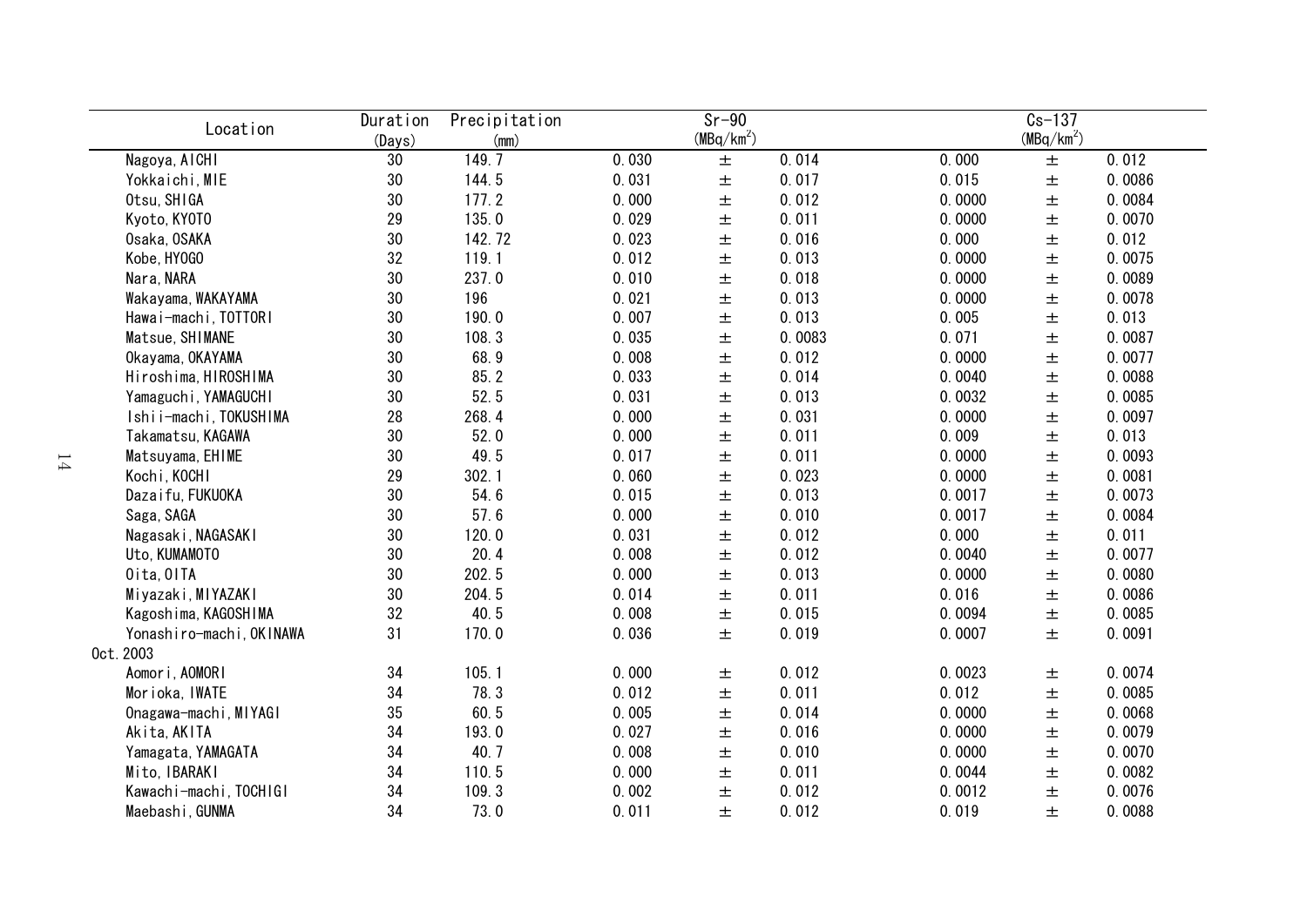| Location                 | Duration        | Precipitation |       | $Sr-90$      |        |        | $Cs-137$               |        |
|--------------------------|-----------------|---------------|-------|--------------|--------|--------|------------------------|--------|
|                          | (Days)          | (mm)          |       | $(MBq/km^2)$ |        |        | (MBq/km <sup>2</sup> ) |        |
| Nagoya, AICHI            | $30\,$          | 149.7         | 0.030 | $\pm$        | 0.014  | 0.000  | $\pm$                  | 0.012  |
| Yokkaichi, MIE           | $30\,$          | 144.5         | 0.031 | 土            | 0.017  | 0.015  | $\pm$                  | 0.0086 |
| Otsu, SHIGA              | 30              | 177.2         | 0.000 | 土            | 0.012  | 0.0000 | $\pm$                  | 0.0084 |
| Kyoto, KYOTO             | 29              | 135.0         | 0.029 | 土            | 0.011  | 0.0000 | $\pm$                  | 0.0070 |
| Osaka, OSAKA             | 30              | 142.72        | 0.023 | $\pm$        | 0.016  | 0.000  | 土                      | 0.012  |
| Kobe, HY0GO              | 32              | 119.1         | 0.012 | $\pm$        | 0.013  | 0.0000 | $\pm$                  | 0.0075 |
| Nara, NARA               | 30              | 237.0         | 0.010 | 土            | 0.018  | 0.0000 | 土                      | 0.0089 |
| Wakayama, WAKAYAMA       | 30              | 196           | 0.021 | 土            | 0.013  | 0.0000 | 土                      | 0.0078 |
| Hawai-machi, TOTTORI     | 30              | 190.0         | 0.007 | 土            | 0.013  | 0.005  | $\pm$                  | 0.013  |
| Matsue, SHIMANE          | 30              | 108.3         | 0.035 | 土            | 0.0083 | 0.071  | 土                      | 0.0087 |
| Okayama, OKAYAMA         | 30              | 68.9          | 0.008 | 土            | 0.012  | 0.0000 | 土                      | 0.0077 |
| Hiroshima, HIROSHIMA     | 30              | 85.2          | 0.033 | 土            | 0.014  | 0.0040 | 土                      | 0.0088 |
| Yamaguchi, YAMAGUCHI     | 30              | 52.5          | 0.031 | 土            | 0.013  | 0.0032 | $\pm$                  | 0.0085 |
| Ishii-machi, TOKUSHIMA   | 28              | 268.4         | 0.000 | 土            | 0.031  | 0.0000 | $\pm$                  | 0.0097 |
| Takamatsu, KAGAWA        | 30              | 52.0          | 0.000 | 土            | 0.011  | 0.009  | 土                      | 0.013  |
| Matsuyama, EHIME         | 30              | 49.5          | 0.017 | 土            | 0.011  | 0.0000 | $\pm$                  | 0.0093 |
| Kochi, KOCHI             | 29              | 302.1         | 0.060 | $\pm$        | 0.023  | 0.0000 | $\pm$                  | 0.0081 |
| Dazaifu, FUKUOKA         | 30              | 54.6          | 0.015 | $\pm$        | 0.013  | 0.0017 | $\pm$                  | 0.0073 |
| Saga, SAGA               | 30              | 57.6          | 0.000 | $\pm$        | 0.010  | 0.0017 | $\pm$                  | 0.0084 |
| Nagasaki, NAGASAKI       | 30              | 120.0         | 0.031 | $\pm$        | 0.012  | 0.000  | $\pm$                  | 0.011  |
| Uto, KUMAMOTO            | 30              | 20.4          | 0.008 | 土            | 0.012  | 0.0040 | $\pm$                  | 0.0077 |
| Oita, OITA               | 30 <sub>o</sub> | 202.5         | 0.000 | 土            | 0.013  | 0.0000 | $\pm$                  | 0.0080 |
| Miyazaki, MIYAZAKI       | 30 <sub>o</sub> | 204.5         | 0.014 | 土            | 0.011  | 0.016  | $\pm$                  | 0.0086 |
| Kagoshima, KAGOSHIMA     | 32              | 40.5          | 0.008 | 土            | 0.015  | 0.0094 | 土                      | 0.0085 |
| Yonashiro-machi, OKINAWA | 31              | 170.0         | 0.036 | 土            | 0.019  | 0.0007 | 土                      | 0.0091 |
| 0ct. 2003                |                 |               |       |              |        |        |                        |        |
| Aomori, AOMORI           | 34              | 105.1         | 0.000 | 土            | 0.012  | 0.0023 | $\pm$                  | 0.0074 |
| Morioka, IWATE           | 34              | 78.3          | 0.012 | 土            | 0.011  | 0.012  | 土                      | 0.0085 |
| Onagawa-machi, MIYAGI    | 35              | 60.5          | 0.005 | 土            | 0.014  | 0.0000 | 土                      | 0.0068 |
| Akita, AKITA             | 34              | 193.0         | 0.027 | 土            | 0.016  | 0.0000 | 土                      | 0.0079 |
| Yamagata, YAMAGATA       | 34              | 40.7          | 0.008 | 土            | 0.010  | 0.0000 | 土                      | 0.0070 |
| Mito, IBARAKI            | 34              | 110.5         | 0.000 | 土            | 0.011  | 0.0044 | 土                      | 0.0082 |
| Kawachi-machi, TOCHIGI   | 34              | 109.3         | 0.002 | 土            | 0.012  | 0.0012 | 土                      | 0.0076 |
| Maebashi, GUNMA          | 34              | 73.0          | 0.011 | 土            | 0.012  | 0.019  | 土                      | 0.0088 |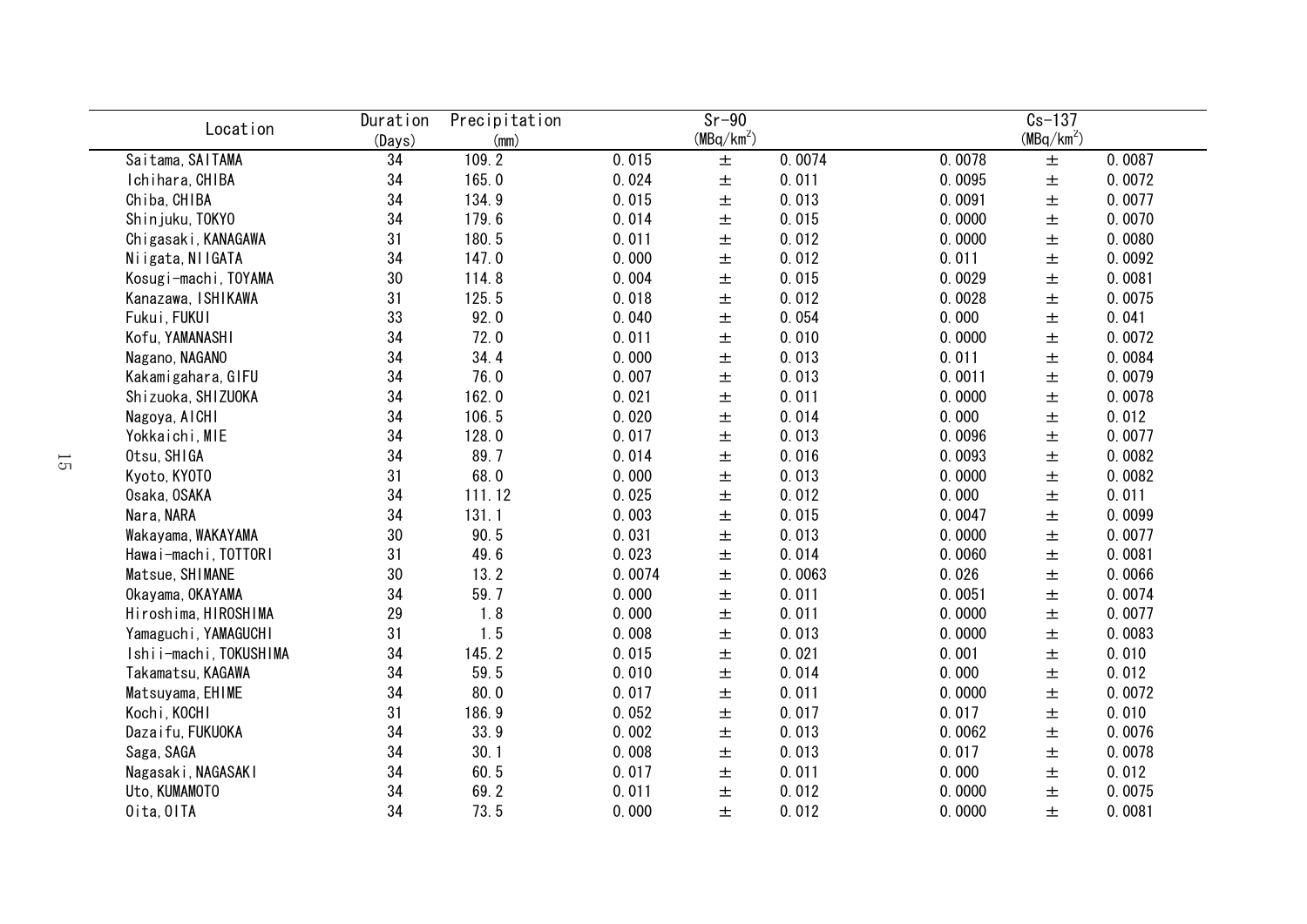| Location               | Duration | Precipitation |        | $Sr-90$      |        |        | $Cs-137$     |        |
|------------------------|----------|---------------|--------|--------------|--------|--------|--------------|--------|
|                        | (Days)   | (mm)          |        | $(MBq/km^2)$ |        |        | $(MBq/km^2)$ |        |
| Saitama, SAITAMA       | 34       | 109.2         | 0.015  | $\pm$        | 0.0074 | 0.0078 | $\pm$        | 0.0087 |
| Ichihara, CHIBA        | 34       | 165.0         | 0.024  | $\pm$        | 0.011  | 0.0095 | $\pm$        | 0.0072 |
| Chiba, CHIBA           | 34       | 134.9         | 0.015  | $\pm$        | 0.013  | 0.0091 | $\pm$        | 0.0077 |
| Shinjuku, TOKYO        | 34       | 179.6         | 0.014  | $\pm$        | 0.015  | 0.0000 | $\pm$        | 0.0070 |
| Chigasaki, KANAGAWA    | 31       | 180.5         | 0.011  | $\pm$        | 0.012  | 0.0000 | $\pm$        | 0.0080 |
| Niigata, NIIGATA       | 34       | 147.0         | 0.000  | $\pm$        | 0.012  | 0.011  | $\pm$        | 0.0092 |
| Kosugi-machi, TOYAMA   | 30       | 114.8         | 0.004  | $\pm$        | 0.015  | 0.0029 | $\pm$        | 0.0081 |
| Kanazawa, ISHIKAWA     | 31       | 125.5         | 0.018  | $\pm$        | 0.012  | 0.0028 | $\pm$        | 0.0075 |
| Fukui, FUKUI           | 33       | 92.0          | 0.040  | $\pm$        | 0.054  | 0.000  | $\pm$        | 0.041  |
| Kofu, YAMANASHI        | 34       | 72.0          | 0.011  | 土            | 0.010  | 0.0000 | $\pm$        | 0.0072 |
| Nagano, NAGANO         | 34       | 34.4          | 0.000  | 土            | 0.013  | 0.011  | $\pm$        | 0.0084 |
| Kakamigahara, GIFU     | 34       | 76.0          | 0.007  | 土            | 0.013  | 0.0011 | $\pm$        | 0.0079 |
| Shizuoka, SHIZUOKA     | 34       | 162.0         | 0.021  | 土            | 0.011  | 0.0000 | $\pm$        | 0.0078 |
| Nagoya, AICHI          | 34       | 106.5         | 0.020  | 土            | 0.014  | 0.000  | 土            | 0.012  |
| Yokkaichi, MIE         | 34       | 128.0         | 0.017  | 土            | 0.013  | 0.0096 | $\pm$        | 0.0077 |
| Otsu, SHIGA            | 34       | 89.7          | 0.014  | $\pm$        | 0.016  | 0.0093 | $\pm$        | 0.0082 |
| Kyoto, KY0T0           | 31       | 68.0          | 0.000  | $\pm$        | 0.013  | 0.0000 | $\pm$        | 0.0082 |
| Osaka, OSAKA           | 34       | 111.12        | 0.025  | $\pm$        | 0.012  | 0.000  | $\pm$        | 0.011  |
| Nara, NARA             | 34       | 131.1         | 0.003  | $\pm$        | 0.015  | 0.0047 | $\pm$        | 0.0099 |
| Wakayama, WAKAYAMA     | 30       | 90.5          | 0.031  | $\pm$        | 0.013  | 0.0000 | $\pm$        | 0.0077 |
| Hawai-machi, TOTTORI   | 31       | 49.6          | 0.023  | $\pm$        | 0.014  | 0.0060 | $\pm$        | 0.0081 |
| Matsue, SHIMANE        | 30       | 13.2          | 0.0074 | $\pm$        | 0.0063 | 0.026  | $\pm$        | 0.0066 |
| Okayama, OKAYAMA       | 34       | 59.7          | 0.000  | $\pm$        | 0.011  | 0.0051 | $\pm$        | 0.0074 |
| Hiroshima, HIROSHIMA   | 29       | 1.8           | 0.000  | $\pm$        | 0.011  | 0.0000 | $\pm$        | 0.0077 |
| Yamaguchi, YAMAGUCHI   | 31       | 1.5           | 0.008  | $\pm$        | 0.013  | 0.0000 | $\pm$        | 0.0083 |
| Ishii-machi, TOKUSHIMA | 34       | 145.2         | 0.015  | $\pm$        | 0.021  | 0.001  | $\pm$        | 0.010  |
| Takamatsu, KAGAWA      | 34       | 59.5          | 0.010  | 土            | 0.014  | 0.000  | $\pm$        | 0.012  |
| Matsuyama, EHIME       | 34       | 80.0          | 0.017  | 土            | 0.011  | 0.0000 | $\pm$        | 0.0072 |
| Kochi, KOCHI           | 31       | 186.9         | 0.052  | 土            | 0.017  | 0.017  | $\pm$        | 0.010  |
| Dazaifu, FUKUOKA       | 34       | 33.9          | 0.002  | 土            | 0.013  | 0.0062 | $\pm$        | 0.0076 |
| Saga, SAGA             | 34       | 30.1          | 0.008  | 土            | 0.013  | 0.017  | $\pm$        | 0.0078 |
| Nagasaki, NAGASAKI     | 34       | 60.5          | 0.017  | 土            | 0.011  | 0.000  | $\pm$        | 0.012  |
| Uto, KUMAMOTO          | 34       | 69.2          | 0.011  | 土            | 0.012  | 0.0000 | $\pm$        | 0.0075 |
| Oita, OITA             | 34       | 73.5          | 0.000  | $\pm$        | 0.012  | 0.0000 | $\pm$        | 0.0081 |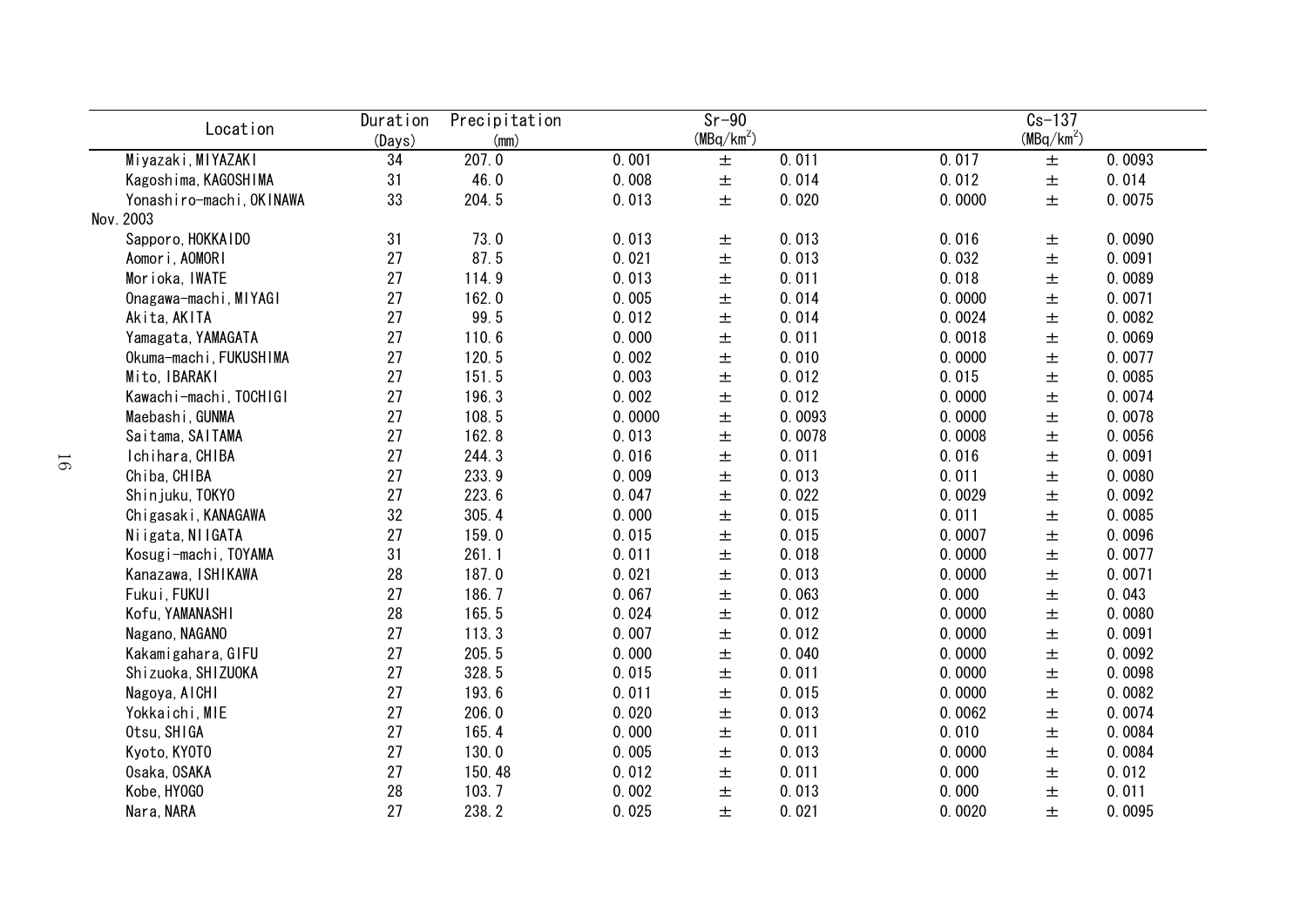|           | Location                 | Duration | $Sr-90$<br>Precipitation |        |              | $Cs - 137$ |        |                        |        |
|-----------|--------------------------|----------|--------------------------|--------|--------------|------------|--------|------------------------|--------|
|           |                          | (Days)   | (mm)                     |        | $(MBq/km^2)$ |            |        | (MBq/km <sup>2</sup> ) |        |
|           | Miyazaki, MIYAZAKI       | 34       | 207.0                    | 0.001  | $\pm$        | 0.011      | 0.017  | 土                      | 0.0093 |
|           | Kagoshima, KAGOSHIMA     | 31       | 46.0                     | 0.008  | $\pm$        | 0.014      | 0.012  | 土                      | 0.014  |
|           | Yonashiro-machi, OKINAWA | 33       | 204.5                    | 0.013  | 土            | 0.020      | 0.0000 | 土                      | 0.0075 |
| Nov. 2003 |                          |          |                          |        |              |            |        |                        |        |
|           | Sapporo, HOKKAIDO        | 31       | 73.0                     | 0.013  | $\pm$        | 0.013      | 0.016  | 土                      | 0.0090 |
|           | Aomori, AOMORI           | 27       | 87.5                     | 0.021  | $\pm$        | 0.013      | 0.032  | $\pm$                  | 0.0091 |
|           | Morioka, IWATE           | 27       | 114.9                    | 0.013  | $\pm$        | 0.011      | 0.018  | $\pm$                  | 0.0089 |
|           | Onagawa-machi, MIYAGI    | 27       | 162.0                    | 0.005  | $\pm$        | 0.014      | 0.0000 | $\pm$                  | 0.0071 |
|           | Akita, AKITA             | 27       | 99.5                     | 0.012  | $\pm$        | 0.014      | 0.0024 | $\pm$                  | 0.0082 |
|           | Yamagata, YAMAGATA       | 27       | 110.6                    | 0.000  | $\pm$        | 0.011      | 0.0018 | $\pm$                  | 0.0069 |
|           | Okuma-machi, FUKUSHIMA   | 27       | 120.5                    | 0.002  | 土            | 0.010      | 0.0000 | 土                      | 0.0077 |
|           | Mito, IBARAKI            | 27       | 151.5                    | 0.003  | 土            | 0.012      | 0.015  | 土                      | 0.0085 |
|           | Kawachi-machi, TOCHIGI   | 27       | 196.3                    | 0.002  | 土            | 0.012      | 0.0000 | 土                      | 0.0074 |
|           | Maebashi, GUNMA          | 27       | 108.5                    | 0.0000 | 土            | 0.0093     | 0.0000 | 土                      | 0.0078 |
|           | Saitama, SAITAMA         | 27       | 162.8                    | 0.013  | 土            | 0.0078     | 0.0008 | 土                      | 0.0056 |
|           | Ichihara, CHIBA          | 27       | 244.3                    | 0.016  | $\pm$        | 0.011      | 0.016  | 土                      | 0.0091 |
|           | Chiba, CHIBA             | 27       | 233.9                    | 0.009  | 土            | 0.013      | 0.011  | 土                      | 0.0080 |
|           | Shinjuku, TOKYO          | 27       | 223.6                    | 0.047  | $\pm$        | 0.022      | 0.0029 | $\pm$                  | 0.0092 |
|           | Chigasaki, KANAGAWA      | 32       | 305.4                    | 0.000  | $\pm$        | 0.015      | 0.011  | $\pm$                  | 0.0085 |
|           | Niigata, NIIGATA         | 27       | 159.0                    | 0.015  | $\pm$        | 0.015      | 0.0007 | 土                      | 0.0096 |
|           | Kosugi-machi, TOYAMA     | 31       | 261.1                    | 0.011  | $\pm$        | 0.018      | 0.0000 | 土                      | 0.0077 |
|           | Kanazawa, ISHIKAWA       | 28       | 187.0                    | 0.021  | $\pm$        | 0.013      | 0.0000 | 土                      | 0.0071 |
|           | Fukui, FUKUI             | 27       | 186.7                    | 0.067  | $\pm$        | 0.063      | 0.000  | $\pm$                  | 0.043  |
|           | Kofu, YAMANASHI          | 28       | 165.5                    | 0.024  | $\pm$        | 0.012      | 0.0000 | 土                      | 0.0080 |
|           | Nagano, NAGANO           | 27       | 113.3                    | 0.007  | $\pm$        | 0.012      | 0.0000 | 土                      | 0.0091 |
|           | Kakamigahara, GIFU       | 27       | 205.5                    | 0.000  | $\pm$        | 0.040      | 0.0000 | 土                      | 0.0092 |
|           | Shizuoka, SHIZUOKA       | 27       | 328.5                    | 0.015  | $\pm$        | 0.011      | 0.0000 | $\pm$                  | 0.0098 |
|           | Nagoya, AICHI            | 27       | 193.6                    | 0.011  | $\pm$        | 0.015      | 0.0000 | 土                      | 0.0082 |
|           | Yokkaichi, MIE           | 27       | 206.0                    | 0.020  | 土            | 0.013      | 0.0062 | 土                      | 0.0074 |
|           | Otsu, SHIGA              | 27       | 165.4                    | 0.000  | 土            | 0.011      | 0.010  | 土                      | 0.0084 |
|           | Kyoto, KYOTO             | 27       | 130.0                    | 0.005  | 土            | 0.013      | 0.0000 | 土                      | 0.0084 |
|           | Osaka, OSAKA             | 27       | 150.48                   | 0.012  | 土            | 0.011      | 0.000  | 土                      | 0.012  |
|           | Kobe, HY0GO              | 28       | 103.7                    | 0.002  | 土            | 0.013      | 0.000  | 土                      | 0.011  |
|           | Nara, NARA               | 27       | 238.2                    | 0.025  | 土            | 0.021      | 0.0020 | 土                      | 0.0095 |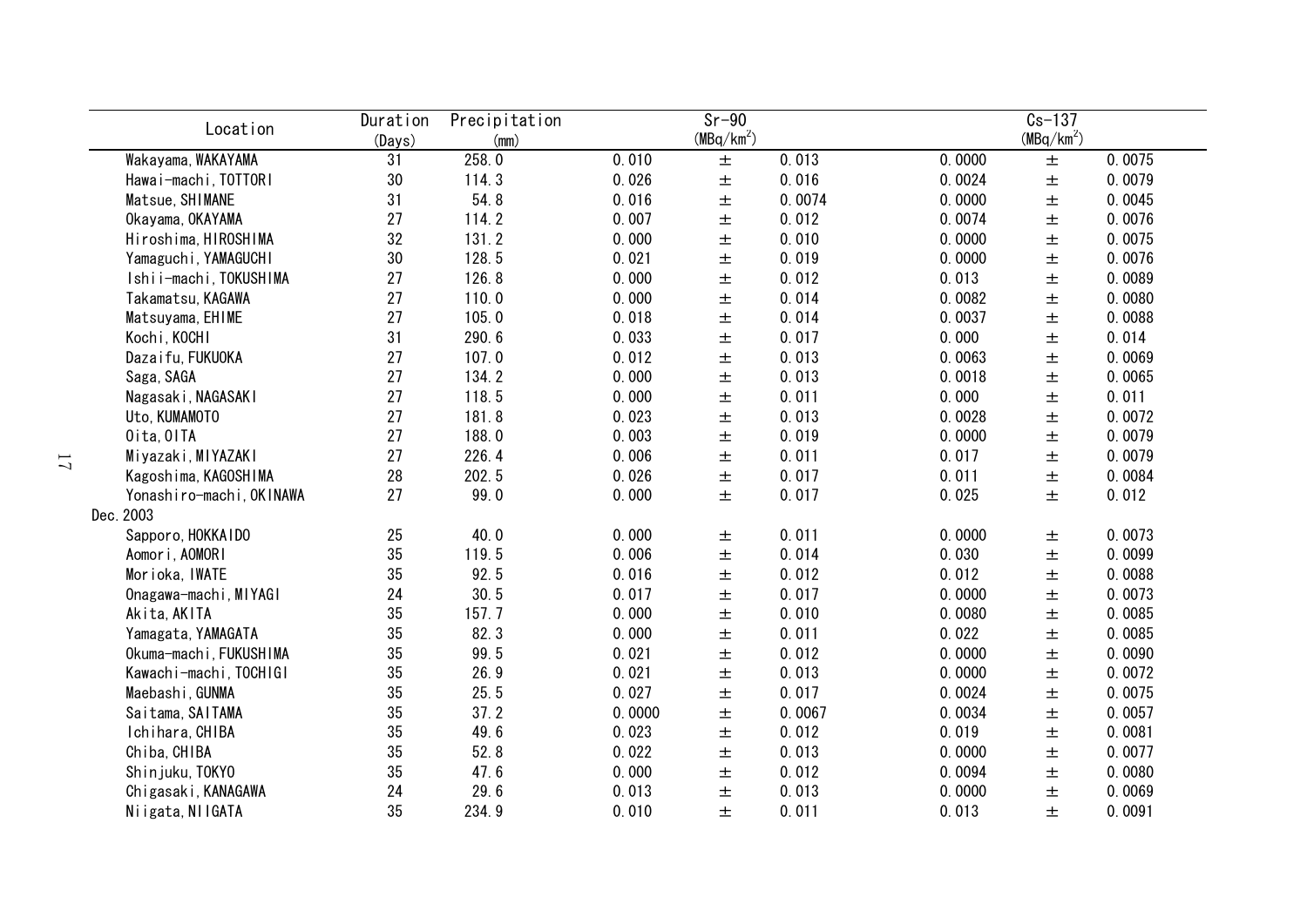| Location                         | Duration     | Precipitation | $Sr-90$<br>$(MBq/km^2)$ |       |        |        | $Cs-137$<br>(MBq/km <sup>2</sup> ) |        |  |  |
|----------------------------------|--------------|---------------|-------------------------|-------|--------|--------|------------------------------------|--------|--|--|
| Wakayama, WAKAYAMA               | (Days)<br>31 | (mm)<br>258.0 | 0.010                   | $\pm$ | 0.013  | 0.0000 | $\pm$                              | 0.0075 |  |  |
| Hawai-machi, TOTTORI             | 30           | 114.3         | 0.026                   | $\pm$ | 0.016  | 0.0024 | $\pm$                              | 0.0079 |  |  |
| Matsue, SHIMANE                  | 31           | 54.8          | 0.016                   | $\pm$ | 0.0074 | 0.0000 | $\pm$                              | 0.0045 |  |  |
| Okayama, OKAYAMA                 | 27           | 114.2         | 0.007                   | $\pm$ | 0.012  | 0.0074 | $\pm$                              | 0.0076 |  |  |
| Hiroshima, HIROSHIMA             | 32           | 131.2         | 0.000                   | $\pm$ | 0.010  | 0.0000 | $\pm$                              | 0.0075 |  |  |
| Yamaguchi, YAMAGUCHI             | 30           | 128.5         | 0.021                   | $\pm$ | 0.019  | 0.0000 | $\pm$                              | 0.0076 |  |  |
| Ishii-machi, TOKUSHIMA           | 27           | 126.8         | 0.000                   | $\pm$ | 0.012  | 0.013  | $\pm$                              | 0.0089 |  |  |
| Takamatsu, KAGAWA                | 27           | 110.0         | 0.000                   | $\pm$ | 0.014  | 0.0082 | $\pm$                              | 0.0080 |  |  |
|                                  | 27           | 105.0         | 0.018                   | $\pm$ | 0.014  | 0.0037 | $\pm$                              | 0.0088 |  |  |
| Matsuyama, EHIME<br>Kochi, KOCHI | 31           | 290.6         | 0.033                   |       | 0.017  | 0.000  | $\pm$                              | 0.014  |  |  |
|                                  | 27           | 107.0         | 0.012                   | $\pm$ | 0.013  | 0.0063 |                                    | 0.0069 |  |  |
| Dazaifu, FUKUOKA                 |              |               | 0.000                   | 土     |        |        | $\pm$                              |        |  |  |
| Saga, SAGA                       | 27           | 134.2         |                         | 土     | 0.013  | 0.0018 | $\pm$                              | 0.0065 |  |  |
| Nagasaki, NAGASAKI               | 27           | 118.5         | 0.000                   | 土     | 0.011  | 0.000  | $\pm$                              | 0.011  |  |  |
| Uto, KUMAMOTO                    | 27           | 181.8         | 0.023                   | 土     | 0.013  | 0.0028 | $\pm$                              | 0.0072 |  |  |
| Oita, OITA                       | 27           | 188.0         | 0.003                   | $\pm$ | 0.019  | 0.0000 | $\pm$                              | 0.0079 |  |  |
| Miyazaki, MIYAZAKI               | 27           | 226.4         | 0.006                   | $\pm$ | 0.011  | 0.017  | $\pm$                              | 0.0079 |  |  |
| Kagoshima, KAGOSHIMA             | 28           | 202.5         | 0.026                   | $\pm$ | 0.017  | 0.011  | $\pm$                              | 0.0084 |  |  |
| Yonashiro-machi, OKINAWA         | 27           | 99.0          | 0.000                   | 土     | 0.017  | 0.025  | $\pm$                              | 0.012  |  |  |
| Dec. 2003                        |              |               |                         |       |        |        |                                    |        |  |  |
| Sapporo, HOKKAIDO                | 25           | 40.0          | 0.000                   | 土     | 0.011  | 0.0000 | $\pm$                              | 0.0073 |  |  |
| Aomori, AOMORI                   | 35           | 119.5         | 0.006                   | $\pm$ | 0.014  | 0.030  | $\pm$                              | 0.0099 |  |  |
| Morioka, IWATE                   | 35           | 92.5          | 0.016                   | 土     | 0.012  | 0.012  | $\pm$                              | 0.0088 |  |  |
| Onagawa-machi, MIYAGI            | 24           | 30.5          | 0.017                   | 土     | 0.017  | 0.0000 | $\pm$                              | 0.0073 |  |  |
| Akita, AKITA                     | 35           | 157.7         | 0.000                   | $\pm$ | 0.010  | 0.0080 | $\pm$                              | 0.0085 |  |  |
| Yamagata, YAMAGATA               | 35           | 82.3          | 0.000                   | $\pm$ | 0.011  | 0.022  | $\pm$                              | 0.0085 |  |  |
| Okuma-machi, FUKUSHIMA           | 35           | 99.5          | 0.021                   | $\pm$ | 0.012  | 0.0000 | $\pm$                              | 0.0090 |  |  |
| Kawachi-machi, TOCHIGI           | 35           | 26.9          | 0.021                   | $\pm$ | 0.013  | 0.0000 | $\pm$                              | 0.0072 |  |  |
| Maebashi, GUNMA                  | 35           | 25.5          | 0.027                   | $\pm$ | 0.017  | 0.0024 | $\pm$                              | 0.0075 |  |  |
| Saitama, SAITAMA                 | 35           | 37.2          | 0.0000                  | 土     | 0.0067 | 0.0034 | $\pm$                              | 0.0057 |  |  |
| Ichihara, CHIBA                  | 35           | 49.6          | 0.023                   | 土     | 0.012  | 0.019  | $\pm$                              | 0.0081 |  |  |
| Chiba, CHIBA                     | 35           | 52.8          | 0.022                   | 土     | 0.013  | 0.0000 | $\pm$                              | 0.0077 |  |  |
| Shinjuku, TOKYO                  | 35           | 47.6          | 0.000                   | 土     | 0.012  | 0.0094 | $\pm$                              | 0.0080 |  |  |
| Chigasaki, KANAGAWA              | 24           | 29.6          | 0.013                   | 土     | 0.013  | 0.0000 | 土                                  | 0.0069 |  |  |
| Niigata, NIIGATA                 | 35           | 234.9         | 0.010                   | 土     | 0.011  | 0.013  | $\pm$                              | 0.0091 |  |  |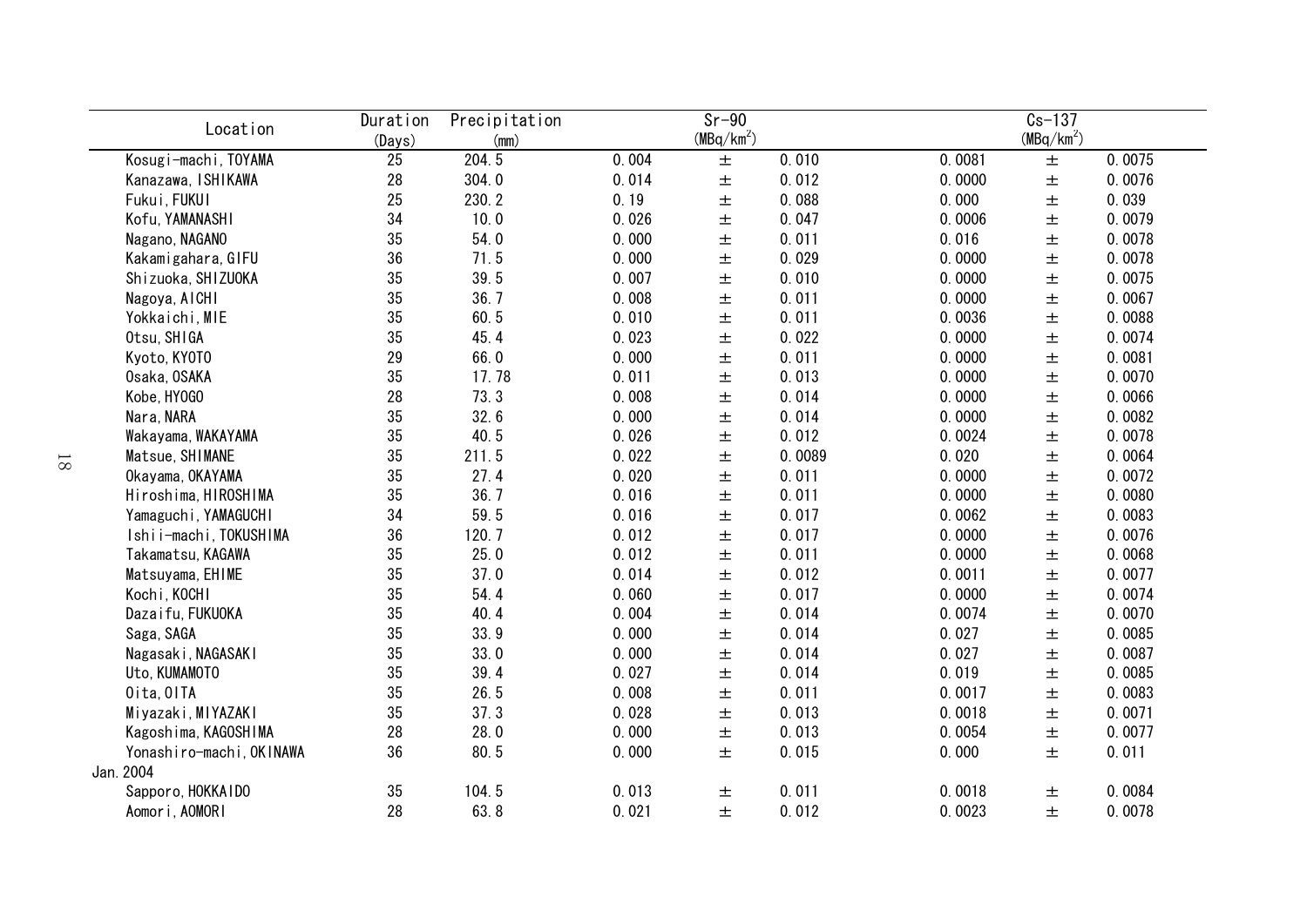| Location                 | Duration | Precipitation |       | $s - 90$               |        | $Cs-137$ |              |        |  |
|--------------------------|----------|---------------|-------|------------------------|--------|----------|--------------|--------|--|
|                          | (Days)   | (mm)          |       | (MBq/km <sup>2</sup> ) |        |          | $(MBq/km^2)$ |        |  |
| Kosugi-machi, TOYAMA     | 25       | 204.5         | 0.004 | 土                      | 0.010  | 0.0081   | $\pm$        | 0.0075 |  |
| Kanazawa, ISHIKAWA       | 28       | 304.0         | 0.014 | $\pm$                  | 0.012  | 0.0000   | $\pm$        | 0.0076 |  |
| Fukui, FUKUI             | 25       | 230.2         | 0.19  | $\pm$                  | 0.088  | 0.000    | $\pm$        | 0.039  |  |
| Kofu, YAMANASHI          | 34       | 10.0          | 0.026 | $\pm$                  | 0.047  | 0.0006   | $\pm$        | 0.0079 |  |
| Nagano, NAGANO           | 35       | 54.0          | 0.000 | $\pm$                  | 0.011  | 0.016    | $\pm$        | 0.0078 |  |
| Kakamigahara, GIFU       | 36       | 71.5          | 0.000 | $\pm$                  | 0.029  | 0.0000   | $\pm$        | 0.0078 |  |
| Shizuoka, SHIZUOKA       | 35       | 39.5          | 0.007 | $\pm$                  | 0.010  | 0.0000   | $\pm$        | 0.0075 |  |
| Nagoya, AICHI            | 35       | 36.7          | 0.008 | $\pm$                  | 0.011  | 0.0000   | $\pm$        | 0.0067 |  |
| Yokkaichi, MIE           | 35       | 60.5          | 0.010 | $\pm$                  | 0.011  | 0.0036   | $\pm$        | 0.0088 |  |
| Otsu, SHIGA              | 35       | 45.4          | 0.023 | $\pm$                  | 0.022  | 0.0000   | $\pm$        | 0.0074 |  |
| Kyoto, KYOTO             | 29       | 66.0          | 0.000 | 土                      | 0.011  | 0.0000   | $\pm$        | 0.0081 |  |
| Osaka, OSAKA             | 35       | 17.78         | 0.011 | 土                      | 0.013  | 0.0000   | 土            | 0.0070 |  |
| Kobe, HY0GO              | 28       | 73.3          | 0.008 | 土                      | 0.014  | 0.0000   | 土            | 0.0066 |  |
| Nara, NARA               | 35       | 32.6          | 0.000 | 土                      | 0.014  | 0.0000   | 土            | 0.0082 |  |
| Wakayama, WAKAYAMA       | 35       | 40.5          | 0.026 | 土                      | 0.012  | 0.0024   | $\pm$        | 0.0078 |  |
| Matsue, SHIMANE          | 35       | 211.5         | 0.022 | 土                      | 0.0089 | 0.020    | $\pm$        | 0.0064 |  |
| Okayama, OKAYAMA         | 35       | 27.4          | 0.020 | 土                      | 0.011  | 0.0000   | $\pm$        | 0.0072 |  |
| Hiroshima, HIROSHIMA     | 35       | 36.7          | 0.016 | $\pm$                  | 0.011  | 0.0000   | $\pm$        | 0.0080 |  |
| Yamaguchi, YAMAGUCHI     | 34       | 59.5          | 0.016 | $\pm$                  | 0.017  | 0.0062   | $\pm$        | 0.0083 |  |
| Ishii-machi, TOKUSHIMA   | 36       | 120.7         | 0.012 | $\pm$                  | 0.017  | 0.0000   | $\pm$        | 0.0076 |  |
| Takamatsu, KAGAWA        | 35       | 25.0          | 0.012 | $\pm$                  | 0.011  | 0.0000   | $\pm$        | 0.0068 |  |
| Matsuyama, EHIME         | 35       | 37.0          | 0.014 | $\pm$                  | 0.012  | 0.0011   | $\pm$        | 0.0077 |  |
| Kochi, KOCHI             | 35       | 54.4          | 0.060 | $\pm$                  | 0.017  | 0.0000   | $\pm$        | 0.0074 |  |
| Dazaifu, FUKUOKA         | 35       | 40.4          | 0.004 | $\pm$                  | 0.014  | 0.0074   | $\pm$        | 0.0070 |  |
| Saga, SAGA               | 35       | 33.9          | 0.000 | $\pm$                  | 0.014  | 0.027    | $\pm$        | 0.0085 |  |
| Nagasaki, NAGASAKI       | 35       | 33.0          | 0.000 | 土                      | 0.014  | 0.027    | $\pm$        | 0.0087 |  |
| Uto, KUMAMOTO            | 35       | 39.4          | 0.027 | $\pm$                  | 0.014  | 0.019    | $\pm$        | 0.0085 |  |
| Oita, OITA               | 35       | 26.5          | 0.008 | 土                      | 0.011  | 0.0017   | $\pm$        | 0.0083 |  |
| Miyazaki, MIYAZAKI       | 35       | 37.3          | 0.028 | 土                      | 0.013  | 0.0018   | $\pm$        | 0.0071 |  |
| Kagoshima, KAGOSHIMA     | 28       | 28.0          | 0.000 | 土                      | 0.013  | 0.0054   | 土            | 0.0077 |  |
| Yonashiro-machi, OKINAWA | 36       | 80.5          | 0.000 | 土                      | 0.015  | 0.000    | 土            | 0.011  |  |
| Jan. 2004                |          |               |       |                        |        |          |              |        |  |
| Sapporo, HOKKAIDO        | 35       | 104.5         | 0.013 | 土                      | 0.011  | 0.0018   | 土            | 0.0084 |  |
| Aomori, AOMORI           | 28       | 63.8          | 0.021 | 土                      | 0.012  | 0.0023   | 土            | 0.0078 |  |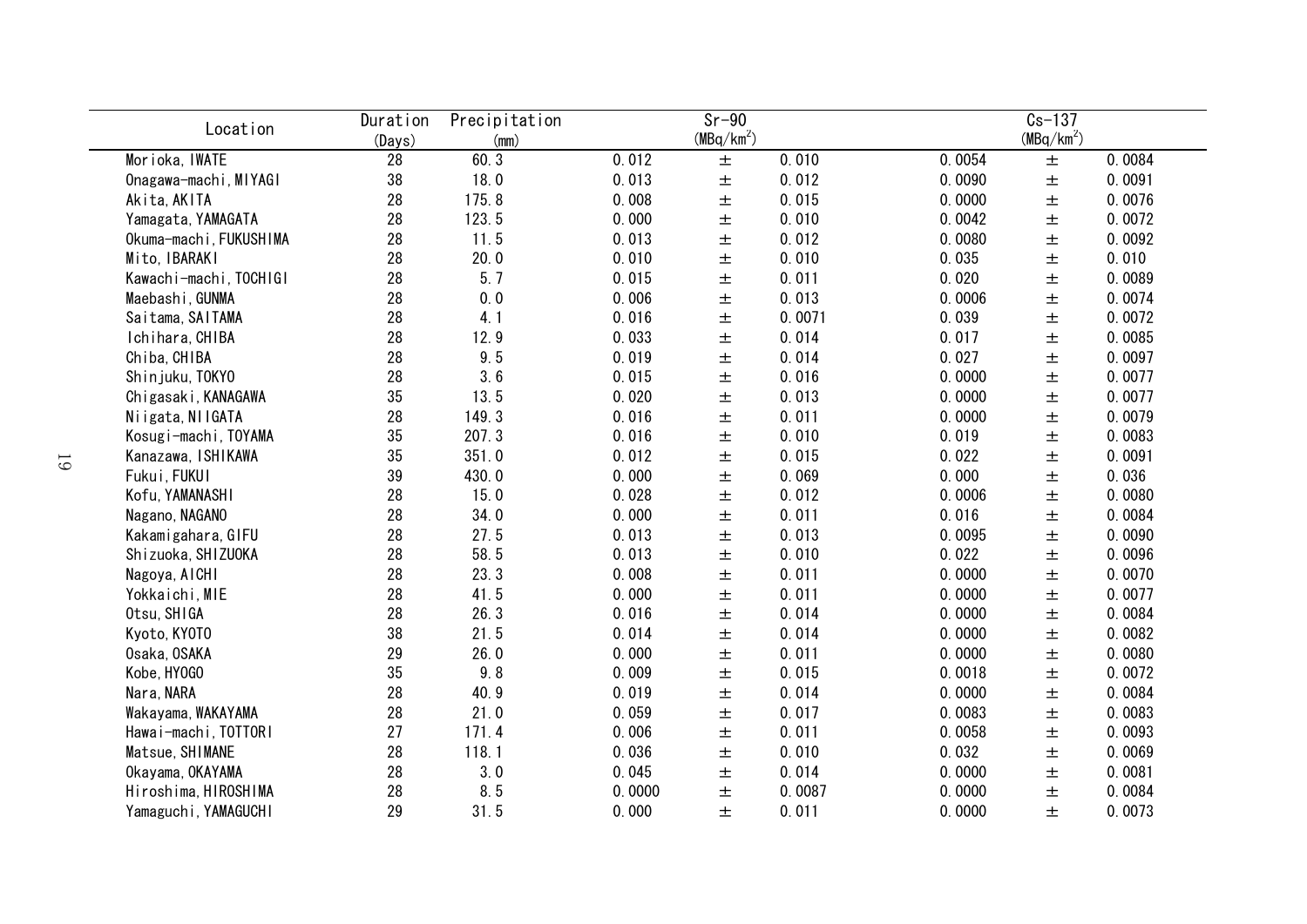| Location               | Duration | Precipitation |        | $Sr-90$      |        | $Cs - 137$ |                        |        |  |
|------------------------|----------|---------------|--------|--------------|--------|------------|------------------------|--------|--|
|                        | (Days)   | (mm)          |        | $(MBq/km^2)$ |        |            | (MBq/km <sup>2</sup> ) |        |  |
| Morioka, IWATE         | 28       | 60.3          | 0.012  | 土            | 0.010  | 0.0054     | 土                      | 0.0084 |  |
| Onagawa-machi, MIYAGI  | 38       | 18.0          | 0.013  | $\pm$        | 0.012  | 0.0090     | $\pm$                  | 0.0091 |  |
| Akita, AKITA           | 28       | 175.8         | 0.008  | $\pm$        | 0.015  | 0.0000     | $\pm$                  | 0.0076 |  |
| Yamagata, YAMAGATA     | 28       | 123.5         | 0.000  | 土            | 0.010  | 0.0042     | $\pm$                  | 0.0072 |  |
| Okuma-machi, FUKUSHIMA | 28       | 11.5          | 0.013  | 土            | 0.012  | 0.0080     | $\pm$                  | 0.0092 |  |
| Mito, IBARAKI          | 28       | 20.0          | 0.010  | 土            | 0.010  | 0.035      | $\pm$                  | 0.010  |  |
| Kawachi-machi, TOCHIGI | 28       | 5.7           | 0.015  | $\pm$        | 0.011  | 0.020      | $\pm$                  | 0.0089 |  |
| Maebashi, GUNMA        | 28       | 0.0           | 0.006  | $\pm$        | 0.013  | 0.0006     | $\pm$                  | 0.0074 |  |
| Saitama, SAITAMA       | 28       | 4.1           | 0.016  | $\pm$        | 0.0071 | 0.039      | $\pm$                  | 0.0072 |  |
| Ichihara, CHIBA        | 28       | 12.9          | 0.033  | 土            | 0.014  | 0.017      | $\pm$                  | 0.0085 |  |
| Chiba, CHIBA           | 28       | 9.5           | 0.019  | 土            | 0.014  | 0.027      | $\pm$                  | 0.0097 |  |
| Shinjuku, TOKYO        | 28       | 3.6           | 0.015  | 土            | 0.016  | 0.0000     | $\pm$                  | 0.0077 |  |
| Chigasaki, KANAGAWA    | 35       | 13.5          | 0.020  | 土            | 0.013  | 0.0000     | $\pm$                  | 0.0077 |  |
| Niigata, NIIGATA       | 28       | 149.3         | 0.016  | 土            | 0.011  | 0.0000     | $\pm$                  | 0.0079 |  |
| Kosugi-machi, TOYAMA   | 35       | 207.3         | 0.016  | 土            | 0.010  | 0.019      | $\pm$                  | 0.0083 |  |
| Kanazawa, ISHIKAWA     | 35       | 351.0         | 0.012  | 土            | 0.015  | 0.022      | $\pm$                  | 0.0091 |  |
| Fukui, FUKUI           | 39       | 430.0         | 0.000  | 土            | 0.069  | 0.000      | $\pm$                  | 0.036  |  |
| Kofu, YAMANASHI        | 28       | 15.0          | 0.028  | $\pm$        | 0.012  | 0.0006     | $\pm$                  | 0.0080 |  |
| Nagano, NAGANO         | 28       | 34.0          | 0.000  | 土            | 0.011  | 0.016      | $\pm$                  | 0.0084 |  |
| Kakamigahara, GIFU     | 28       | 27.5          | 0.013  | 土            | 0.013  | 0.0095     | $\pm$                  | 0.0090 |  |
| Shizuoka, SHIZUOKA     | 28       | 58.5          | 0.013  | $\pm$        | 0.010  | 0.022      | $\pm$                  | 0.0096 |  |
| Nagoya, AICHI          | 28       | 23.3          | 0.008  | 土            | 0.011  | 0.0000     | $\pm$                  | 0.0070 |  |
| Yokkaichi, MIE         | 28       | 41.5          | 0.000  | 土            | 0.011  | 0.0000     | $\pm$                  | 0.0077 |  |
| Otsu, SHIGA            | 28       | 26.3          | 0.016  | 土            | 0.014  | 0.0000     | $\pm$                  | 0.0084 |  |
| Kyoto, KYOTO           | 38       | 21.5          | 0.014  | $\pm$        | 0.014  | 0.0000     | $\pm$                  | 0.0082 |  |
| Osaka, OSAKA           | 29       | 26.0          | 0.000  | 土            | 0.011  | 0.0000     | $\pm$                  | 0.0080 |  |
| Kobe, HY0GO            | 35       | 9.8           | 0.009  | 土            | 0.015  | 0.0018     | $\pm$                  | 0.0072 |  |
| Nara, NARA             | 28       | 40.9          | 0.019  | 土            | 0.014  | 0.0000     | $\pm$                  | 0.0084 |  |
| Wakayama, WAKAYAMA     | 28       | 21.0          | 0.059  | 土            | 0.017  | 0.0083     | $\pm$                  | 0.0083 |  |
| Hawai-machi, TOTTORI   | 27       | 171.4         | 0.006  | 土            | 0.011  | 0.0058     | $\pm$                  | 0.0093 |  |
| Matsue, SHIMANE        | 28       | 118.1         | 0.036  | 土            | 0.010  | 0.032      | $\pm$                  | 0.0069 |  |
| Okayama, OKAYAMA       | 28       | 3.0           | 0.045  | 土            | 0.014  | 0.0000     | $\pm$                  | 0.0081 |  |
| Hiroshima, HIROSHIMA   | 28       | 8.5           | 0.0000 | 土            | 0.0087 | 0.0000     | $\pm$                  | 0.0084 |  |
| Yamaguchi, YAMAGUCHI   | 29       | 31.5          | 0.000  | 土            | 0.011  | 0.0000     | 土                      | 0.0073 |  |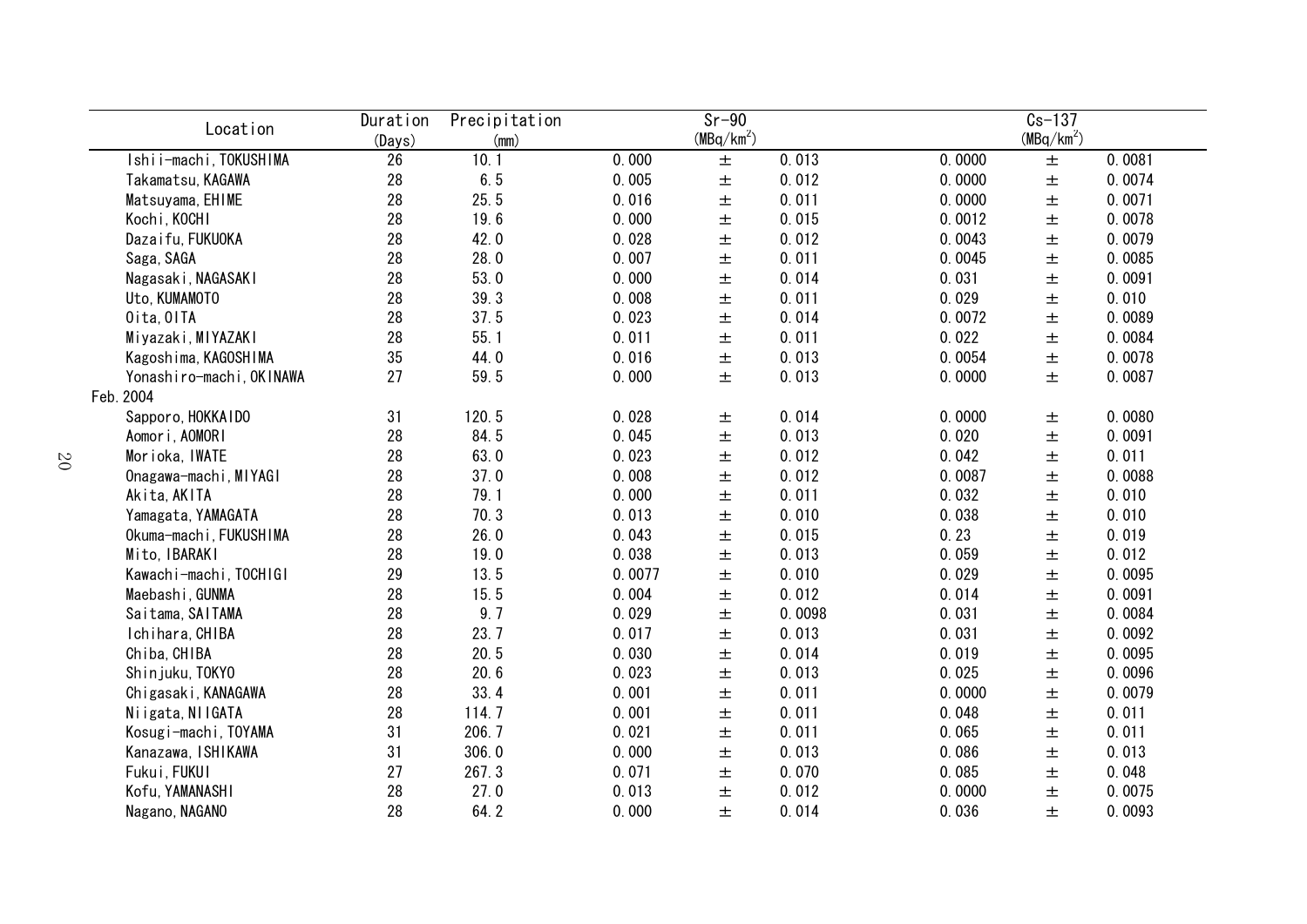| Location                 | Duration | Precipitation |        | $Sr-90$      |        | $Cs - 137$ |              |        |  |
|--------------------------|----------|---------------|--------|--------------|--------|------------|--------------|--------|--|
|                          | (Days)   | (mm)          |        | $(MBq/km^2)$ |        |            | $(MBq/km^2)$ |        |  |
| Ishii-machi, TOKUSHIMA   | 26       | 10.1          | 0.000  | $\pm$        | 0.013  | 0.0000     | $\pm$        | 0.0081 |  |
| Takamatsu, KAGAWA        | 28       | 6.5           | 0.005  | $\pm$        | 0.012  | 0.0000     | $\pm$        | 0.0074 |  |
| Matsuyama, EHIME         | 28       | 25.5          | 0.016  | $\pm$        | 0.011  | 0.0000     | $\pm$        | 0.0071 |  |
| Kochi, KOCHI             | 28       | 19.6          | 0.000  | $\pm$        | 0.015  | 0.0012     | $\pm$        | 0.0078 |  |
| Dazaifu, FUKUOKA         | 28       | 42.0          | 0.028  | $\pm$        | 0.012  | 0.0043     | $\pm$        | 0.0079 |  |
| Saga, SAGA               | 28       | 28.0          | 0.007  | $\pm$        | 0.011  | 0.0045     | $\pm$        | 0.0085 |  |
| Nagasaki, NAGASAKI       | 28       | 53.0          | 0.000  | $\pm$        | 0.014  | 0.031      | $\pm$        | 0.0091 |  |
| Uto, KUMAMOTO            | 28       | 39.3          | 0.008  | $\pm$        | 0.011  | 0.029      | $\pm$        | 0.010  |  |
| Oita, OITA               | 28       | 37.5          | 0.023  | $\pm$        | 0.014  | 0.0072     | $\pm$        | 0.0089 |  |
| Miyazaki, MIYAZAKI       | 28       | 55.1          | 0.011  | $\pm$        | 0.011  | 0.022      | $\pm$        | 0.0084 |  |
| Kagoshima, KAGOSHIMA     | 35       | 44.0          | 0.016  | $\pm$        | 0.013  | 0.0054     | 土            | 0.0078 |  |
| Yonashiro-machi, OKINAWA | 27       | 59.5          | 0.000  | 土            | 0.013  | 0.0000     | 土            | 0.0087 |  |
| Feb. 2004                |          |               |        |              |        |            |              |        |  |
| Sapporo, HOKKAIDO        | 31       | 120.5         | 0.028  | 土            | 0.014  | 0.0000     | 土            | 0.0080 |  |
| Aomori, AOMORI           | 28       | 84.5          | 0.045  | 土            | 0.013  | 0.020      | 土            | 0.0091 |  |
| Morioka, IWATE           | 28       | 63.0          | 0.023  | 土            | 0.012  | 0.042      | 土            | 0.011  |  |
| Onagawa-machi, MIYAGI    | 28       | 37.0          | 0.008  | 土            | 0.012  | 0.0087     | 土            | 0.0088 |  |
| Akita, AKITA             | 28       | 79.1          | 0.000  | $\pm$        | 0.011  | 0.032      | $\pm$        | 0.010  |  |
| Yamagata, YAMAGATA       | 28       | 70.3          | 0.013  | $\pm$        | 0.010  | 0.038      | $\pm$        | 0.010  |  |
| Okuma-machi, FUKUSHIMA   | 28       | 26.0          | 0.043  | $\pm$        | 0.015  | 0.23       | $\pm$        | 0.019  |  |
| Mito, IBARAKI            | 28       | 19.0          | 0.038  | $\pm$        | 0.013  | 0.059      | $\pm$        | 0.012  |  |
| Kawachi-machi, TOCHIGI   | 29       | 13.5          | 0.0077 | $\pm$        | 0.010  | 0.029      | $\pm$        | 0.0095 |  |
| Maebashi, GUNMA          | 28       | 15.5          | 0.004  | $\pm$        | 0.012  | 0.014      | $\pm$        | 0.0091 |  |
| Saitama, SAITAMA         | 28       | 9.7           | 0.029  | $\pm$        | 0.0098 | 0.031      | $\pm$        | 0.0084 |  |
| Ichihara, CHIBA          | 28       | 23.7          | 0.017  | $\pm$        | 0.013  | 0.031      | $\pm$        | 0.0092 |  |
| Chiba, CHIBA             | 28       | 20.5          | 0.030  | $\pm$        | 0.014  | 0.019      | $\pm$        | 0.0095 |  |
| Shinjuku, TOKYO          | 28       | 20.6          | 0.023  | $\pm$        | 0.013  | 0.025      | $\pm$        | 0.0096 |  |
| Chigasaki, KANAGAWA      | 28       | 33.4          | 0.001  | $\pm$        | 0.011  | 0.0000     | $\pm$        | 0.0079 |  |
| Niigata, NIIGATA         | 28       | 114.7         | 0.001  | 土            | 0.011  | 0.048      | 土            | 0.011  |  |
| Kosugi-machi, TOYAMA     | 31       | 206.7         | 0.021  | 土            | 0.011  | 0.065      | 土            | 0.011  |  |
| Kanazawa, ISHIKAWA       | 31       | 306.0         | 0.000  | 土            | 0.013  | 0.086      | 土            | 0.013  |  |
| Fukui, FUKUI             | 27       | 267.3         | 0.071  | 土            | 0.070  | 0.085      | 土            | 0.048  |  |
| Kofu, YAMANASHI          | 28       | 27.0          | 0.013  | 土            | 0.012  | 0.0000     | 土            | 0.0075 |  |
| Nagano, NAGANO           | 28       | 64.2          | 0.000  | 土            | 0.014  | 0.036      | 土            | 0.0093 |  |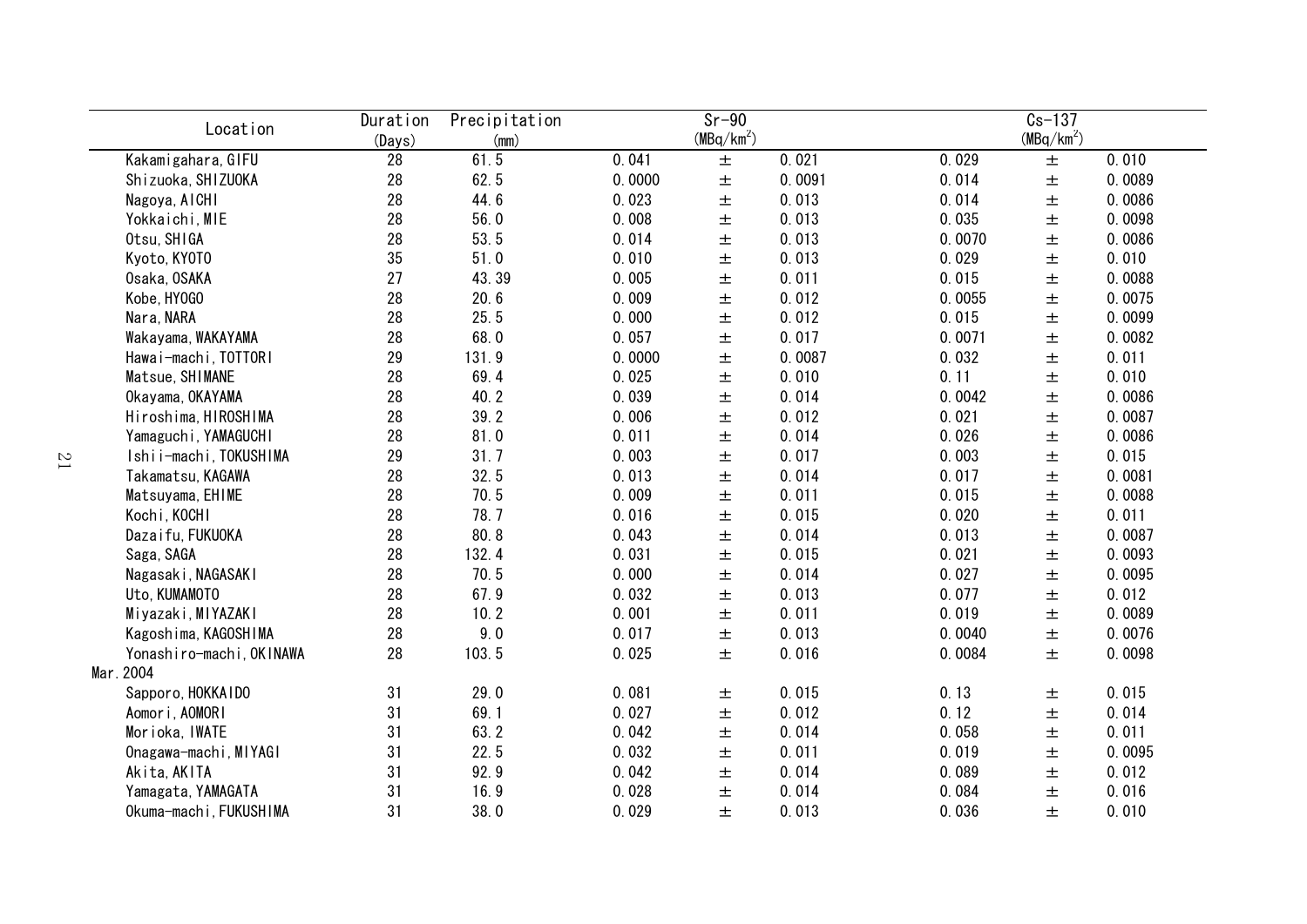| Location                 | Duration<br>(Days) | Precipitation<br>(mm) | $Sr-90$<br>$(MBq/km^2)$ |       |        | $Cs-137$<br>$(MBq/km^2)$ |       |        |  |
|--------------------------|--------------------|-----------------------|-------------------------|-------|--------|--------------------------|-------|--------|--|
| Kakamigahara, GIFU       | 28                 | 61.5                  | 0.041                   | $\pm$ | 0.021  | 0.029                    | $\pm$ | 0.010  |  |
| Shizuoka, SHIZUOKA       | 28                 | 62.5                  | 0.0000                  | $\pm$ | 0.0091 | 0.014                    | $\pm$ | 0.0089 |  |
| Nagoya, AICHI            | 28                 | 44.6                  | 0.023                   | $\pm$ | 0.013  | 0.014                    | $\pm$ | 0.0086 |  |
| Yokkaichi, MIE           | 28                 | 56.0                  | 0.008                   | $\pm$ | 0.013  | 0.035                    | $\pm$ | 0.0098 |  |
| Otsu, SHIGA              | 28                 | 53.5                  | 0.014                   | $\pm$ | 0.013  | 0.0070                   | $\pm$ | 0.0086 |  |
| Kyoto, KYOTO             | 35                 | 51.0                  | 0.010                   | $\pm$ | 0.013  | 0.029                    | $\pm$ | 0.010  |  |
| Osaka, OSAKA             | 27                 | 43.39                 | 0.005                   | $\pm$ | 0.011  | 0.015                    | $\pm$ | 0.0088 |  |
| Kobe, HY0GO              | 28                 | 20.6                  | 0.009                   | 土     | 0.012  | 0.0055                   | $\pm$ | 0.0075 |  |
| Nara, NARA               | 28                 | 25.5                  | 0.000                   | $\pm$ | 0.012  | 0.015                    | 土     | 0.0099 |  |
| Wakayama, WAKAYAMA       | 28                 | 68.0                  | 0.057                   | 士     | 0.017  | 0.0071                   | 土     | 0.0082 |  |
| Hawai-machi, TOTTORI     | 29                 | 131.9                 | 0.0000                  | 土     | 0.0087 | 0.032                    | 土     | 0.011  |  |
| Matsue, SHIMANE          | 28                 | 69.4                  | 0.025                   | 土     | 0.010  | 0.11                     | 土     | 0.010  |  |
| Okayama, OKAYAMA         | 28                 | 40.2                  | 0.039                   | 土     | 0.014  | 0.0042                   | 土     | 0.0086 |  |
| Hiroshima, HIROSHIMA     | 28                 | 39.2                  | 0.006                   | 土     | 0.012  | 0.021                    | 土     | 0.0087 |  |
| Yamaguchi, YAMAGUCHI     | 28                 | 81.0                  | 0.011                   | $\pm$ | 0.014  | 0.026                    | $\pm$ | 0.0086 |  |
| Ishii-machi, TOKUSHIMA   | 29                 | 31.7                  | 0.003                   | $\pm$ | 0.017  | 0.003                    | $\pm$ | 0.015  |  |
| Takamatsu, KAGAWA        | 28                 | 32.5                  | 0.013                   | 士     | 0.014  | 0.017                    | $\pm$ | 0.0081 |  |
| Matsuyama, EHIME         | 28                 | 70.5                  | 0.009                   | 士     | 0.011  | 0.015                    | $\pm$ | 0.0088 |  |
| Kochi, KOCHI             | 28                 | 78.7                  | 0.016                   | $\pm$ | 0.015  | 0.020                    | $\pm$ | 0.011  |  |
| Dazaifu, FUKUOKA         | 28                 | 80.8                  | 0.043                   | $\pm$ | 0.014  | 0.013                    | $\pm$ | 0.0087 |  |
| Saga, SAGA               | 28                 | 132.4                 | 0.031                   | $\pm$ | 0.015  | 0.021                    | $\pm$ | 0.0093 |  |
| Nagasaki, NAGASAKI       | 28                 | 70.5                  | 0.000                   | $\pm$ | 0.014  | 0.027                    | 土     | 0.0095 |  |
| Uto, KUMAMOTO            | 28                 | 67.9                  | 0.032                   | 士     | 0.013  | 0.077                    | 土     | 0.012  |  |
| Miyazaki, MIYAZAKI       | 28                 | 10.2                  | 0.001                   | 士     | 0.011  | 0.019                    | $\pm$ | 0.0089 |  |
| Kagoshima, KAGOSHIMA     | 28                 | 9.0                   | 0.017                   | 士     | 0.013  | 0.0040                   | 土     | 0.0076 |  |
| Yonashiro-machi, OKINAWA | 28                 | 103.5                 | 0.025                   | $\pm$ | 0.016  | 0.0084                   | 士     | 0.0098 |  |
| Mar. 2004                |                    |                       |                         |       |        |                          |       |        |  |
| Sapporo, HOKKAIDO        | 31                 | 29.0                  | 0.081                   | 土     | 0.015  | 0.13                     | 土     | 0.015  |  |
| Aomori, AOMORI           | 31                 | 69.1                  | 0.027                   | 土     | 0.012  | 0.12                     | 土     | 0.014  |  |
| Morioka, IWATE           | 31                 | 63.2                  | 0.042                   | 土     | 0.014  | 0.058                    | 土     | 0.011  |  |
| Onagawa-machi, MIYAGI    | 31                 | 22.5                  | 0.032                   | 土     | 0.011  | 0.019                    | 土     | 0.0095 |  |
| Akita, AKITA             | 31                 | 92.9                  | 0.042                   | 土     | 0.014  | 0.089                    | 土     | 0.012  |  |
| Yamagata, YAMAGATA       | 31                 | 16.9                  | 0.028                   | 土     | 0.014  | 0.084                    | 土     | 0.016  |  |
| Okuma-machi, FUKUSHIMA   | 31                 | 38.0                  | 0.029                   | 土     | 0.013  | 0.036                    | 土     | 0.010  |  |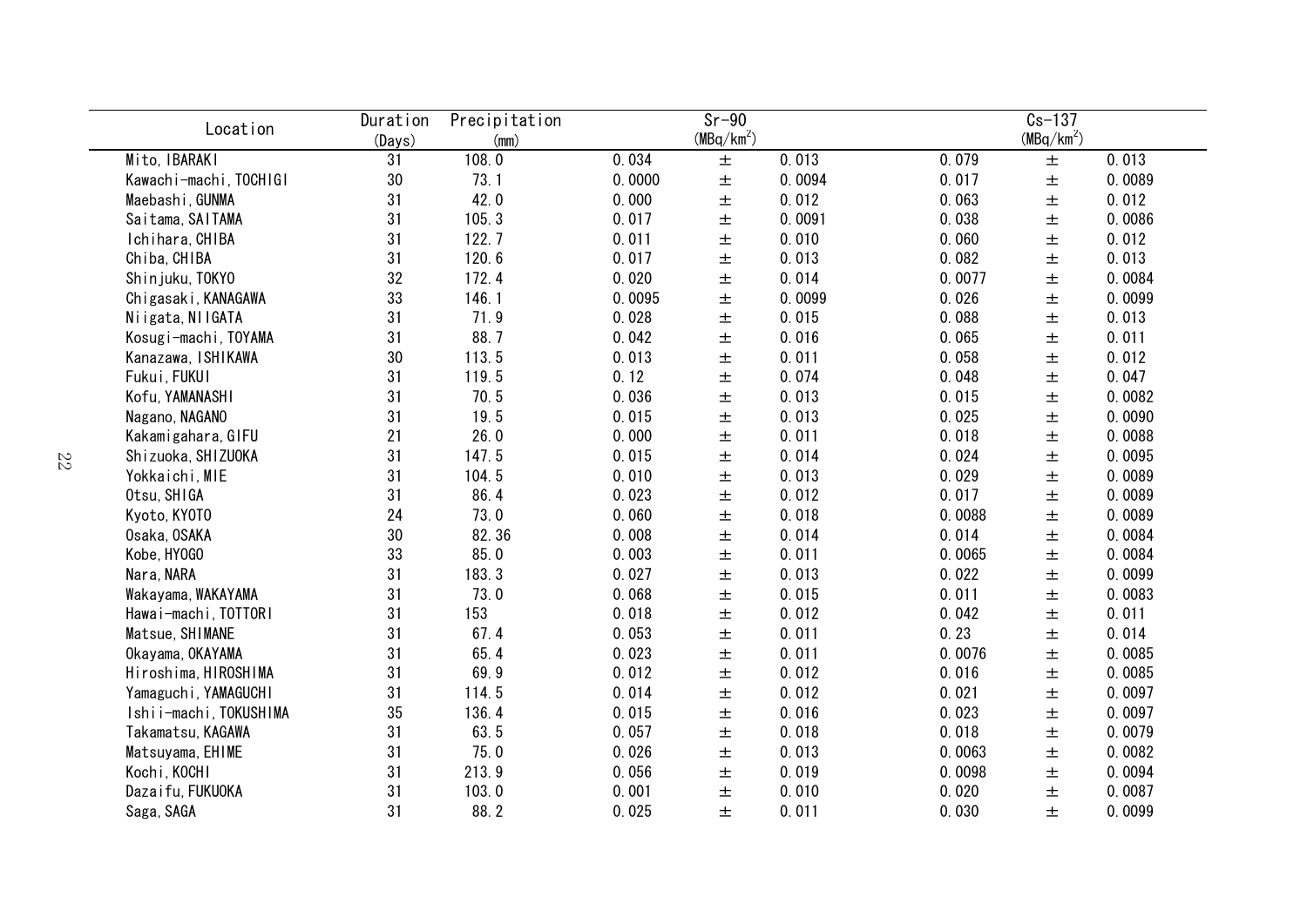| Location               | Duration | Precipitation |        | $Sr-90$      |        | $Cs-137$ |              |        |  |
|------------------------|----------|---------------|--------|--------------|--------|----------|--------------|--------|--|
|                        | (Days)   | (mm)          |        | $(MBq/km^2)$ |        |          | $(MBq/km^2)$ |        |  |
| Mito, IBARAKI          | 31       | 108.0         | 0.034  | $\pm$        | 0.013  | 0.079    | $\pm$        | 0.013  |  |
| Kawachi-machi, TOCHIGI | 30       | 73.1          | 0.0000 | $\pm$        | 0.0094 | 0.017    | $\pm$        | 0.0089 |  |
| Maebashi, GUNMA        | 31       | 42.0          | 0.000  | $\pm$        | 0.012  | 0.063    | $\pm$        | 0.012  |  |
| Saitama, SAITAMA       | 31       | 105.3         | 0.017  | $\pm$        | 0.0091 | 0.038    | $\pm$        | 0.0086 |  |
| Ichihara, CHIBA        | 31       | 122.7         | 0.011  | $\pm$        | 0.010  | 0.060    | $\pm$        | 0.012  |  |
| Chiba, CHIBA           | 31       | 120.6         | 0.017  | $\pm$        | 0.013  | 0.082    | $\pm$        | 0.013  |  |
| Shinjuku, TOKYO        | 32       | 172.4         | 0.020  | $\pm$        | 0.014  | 0.0077   | $\pm$        | 0.0084 |  |
| Chigasaki, KANAGAWA    | 33       | 146.1         | 0.0095 | $\pm$        | 0.0099 | 0.026    | $\pm$        | 0.0099 |  |
| Niigata, NIIGATA       | 31       | 71.9          | 0.028  | $\pm$        | 0.015  | 0.088    | $\pm$        | 0.013  |  |
| Kosugi-machi, TOYAMA   | 31       | 88.7          | 0.042  | 土            | 0.016  | 0.065    | $\pm$        | 0.011  |  |
| Kanazawa, ISHIKAWA     | 30       | 113.5         | 0.013  | 土            | 0.011  | 0.058    | $\pm$        | 0.012  |  |
| Fukui, FUKUI           | 31       | 119.5         | 0.12   | 土            | 0.074  | 0.048    | $\pm$        | 0.047  |  |
| Kofu, YAMANASHI        | 31       | 70.5          | 0.036  | 土            | 0.013  | 0.015    | $\pm$        | 0.0082 |  |
| Nagano, NAGANO         | 31       | 19.5          | 0.015  | 土            | 0.013  | 0.025    | 土            | 0.0090 |  |
| Kakamigahara, GIFU     | 21       | 26.0          | 0.000  | 土            | 0.011  | 0.018    | $\pm$        | 0.0088 |  |
| Shizuoka, SHIZUOKA     | 31       | 147.5         | 0.015  | $\pm$        | 0.014  | 0.024    | $\pm$        | 0.0095 |  |
| Yokkaichi, MIE         | 31       | 104.5         | 0.010  | $\pm$        | 0.013  | 0.029    | $\pm$        | 0.0089 |  |
| Otsu, SHIGA            | 31       | 86.4          | 0.023  | $\pm$        | 0.012  | 0.017    | $\pm$        | 0.0089 |  |
| Kyoto, KYOTO           | 24       | 73.0          | 0.060  | $\pm$        | 0.018  | 0.0088   | $\pm$        | 0.0089 |  |
| Osaka, OSAKA           | $30\,$   | 82.36         | 0.008  | $\pm$        | 0.014  | 0.014    | $\pm$        | 0.0084 |  |
| Kobe, HY0GO            | 33       | 85.0          | 0.003  | $\pm$        | 0.011  | 0.0065   | $\pm$        | 0.0084 |  |
| Nara, NARA             | 31       | 183.3         | 0.027  | $\pm$        | 0.013  | 0.022    | $\pm$        | 0.0099 |  |
| Wakayama, WAKAYAMA     | 31       | 73.0          | 0.068  | $\pm$        | 0.015  | 0.011    | $\pm$        | 0.0083 |  |
| Hawai-machi, TOTTORI   | 31       | 153           | 0.018  | $\pm$        | 0.012  | 0.042    | $\pm$        | 0.011  |  |
| Matsue, SHIMANE        | 31       | 67.4          | 0.053  | $\pm$        | 0.011  | 0.23     | $\pm$        | 0.014  |  |
| Okayama, OKAYAMA       | 31       | 65.4          | 0.023  | $\pm$        | 0.011  | 0.0076   | $\pm$        | 0.0085 |  |
| Hiroshima, HIROSHIMA   | 31       | 69.9          | 0.012  | $\pm$        | 0.012  | 0.016    | $\pm$        | 0.0085 |  |
| Yamaguchi, YAMAGUCHI   | 31       | 114.5         | 0.014  | 土            | 0.012  | 0.021    | $\pm$        | 0.0097 |  |
| Ishii-machi, TOKUSHIMA | 35       | 136.4         | 0.015  | 土            | 0.016  | 0.023    | $\pm$        | 0.0097 |  |
| Takamatsu, KAGAWA      | 31       | 63.5          | 0.057  | 土            | 0.018  | 0.018    | $\pm$        | 0.0079 |  |
| Matsuyama, EHIME       | 31       | 75.0          | 0.026  | 土            | 0.013  | 0.0063   | $\pm$        | 0.0082 |  |
| Kochi, KOCHI           | 31       | 213.9         | 0.056  | 土            | 0.019  | 0.0098   | $\pm$        | 0.0094 |  |
| Dazaifu, FUKUOKA       | 31       | 103.0         | 0.001  | 土            | 0.010  | 0.020    | $\pm$        | 0.0087 |  |
| Saga, SAGA             | 31       | 88.2          | 0.025  | $\pm$        | 0.011  | 0.030    | $\pm$        | 0.0099 |  |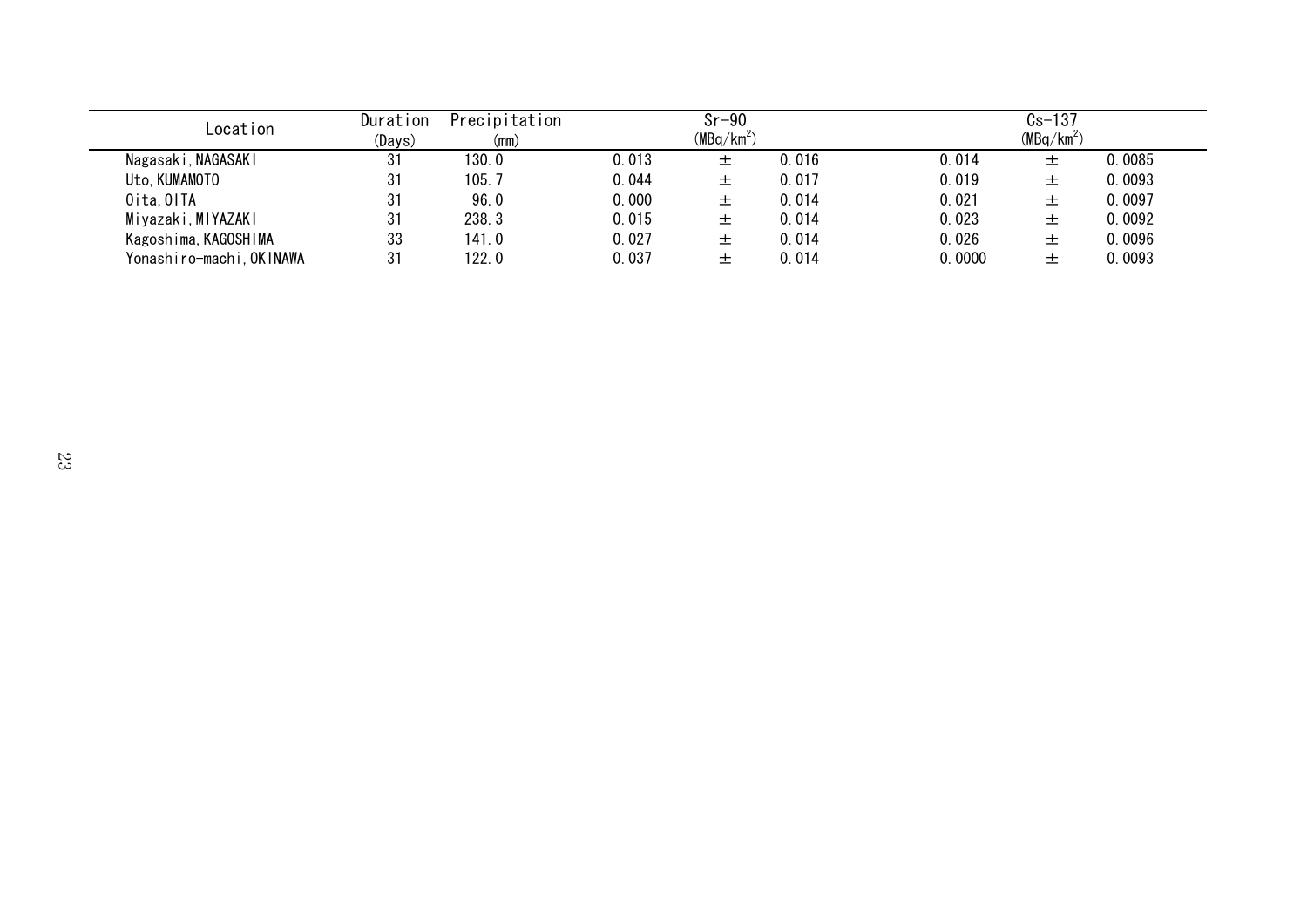| Location                 | Duration<br>(Days) | Precipitation<br>(mm) |       | $Sr-90$<br>$(MBq/km^2)$ |       |        | $Cs-137$<br>$(MBq/km^2)$ |        |
|--------------------------|--------------------|-----------------------|-------|-------------------------|-------|--------|--------------------------|--------|
| Nagasaki, NAGASAKI       | 31                 | 130.0                 | 0.013 | 土                       | 0.016 | 0.014  | 土                        | 0.0085 |
| Uto, KUMAMOTO            | 31                 | 105.7                 | 0.044 | 土                       | 0.017 | 0.019  | 土                        | 0.0093 |
| Oita, OITA               | 31                 | 96.0                  | 0.000 | 土                       | 0.014 | 0.021  | ᆂ                        | 0.0097 |
| Miyazaki, MIYAZAKI       | 31                 | 238.3                 | 0.015 | 土                       | 0.014 | 0.023  | ᆂ                        | 0.0092 |
| Kagoshima, KAGOSHIMA     | 33                 | 141.0                 | 0.027 | 土                       | 0.014 | 0.026  | 土                        | 0.0096 |
| Yonashiro-machi, OKINAWA | 31                 | 122.0                 | 0.037 | 土                       | 0.014 | 0.0000 | 土                        | 0.0093 |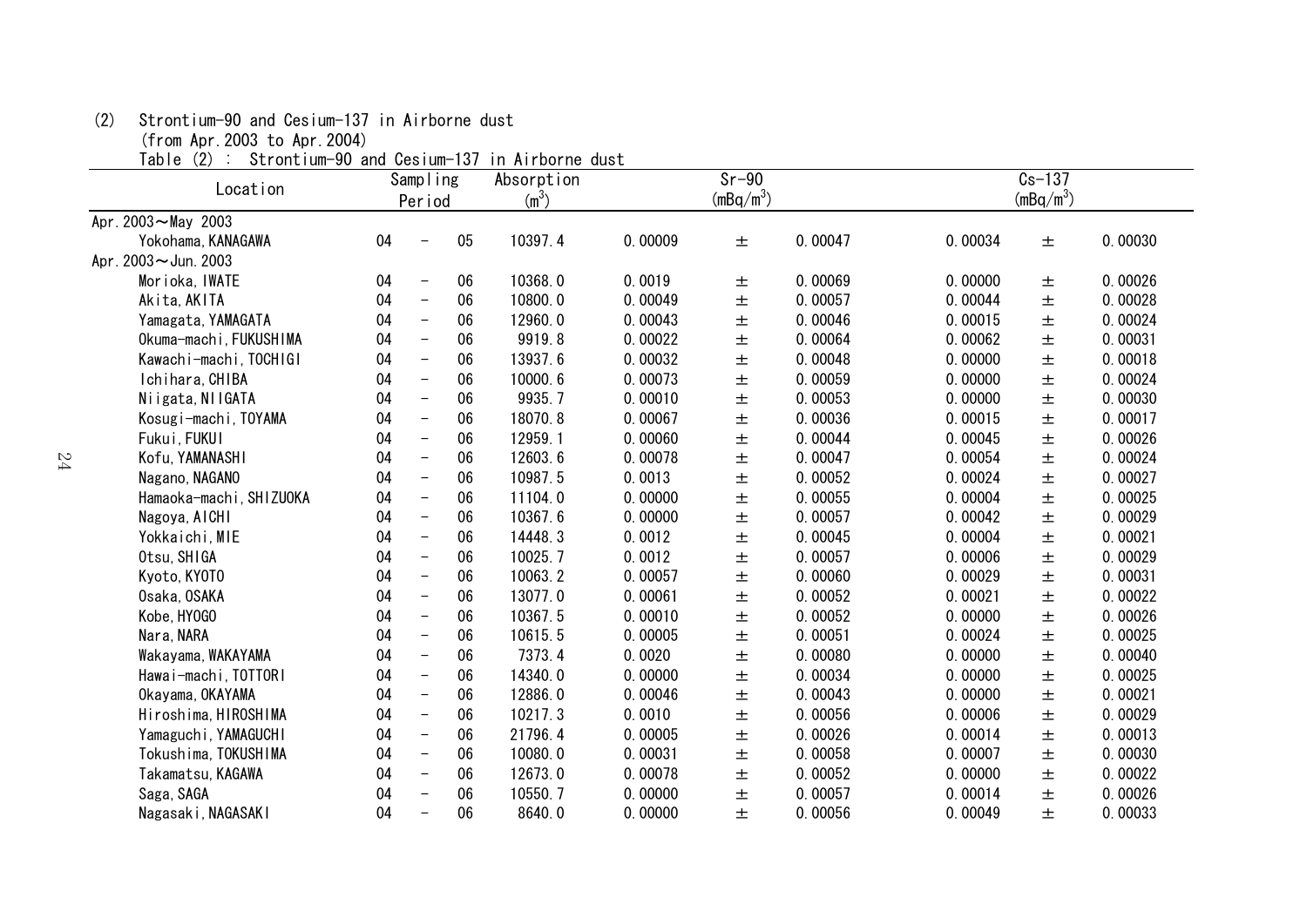(2) Strontium-90 and Cesium-137 in Airborne dust

(from Apr.2003 to Apr.2004)

Table (2) : Strontium-90 and Cesium-137 in Airborne dust

| Location                |    | Sampling                 |    | Absorption |         | $Sr-90$     |         |         | $Cs - 137$  |         |
|-------------------------|----|--------------------------|----|------------|---------|-------------|---------|---------|-------------|---------|
|                         |    | Period                   |    | $(m^3)$    |         | $(mBq/m^3)$ |         |         | $(mBq/m^3)$ |         |
| Apr. 2003~May 2003      |    |                          |    |            |         |             |         |         |             |         |
| Yokohama, KANAGAWA      | 04 | $\overline{\phantom{0}}$ | 05 | 10397.4    | 0.00009 | 土           | 0.00047 | 0.00034 | 土           | 0.00030 |
| Apr. 2003~Jun. 2003     |    |                          |    |            |         |             |         |         |             |         |
| Morioka, IWATE          | 04 | $\overline{\phantom{m}}$ | 06 | 10368.0    | 0.0019  | $\pm$       | 0.00069 | 0.00000 | 土           | 0.00026 |
| Akita, AKITA            | 04 | $\overline{\phantom{m}}$ | 06 | 10800.0    | 0.00049 | 士           | 0.00057 | 0.00044 | 士           | 0.00028 |
| Yamagata, YAMAGATA      | 04 | $\overline{\phantom{m}}$ | 06 | 12960.0    | 0.00043 | 土           | 0.00046 | 0.00015 | 土           | 0.00024 |
| Okuma-machi, FUKUSHIMA  | 04 | $\overline{\phantom{m}}$ | 06 | 9919.8     | 0.00022 | 士           | 0.00064 | 0.00062 | 士           | 0.00031 |
| Kawachi-machi, TOCHIGI  | 04 | $\overline{\phantom{m}}$ | 06 | 13937.6    | 0.00032 | $\pm$       | 0.00048 | 0.00000 | $\pm$       | 0.00018 |
| Ichihara, CHIBA         | 04 | $\overline{\phantom{m}}$ | 06 | 10000.6    | 0.00073 | $\pm$       | 0.00059 | 0.00000 | 士           | 0.00024 |
| Niigata, NIIGATA        | 04 | $\overline{\phantom{m}}$ | 06 | 9935.7     | 0.00010 | $\pm$       | 0.00053 | 0.00000 | 土           | 0.00030 |
| Kosugi-machi, TOYAMA    | 04 | $\overline{\phantom{m}}$ | 06 | 18070.8    | 0.00067 | $\pm$       | 0.00036 | 0.00015 | 士           | 0.00017 |
| Fukui, FUKUI            | 04 | $\overline{\phantom{a}}$ | 06 | 12959.1    | 0.00060 | $\pm$       | 0.00044 | 0.00045 | $\pm$       | 0.00026 |
| Kofu, YAMANASHI         | 04 | $\overline{\phantom{m}}$ | 06 | 12603.6    | 0.00078 | $\pm$       | 0.00047 | 0.00054 | 士           | 0.00024 |
| Nagano, NAGANO          | 04 | $\overline{\phantom{m}}$ | 06 | 10987.5    | 0.0013  | 土           | 0.00052 | 0.00024 | 土           | 0.00027 |
| Hamaoka-machi, SHIZUOKA | 04 | $\overline{\phantom{a}}$ | 06 | 11104.0    | 0.00000 | $\pm$       | 0.00055 | 0.00004 | 士           | 0.00025 |
| Nagoya, AICHI           | 04 | $\overline{\phantom{a}}$ | 06 | 10367.6    | 0.00000 | $\pm$       | 0.00057 | 0.00042 | $\pm$       | 0.00029 |
| Yokkaichi, MIE          | 04 | $\overline{\phantom{m}}$ | 06 | 14448.3    | 0.0012  | $\pm$       | 0.00045 | 0.00004 | 士           | 0.00021 |
| Otsu, SHIGA             | 04 | $\equiv$                 | 06 | 10025.7    | 0.0012  | 土           | 0.00057 | 0.00006 | 土           | 0.00029 |
| Kyoto, KYOTO            | 04 | $\overline{\phantom{m}}$ | 06 | 10063.2    | 0.00057 | $\pm$       | 0.00060 | 0.00029 | 士           | 0.00031 |
| Osaka, OSAKA            | 04 | $\overline{\phantom{m}}$ | 06 | 13077.0    | 0.00061 | $\pm$       | 0.00052 | 0.00021 | $\pm$       | 0.00022 |
| Kobe, HY0GO             | 04 | $\equiv$                 | 06 | 10367.5    | 0.00010 | $\pm$       | 0.00052 | 0.00000 | 士           | 0.00026 |
| Nara, NARA              | 04 | $\overline{\phantom{a}}$ | 06 | 10615.5    | 0.00005 | $\pm$       | 0.00051 | 0.00024 | 土           | 0.00025 |
| Wakayama, WAKAYAMA      | 04 | $\overline{\phantom{m}}$ | 06 | 7373.4     | 0.0020  | $\pm$       | 0.00080 | 0.00000 | $\pm$       | 0.00040 |
| Hawai-machi, TOTTORI    | 04 | $\overline{\phantom{m}}$ | 06 | 14340.0    | 0.00000 | $\pm$       | 0.00034 | 0.00000 | $\pm$       | 0.00025 |
| Okayama, OKAYAMA        | 04 | $\overline{\phantom{m}}$ | 06 | 12886.0    | 0.00046 | $\pm$       | 0.00043 | 0.00000 | $\pm$       | 0.00021 |
| Hiroshima, HIROSHIMA    | 04 | $\overline{\phantom{m}}$ | 06 | 10217.3    | 0.0010  | 土           | 0.00056 | 0.00006 | 士           | 0.00029 |
| Yamaguchi, YAMAGUCHI    | 04 | $\overline{\phantom{m}}$ | 06 | 21796.4    | 0.00005 | $\pm$       | 0.00026 | 0.00014 | $\pm$       | 0.00013 |
| Tokushima, TOKUSHIMA    | 04 | $\overline{\phantom{m}}$ | 06 | 10080.0    | 0.00031 | $\pm$       | 0.00058 | 0.00007 | $\pm$       | 0.00030 |
| Takamatsu, KAGAWA       | 04 | $\overline{\phantom{m}}$ | 06 | 12673.0    | 0.00078 | $\pm$       | 0.00052 | 0.00000 | $\pm$       | 0.00022 |
| Saga, SAGA              | 04 | $\overline{\phantom{m}}$ | 06 | 10550.7    | 0.00000 | 土           | 0.00057 | 0.00014 | 土           | 0.00026 |
| Nagasaki, NAGASAKI      | 04 | $\overline{\phantom{0}}$ | 06 | 8640.0     | 0.00000 | 士           | 0.00056 | 0.00049 | 士           | 0.00033 |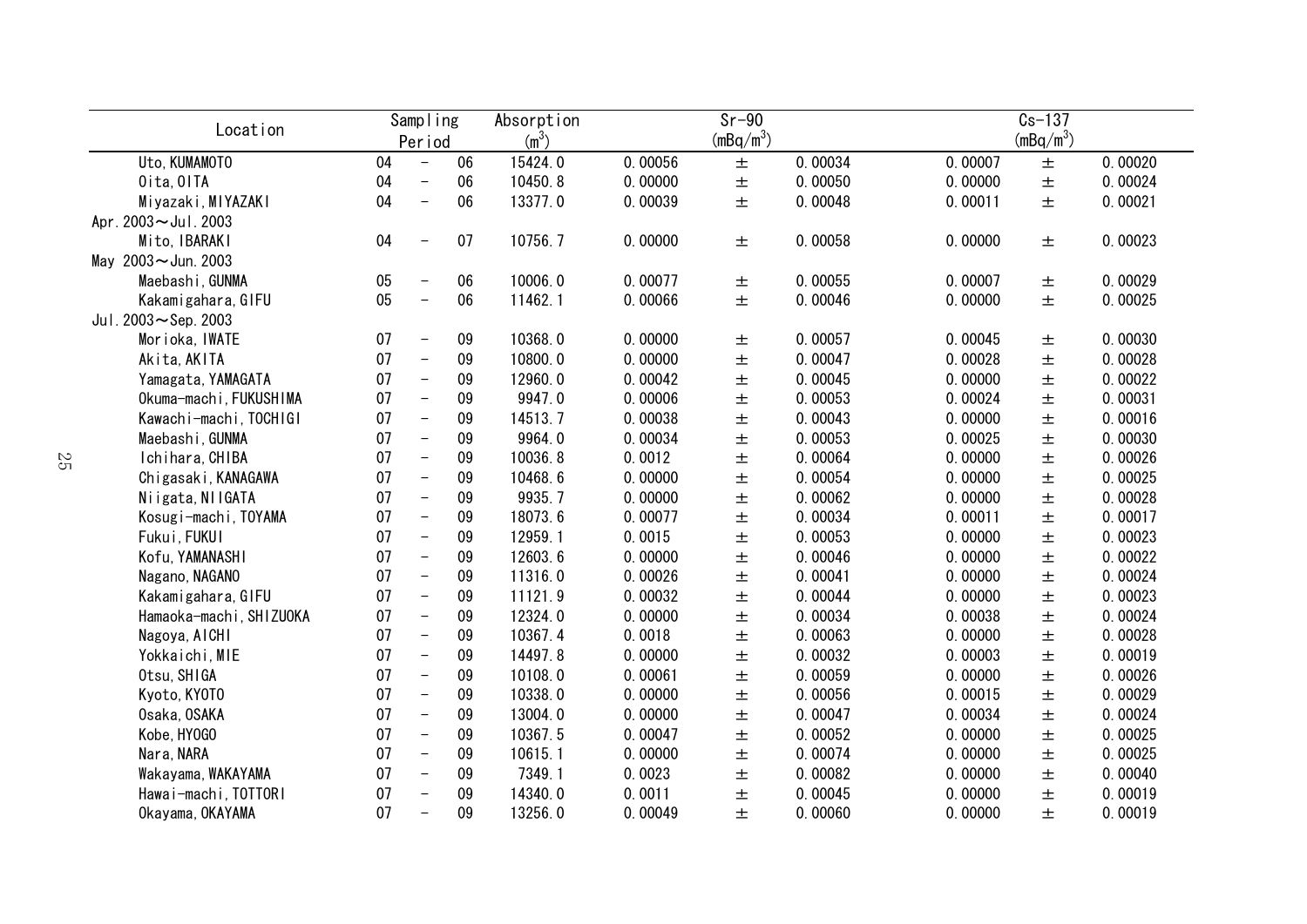| Location                |    | Sampling                 |    | Absorption        |         | $Sr-90$                     |         |         | $Cs - 137$  |         |
|-------------------------|----|--------------------------|----|-------------------|---------|-----------------------------|---------|---------|-------------|---------|
|                         |    | Period                   |    | (m <sup>3</sup> ) |         | $\frac{\text{(mBq/m}^3)}{}$ |         |         | $(mBq/m^3)$ |         |
| Uto, KUMAMOTO           | 04 | $\overline{\phantom{a}}$ | 06 | 15424.0           | 0.00056 | $\pm$                       | 0.00034 | 0.00007 | 土           | 0.00020 |
| Oita, OITA              | 04 | $\overline{\phantom{a}}$ | 06 | 10450.8           | 0.00000 | $\pm$                       | 0.00050 | 0.00000 | 士           | 0.00024 |
| Miyazaki, MIYAZAKI      | 04 | $\overline{\phantom{a}}$ | 06 | 13377.0           | 0.00039 | $\pm$                       | 0.00048 | 0.00011 | 士           | 0.00021 |
| Apr. 2003~Jul. 2003     |    |                          |    |                   |         |                             |         |         |             |         |
| Mito, IBARAKI           | 04 | $\overline{\phantom{m}}$ | 07 | 10756.7           | 0.00000 | $\pm$                       | 0.00058 | 0.00000 | 土           | 0.00023 |
| May 2003~Jun. 2003      |    |                          |    |                   |         |                             |         |         |             |         |
| Maebashi, GUNMA         | 05 | $\overline{\phantom{m}}$ | 06 | 10006.0           | 0.00077 | $\pm$                       | 0.00055 | 0.00007 | 土           | 0.00029 |
| Kakamigahara, GIFU      | 05 | $\overline{\phantom{m}}$ | 06 | 11462.1           | 0.00066 | $\pm$                       | 0.00046 | 0.00000 | $\pm$       | 0.00025 |
| Jul. $2003 -$ Sep. 2003 |    |                          |    |                   |         |                             |         |         |             |         |
| Morioka, IWATE          | 07 | $\overline{\phantom{m}}$ | 09 | 10368.0           | 0.00000 | 土                           | 0.00057 | 0.00045 | 土           | 0.00030 |
| Akita, AKITA            | 07 | $\overline{\phantom{m}}$ | 09 | 10800.0           | 0.00000 | $\pm$                       | 0.00047 | 0.00028 | 土           | 0.00028 |
| Yamagata, YAMAGATA      | 07 | $\qquad \qquad -$        | 09 | 12960.0           | 0.00042 | $\pm$                       | 0.00045 | 0.00000 | 土           | 0.00022 |
| Okuma-machi, FUKUSHIMA  | 07 | $\qquad \qquad -$        | 09 | 9947.0            | 0.00006 | $\pm$                       | 0.00053 | 0.00024 | 土           | 0.00031 |
| Kawachi-machi, TOCHIGI  | 07 | $\overline{\phantom{0}}$ | 09 | 14513.7           | 0.00038 | $\pm$                       | 0.00043 | 0.00000 | $\pm$       | 0.00016 |
| Maebashi, GUNMA         | 07 | $\overline{\phantom{m}}$ | 09 | 9964.0            | 0.00034 | $\pm$                       | 0.00053 | 0.00025 | 土           | 0.00030 |
| Ichihara, CHIBA         | 07 | $\overline{\phantom{m}}$ | 09 | 10036.8           | 0.0012  | $\pm$                       | 0.00064 | 0.00000 | 士           | 0.00026 |
| Chigasaki, KANAGAWA     | 07 | $\overline{\phantom{m}}$ | 09 | 10468.6           | 0.00000 | $\pm$                       | 0.00054 | 0.00000 | $\pm$       | 0.00025 |
| Niigata, NIIGATA        | 07 | $\overline{\phantom{m}}$ | 09 | 9935.7            | 0.00000 | $\pm$                       | 0.00062 | 0.00000 | $\pm$       | 0.00028 |
| Kosugi-machi, TOYAMA    | 07 | $\overline{\phantom{m}}$ | 09 | 18073.6           | 0.00077 | $\pm$                       | 0.00034 | 0.00011 | $\pm$       | 0.00017 |
| Fukui, FUKUI            | 07 | $\overline{\phantom{m}}$ | 09 | 12959.1           | 0.0015  | $\pm$                       | 0.00053 | 0.00000 | 士           | 0.00023 |
| Kofu, YAMANASHI         | 07 | $\overline{\phantom{m}}$ | 09 | 12603.6           | 0.00000 | $\pm$                       | 0.00046 | 0.00000 | $\pm$       | 0.00022 |
| Nagano, NAGANO          | 07 | $\overline{\phantom{a}}$ | 09 | 11316.0           | 0.00026 | $\pm$                       | 0.00041 | 0.00000 | $\pm$       | 0.00024 |
| Kakamigahara, GIFU      | 07 | $\overline{\phantom{m}}$ | 09 | 11121.9           | 0.00032 | $\pm$                       | 0.00044 | 0.00000 | $\pm$       | 0.00023 |
| Hamaoka-machi, SHIZUOKA | 07 | $\overline{\phantom{m}}$ | 09 | 12324.0           | 0.00000 | $\pm$                       | 0.00034 | 0.00038 | $\pm$       | 0.00024 |
| Nagoya, AICHI           | 07 | $\overline{\phantom{m}}$ | 09 | 10367.4           | 0.0018  | $\pm$                       | 0.00063 | 0.00000 | $\pm$       | 0.00028 |
| Yokkaichi, MIE          | 07 | $\overline{\phantom{m}}$ | 09 | 14497.8           | 0.00000 | $\pm$                       | 0.00032 | 0.00003 | $\pm$       | 0.00019 |
| Otsu, SHIGA             | 07 | $\overline{\phantom{m}}$ | 09 | 10108.0           | 0.00061 | $\pm$                       | 0.00059 | 0.00000 | $\pm$       | 0.00026 |
| Kyoto, KYOTO            | 07 | $\overline{\phantom{m}}$ | 09 | 10338.0           | 0.00000 | $\pm$                       | 0.00056 | 0.00015 | $\pm$       | 0.00029 |
| Osaka, OSAKA            | 07 | $\overline{\phantom{m}}$ | 09 | 13004.0           | 0.00000 | $\pm$                       | 0.00047 | 0.00034 | $\pm$       | 0.00024 |
| Kobe, HY0GO             | 07 | $\overline{\phantom{m}}$ | 09 | 10367.5           | 0.00047 | $\pm$                       | 0.00052 | 0.00000 | $\pm$       | 0.00025 |
| Nara, NARA              | 07 | $\qquad \qquad -$        | 09 | 10615.1           | 0.00000 | $\pm$                       | 0.00074 | 0.00000 | 土           | 0.00025 |
| Wakayama, WAKAYAMA      | 07 | $\qquad \qquad -$        | 09 | 7349.1            | 0.0023  | $\pm$                       | 0.00082 | 0.00000 | 土           | 0.00040 |
| Hawai-machi, TOTTORI    | 07 | $\qquad \qquad -$        | 09 | 14340.0           | 0.0011  | $\pm$                       | 0.00045 | 0.00000 | 土           | 0.00019 |
| Okayama, OKAYAMA        | 07 | $\qquad \qquad -$        | 09 | 13256.0           | 0.00049 | $\pm$                       | 0.00060 | 0.00000 | 士           | 0.00019 |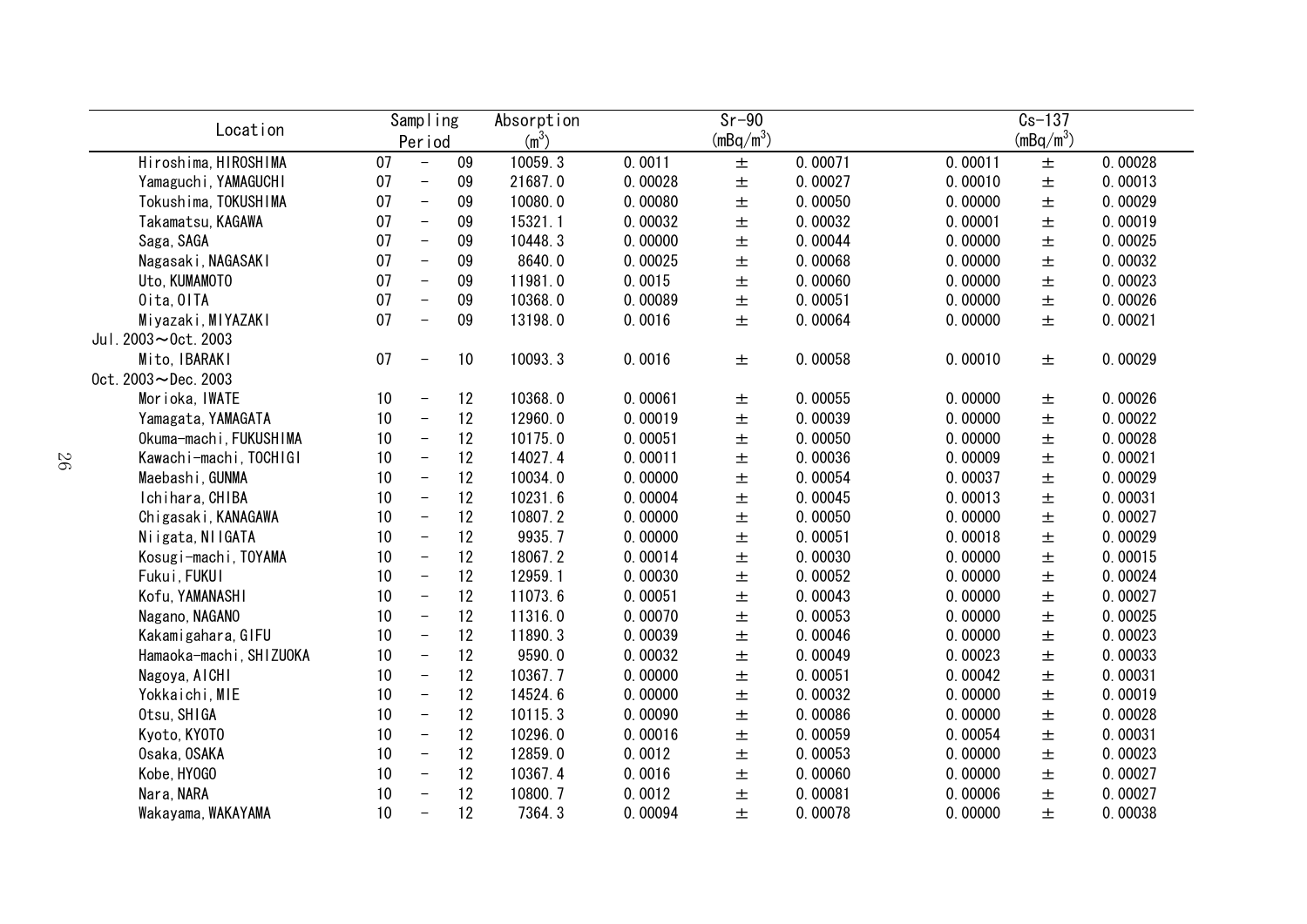| Location                 |    | Sampling                 |    | Absorption        | $Sr-90$ |             |         | $Cs - 137$ |             |         |
|--------------------------|----|--------------------------|----|-------------------|---------|-------------|---------|------------|-------------|---------|
|                          |    | Period                   |    | (m <sup>3</sup> ) |         | $(mBq/m^3)$ |         |            | $(mBq/m^3)$ |         |
| Hiroshima, HIROSHIMA     | 07 | $\overline{\phantom{a}}$ | 09 | 10059.3           | 0.0011  | 土           | 0.00071 | 0.00011    | $\pm$       | 0.00028 |
| Yamaguchi, YAMAGUCHI     | 07 | $\overline{\phantom{a}}$ | 09 | 21687.0           | 0.00028 | $\pm$       | 0.00027 | 0.00010    | $\pm$       | 0.00013 |
| Tokushima, TOKUSHIMA     | 07 | $\overline{\phantom{m}}$ | 09 | 10080.0           | 0.00080 | $\pm$       | 0.00050 | 0.00000    | 士           | 0.00029 |
| Takamatsu, KAGAWA        | 07 | $\equiv$                 | 09 | 15321.1           | 0.00032 | $\pm$       | 0.00032 | 0.00001    | $\pm$       | 0.00019 |
| Saga, SAGA               | 07 | $\overline{\phantom{m}}$ | 09 | 10448.3           | 0.00000 | $\pm$       | 0.00044 | 0.00000    | $\pm$       | 0.00025 |
| Nagasaki, NAGASAKI       | 07 | $\overline{\phantom{m}}$ | 09 | 8640.0            | 0.00025 | 土           | 0.00068 | 0.00000    | $\pm$       | 0.00032 |
| Uto, KUMAMOTO            | 07 | $\equiv$                 | 09 | 11981.0           | 0.0015  | $\pm$       | 0.00060 | 0.00000    | 士           | 0.00023 |
| Oita, OITA               | 07 | $\equiv$                 | 09 | 10368.0           | 0.00089 | $\pm$       | 0.00051 | 0.00000    | 士           | 0.00026 |
| Miyazaki, MIYAZAKI       | 07 | $\overline{\phantom{0}}$ | 09 | 13198.0           | 0.0016  | 土           | 0.00064 | 0.00000    | 土           | 0.00021 |
| Jul. $2003 - 0$ ct. 2003 |    |                          |    |                   |         |             |         |            |             |         |
| Mito, IBARAKI            | 07 | $\overline{\phantom{0}}$ | 10 | 10093.3           | 0.0016  | 土           | 0.00058 | 0.00010    | 土           | 0.00029 |
| $0ct. 2003 - Dec. 2003$  |    |                          |    |                   |         |             |         |            |             |         |
| Morioka, IWATE           | 10 | $\overline{\phantom{a}}$ | 12 | 10368.0           | 0.00061 | 土           | 0.00055 | 0.00000    | 土           | 0.00026 |
| Yamagata, YAMAGATA       | 10 | $\overline{\phantom{0}}$ | 12 | 12960.0           | 0.00019 | 土           | 0.00039 | 0.00000    | $\pm$       | 0.00022 |
| Okuma-machi, FUKUSHIMA   | 10 | $\overline{\phantom{0}}$ | 12 | 10175.0           | 0.00051 | 土           | 0.00050 | 0.00000    | 士           | 0.00028 |
| Kawachi-machi, TOCHIGI   | 10 | $\overline{\phantom{a}}$ | 12 | 14027.4           | 0.00011 | 土           | 0.00036 | 0.00009    | 士           | 0.00021 |
| Maebashi, GUNMA          | 10 | $\overline{\phantom{a}}$ | 12 | 10034.0           | 0.00000 | $\pm$       | 0.00054 | 0.00037    | $\pm$       | 0.00029 |
| Ichihara, CHIBA          | 10 | $\overline{\phantom{a}}$ | 12 | 10231.6           | 0.00004 | $\pm$       | 0.00045 | 0.00013    | 士           | 0.00031 |
| Chigasaki, KANAGAWA      | 10 | $\overline{\phantom{a}}$ | 12 | 10807.2           | 0.00000 | $\pm$       | 0.00050 | 0.00000    | $\pm$       | 0.00027 |
| Niigata, NIIGATA         | 10 | $\overline{\phantom{0}}$ | 12 | 9935.7            | 0.00000 | $\pm$       | 0.00051 | 0.00018    | $\pm$       | 0.00029 |
| Kosugi-machi, TOYAMA     | 10 | $\overline{\phantom{a}}$ | 12 | 18067.2           | 0.00014 | $\pm$       | 0.00030 | 0.00000    | 士           | 0.00015 |
| Fukui, FUKUI             | 10 | $\overline{\phantom{a}}$ | 12 | 12959.1           | 0.00030 | $\pm$       | 0.00052 | 0.00000    | 士           | 0.00024 |
| Kofu, YAMANASHI          | 10 | $\overline{\phantom{m}}$ | 12 | 11073.6           | 0.00051 | $\pm$       | 0.00043 | 0.00000    | $\pm$       | 0.00027 |
| Nagano, NAGANO           | 10 | $\overline{\phantom{a}}$ | 12 | 11316.0           | 0.00070 | 土           | 0.00053 | 0.00000    | $\pm$       | 0.00025 |
| Kakamigahara, GIFU       | 10 | $\equiv$                 | 12 | 11890.3           | 0.00039 | $\pm$       | 0.00046 | 0.00000    | $\pm$       | 0.00023 |
| Hamaoka-machi, SHIZUOKA  | 10 | $\overline{\phantom{m}}$ | 12 | 9590.0            | 0.00032 | $\pm$       | 0.00049 | 0.00023    | $\pm$       | 0.00033 |
| Nagoya, AICHI            | 10 | $\overline{\phantom{m}}$ | 12 | 10367.7           | 0.00000 | 土           | 0.00051 | 0.00042    | 士           | 0.00031 |
| Yokkaichi, MIE           | 10 | $\overline{\phantom{m}}$ | 12 | 14524.6           | 0.00000 | 土           | 0.00032 | 0.00000    | $\pm$       | 0.00019 |
| Otsu, SHIGA              | 10 | $\overline{\phantom{m}}$ | 12 | 10115.3           | 0.00090 | 土           | 0.00086 | 0.00000    | $\pm$       | 0.00028 |
| Kyoto, KYOTO             | 10 | $\overline{\phantom{a}}$ | 12 | 10296.0           | 0.00016 | 土           | 0.00059 | 0.00054    | $\pm$       | 0.00031 |
| Osaka, OSAKA             | 10 | $\overline{\phantom{0}}$ | 12 | 12859.0           | 0.0012  | 土           | 0.00053 | 0.00000    | 土           | 0.00023 |
| Kobe, HY0GO              | 10 | $\overline{\phantom{a}}$ | 12 | 10367.4           | 0.0016  | 土           | 0.00060 | 0.00000    | 土           | 0.00027 |
| Nara, NARA               | 10 | $\overline{\phantom{0}}$ | 12 | 10800.7           | 0.0012  | 土           | 0.00081 | 0.00006    | 士           | 0.00027 |
| Wakayama, WAKAYAMA       | 10 | $\overline{\phantom{0}}$ | 12 | 7364.3            | 0.00094 | 士           | 0.00078 | 0.00000    | 土           | 0.00038 |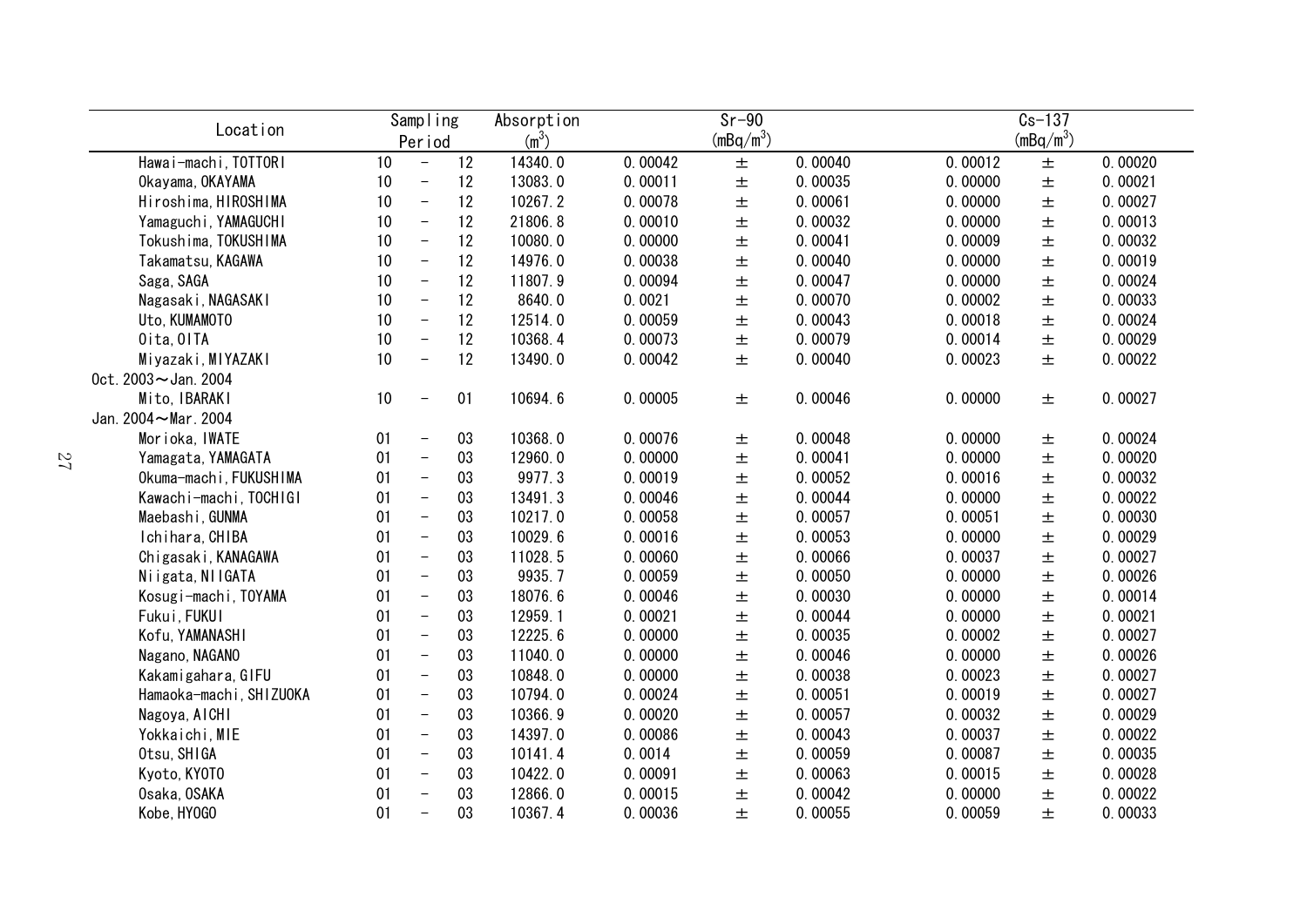| Sampling<br>Location    |      |                          | Absorption |                   | $Sr-90$ |             | $Cs - 137$ |         |             |         |
|-------------------------|------|--------------------------|------------|-------------------|---------|-------------|------------|---------|-------------|---------|
|                         |      | Period                   |            | (m <sup>3</sup> ) |         | $(mBq/m^3)$ |            |         | $(mBq/m^3)$ |         |
| Hawai-machi, TOTTORI    | 10   | $\overline{\phantom{a}}$ | 12         | 14340.0           | 0.00042 | $\pm$       | 0.00040    | 0.00012 | $\pm$       | 0.00020 |
| Okayama, OKAYAMA        | 10   | $\overline{\phantom{m}}$ | 12         | 13083.0           | 0.00011 | $\pm$       | 0.00035    | 0.00000 | $\pm$       | 0.00021 |
| Hiroshima, HIROSHIMA    | 10   | $\overline{\phantom{m}}$ | 12         | 10267.2           | 0.00078 | $\pm$       | 0.00061    | 0.00000 | $\pm$       | 0.00027 |
| Yamaguchi, YAMAGUCHI    | 10   | $\overline{\phantom{m}}$ | 12         | 21806.8           | 0.00010 | $\pm$       | 0.00032    | 0.00000 | $\pm$       | 0.00013 |
| Tokushima, TOKUSHIMA    | 10   | $\overline{\phantom{a}}$ | 12         | 10080.0           | 0.00000 | $\pm$       | 0.00041    | 0.00009 | $\pm$       | 0.00032 |
| Takamatsu, KAGAWA       | 10   | $\overline{\phantom{a}}$ | 12         | 14976.0           | 0.00038 | $\pm$       | 0.00040    | 0.00000 | $\pm$       | 0.00019 |
| Saga, SAGA              | 10   | $\overline{\phantom{a}}$ | 12         | 11807.9           | 0.00094 | $\pm$       | 0.00047    | 0.00000 | $\pm$       | 0.00024 |
| Nagasaki, NAGASAKI      | 10   | $\overline{\phantom{a}}$ | 12         | 8640.0            | 0.0021  | 土           | 0.00070    | 0.00002 | $\pm$       | 0.00033 |
| Uto, KUMAMOTO           | 10   | $\overline{\phantom{a}}$ | 12         | 12514.0           | 0.00059 | 士           | 0.00043    | 0.00018 | $\pm$       | 0.00024 |
| Oita, OITA              | 10   | $\overline{\phantom{a}}$ | 12         | 10368.4           | 0.00073 | $\pm$       | 0.00079    | 0.00014 | $\pm$       | 0.00029 |
| Miyazaki, MIYAZAKI      | 10   | $\overline{\phantom{0}}$ | 12         | 13490.0           | 0.00042 | 土           | 0.00040    | 0.00023 | $\pm$       | 0.00022 |
| 0ct. 2003~Jan. 2004     |      |                          |            |                   |         |             |            |         |             |         |
| Mito, IBARAKI           | $10$ | $\overline{\phantom{0}}$ | 01         | 10694.6           | 0.00005 | 土           | 0.00046    | 0.00000 | 土           | 0.00027 |
| Jan. 2004~Mar. 2004     |      |                          |            |                   |         |             |            |         |             |         |
| Morioka, IWATE          | 01   | $\overline{\phantom{m}}$ | 03         | 10368.0           | 0.00076 | 土           | 0.00048    | 0.00000 | 士           | 0.00024 |
| Yamagata, YAMAGATA      | 01   | $\overline{\phantom{a}}$ | 03         | 12960.0           | 0.00000 | $\pm$       | 0.00041    | 0.00000 | $\pm$       | 0.00020 |
| Okuma-machi, FUKUSHIMA  | 01   | $\overline{\phantom{a}}$ | 03         | 9977.3            | 0.00019 | $\pm$       | 0.00052    | 0.00016 | $\pm$       | 0.00032 |
| Kawachi-machi, TOCHIGI  | 01   | $\overline{\phantom{a}}$ | 03         | 13491.3           | 0.00046 | $\pm$       | 0.00044    | 0.00000 | 士           | 0.00022 |
| Maebashi, GUNMA         | 01   | $\overline{\phantom{a}}$ | 03         | 10217.0           | 0.00058 | $\pm$       | 0.00057    | 0.00051 | $\pm$       | 0.00030 |
| Ichihara, CHIBA         | 01   | $\overline{\phantom{0}}$ | 03         | 10029.6           | 0.00016 | $\pm$       | 0.00053    | 0.00000 | $\pm$       | 0.00029 |
| Chigasaki, KANAGAWA     | 01   | $\equiv$                 | 03         | 11028.5           | 0.00060 | $\pm$       | 0.00066    | 0.00037 | $\pm$       | 0.00027 |
| Niigata, NIIGATA        | 01   | $\overline{\phantom{a}}$ | 03         | 9935.7            | 0.00059 | $\pm$       | 0.00050    | 0.00000 | $\pm$       | 0.00026 |
| Kosugi-machi, TOYAMA    | 01   | $\overline{\phantom{m}}$ | 03         | 18076.6           | 0.00046 | $\pm$       | 0.00030    | 0.00000 | $\pm$       | 0.00014 |
| Fukui, FUKUI            | 01   | $\overline{\phantom{m}}$ | 03         | 12959.1           | 0.00021 | $\pm$       | 0.00044    | 0.00000 | $\pm$       | 0.00021 |
| Kofu, YAMANASHI         | 01   | $\overline{\phantom{a}}$ | 03         | 12225.6           | 0.00000 | $\pm$       | 0.00035    | 0.00002 | $\pm$       | 0.00027 |
| Nagano, NAGANO          | 01   | $\overline{\phantom{0}}$ | 03         | 11040.0           | 0.00000 | $\pm$       | 0.00046    | 0.00000 | $\pm$       | 0.00026 |
| Kakamigahara, GIFU      | 01   | $\equiv$                 | 03         | 10848.0           | 0.00000 | 土           | 0.00038    | 0.00023 | $\pm$       | 0.00027 |
| Hamaoka-machi, SHIZUOKA | 01   | $\overline{\phantom{a}}$ | 03         | 10794.0           | 0.00024 | $\pm$       | 0.00051    | 0.00019 | $\pm$       | 0.00027 |
| Nagoya, AICHI           | 01   | $\overline{\phantom{m}}$ | 03         | 10366.9           | 0.00020 | 土           | 0.00057    | 0.00032 | $\pm$       | 0.00029 |
| Yokkaichi, MIE          | 01   | $\equiv$                 | 03         | 14397.0           | 0.00086 | 土           | 0.00043    | 0.00037 | $\pm$       | 0.00022 |
| Otsu, SHIGA             | 01   | $\overline{\phantom{0}}$ | 03         | 10141.4           | 0.0014  | 士           | 0.00059    | 0.00087 | $\pm$       | 0.00035 |
| Kyoto, KYOTO            | 01   | $\overline{\phantom{0}}$ | 03         | 10422.0           | 0.00091 | 土           | 0.00063    | 0.00015 | $\pm$       | 0.00028 |
| Osaka, OSAKA            | 01   | $\overline{\phantom{0}}$ | 03         | 12866.0           | 0.00015 | 土           | 0.00042    | 0.00000 | $\pm$       | 0.00022 |
| Kobe, HY0GO             | 01   | $\overline{\phantom{0}}$ | 03         | 10367.4           | 0.00036 | 土           | 0.00055    | 0.00059 | 士           | 0.00033 |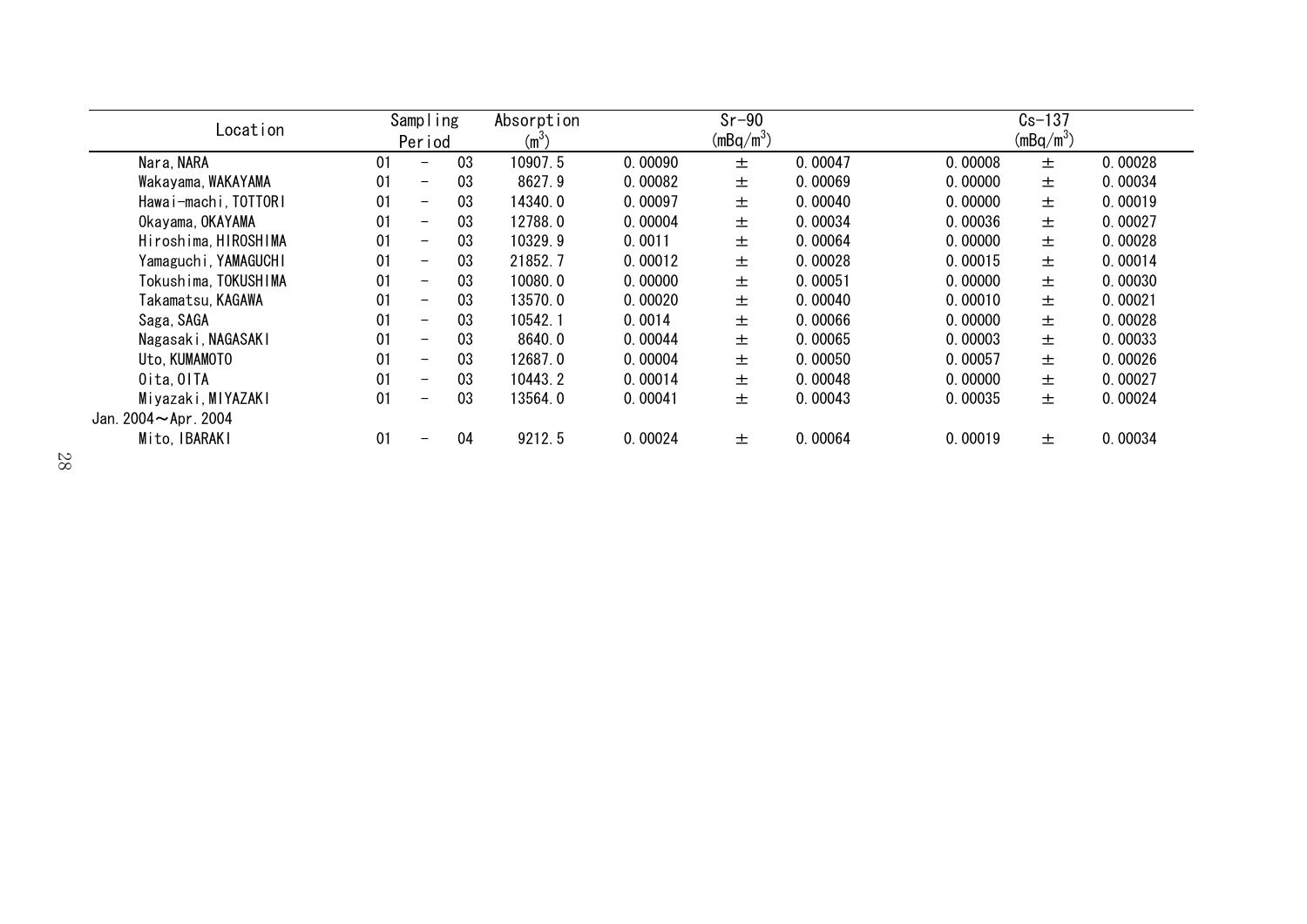| Location                |    | Sampling                 |    | Absorption |         | $Sr-90$     |         |         | $Cs - 137$  |         |
|-------------------------|----|--------------------------|----|------------|---------|-------------|---------|---------|-------------|---------|
|                         |    | Period                   |    | $(m^3)$    |         | $(mBq/m^3)$ |         |         | $(mBq/m^3)$ |         |
| Nara, NARA              | 01 | —                        | 03 | 10907.5    | 0.00090 | 士           | 0.00047 | 0.00008 | 土           | 0.00028 |
| Wakayama, WAKAYAMA      | 01 | -                        | 03 | 8627.9     | 0.00082 | 士           | 0.00069 | 0.00000 | 士           | 0.00034 |
| Hawai-machi, TOTTORI    | 01 | $\overline{\phantom{0}}$ | 03 | 14340.0    | 0.00097 | 土           | 0.00040 | 0.00000 | 土           | 0.00019 |
| Okayama, OKAYAMA        | 01 | -                        | 03 | 12788.0    | 0.00004 | 土           | 0.00034 | 0.00036 | 土           | 0.00027 |
| Hiroshima, HIROSHIMA    | 01 | $\overline{\phantom{0}}$ | 03 | 10329.9    | 0.0011  | 土           | 0.00064 | 0.00000 | 土           | 0.00028 |
| Yamaguchi, YAMAGUCHI    | 01 | —                        | 03 | 21852.7    | 0.00012 | 土           | 0.00028 | 0.00015 | 土           | 0.00014 |
| Tokushima, TOKUSHIMA    | 01 | $\overline{\phantom{m}}$ | 03 | 10080.0    | 0.00000 | 土           | 0.00051 | 0.00000 | 土           | 0.00030 |
| Takamatsu, KAGAWA       | 01 | $\overline{\phantom{0}}$ | 03 | 13570.0    | 0.00020 | 土           | 0.00040 | 0.00010 | 士           | 0.00021 |
| Saga, SAGA              | 01 | -                        | 03 | 10542.1    | 0.0014  | 土           | 0.00066 | 0.00000 | 土           | 0.00028 |
| Nagasaki, NAGASAKI      | 01 | -                        | 03 | 8640.0     | 0.00044 | 士           | 0.00065 | 0.00003 | 士           | 0.00033 |
| Uto, KUMAMOTO           | 01 | -                        | 03 | 12687.0    | 0.00004 | 士           | 0.00050 | 0.00057 | 土           | 0.00026 |
| Oita, OITA              | 01 | -                        | 03 | 10443.2    | 0.00014 | 土           | 0.00048 | 0.00000 | 土           | 0.00027 |
| Miyazaki, MIYAZAKI      | 01 | $\overline{\phantom{0}}$ | 03 | 13564.0    | 0.00041 | 土           | 0.00043 | 0.00035 | 土           | 0.00024 |
| Jan. $2004 -$ Apr. 2004 |    |                          |    |            |         |             |         |         |             |         |
| Mito, IBARAKI           | 01 | —                        | 04 | 9212.5     | 0.00024 | 士           | 0.00064 | 0.00019 | 土           | 0.00034 |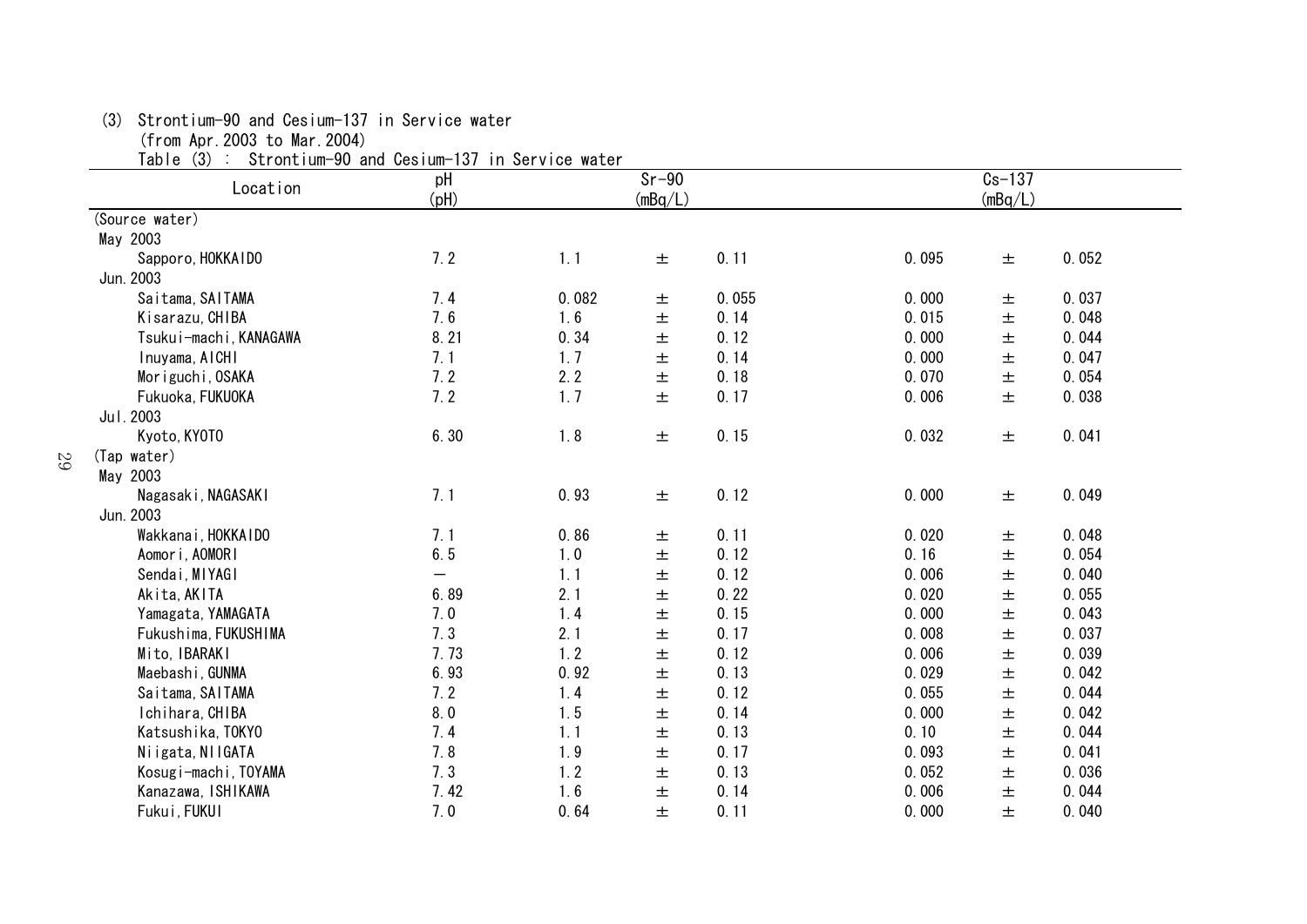(3) Strontium-90 and Cesium-137 in Service water

(from Apr.2003 to Mar.2004)

29

Table (3) : Strontium-90 and Cesium-137 in Service water

| $1$ and $\sigma$ $\sigma$<br>Location | OLI UILLI UIII <sup>-90</sup> allu UestuiII <sup>-</sup> 197 III OEI VICE WALEI<br>pH<br>(Hq) |       | $Sr-90$<br>(mBq/L) |       |       | $Cs-137$<br>(mBq/L) |       |
|---------------------------------------|-----------------------------------------------------------------------------------------------|-------|--------------------|-------|-------|---------------------|-------|
| (Source water)                        |                                                                                               |       |                    |       |       |                     |       |
| May 2003                              |                                                                                               |       |                    |       |       |                     |       |
| Sapporo, HOKKAIDO                     | 7.2                                                                                           | 1.1   | $\pm$              | 0.11  | 0.095 | 土                   | 0.052 |
| Jun. 2003                             |                                                                                               |       |                    |       |       |                     |       |
| Saitama, SAITAMA                      | 7.4                                                                                           | 0.082 | 土                  | 0.055 | 0.000 | 土                   | 0.037 |
| Kisarazu, CHIBA                       | 7.6                                                                                           | 1.6   | $\pm$              | 0.14  | 0.015 | $\pm$               | 0.048 |
| Tsukui-machi, KANAGAWA                | 8.21                                                                                          | 0.34  | $\pm$              | 0.12  | 0.000 | $\pm$               | 0.044 |
| Inuyama, AICHI                        | 7.1                                                                                           | 1.7   | $\pm$              | 0.14  | 0.000 | $\pm$               | 0.047 |
| Moriguchi, OSAKA                      | 7.2                                                                                           | 2.2   | $\pm$              | 0.18  | 0.070 | 土                   | 0.054 |
| Fukuoka, FUKUOKA                      | 7.2                                                                                           | 1.7   | 士                  | 0.17  | 0.006 | 士                   | 0.038 |
| Jul. 2003                             |                                                                                               |       |                    |       |       |                     |       |
| Kyoto, KYOTO                          | 6.30                                                                                          | 1.8   | $\pm$              | 0.15  | 0.032 | 土                   | 0.041 |
| (Tap water)                           |                                                                                               |       |                    |       |       |                     |       |
| May 2003                              |                                                                                               |       |                    |       |       |                     |       |
| Nagasaki, NAGASAKI                    | 7.1                                                                                           | 0.93  | $\pm$              | 0.12  | 0.000 | 土                   | 0.049 |
| Jun. 2003                             |                                                                                               |       |                    |       |       |                     |       |
| Wakkanai, HOKKAIDO                    | 7.1                                                                                           | 0.86  | $\pm$              | 0.11  | 0.020 | 土                   | 0.048 |
| Aomori, AOMORI                        | 6.5                                                                                           | 1.0   | 土                  | 0.12  | 0.16  | 土                   | 0.054 |
| Sendai, MIYAGI                        | $\overline{\phantom{0}}$                                                                      | 1.1   | 土                  | 0.12  | 0.006 | $\pm$               | 0.040 |
| Akita, AKITA                          | 6.89                                                                                          | 2.1   | 土                  | 0.22  | 0.020 | $\pm$               | 0.055 |
| Yamagata, YAMAGATA                    | 7.0                                                                                           | 1.4   | 士                  | 0.15  | 0.000 | 士                   | 0.043 |
| Fukushima, FUKUSHIMA                  | 7.3                                                                                           | 2.1   | 土                  | 0.17  | 0.008 | 士                   | 0.037 |
| Mito, IBARAKI                         | 7.73                                                                                          | 1.2   | 土                  | 0.12  | 0.006 | $\pm$               | 0.039 |
| Maebashi, GUNMA                       | 6.93                                                                                          | 0.92  | 土                  | 0.13  | 0.029 | $\pm$               | 0.042 |
| Saitama, SAITAMA                      | 7.2                                                                                           | 1.4   | 士                  | 0.12  | 0.055 | $\pm$               | 0.044 |
| Ichihara, CHIBA                       | 8.0                                                                                           | 1.5   | 土                  | 0.14  | 0.000 | $\pm$               | 0.042 |
| Katsushika, TOKYO                     | 7.4                                                                                           | 1.1   | 土                  | 0.13  | 0.10  | $\pm$               | 0.044 |
| Niigata, NIIGATA                      | 7.8                                                                                           | 1.9   | $\pm$              | 0.17  | 0.093 | 土                   | 0.041 |
| Kosugi-machi, TOYAMA                  | 7.3                                                                                           | 1.2   | $\pm$              | 0.13  | 0.052 | $\pm$               | 0.036 |
| Kanazawa, ISHIKAWA                    | 7.42                                                                                          | 1.6   | 土                  | 0.14  | 0.006 | 土                   | 0.044 |
| Fukui, FUKUI                          | 7.0                                                                                           | 0.64  | 土                  | 0.11  | 0.000 | 士                   | 0.040 |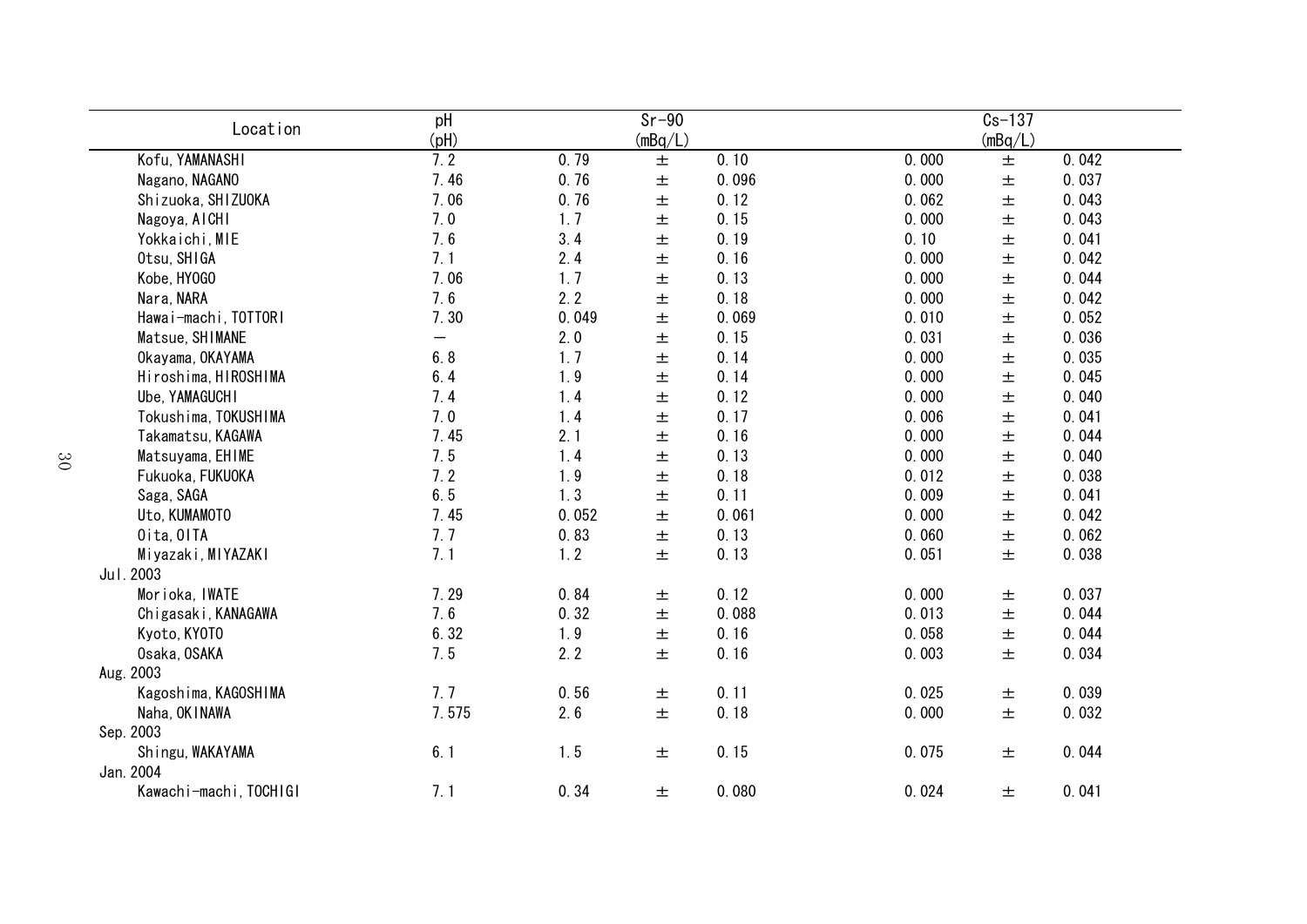| Location               | pH<br>(Hq) |       | $Sr-90$<br>(mBq/L) |       |       | $Cs - 137$<br>(mBq/L) |       |
|------------------------|------------|-------|--------------------|-------|-------|-----------------------|-------|
| Kofu, YAMANASHI        | 7.2        | 0.79  | $\pm$              | 0.10  | 0.000 | $\pm$                 | 0.042 |
| Nagano, NAGANO         | 7.46       | 0.76  | $\pm$              | 0.096 | 0.000 | $\pm$                 | 0.037 |
| Shizuoka, SHIZUOKA     | 7.06       | 0.76  | $\pm$              | 0.12  | 0.062 | $\pm$                 | 0.043 |
| Nagoya, AICHI          | 7.0        | 1.7   | $\pm$              | 0.15  | 0.000 | $\pm$                 | 0.043 |
| Yokkaichi, MIE         | 7.6        | 3.4   | $\pm$              | 0.19  | 0.10  | $\pm$                 | 0.041 |
| Otsu, SHIGA            | 7.1        | 2.4   | $\pm$              | 0.16  | 0.000 | $\pm$                 | 0.042 |
| Kobe, HY0GO            | 7.06       | 1.7   | $\pm$              | 0.13  | 0.000 | $\pm$                 | 0.044 |
| Nara, NARA             | 7.6        | 2.2   | $\pm$              | 0.18  | 0.000 | $\pm$                 | 0.042 |
| Hawai-machi, TOTTORI   | 7.30       | 0.049 | $\pm$              | 0.069 | 0.010 | $\pm$                 | 0.052 |
| Matsue, SHIMANE        | —          | 2.0   | $\pm$              | 0.15  | 0.031 | $\pm$                 | 0.036 |
| Okayama, OKAYAMA       | 6.8        | 1.7   | 士                  | 0.14  | 0.000 | $\pm$                 | 0.035 |
| Hiroshima, HIROSHIMA   | 6.4        | 1.9   | $\pm$              | 0.14  | 0.000 | $\pm$                 | 0.045 |
| Ube, YAMAGUCHI         | 7.4        | 1.4   | $\pm$              | 0.12  | 0.000 | $\pm$                 | 0.040 |
| Tokushima, TOKUSHIMA   | 7.0        | 1.4   | $\pm$              | 0.17  | 0.006 | $\pm$                 | 0.041 |
| Takamatsu, KAGAWA      | 7.45       | 2.1   | $\pm$              | 0.16  | 0.000 | $\pm$                 | 0.044 |
| Matsuyama, EHIME       | 7.5        | 1.4   | $\pm$              | 0.13  | 0.000 | $\pm$                 | 0.040 |
| Fukuoka, FUKUOKA       | 7.2        | 1.9   | $\pm$              | 0.18  | 0.012 | $\pm$                 | 0.038 |
| Saga, SAGA             | 6.5        | 1.3   | $\pm$              | 0.11  | 0.009 | $\pm$                 | 0.041 |
| Uto, KUMAMOTO          | 7.45       | 0.052 | $\pm$              | 0.061 | 0.000 | $\pm$                 | 0.042 |
| Oita, OITA             | 7.7        | 0.83  | $\pm$              | 0.13  | 0.060 | $\pm$                 | 0.062 |
| Miyazaki, MIYAZAKI     | 7.1        | 1.2   | $\pm$              | 0.13  | 0.051 | $\pm$                 | 0.038 |
| Jul. 2003              |            |       |                    |       |       |                       |       |
| Morioka, IWATE         | 7.29       | 0.84  | $\pm$              | 0.12  | 0.000 | 土                     | 0.037 |
| Chigasaki, KANAGAWA    | 7.6        | 0.32  | $\pm$              | 0.088 | 0.013 | $\pm$                 | 0.044 |
| Kyoto, KYOTO           | 6.32       | 1.9   | $\pm$              | 0.16  | 0.058 | $\pm$                 | 0.044 |
| Osaka, OSAKA           | 7.5        | 2.2   | 士                  | 0.16  | 0.003 | 土                     | 0.034 |
| Aug. 2003              |            |       |                    |       |       |                       |       |
| Kagoshima, KAGOSHIMA   | 7.7        | 0.56  | $\pm$              | 0.11  | 0.025 | 土                     | 0.039 |
| Naha, OK INAWA         | 7.575      | 2.6   | $\pm$              | 0.18  | 0.000 | $\pm$                 | 0.032 |
| Sep. 2003              |            |       |                    |       |       |                       |       |
| Shingu, WAKAYAMA       | 6.1        | 1.5   | $\pm$              | 0.15  | 0.075 | 土                     | 0.044 |
| Jan. 2004              |            |       |                    |       |       |                       |       |
| Kawachi-machi, TOCHIGI | 7.1        | 0.34  | $\pm$              | 0.080 | 0.024 | $\pm$                 | 0.041 |
|                        |            |       |                    |       |       |                       |       |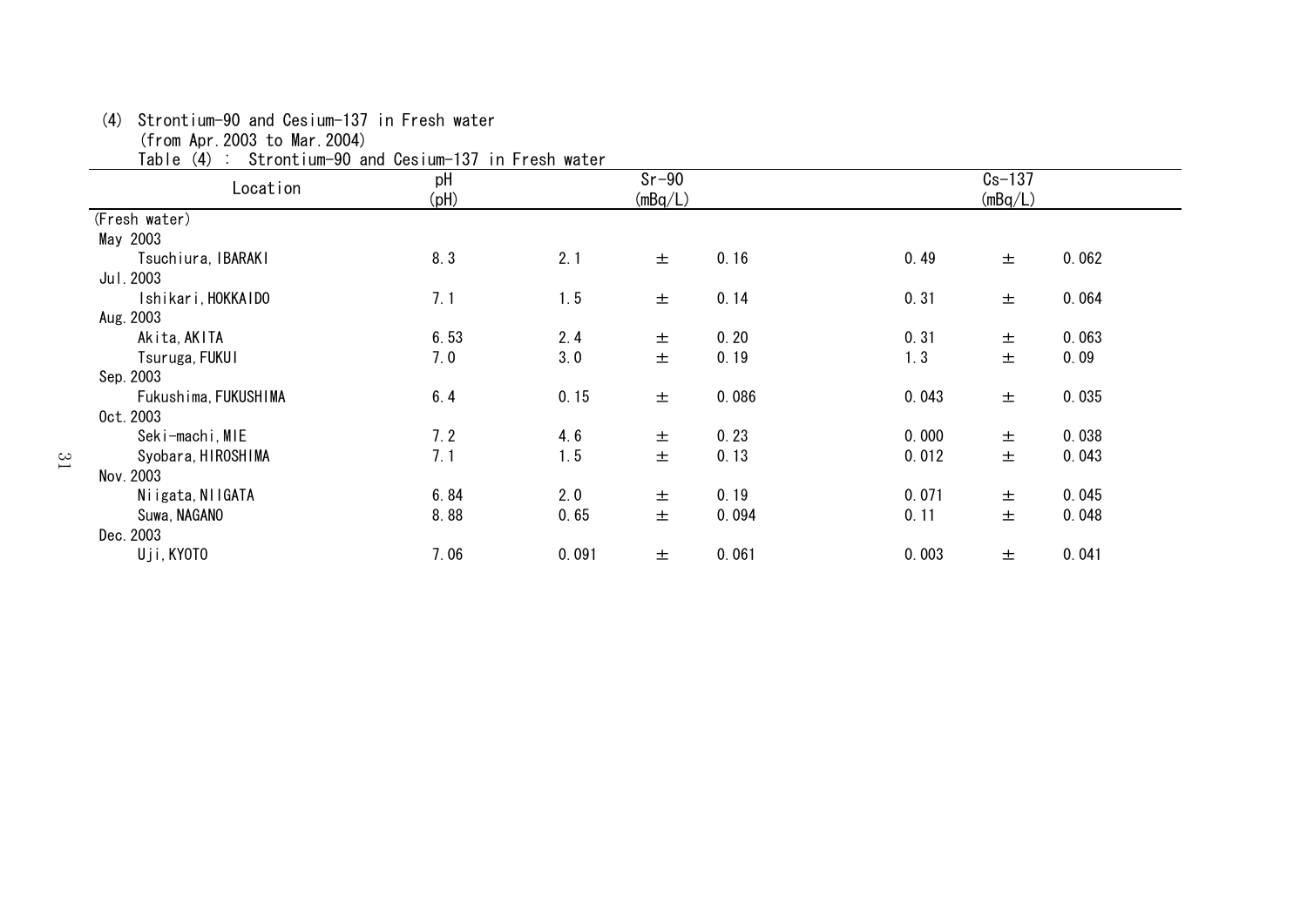(4) Strontium-90 and Cesium-137 in Fresh water

(from Apr.2003 to Mar.2004)

Table (4) : Strontium-90 and Cesium-137 in Fresh water

| Location             | pH<br>(pH) |       | $Sr-90$<br>(mBq/L) |       |       | $Cs - 137$<br>(mBq/L) |       |
|----------------------|------------|-------|--------------------|-------|-------|-----------------------|-------|
| (Fresh water)        |            |       |                    |       |       |                       |       |
| May 2003             |            |       |                    |       |       |                       |       |
| Tsuchiura, IBARAKI   | 8.3        | 2.1   | 土                  | 0.16  | 0.49  | 土                     | 0.062 |
| Jul. 2003            |            |       |                    |       |       |                       |       |
| Ishikari, HOKKAIDO   | 7.1        | 1.5   | 土                  | 0.14  | 0.31  | 土                     | 0.064 |
| Aug. 2003            |            |       |                    |       |       |                       |       |
| Akita, AKITA         | 6.53       | 2.4   | 土                  | 0.20  | 0.31  | 土                     | 0.063 |
| Tsuruga, FUKUI       | 7.0        | 3.0   | 土                  | 0.19  | 1.3   | $\pm$                 | 0.09  |
| Sep. 2003            |            |       |                    |       |       |                       |       |
| Fukushima, FUKUSHIMA | 6.4        | 0.15  | 土                  | 0.086 | 0.043 | 土                     | 0.035 |
| 0ct. 2003            |            |       |                    |       |       |                       |       |
| Seki-machi, MIE      | 7.2        | 4.6   | 土                  | 0.23  | 0.000 | 士                     | 0.038 |
| Syobara, HIROSHIMA   | 7.1        | 1.5   | 土                  | 0.13  | 0.012 | 土                     | 0.043 |
| Nov. 2003            |            |       |                    |       |       |                       |       |
| Niigata, NIIGATA     | 6.84       | 2.0   | 土                  | 0.19  | 0.071 | 土                     | 0.045 |
| Suwa, NAGANO         | 8.88       | 0.65  | 土                  | 0.094 | 0.11  | 土                     | 0.048 |
| Dec. 2003            |            |       |                    |       |       |                       |       |
| Uji, KYOTO           | 7.06       | 0.091 | 土                  | 0.061 | 0.003 | 土                     | 0.041 |
|                      |            |       |                    |       |       |                       |       |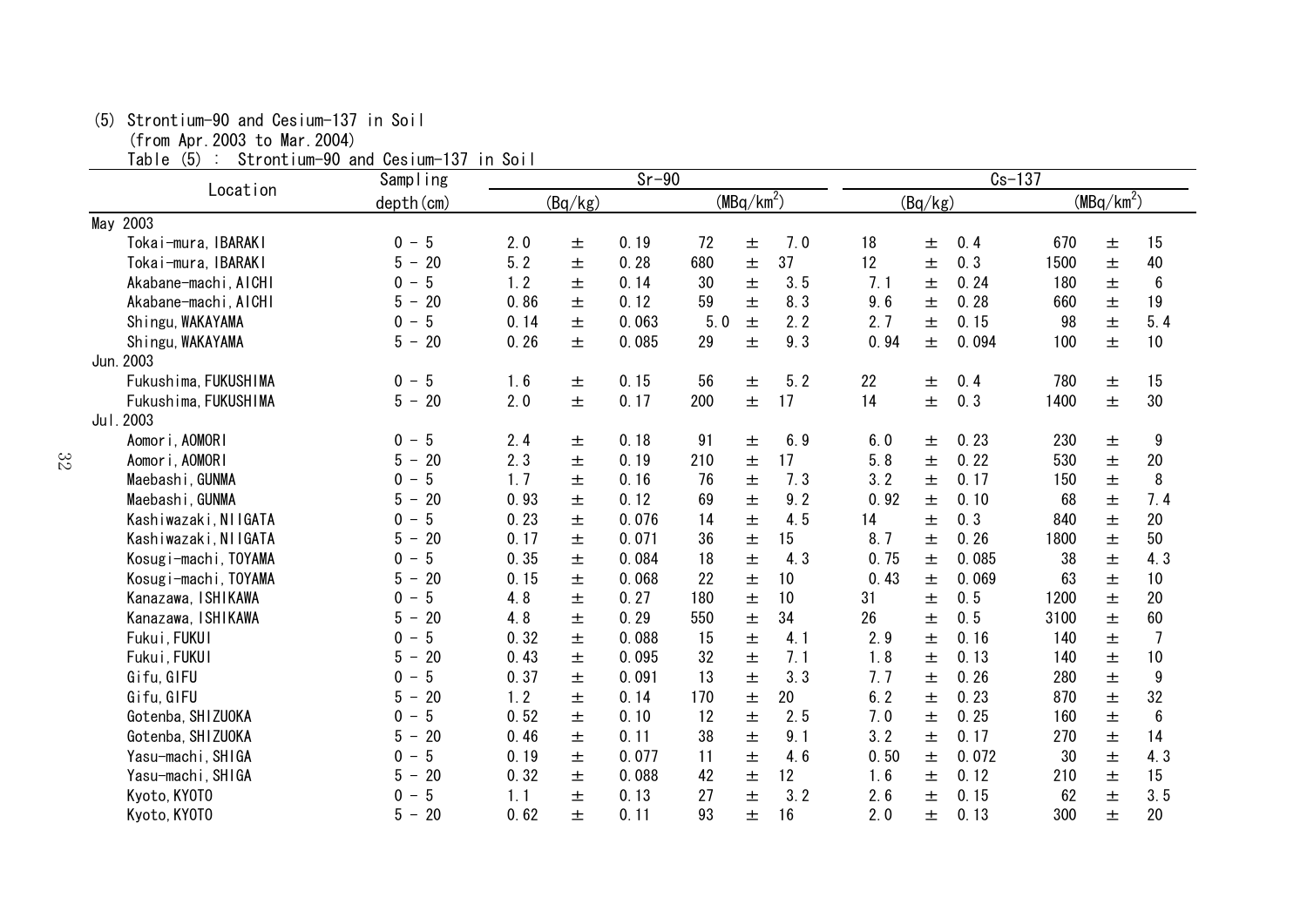## (5) Strontium-90 and Cesium-137 in Soil

(from Apr.2003 to Mar.2004)

Table (5) : Strontium-90 and Cesium-137 in Soil

|                      | Sampling                             |      |         | $Sr-90$ |     |                        |     | $Cs - 137$ |         |       |      |              |                  |  |
|----------------------|--------------------------------------|------|---------|---------|-----|------------------------|-----|------------|---------|-------|------|--------------|------------------|--|
| Location             | depth (cm)                           |      | (Bq/kg) |         |     | (MBq/km <sup>2</sup> ) |     |            | (Bq/kg) |       |      | $(MBq/km^2)$ |                  |  |
| May 2003             |                                      |      |         |         |     |                        |     |            |         |       |      |              |                  |  |
| Tokai-mura, IBARAKI  | 5<br>$0 -$                           | 2.0  | 土       | 0.19    | 72  | $\pm$                  | 7.0 | 18         | $\pm$   | 0.4   | 670  | 士            | 15               |  |
| Tokai-mura, IBARAKI  | 5<br>20<br>$\overline{\phantom{a}}$  | 5.2  | 土       | 0.28    | 680 | $\pm$                  | 37  | 12         | 士       | 0.3   | 1500 | 士            | 40               |  |
| Akabane-machi, AICHI | 5<br>0<br>$\overline{\phantom{m}}$   | 1.2  | 土       | 0.14    | 30  | $\pm$                  | 3.5 | 7.1        | 土       | 0.24  | 180  | 士            | $\boldsymbol{6}$ |  |
| Akabane-machi, AICHI | 20<br>5<br>$\overline{\phantom{m}}$  | 0.86 | 土       | 0.12    | 59  | 士                      | 8.3 | 9.6        | 土       | 0.28  | 660  | 土            | 19               |  |
| Shingu, WAKAYAMA     | $\overline{5}$<br>$0 -$              | 0.14 | 土       | 0.063   | 5.0 | $\pm$                  | 2.2 | 2.7        | 士       | 0.15  | 98   | 士            | 5.4              |  |
| Shingu, WAKAYAMA     | $5 -$<br>20                          | 0.26 | 土       | 0.085   | 29  | $\pm$                  | 9.3 | 0.94       | $\pm$   | 0.094 | 100  | 士            | 10               |  |
| Jun. 2003            |                                      |      |         |         |     |                        |     |            |         |       |      |              |                  |  |
| Fukushima, FUKUSHIMA | 5<br>$0 -$                           | 1.6  | 土       | 0.15    | 56  | 土                      | 5.2 | 22         | 土       | 0.4   | 780  | 土            | 15               |  |
| Fukushima, FUKUSHIMA | 20<br>$5 -$                          | 2.0  | 土       | 0.17    | 200 | $\pm$                  | 17  | 14         | 士       | 0.3   | 1400 | 士            | 30               |  |
| Jul. 2003            |                                      |      |         |         |     |                        |     |            |         |       |      |              |                  |  |
| Aomori, AOMORI       | 5<br>$0 -$                           | 2.4  | 土       | 0.18    | 91  | $\pm$                  | 6.9 | 6.0        | $\pm$   | 0.23  | 230  | 土            | 9                |  |
| Aomori, AOMORI       | 20<br>5<br>$\overline{\phantom{a}}$  | 2.3  | 士       | 0.19    | 210 | 土                      | 17  | 5.8        | 士       | 0.22  | 530  | 土            | 20               |  |
| Maebashi, GUNMA      | 5<br>$0 -$                           | 1, 7 | 土       | 0.16    | 76  | $\pm$                  | 7.3 | 3.2        | 土       | 0.17  | 150  | 土            | 8                |  |
| Maebashi, GUNMA      | 20<br>5<br>$\overline{\phantom{m}}$  | 0.93 | 土       | 0.12    | 69  | $\pm$                  | 9.2 | 0.92       | 土       | 0.10  | 68   | 土            | 7.4              |  |
| Kashiwazaki, NIIGATA | 5<br>0                               | 0.23 | 土       | 0.076   | 14  | $\pm$                  | 4.5 | 14         | 土       | 0.3   | 840  | 士            | 20               |  |
| Kashiwazaki, NIIGATA | 20<br>5<br>$\overline{\phantom{m}}$  | 0.17 | 土       | 0.071   | 36  | $\pm$                  | 15  | 8.7        | 士       | 0.26  | 1800 | 士            | 50               |  |
| Kosugi-machi, TOYAMA | 5<br>$0 -$                           | 0.35 | 土       | 0.084   | 18  | 土                      | 4.3 | 0.75       | 土       | 0.085 | 38   | $\pm$        | 4.3              |  |
| Kosugi-machi, TOYAMA | 20<br>5<br>$\overline{\phantom{m}}$  | 0.15 | 土       | 0.068   | 22  | $\pm$                  | 10  | 0.43       | 土       | 0.069 | 63   | 土            | 10               |  |
| Kanazawa, ISHIKAWA   | 5<br>0                               | 4.8  | 土       | 0.27    | 180 | $\pm$                  | 10  | 31         | 土       | 0.5   | 1200 | 士            | 20               |  |
| Kanazawa, ISHIKAWA   | 20<br>5.<br>$\overline{\phantom{m}}$ | 4.8  | 土       | 0.29    | 550 | $\pm$                  | 34  | 26         | 士       | 0.5   | 3100 | 土            | 60               |  |
| Fukui, FUKUI         | 5<br>$0 -$                           | 0.32 | 土       | 0.088   | 15  | 士                      | 4.1 | 2.9        | 土       | 0.16  | 140  | 士            | $\overline{1}$   |  |
| Fukui, FUKUI         | 20<br>5                              | 0.43 | 士       | 0.095   | 32  | $\pm$                  | 7.1 | 1.8        | $\pm$   | 0.13  | 140  | 士            | 10               |  |
| Gifu, GIFU           | 5<br>0<br>$\overline{\phantom{0}}$   | 0.37 | 土       | 0.091   | 13  | $\pm$                  | 3.3 | 7.7        | 土       | 0.26  | 280  | 士            | $\boldsymbol{9}$ |  |
| Gifu, GIFU           | 20<br>5.<br>$\overline{\phantom{m}}$ | 1.2  | 土       | 0.14    | 170 | $\pm$                  | 20  | 6.2        | 士       | 0.23  | 870  | 土            | 32               |  |
| Gotenba, SHIZUOKA    | 5<br>0                               | 0.52 | 士       | 0.10    | 12  | 土                      | 2.5 | 7.0        | 士       | 0.25  | 160  | 土            | $6\phantom{.}$   |  |
| Gotenba, SHIZUOKA    | 20<br>5                              | 0.46 | 土       | 0.11    | 38  | $\pm$                  | 9.1 | 3.2        | $\pm$   | 0.17  | 270  | 士            | 14               |  |
| Yasu-machi, SHIGA    | 5<br>$0 -$                           | 0.19 | 土       | 0.077   | 11  | $\pm$                  | 4.6 | 0.50       | 土       | 0.072 | 30   | 士            | 4.3              |  |
| Yasu-machi, SHIGA    | 20<br>5<br>$\overline{\phantom{m}}$  | 0.32 | 土       | 0.088   | 42  | $\pm$                  | 12  | 1.6        | 士       | 0.12  | 210  | 士            | 15               |  |
| Kyoto, KY0T0         | 5<br>0                               | 1.1  | 士       | 0.13    | 27  | 土                      | 3.2 | 2.6        | 士       | 0.15  | 62   | 土            | 3.5              |  |
| Kyoto, KY0T0         | 20<br>5<br>$\overline{\phantom{m}}$  | 0.62 | 土       | 0.11    | 93  | 土                      | 16  | 2.0        | 士       | 0.13  | 300  | 土            | 20               |  |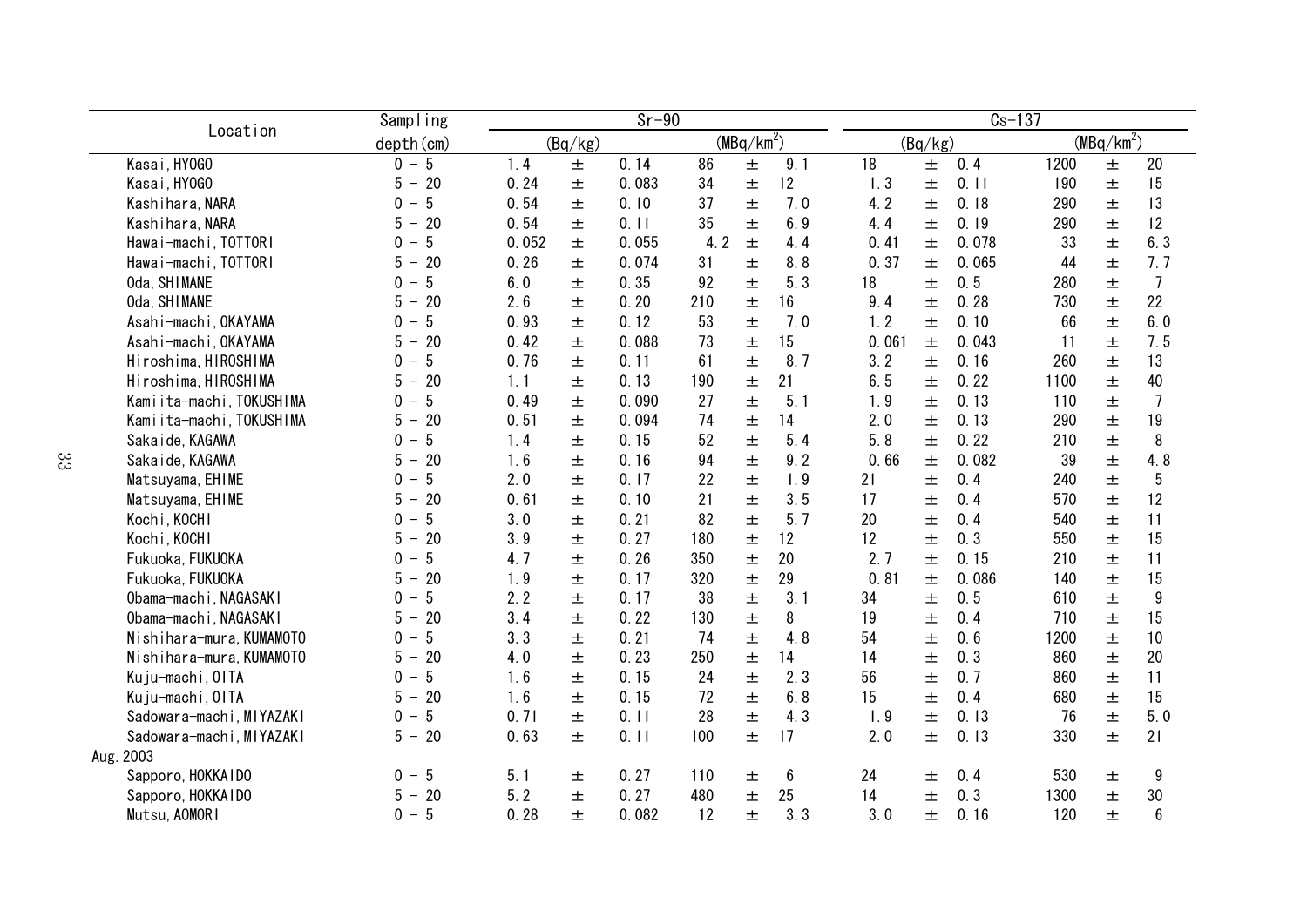|                          | Sampling                                  | $Sr-90$ |         |       |     |                        |     |       |         |       | $c_s$ -137 |              |                  |
|--------------------------|-------------------------------------------|---------|---------|-------|-----|------------------------|-----|-------|---------|-------|------------|--------------|------------------|
| Location                 | depth (cm)                                |         | (Bq/kg) |       |     | (MBq/km <sup>2</sup> ) |     |       | (Bq/kg) |       |            | $(MBq/km^2)$ |                  |
| Kasai, HY0GO             | $0 - 5$                                   | 1.4     | 土       | 0.14  | 86  | 士                      | 9.1 | 18    | $\pm$   | 0.4   | 1200       | 士            | 20               |
| Kasai, HY0GO             | 5<br>20<br>$-$                            | 0.24    | 土       | 0.083 | 34  | 土                      | 12  | 1.3   | 土       | 0.11  | 190        | 土            | 15               |
| Kashihara, NARA          | 5<br>$\mathbf{0}$                         | 0.54    | 士       | 0.10  | 37  | 士                      | 7.0 | 4.2   | 士       | 0.18  | 290        | 士            | 13               |
| Kashihara, NARA          | 20<br>5<br>$\overline{\phantom{m}}$       | 0.54    | 士       | 0.11  | 35  | 士                      | 6.9 | 4.4   | 土       | 0.19  | 290        | 士            | 12               |
| Hawai-machi, TOTTORI     | 5<br>$\mathbf{0}$                         | 0.052   | 士       | 0.055 | 4.2 | 土                      | 4.4 | 0.41  | 土       | 0.078 | 33         | 土            | 6.3              |
| Hawai-machi, TOTTORI     | 20<br>5                                   | 0.26    | 土       | 0.074 | 31  | 士                      | 8.8 | 0.37  | $\pm$   | 0.065 | 44         | 土            | 7.7              |
| Oda, SHIMANE             | 5<br>$\Omega$                             | 6.0     | 土       | 0.35  | 92  | 士                      | 5.3 | 18    | 土       | 0.5   | 280        | 士            | $\overline{7}$   |
| Oda, SHIMANE             | 20<br>5                                   | 2.6     | 土       | 0.20  | 210 | 土                      | 16  | 9.4   | $\pm$   | 0.28  | 730        | 土            | 22               |
| Asahi-machi, OKAYAMA     | 5<br>$\Omega$                             | 0.93    | 士       | 0.12  | 53  | 士                      | 7.0 | 1.2   | $\pm$   | 0.10  | 66         | 士            | 6.0              |
| Asahi-machi, OKAYAMA     | 20<br>5                                   | 0.42    | 土       | 0.088 | 73  | $\pm$                  | 15  | 0.061 | $\pm$   | 0.043 | 11         | 土            | 7.5              |
| Hiroshima, HIROSHIMA     | 5<br>$\Omega$<br>$\overline{\phantom{a}}$ | 0.76    | 士       | 0.11  | 61  | 士                      | 8.7 | 3.2   | $\pm$   | 0.16  | 260        | 士            | 13               |
| Hiroshima, HIROSHIMA     | 20<br>5<br>$\overline{\phantom{a}}$       | 1.1     | 士       | 0.13  | 190 | 士                      | 21  | 6.5   | $\pm$   | 0.22  | 1100       | 士            | 40               |
| Kamiita-machi, TOKUSHIMA | 5<br>0<br>$\overline{\phantom{a}}$        | 0.49    | 土       | 0.090 | 27  | 士                      | 5.1 | 1.9   | $\pm$   | 0.13  | 110        | 土            | $\overline{1}$   |
| Kamiita-machi, TOKUSHIMA | 5<br>20<br>$\overline{\phantom{0}}$       | 0.51    | 士       | 0.094 | 74  | 士                      | 14  | 2.0   | $\pm$   | 0.13  | 290        | 士            | 19               |
| Sakaide, KAGAWA          | 5<br>$\Omega$<br>$\overline{\phantom{a}}$ | 1.4     | 士       | 0.15  | 52  | 士                      | 5.4 | 5.8   | $\pm$   | 0.22  | 210        | 士            | 8                |
| Sakaide, KAGAWA          | 20<br>5                                   | 1.6     | 土       | 0.16  | 94  | 土                      | 9.2 | 0.66  | $\pm$   | 0.082 | 39         | 士            | 4.8              |
| Matsuyama, EHIME         | 5<br>$\Omega$                             | 2.0     | 土       | 0.17  | 22  | $\pm$                  | 1.9 | 21    | 土       | 0.4   | 240        | 士            | 5                |
| Matsuyama, EHIME         | 20<br>5<br>$\overline{\phantom{m}}$       | 0.61    | 士       | 0.10  | 21  | 士                      | 3.5 | 17    | 士       | 0.4   | 570        | 士            | 12               |
| Kochi, KOCHI             | 5<br>0                                    | 3.0     | 土       | 0.21  | 82  | 士                      | 5.7 | 20    | 土       | 0.4   | 540        | 士            | 11               |
| Kochi, KOCHI             | 20<br>5                                   | 3.9     | 土       | 0.27  | 180 | $\pm$                  | 12  | 12    | 土       | 0.3   | 550        | 士            | 15               |
| Fukuoka, FUKUOKA         | 5<br>0                                    | 4.7     | 土       | 0.26  | 350 | $\pm$                  | 20  | 2.7   | $\pm$   | 0.15  | 210        | 土            | 11               |
| Fukuoka, FUKUOKA         | 20<br>5                                   | 1.9     | 土       | 0.17  | 320 | $\pm$                  | 29  | 0.81  | $\pm$   | 0.086 | 140        | 土            | 15               |
| Obama-machi, NAGASAKI    | 5<br>$\Omega$                             | 2.2     | 士       | 0.17  | 38  | 士                      | 3.1 | 34    | 士       | 0.5   | 610        | $\pm$        | $\boldsymbol{9}$ |
| Obama-machi, NAGASAKI    | 20<br>5.<br>$\overline{\phantom{a}}$      | 3.4     | 土       | 0.22  | 130 | 士                      | 8   | 19    | 土       | 0.4   | 710        | 士            | 15               |
| Nishihara-mura, KUMAMOTO | 5<br>0                                    | 3.3     | 土       | 0.21  | 74  | 士                      | 4.8 | 54    | 土       | 0.6   | 1200       | 士            | 10               |
| Nishihara-mura, KUMAMOTO | 20<br>5                                   | 4.0     | 土       | 0.23  | 250 | 土                      | 14  | 14    | 土       | 0.3   | 860        | 士            | 20               |
| Kuju-machi, OITA         | 5<br>$\Omega$                             | 1.6     | 土       | 0.15  | 24  | 士                      | 2.3 | 56    | 土       | 0.7   | 860        | 士            | 11               |
| Kuju-machi, OITA         | 5<br>20<br>$\overline{\phantom{0}}$       | 1.6     | 土       | 0.15  | 72  | 士                      | 6.8 | 15    | 土       | 0.4   | 680        | 士            | 15               |
| Sadowara-machi, MIYAZAKI | 5<br>$\Omega$                             | 0.71    | 土       | 0.11  | 28  | 士                      | 4.3 | 1.9   | 士       | 0.13  | 76         | 士            | 5.0              |
| Sadowara-machi, MIYAZAKI | 20<br>$5 -$                               | 0.63    | 土       | 0.11  | 100 | 土                      | 17  | 2.0   | $\pm$   | 0.13  | 330        | 士            | 21               |
| Aug. 2003                |                                           |         |         |       |     |                        |     |       |         |       |            |              |                  |
| Sapporo, HOKKAIDO        | 5<br>0<br>$\overline{\phantom{a}}$        | 5.1     | 土       | 0.27  | 110 | 土                      | 6   | 24    | 士       | 0.4   | 530        | 土            | 9                |
| Sapporo, HOKKAIDO        | 20<br>5<br>$\overline{\phantom{0}}$       | 5.2     | 士       | 0.27  | 480 | 土                      | 25  | 14    | 土       | 0.3   | 1300       | 士            | 30               |
| Mutsu, AOMORI            | 5<br>$0 -$                                | 0.28    | 士       | 0.082 | 12  | 士                      | 3.3 | 3.0   | $\pm$   | 0.16  | 120        | 士            | 6                |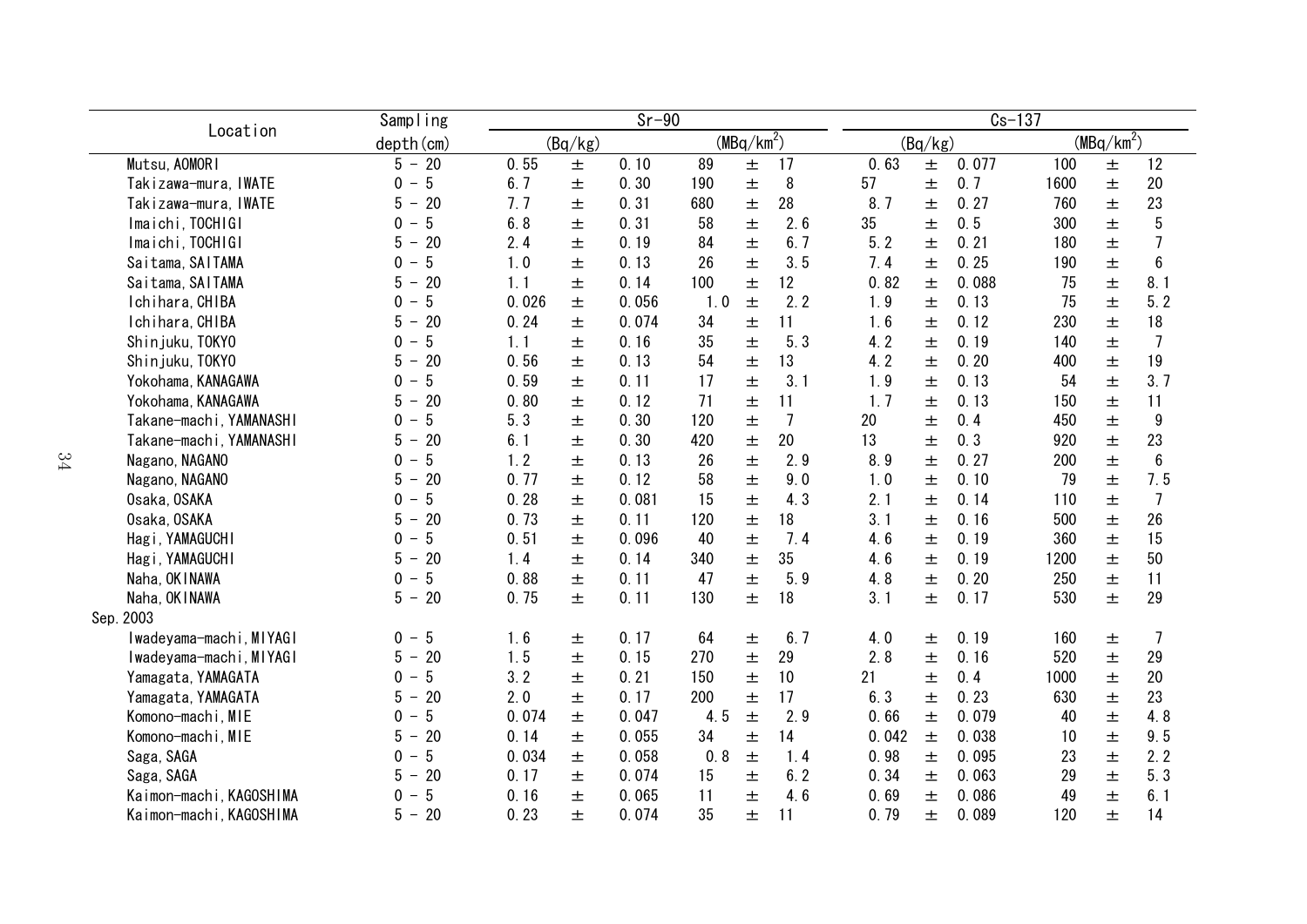|                         | Sampling                                                   |       |         | $Sr-90$ |     |                        |                | $Cs-137$ |         |       |      |              |                 |  |  |
|-------------------------|------------------------------------------------------------|-------|---------|---------|-----|------------------------|----------------|----------|---------|-------|------|--------------|-----------------|--|--|
| Location                | depth (cm)                                                 |       | (Bq/kg) |         |     | (MBq/km <sup>2</sup> ) |                |          | (Bq/kg) |       |      | $(MBq/km^2)$ |                 |  |  |
| Mutsu, AOMORI           | $5 - 20$                                                   | 0.55  | 土       | 0.10    | 89  | 士                      | 17             | 0.63     | 士       | 0.077 | 100  | 士            | 12              |  |  |
| Takizawa-mura, IWATE    | $5\phantom{.0}$<br>$\mathbf 0$<br>$\overline{\phantom{m}}$ | 6.7   | 土       | 0.30    | 190 | 士                      | 8              | 57       | 土       | 0.7   | 1600 | 士            | 20              |  |  |
| Takizawa-mura, IWATE    | 5<br>20<br>$\overline{\phantom{m}}$                        | 7.7   | 土       | 0.31    | 680 | 土                      | 28             | 8.7      | 土       | 0.27  | 760  | 士            | 23              |  |  |
| Imaichi, TOCHIGI        | 5<br>0                                                     | 6.8   | 士       | 0.31    | 58  | 土                      | 2.6            | 35       | 土       | 0.5   | 300  | 士            | 5               |  |  |
| Imaichi, TOCHIGI        | 20<br>5<br>$\overline{\phantom{0}}$                        | 2.4   | 土       | 0.19    | 84  | 土                      | 6.7            | 5.2      | 土       | 0.21  | 180  | 土            | 7               |  |  |
| Saitama, SAITAMA        | 5<br>$\mathbf{0}$                                          | 1.0   | 土       | 0.13    | 26  | 士                      | 3.5            | 7.4      | 土       | 0.25  | 190  | 土            | $6\phantom{1}6$ |  |  |
| Saitama, SAITAMA        | 20<br>5                                                    | 1.1   | 土       | 0.14    | 100 | 士                      | 12             | 0.82     | $\pm$   | 0.088 | 75   | 土            | 8.1             |  |  |
| Ichihara, CHIBA         | 5<br>$\Omega$                                              | 0.026 | 士       | 0.056   | 1.0 | 士                      | 2.2            | 1.9      | $\pm$   | 0.13  | 75   | 士            | 5.2             |  |  |
| Ichihara, CHIBA         | 20<br>5                                                    | 0.24  | 士       | 0.074   | 34  | 土                      | 11             | 1.6      | $\pm$   | 0.12  | 230  | 士            | 18              |  |  |
| Shinjuku, TOKYO         | 5<br>$\Omega$                                              | 1.1   | 土       | 0.16    | 35  | 土                      | 5.3            | 4.2      | $\pm$   | 0.19  | 140  | 土            | $\overline{7}$  |  |  |
| Shinjuku, TOKYO         | 20<br>5                                                    | 0.56  | 士       | 0.13    | 54  | 土                      | 13             | 4.2      | $\pm$   | 0.20  | 400  | 士            | 19              |  |  |
| Yokohama, KANAGAWA      | 5<br>$\Omega$                                              | 0.59  | 士       | 0.11    | 17  | 士                      | 3.1            | 1.9      | $\pm$   | 0.13  | 54   | 士            | 3.7             |  |  |
| Yokohama, KANAGAWA      | 5<br>20                                                    | 0.80  | 士       | 0.12    | 71  | 士                      | 11             | 1.7      | 士       | 0.13  | 150  | 士            | 11              |  |  |
| Takane-machi, YAMANASHI | 5<br>$\Omega$                                              | 5.3   | 士       | 0.30    | 120 | 士                      | $\overline{7}$ | 20       | 土       | 0.4   | 450  | 士            | 9               |  |  |
| Takane-machi, YAMANASHI | 5<br>20<br>$\overline{\phantom{m}}$                        | 6.1   | 土       | 0.30    | 420 | $\pm$                  | 20             | 13       | 土       | 0.3   | 920  | 士            | 23              |  |  |
| Nagano, NAGANO          | 5<br>0<br>$\overline{\phantom{m}}$                         | 1.2   | 土       | 0.13    | 26  | $\pm$                  | 2.9            | 8.9      | 土       | 0.27  | 200  | 士            | $6\phantom{.}$  |  |  |
| Nagano, NAGANO          | 20<br>5<br>$\overline{\phantom{m}}$                        | 0.77  | 士       | 0.12    | 58  | $\pm$                  | 9.0            | 1.0      | 土       | 0.10  | 79   | 士            | 7.5             |  |  |
| Osaka, OSAKA            | 5<br>0                                                     | 0.28  | 士       | 0.081   | 15  | 士                      | 4.3            | 2.1      | $\pm$   | 0.14  | 110  | 士            | $\overline{7}$  |  |  |
| Osaka, OSAKA            | 20<br>5                                                    | 0.73  | 士       | 0.11    | 120 | 土                      | 18             | 3.1      | $\pm$   | 0.16  | 500  | 士            | 26              |  |  |
| Hagi, YAMAGUCHI         | 5<br>0                                                     | 0.51  | 士       | 0.096   | 40  | 士                      | 7.4            | 4.6      | $\pm$   | 0.19  | 360  | 士            | 15              |  |  |
| Hagi, YAMAGUCHI         | 20<br>5                                                    | 1.4   | 土       | 0.14    | 340 | 土                      | 35             | 4.6      | $\pm$   | 0.19  | 1200 | 士            | 50              |  |  |
| Naha, OK I NAWA         | 5<br>0                                                     | 0.88  | 士       | 0.11    | 47  | $\pm$                  | 5.9            | 4.8      | 土       | 0.20  | 250  | 士            | 11              |  |  |
| Naha, OK I NAWA         | $-20$<br>5                                                 | 0.75  | Ŧ.      | 0.11    | 130 | 士                      | 18             | 3.1      | $\pm$   | 0.17  | 530  | 士            | 29              |  |  |
| Sep. 2003               |                                                            |       |         |         |     |                        |                |          |         |       |      |              |                 |  |  |
| Iwadeyama-machi, MIYAGI | $0 - 5$                                                    | 1.6   | 土       | 0.17    | 64  | 土                      | 6.7            | 4.0      | 士       | 0.19  | 160  | 土            | 7               |  |  |
| Iwadeyama-machi, MIYAGI | 20<br>5<br>$\overline{\phantom{m}}$                        | 1.5   | 士       | 0.15    | 270 | 士                      | 29             | 2.8      | 土       | 0.16  | 520  | 士            | 29              |  |  |
| Yamagata, YAMAGATA      | 5<br>$\Omega$<br>$\overline{\phantom{0}}$                  | 3.2   | 士       | 0.21    | 150 | 士                      | 10             | 21       | 士       | 0.4   | 1000 | 士            | 20              |  |  |
| Yamagata, YAMAGATA      | 20<br>5<br>$\overline{\phantom{0}}$                        | 2.0   | 士       | 0.17    | 200 | 土                      | 17             | 6.3      | 士       | 0.23  | 630  | 土            | 23              |  |  |
| Komono-machi, MIE       | 5<br>$\mathbf{0}$                                          | 0.074 | 土       | 0.047   | 4.5 | $\pm$                  | 2.9            | 0.66     | $\pm$   | 0.079 | 40   | 土            | 4.8             |  |  |
| Komono-machi, MIE       | 20<br>5                                                    | 0.14  | 士       | 0.055   | 34  | 士                      | 14             | 0.042    | 土       | 0.038 | 10   | 土            | 9.5             |  |  |
| Saga, SAGA              | 5<br>0                                                     | 0.034 | 土       | 0.058   | 0.8 | $\pm$                  | 1.4            | 0.98     | 土       | 0.095 | 23   | 土            | 2.2             |  |  |
| Saga, SAGA              | 5<br>20                                                    | 0.17  | 土       | 0.074   | 15  | 土                      | 6.2            | 0.34     | $\pm$   | 0.063 | 29   | 土            | 5.3             |  |  |
| Kaimon-machi, KAGOSHIMA | 5<br>0                                                     | 0.16  | 土       | 0.065   | 11  | 士                      | 4.6            | 0.69     | $\pm$   | 0.086 | 49   | 士            | 6.1             |  |  |
| Kaimon-machi, KAGOSHIMA | 20<br>5<br>$\overline{\phantom{m}}$                        | 0.23  | 士       | 0.074   | 35  | 士                      | 11             | 0.79     | 土       | 0.089 | 120  | 士            | 14              |  |  |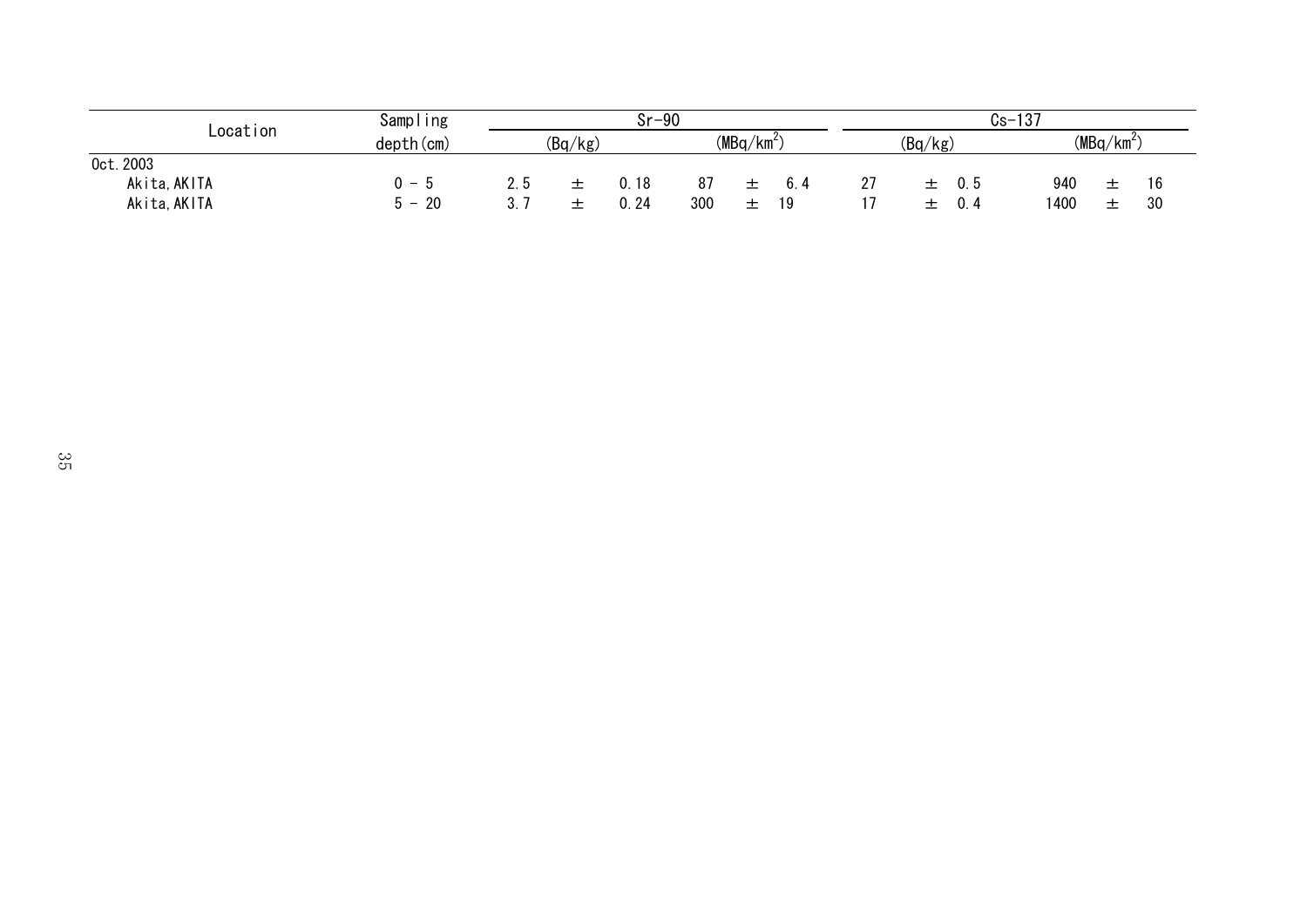| Location     | Sampling                       | $Sr-90$    |         |      |     |              |    | -137<br>Cs-1     |         |     |      |              |    |  |  |
|--------------|--------------------------------|------------|---------|------|-----|--------------|----|------------------|---------|-----|------|--------------|----|--|--|
|              | $depth$ (cm)                   |            | (Bq/kg) |      |     | $(MBq/km^2)$ |    |                  | (Bq/kg) |     |      | $(MBq/km^2)$ |    |  |  |
| 0ct. 2003    |                                |            |         |      |     |              |    |                  |         |     |      |              |    |  |  |
| Akita, AKITA | - 5                            |            |         | . 18 | 87  |              |    | 27<br><u>_ 1</u> | -       | 0.5 | 940  | 土            | 16 |  |  |
| Akita, AKITA | 20<br>$\overline{\phantom{a}}$ | 0.24<br>υ. |         |      | 300 | -⊢<br>–      | 10 |                  | -       |     | 1400 | ÷<br>—       | 30 |  |  |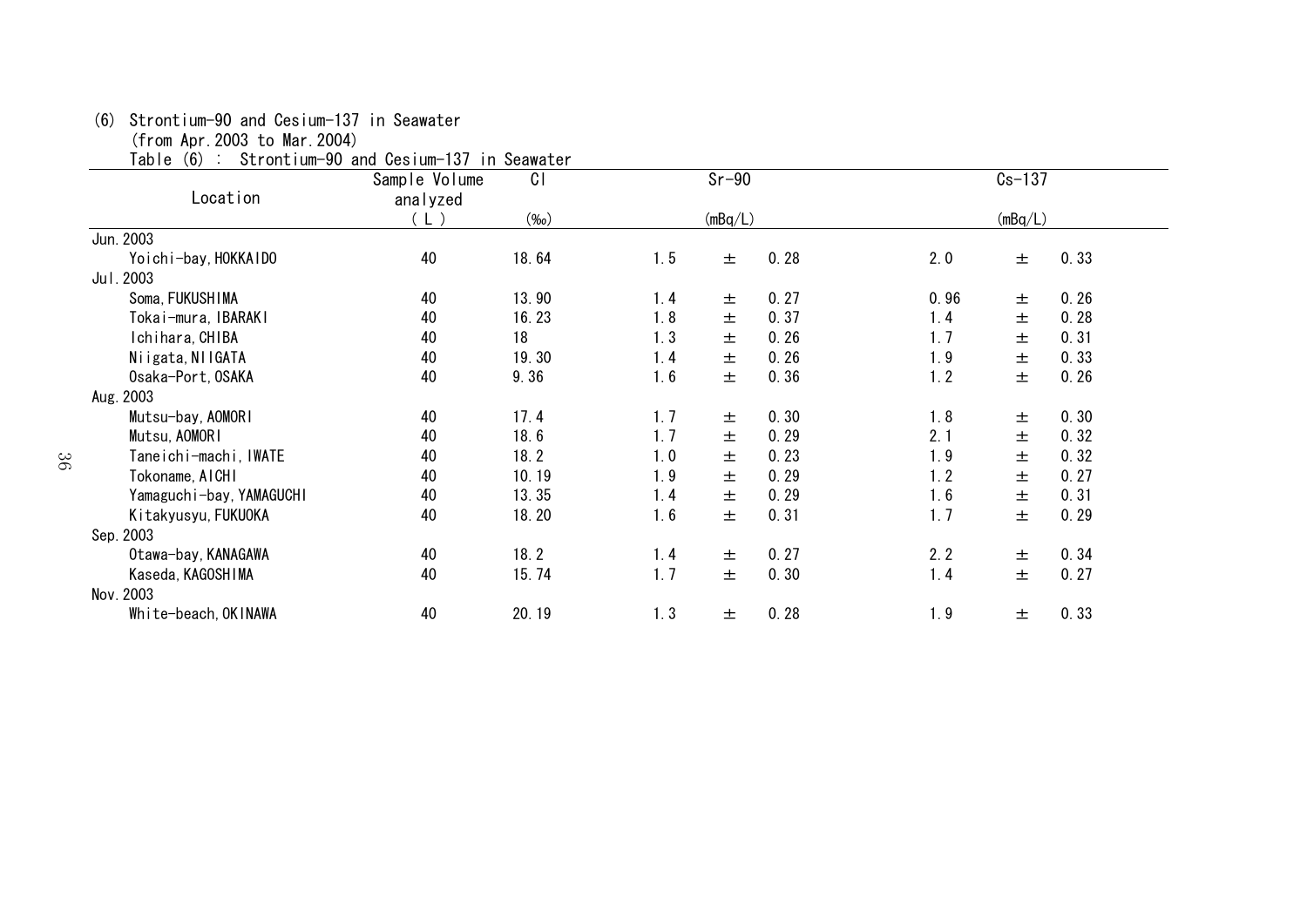## (6) Strontium-90 and Cesium-137 in Seawater

(from Apr.2003 to Mar.2004)

Table (6) : Strontium-90 and Cesium-137 in Seawater

| ιανισ<br>(V) ·           | <b>OLI UIILIUIII 30 AIIU UCSIUIII IOI III OCANALCI</b><br>Sample Volume | C <sub>1</sub> | $Sr-90$          |      | $Cs - 137$ |      |
|--------------------------|-------------------------------------------------------------------------|----------------|------------------|------|------------|------|
| Location                 | analyzed                                                                |                |                  |      |            |      |
|                          | (L )                                                                    | $(\%0)$        | (mBq/L)          |      | (mBq/L)    |      |
| Jun. 2003                |                                                                         |                |                  |      |            |      |
| Yoichi-bay, HOKKAIDO     | 40                                                                      | 18.64          | 1.5<br>0.28<br>土 | 2.0  | 土          | 0.33 |
| Jul. 2003                |                                                                         |                |                  |      |            |      |
| Soma, FUKUSHIMA          | 40                                                                      | 13.90          | 0.27<br>1.4<br>土 | 0.96 | 士          | 0.26 |
| Tokai-mura, IBARAKI      | 40                                                                      | 16.23          | 1.8<br>0.37<br>土 | 1.4  | 土          | 0.28 |
| Ichihara, CHIBA          | 40                                                                      | 18             | 1.3<br>0.26<br>土 | 1.7  | 土          | 0.31 |
| Niigata, NIIGATA         | 40                                                                      | 19.30          | 0.26<br>1.4<br>土 | 1.9  | 土          | 0.33 |
| Osaka-Port, OSAKA        | 40                                                                      | 9.36           | 0.36<br>1.6<br>土 | 1.2  | 土          | 0.26 |
| Aug. 2003                |                                                                         |                |                  |      |            |      |
| Mutsu-bay, AOMORI        | 40                                                                      | 17.4           | 1.7<br>0.30<br>土 | 1.8  | 土          | 0.30 |
| Mutsu, AOMORI            | 40                                                                      | 18.6           | 1.7<br>0.29<br>土 | 2.1  | 土          | 0.32 |
| Taneichi-machi, IWATE    | 40                                                                      | 18.2           | 0.23<br>1.0<br>土 | 1.9  | 土          | 0.32 |
| Tokoname, AICHI          | 40                                                                      | 10.19          | 1.9<br>0.29<br>土 | 1.2  | 土          | 0.27 |
| Yamaguchi-bay, YAMAGUCHI | 40                                                                      | 13.35          | 0.29<br>1.4<br>土 | 1.6  | 土          | 0.31 |
| Kitakyusyu, FUKUOKA      | 40                                                                      | 18.20          | 1.6<br>0.31<br>土 | 1.7  | 土          | 0.29 |
| Sep. 2003                |                                                                         |                |                  |      |            |      |
| Otawa-bay, KANAGAWA      | 40                                                                      | 18.2           | 0.27<br>1.4<br>土 | 2.2  | 土          | 0.34 |
| Kaseda, KAGOSHIMA        | 40                                                                      | 15.74          | 1.7<br>0.30<br>土 | 1.4  | 土          | 0.27 |
| Nov. 2003                |                                                                         |                |                  |      |            |      |
| White-beach, OKINAWA     | 40                                                                      | 20.19          | 1.3<br>0.28<br>土 | 1.9  | 土          | 0.33 |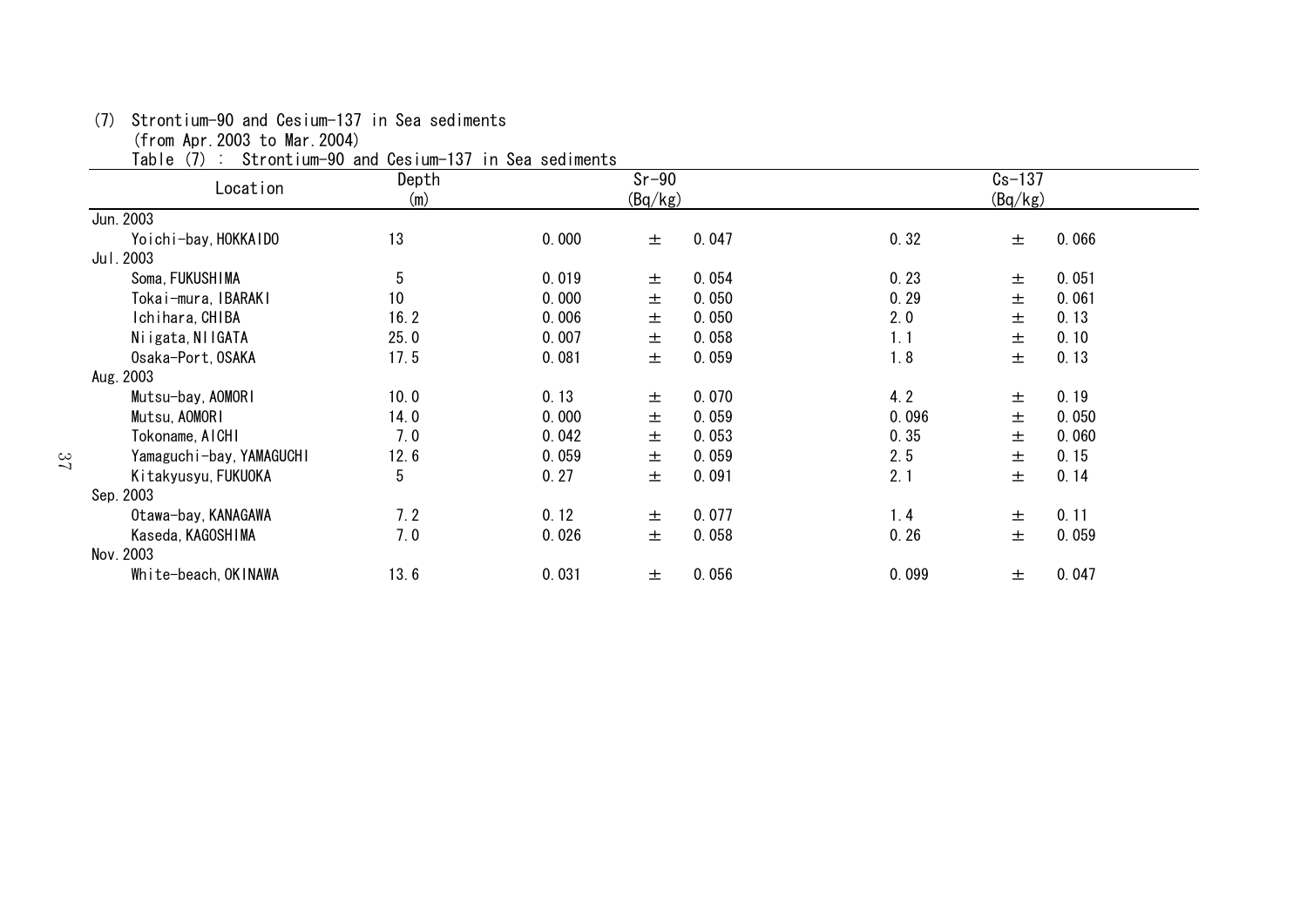| Depth                                                                                                                                                                                                                                                                                                                               |       |   |                                              |                    | $Cs-137$ |       |
|-------------------------------------------------------------------------------------------------------------------------------------------------------------------------------------------------------------------------------------------------------------------------------------------------------------------------------------|-------|---|----------------------------------------------|--------------------|----------|-------|
| (m)                                                                                                                                                                                                                                                                                                                                 |       |   |                                              |                    | (Bq/kg)  |       |
|                                                                                                                                                                                                                                                                                                                                     |       |   |                                              |                    |          |       |
| 13                                                                                                                                                                                                                                                                                                                                  | 0.000 | 士 | 0.047                                        | 0.32               | 士        | 0.066 |
|                                                                                                                                                                                                                                                                                                                                     |       |   |                                              |                    |          |       |
| 5                                                                                                                                                                                                                                                                                                                                   | 0.019 | 士 | 0.054                                        | 0.23               | 士        | 0.051 |
| 10                                                                                                                                                                                                                                                                                                                                  | 0.000 | 士 | 0.050                                        | 0.29               | 士        | 0.061 |
| 16.2                                                                                                                                                                                                                                                                                                                                | 0.006 | 土 | 0.050                                        | 2.0                | 士        | 0.13  |
| 25.0                                                                                                                                                                                                                                                                                                                                | 0.007 | 士 | 0.058                                        | 1.1                | 士        | 0.10  |
| 17.5                                                                                                                                                                                                                                                                                                                                | 0.081 | 土 | 0.059                                        | 1.8                | 土        | 0.13  |
|                                                                                                                                                                                                                                                                                                                                     |       |   |                                              |                    |          |       |
| 10.0                                                                                                                                                                                                                                                                                                                                | 0.13  | 土 | 0.070                                        | 4.2                | 士        | 0.19  |
| 14.0                                                                                                                                                                                                                                                                                                                                | 0.000 | 土 | 0.059                                        | 0.096              | 土        | 0.050 |
| 7.0                                                                                                                                                                                                                                                                                                                                 | 0.042 | 土 | 0.053                                        | 0.35               | 土        | 0.060 |
| 12.6                                                                                                                                                                                                                                                                                                                                | 0.059 | 土 | 0.059                                        | 2.5                | 土        | 0.15  |
| 5                                                                                                                                                                                                                                                                                                                                   | 0.27  | 土 | 0.091                                        | 2.1                | 土        | 0.14  |
|                                                                                                                                                                                                                                                                                                                                     |       |   |                                              |                    |          |       |
| 7.2                                                                                                                                                                                                                                                                                                                                 | 0.12  | 土 | 0.077                                        | 1.4                | 土        | 0.11  |
| 7.0                                                                                                                                                                                                                                                                                                                                 | 0.026 | 土 | 0.058                                        | 0.26               | 土        | 0.059 |
|                                                                                                                                                                                                                                                                                                                                     |       |   |                                              |                    |          |       |
| 13.6                                                                                                                                                                                                                                                                                                                                | 0.031 | 土 | 0.056                                        | 0.099              | 土        | 0.047 |
| Table (7)<br>Location<br>Yoichi-bay, HOKKAIDO<br>Soma, FUKUSHIMA<br>Tokai-mura, IBARAKI<br>Ichihara, CHIBA<br>Niigata, NIIGATA<br>Osaka-Port, OSAKA<br>Mutsu-bay, AOMORI<br>Mutsu, AOMORI<br>Tokoname, AICHI<br>Yamaguchi-bay, YAMAGUCHI<br>Kitakyusyu, FUKUOKA<br>Otawa-bay, KANAGAWA<br>Kaseda, KAGOSHIMA<br>White-beach, OKINAWA |       |   | Strontium-90 and Cesium-137 in Sea sediments | $Sr-90$<br>(Bq/kg) |          |       |

(7) Strontium-90 and Cesium-137 in Sea sediments

(from Apr.2003 to Mar.2004)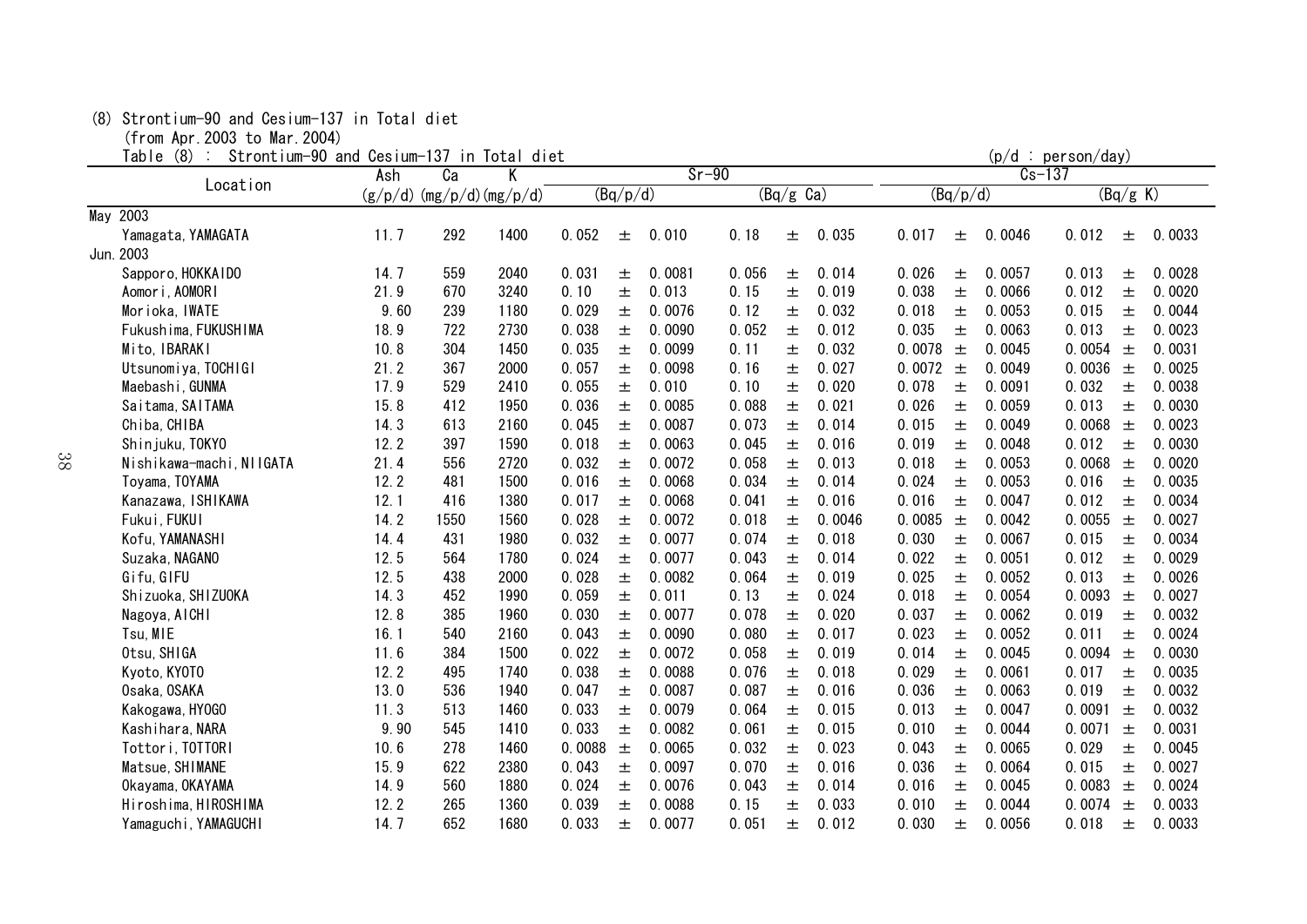#### (8) Strontium-90 and Cesium-137 in Total diet

(from Apr.2003 to Mar.2004)

Table  $(8)$ : Strontium-90 and Cesium-137 in Total diet (p/d : person/day)

| $I$ a $U$ $I$ $E$<br>$\langle 0 \rangle$<br><b>SLIVILLIUM-90 ANU CESTUM-197 IN TULAT</b> | Ash     | Ca   | <b>UICL</b><br>$Sr-90$<br>Κ |        |          |        |       |                     |        | (p/u · personyuay)<br>$Cs - 137$ |          |        |        |          |        |
|------------------------------------------------------------------------------------------|---------|------|-----------------------------|--------|----------|--------|-------|---------------------|--------|----------------------------------|----------|--------|--------|----------|--------|
| Location                                                                                 | (g/p/d) |      | (mg/p/d)(mg/p/d)            |        | (Bq/p/d) |        |       | $(Bq/g \text{ Ca})$ |        |                                  | (Bq/p/d) |        |        | (Bq/g K) |        |
| May 2003                                                                                 |         |      |                             |        |          |        |       |                     |        |                                  |          |        |        |          |        |
| Yamagata, YAMAGATA                                                                       | 11.7    | 292  | 1400                        | 0.052  | 土        | 0.010  | 0.18  | 士                   | 0.035  | 0.017                            | 土        | 0.0046 | 0.012  | 土        | 0.0033 |
| Jun. 2003                                                                                |         |      |                             |        |          |        |       |                     |        |                                  |          |        |        |          |        |
| Sapporo, HOKKAIDO                                                                        | 14.7    | 559  | 2040                        | 0.031  | 土        | 0.0081 | 0.056 | 土                   | 0.014  | 0.026                            | 土        | 0.0057 | 0.013  | 土        | 0.0028 |
| Aomori, AOMORI                                                                           | 21.9    | 670  | 3240                        | 0.10   | 土        | 0.013  | 0.15  | 土                   | 0.019  | 0.038                            | 土        | 0.0066 | 0.012  | $\pm$    | 0.0020 |
| Morioka, IWATE                                                                           | 9.60    | 239  | 1180                        | 0.029  | 土        | 0.0076 | 0.12  | 士                   | 0.032  | 0.018                            | 士        | 0.0053 | 0.015  | 土        | 0.0044 |
| Fukushima, FUKUSHIMA                                                                     | 18.9    | 722  | 2730                        | 0.038  | 土        | 0.0090 | 0.052 | 土                   | 0.012  | 0.035                            | 土        | 0.0063 | 0.013  | 土        | 0.0023 |
| Mito, IBARAKI                                                                            | 10.8    | 304  | 1450                        | 0.035  | 士        | 0.0099 | 0.11  | 土                   | 0.032  | 0.0078                           | $\pm$    | 0.0045 | 0.0054 | 土        | 0.0031 |
| Utsunomiya, TOCHIGI                                                                      | 21.2    | 367  | 2000                        | 0.057  | 士        | 0.0098 | 0.16  | 土                   | 0.027  | 0.0072                           | $\pm$    | 0.0049 | 0.0036 | 土        | 0.0025 |
| Maebashi, GUNMA                                                                          | 17.9    | 529  | 2410                        | 0.055  | 土        | 0.010  | 0.10  | 士                   | 0.020  | 0.078                            | 土        | 0.0091 | 0.032  | 士        | 0.0038 |
| Saitama, SAITAMA                                                                         | 15.8    | 412  | 1950                        | 0.036  | 土        | 0.0085 | 0.088 | 土                   | 0.021  | 0.026                            | 土        | 0.0059 | 0.013  | 土        | 0.0030 |
| Chiba, CHIBA                                                                             | 14.3    | 613  | 2160                        | 0.045  | 土        | 0.0087 | 0.073 | 土                   | 0.014  | 0.015                            | 土        | 0.0049 | 0.0068 | 土        | 0.0023 |
| Shinjuku, TOKYO                                                                          | 12.2    | 397  | 1590                        | 0.018  | 土        | 0.0063 | 0.045 | 土                   | 0.016  | 0.019                            | 土        | 0.0048 | 0.012  | 土        | 0.0030 |
| Nishikawa-machi, NIIGATA                                                                 | 21.4    | 556  | 2720                        | 0.032  | 土        | 0.0072 | 0.058 | 土                   | 0.013  | 0.018                            | 土        | 0.0053 | 0.0068 | $\pm$    | 0.0020 |
| Toyama, TOYAMA                                                                           | 12.2    | 481  | 1500                        | 0.016  | 士        | 0.0068 | 0.034 | 土                   | 0.014  | 0.024                            | 士        | 0.0053 | 0.016  | 土        | 0.0035 |
| Kanazawa, ISHIKAWA                                                                       | 12.1    | 416  | 1380                        | 0.017  | 土        | 0.0068 | 0.041 | 土                   | 0.016  | 0.016                            | $\pm$    | 0.0047 | 0.012  | 土        | 0.0034 |
| Fukui, FUKUI                                                                             | 14.2    | 1550 | 1560                        | 0.028  | 土        | 0.0072 | 0.018 | 土                   | 0.0046 | 0.0085                           | $\pm$    | 0.0042 | 0.0055 | 土        | 0.0027 |
| Kofu, YAMANASHI                                                                          | 14.4    | 431  | 1980                        | 0.032  | $\pm$    | 0.0077 | 0.074 | 士                   | 0.018  | 0.030                            | 士        | 0.0067 | 0.015  | 士        | 0.0034 |
| Suzaka, NAGANO                                                                           | 12.5    | 564  | 1780                        | 0.024  | 土        | 0.0077 | 0.043 | 土                   | 0.014  | 0.022                            | 土        | 0.0051 | 0.012  | 土        | 0.0029 |
| Gifu, GIFU                                                                               | 12.5    | 438  | 2000                        | 0.028  | 土        | 0.0082 | 0.064 | 土                   | 0.019  | 0.025                            | 士        | 0.0052 | 0.013  | 土        | 0.0026 |
| Shizuoka, SHIZUOKA                                                                       | 14.3    | 452  | 1990                        | 0.059  | 土        | 0.011  | 0.13  | 土                   | 0.024  | 0.018                            | 土        | 0.0054 | 0.0093 | 土        | 0.0027 |
| Nagoya, AICHI                                                                            | 12.8    | 385  | 1960                        | 0.030  | 士        | 0.0077 | 0.078 | 土                   | 0.020  | 0.037                            | 土        | 0.0062 | 0.019  | 土        | 0.0032 |
| Tsu, MIE                                                                                 | 16.1    | 540  | 2160                        | 0.043  | $\pm$    | 0.0090 | 0.080 | $\pm$               | 0.017  | 0.023                            | 土        | 0.0052 | 0.011  | 士        | 0.0024 |
| Otsu, SHIGA                                                                              | 11.6    | 384  | 1500                        | 0.022  | 士        | 0.0072 | 0.058 | $\pm$               | 0.019  | 0.014                            | 士        | 0.0045 | 0.0094 | 士        | 0.0030 |
| Kyoto, KYOTO                                                                             | 12.2    | 495  | 1740                        | 0.038  | $\pm$    | 0.0088 | 0.076 | $\pm$               | 0.018  | 0.029                            | 士        | 0.0061 | 0.017  | 士        | 0.0035 |
| Osaka, OSAKA                                                                             | 13.0    | 536  | 1940                        | 0.047  | 土        | 0.0087 | 0.087 | $\pm$               | 0.016  | 0.036                            | 土        | 0.0063 | 0.019  | 士        | 0.0032 |
| Kakogawa, HY0GO                                                                          | 11.3    | 513  | 1460                        | 0.033  | $\pm$    | 0.0079 | 0.064 | $\pm$               | 0.015  | 0.013                            | 士        | 0.0047 | 0.0091 | 士        | 0.0032 |
| Kashihara, NARA                                                                          | 9.90    | 545  | 1410                        | 0.033  | 士        | 0.0082 | 0.061 | 士                   | 0.015  | 0.010                            | 土        | 0.0044 | 0.0071 | 士        | 0.0031 |
| Tottori, TOTTORI                                                                         | 10.6    | 278  | 1460                        | 0.0088 | 土        | 0.0065 | 0.032 | 土                   | 0.023  | 0.043                            | 土        | 0.0065 | 0.029  | 土        | 0.0045 |
| Matsue, SHIMANE                                                                          | 15.9    | 622  | 2380                        | 0.043  | 土        | 0.0097 | 0.070 | 土                   | 0.016  | 0.036                            | 土        | 0.0064 | 0.015  | 土        | 0.0027 |
| Okayama, OKAYAMA                                                                         | 14.9    | 560  | 1880                        | 0.024  | 土        | 0.0076 | 0.043 | 土                   | 0.014  | 0.016                            | 土        | 0.0045 | 0.0083 | 土        | 0.0024 |
| Hiroshima, HIROSHIMA                                                                     | 12.2    | 265  | 1360                        | 0.039  | 士        | 0.0088 | 0.15  | 土                   | 0.033  | 0.010                            | 土        | 0.0044 | 0.0074 | $\pm$    | 0.0033 |
| Yamaguchi, YAMAGUCHI                                                                     | 14.7    | 652  | 1680                        | 0.033  | 士        | 0.0077 | 0.051 | 士                   | 0.012  | 0.030                            | 土        | 0.0056 | 0.018  | 士        | 0.0033 |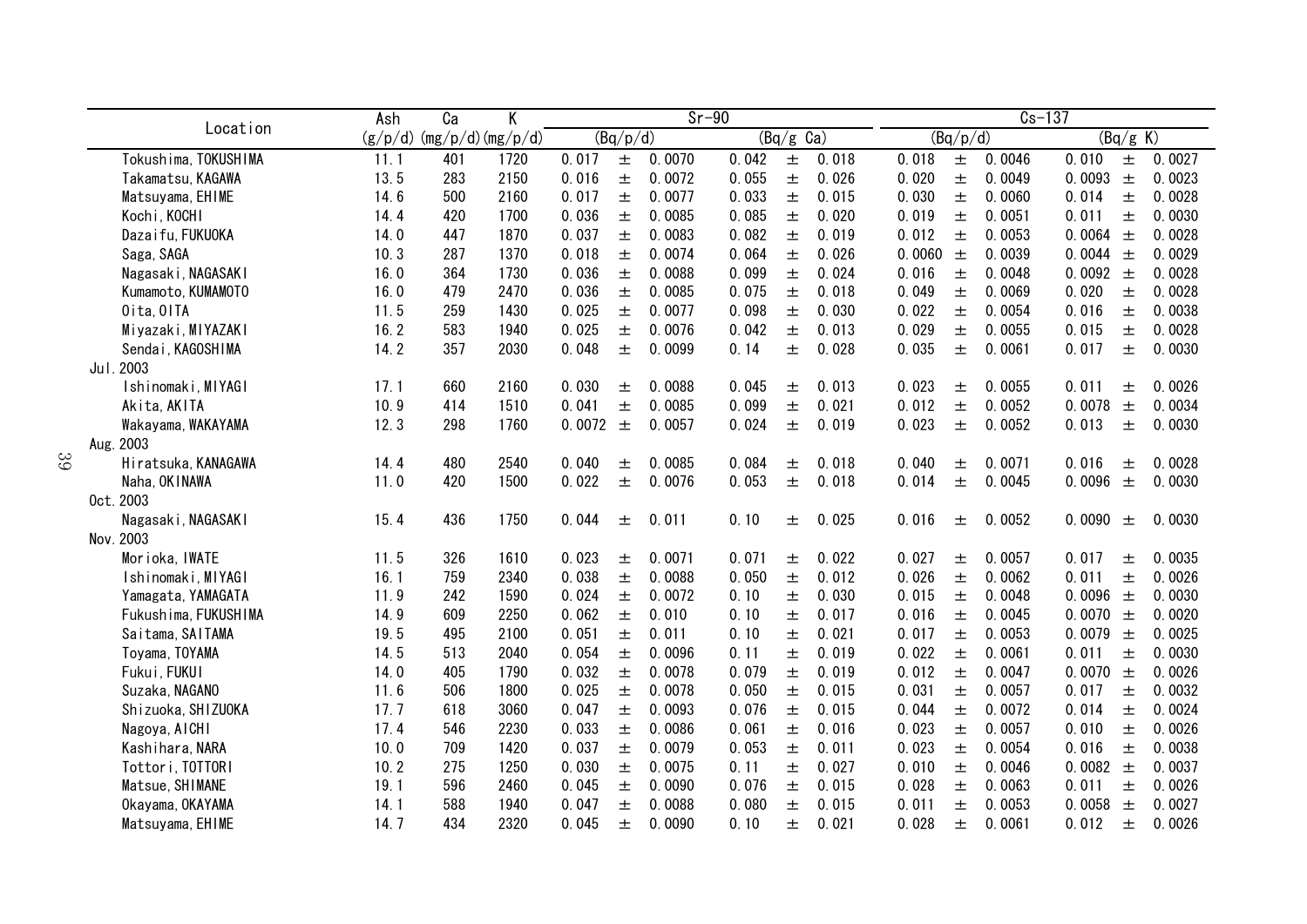|                                     | Ash          | $\overline{Ca}$             | Κ            |                |            | $Sr-90$          |                |                     |                |                |          | $Cs - 137$       |                 |            |                  |
|-------------------------------------|--------------|-----------------------------|--------------|----------------|------------|------------------|----------------|---------------------|----------------|----------------|----------|------------------|-----------------|------------|------------------|
| Location                            |              | $(g/p/d)$ (mg/p/d) (mg/p/d) |              |                | (Bq/p/d)   |                  |                | $(Bq/g \text{ Ca})$ |                |                | (Bq/p/d) |                  |                 | (Bq/g K)   |                  |
| Tokushima, TOKUSHIMA                | 11.1         | 401                         | 1720         | 0.017          | $\pm$      | 0.0070           | 0.042          | $\pm$               | 0.018          | 0.018          | $\pm$    | 0.0046           | 0.010           | $\pm$      | 0.0027           |
| Takamatsu, KAGAWA                   | 13.5         | 283                         | 2150         | 0.016          | $\pm$      | 0.0072           | 0.055          | 土                   | 0.026          | 0.020          | 士        | 0.0049           | 0.0093          | $\pm$      | 0.0023           |
| Matsuyama, EHIME                    | 14.6         | 500                         | 2160         | 0.017          | 士          | 0.0077           | 0.033          | $\pm$               | 0.015          | 0.030          | 土        | 0.0060           | 0.014           | 土          | 0.0028           |
| Kochi, KOCHI                        | 14.4         | 420                         | 1700         | 0.036          | 士          | 0.0085           | 0.085          | 土                   | 0.020          | 0.019          | 土        | 0.0051           | 0.011           | 士          | 0.0030           |
| Dazaifu, FUKUOKA                    | 14.0         | 447                         | 1870         | 0.037          | 土          | 0.0083           | 0.082          | 土                   | 0.019          | 0.012          | 土        | 0.0053           | 0.0064 $\pm$    |            | 0.0028           |
| Saga, SAGA                          | 10.3         | 287                         | 1370         | 0.018          | 土          | 0.0074           | 0.064          | 土                   | 0.026          | 0.0060         | $\pm$    | 0.0039           | 0.0044 $\pm$    |            | 0.0029           |
| Nagasaki, NAGASAKI                  | 16.0         | 364                         | 1730         | 0.036          | 士          | 0.0088           | 0.099          | $\pm$               | 0.024          | 0.016          | 土        | 0.0048           | 0.0092          | 土          | 0.0028           |
| Kumamoto, KUMAMOTO                  | 16.0         | 479                         | 2470         | 0.036          | 土          | 0.0085           | 0.075          | 土                   | 0.018          | 0.049          | 土        | 0.0069           | 0.020           | 土          | 0.0028           |
| Oita, OITA                          | 11.5         | 259                         | 1430         | 0.025          | 土          | 0.0077           | 0.098          | 士                   | 0.030          | 0.022          | 士        | 0.0054           | 0.016           | 士          | 0.0038           |
| Miyazaki, MIYAZAKI                  | 16.2         | 583                         | 1940         | 0.025          | 士          | 0.0076           | 0.042          | 土                   | 0.013          | 0.029          | 土        | 0.0055           | 0.015           | 土          | 0.0028           |
| Sendai, KAGOSHIMA                   | 14.2         | 357                         | 2030         | 0.048          | 士          | 0.0099           | 0.14           | 士                   | 0.028          | 0.035          | 土        | 0.0061           | 0.017           | 士          | 0.0030           |
| Jul. 2003                           |              |                             |              |                |            |                  |                |                     |                |                |          |                  |                 |            |                  |
| Ishinomaki, MIYAGI                  | 17.1         | 660                         | 2160         | 0.030          | 土          | 0.0088           | 0.045          | 土                   | 0.013          | 0.023          | 土        | 0.0055           | 0.011           | 土          | 0.0026           |
| Akita, AKITA                        | 10.9         | 414                         | 1510         | 0.041          | $\pm$      | 0.0085           | 0.099          | $\pm$               | 0.021          | 0.012          | 土        | 0.0052           | 0.0078          | $\pm$      | 0.0034           |
| Wakayama, WAKAYAMA                  | 12.3         | 298                         | 1760         | 0.0072         | $\pm$      | 0.0057           | 0.024          | 土                   | 0.019          | 0.023          | 土        | 0.0052           | 0.013           | 土          | 0.0030           |
| Aug. 2003                           |              |                             |              |                |            |                  |                |                     |                |                |          |                  |                 |            |                  |
| Hiratsuka, KANAGAWA                 | 14.4         | 480                         | 2540         | 0.040          | 土          | 0.0085           | 0.084          | 土                   | 0.018          | 0.040          | 土        | 0.0071           | 0.016           | 土          | 0.0028           |
| Naha, OK I NAWA                     | 11.0         | 420                         | 1500         | 0.022          | 士          | 0.0076           | 0.053          | 土                   | 0.018          | 0.014          | 土        | 0.0045           | 0.0096          | $\pm$      | 0.0030           |
| Oct. 2003                           |              |                             |              |                |            |                  |                |                     |                |                |          |                  |                 |            |                  |
| Nagasaki, NAGASAKI                  | 15.4         | 436                         | 1750         | 0.044          | 土          | 0.011            | 0.10           | 土                   | 0.025          | 0.016          | 土        | 0.0052           | 0.0090          | 土          | 0.0030           |
| Nov. 2003                           |              |                             |              |                |            |                  |                |                     |                |                |          |                  |                 |            |                  |
| Morioka, IWATE                      | 11.5         | 326                         | 1610         | 0.023          | 土          | 0.0071           | 0.071          | 土                   | 0.022          | 0.027          | 土        | 0.0057           | 0.017           | 土          | 0.0035           |
| Ishinomaki, MIYAGI                  | 16.1         | 759                         | 2340         | 0.038          | 土          | 0.0088           | 0.050          | 土                   | 0.012          | 0.026          | 土        | 0.0062           | 0.011           | 士          | 0.0026           |
| Yamagata, YAMAGATA                  | 11.9         | 242                         | 1590         | 0.024          | $\pm$      | 0.0072           | 0.10           | 土                   | 0.030          | 0.015          | 土        | 0.0048           | 0.0096          | $\pm$      | 0.0030           |
| Fukushima, FUKUSHIMA                | 14.9         | 609                         | 2250         | 0.062          | $\pm$      | 0.010            | 0.10           | 土                   | 0.017          | 0.016          | 土        | 0.0045           | 0.0070          | $\pm$      | 0.0020           |
| Saitama, SAITAMA                    | 19.5         | 495                         | 2100         | 0.051          | 土          | 0.011            | 0.10           | 土                   | 0.021          | 0.017          | $\pm$    | 0.0053           | 0.0079          | 土          | 0.0025           |
| Toyama, TOYAMA                      | 14.5<br>14.0 | 513<br>405                  | 2040<br>1790 | 0.054          | 土          | 0.0096           | 0.11<br>0.079  | 土                   | 0.019<br>0.019 | 0.022          | 土        | 0.0061           | 0.011<br>0.0070 | 土          | 0.0030<br>0.0026 |
| Fukui, FUKUI                        |              |                             |              | 0.032          | $\pm$      | 0.0078           |                | $\pm$               |                | 0.012          | 士        | 0.0047           |                 | $\pm$      |                  |
| Suzaka, NAGANO                      | 11.6<br>17.7 | 506                         | 1800<br>3060 | 0.025          | $\pm$      | 0.0078           | 0.050<br>0.076 | $\pm$               | 0.015<br>0.015 | 0.031          | 土        | 0.0057<br>0.0072 | 0.017<br>0.014  | 土          | 0.0032<br>0.0024 |
| Shizuoka, SHIZUOKA                  | 17.4         | 618                         |              | 0.047          | 士          | 0.0093           |                | $\pm$               |                | 0.044          | 土        |                  |                 | 土          | 0.0026           |
| Nagoya, AICHI                       |              | 546<br>709                  | 2230         | 0.033          | 土          | 0.0086<br>0.0079 | 0.061          | 土                   | 0.016          | 0.023          | 土        | 0.0057<br>0.0054 | 0.010           | 土          | 0.0038           |
| Kashihara, NARA<br>Tottori, TOTTORI | 10.0<br>10.2 | 275                         | 1420<br>1250 | 0.037<br>0.030 | $\pm$<br>士 | 0.0075           | 0.053<br>0.11  | $\pm$<br>$\pm$      | 0.011<br>0.027 | 0.023<br>0.010 | 土<br>土   | 0.0046           | 0.016<br>0.0082 | $\pm$<br>土 | 0.0037           |
| Matsue, SHIMANE                     | 19.1         | 596                         | 2460         | 0.045          | $\pm$      | 0.0090           | 0.076          | $\pm$               | 0.015          | 0.028          | 土        | 0.0063           | 0.011           | $\pm$      | 0.0026           |
| Okayama, OKAYAMA                    | 14.1         | 588                         | 1940         | 0.047          | 士          | 0.0088           | 0.080          | $\pm$               | 0.015          | 0.011          | $\pm$    | 0.0053           | 0.0058          | $\pm$      | 0.0027           |
| Matsuyama, EHIME                    | 14.7         | 434                         | 2320         | 0.045          | 士          | 0.0090           | 0.10           | 土                   | 0.021          | 0.028          | 土        | 0.0061           | 0.012           | 土          | 0.0026           |
|                                     |              |                             |              |                |            |                  |                |                     |                |                |          |                  |                 |            |                  |

39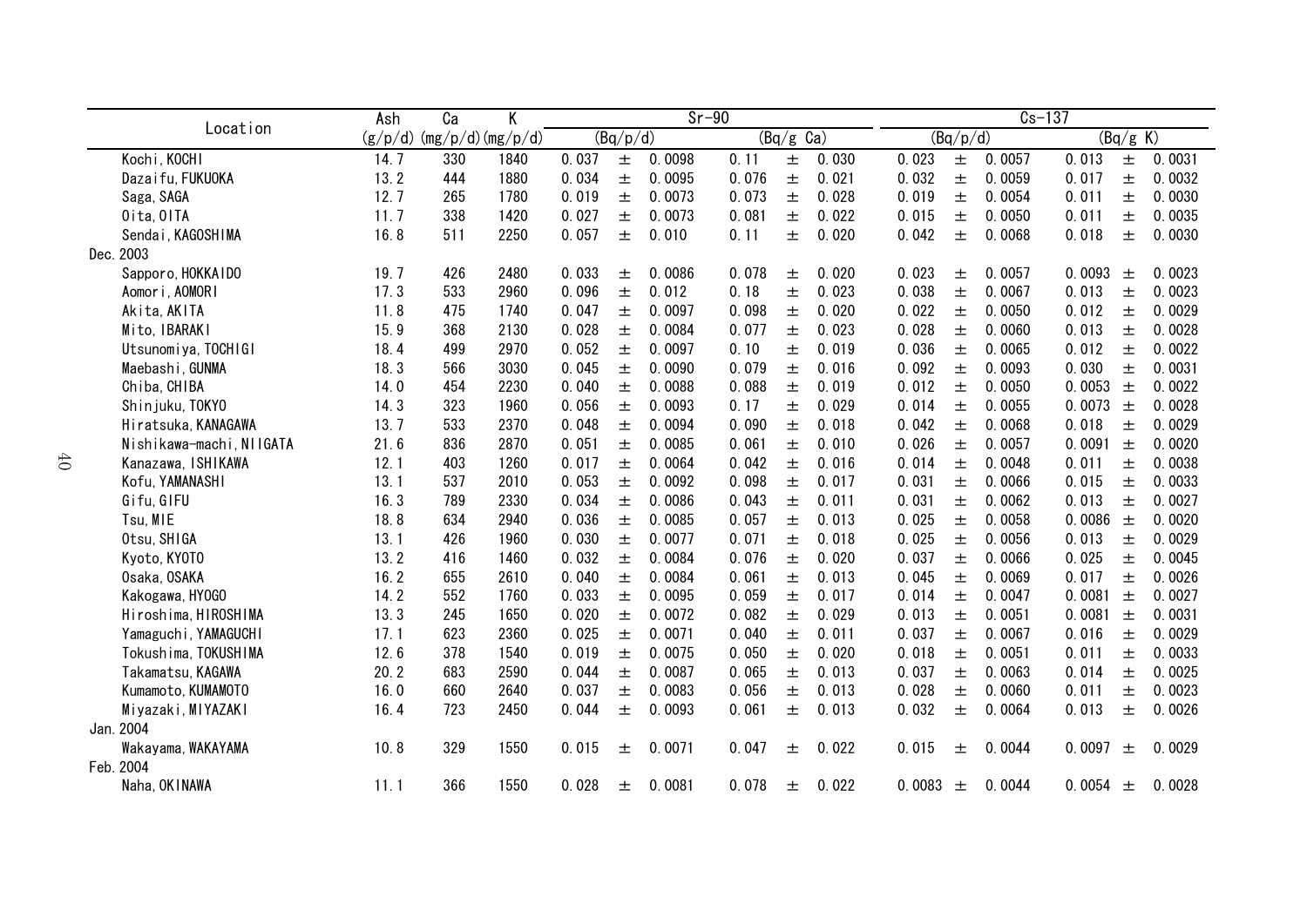|                          | Ash  | Ca                          | Κ    | $Sr-90$ |          |        |       |           |       | $Cs - 137$ |          |        |        |          |        |
|--------------------------|------|-----------------------------|------|---------|----------|--------|-------|-----------|-------|------------|----------|--------|--------|----------|--------|
| Location                 |      | $(g/p/d)$ (mg/p/d) (mg/p/d) |      |         | (Bq/p/d) |        |       | (Bq/g Ca) |       |            | (Bq/p/d) |        |        | (Bq/g K) |        |
| Kochi, KOCHI             | 14.7 | 330                         | 1840 | 0.037   | 土        | 0.0098 | 0.11  | 土         | 0.030 | 0.023      | $\pm$    | 0.0057 | 0.013  | 土        | 0.0031 |
| Dazaifu, FUKUOKA         | 13.2 | 444                         | 1880 | 0.034   | 土        | 0.0095 | 0.076 | 土         | 0.021 | 0.032      | 士        | 0.0059 | 0.017  | $\pm$    | 0.0032 |
| Saga, SAGA               | 12.7 | 265                         | 1780 | 0.019   | 土        | 0.0073 | 0.073 | 土         | 0.028 | 0.019      | 土        | 0.0054 | 0.011  | 土        | 0.0030 |
| Oita, OITA               | 11.7 | 338                         | 1420 | 0.027   | 土        | 0.0073 | 0.081 | 土         | 0.022 | 0.015      | 土        | 0.0050 | 0.011  | 土        | 0.0035 |
| Sendai, KAGOSHIMA        | 16.8 | 511                         | 2250 | 0.057   | 土        | 0.010  | 0.11  | 土         | 0.020 | 0.042      | 土        | 0.0068 | 0.018  | $\pm$    | 0.0030 |
| Dec. 2003                |      |                             |      |         |          |        |       |           |       |            |          |        |        |          |        |
| Sapporo, HOKKAIDO        | 19.7 | 426                         | 2480 | 0.033   | 土        | 0.0086 | 0.078 | 土         | 0.020 | 0.023      | 土        | 0.0057 | 0.0093 | 土        | 0.0023 |
| Aomori, AOMORI           | 17.3 | 533                         | 2960 | 0.096   | 土        | 0.012  | 0.18  | 土         | 0.023 | 0.038      | 土        | 0.0067 | 0.013  | 土        | 0.0023 |
| Akita, AKITA             | 11.8 | 475                         | 1740 | 0.047   | 土        | 0.0097 | 0.098 | 土         | 0.020 | 0.022      | 土        | 0.0050 | 0.012  | 土        | 0.0029 |
| Mito, IBARAKI            | 15.9 | 368                         | 2130 | 0.028   | 土        | 0.0084 | 0.077 | 土         | 0.023 | 0.028      | 土        | 0.0060 | 0.013  | 土        | 0.0028 |
| Utsunomiya, TOCHIGI      | 18.4 | 499                         | 2970 | 0.052   | 土        | 0.0097 | 0.10  | 土         | 0.019 | 0.036      | 土        | 0.0065 | 0.012  | 土        | 0.0022 |
| Maebashi, GUNMA          | 18.3 | 566                         | 3030 | 0.045   | 土        | 0.0090 | 0.079 | 土         | 0.016 | 0.092      | 土        | 0.0093 | 0.030  | 土        | 0.0031 |
| Chiba, CHIBA             | 14.0 | 454                         | 2230 | 0.040   | 土        | 0.0088 | 0.088 | 土         | 0.019 | 0.012      | 土        | 0.0050 | 0.0053 | $\pm$    | 0.0022 |
| Shinjuku, TOKYO          | 14.3 | 323                         | 1960 | 0.056   | 土        | 0.0093 | 0.17  | 土         | 0.029 | 0.014      | 土        | 0.0055 | 0.0073 | $\pm$    | 0.0028 |
| Hiratsuka, KANAGAWA      | 13.7 | 533                         | 2370 | 0.048   | 土        | 0.0094 | 0.090 | 土         | 0.018 | 0.042      | 土        | 0.0068 | 0.018  | 土        | 0.0029 |
| Nishikawa-machi, NIIGATA | 21.6 | 836                         | 2870 | 0.051   | 土        | 0.0085 | 0.061 | 土         | 0.010 | 0.026      | 土        | 0.0057 | 0.0091 | 土        | 0.0020 |
| Kanazawa, ISHIKAWA       | 12.1 | 403                         | 1260 | 0.017   | 土        | 0.0064 | 0.042 | 土         | 0.016 | 0.014      | 土        | 0.0048 | 0.011  | $\pm$    | 0.0038 |
| Kofu, YAMANASHI          | 13.1 | 537                         | 2010 | 0.053   | 土        | 0.0092 | 0.098 | $\pm$     | 0.017 | 0.031      | $\pm$    | 0.0066 | 0.015  | $\pm$    | 0.0033 |
| Gifu, GIFU               | 16.3 | 789                         | 2330 | 0.034   | 土        | 0.0086 | 0.043 | 土         | 0.011 | 0.031      | 土        | 0.0062 | 0.013  | $\pm$    | 0.0027 |
| Tsu, MIE                 | 18.8 | 634                         | 2940 | 0.036   | 土        | 0.0085 | 0.057 | 土         | 0.013 | 0.025      | 土        | 0.0058 | 0.0086 | $\pm$    | 0.0020 |
| Otsu, SHIGA              | 13.1 | 426                         | 1960 | 0.030   | 土        | 0.0077 | 0.071 | 土         | 0.018 | 0.025      | 士        | 0.0056 | 0.013  | $\pm$    | 0.0029 |
| Kyoto, KYOTO             | 13.2 | 416                         | 1460 | 0.032   | 士        | 0.0084 | 0.076 | 土         | 0.020 | 0.037      | 土        | 0.0066 | 0.025  | $\pm$    | 0.0045 |
| Osaka, OSAKA             | 16.2 | 655                         | 2610 | 0.040   | 土        | 0.0084 | 0.061 | 土         | 0.013 | 0.045      | 士        | 0.0069 | 0.017  | $\pm$    | 0.0026 |
| Kakogawa, HYOGO          | 14.2 | 552                         | 1760 | 0.033   | 土        | 0.0095 | 0.059 | 土         | 0.017 | 0.014      | 土        | 0.0047 | 0.0081 | 土        | 0.0027 |
| Hiroshima, HIROSHIMA     | 13.3 | 245                         | 1650 | 0.020   | 土        | 0.0072 | 0.082 | 土         | 0.029 | 0.013      | 土        | 0.0051 | 0.0081 | $\pm$    | 0.0031 |
| Yamaguchi, YAMAGUCHI     | 17.1 | 623                         | 2360 | 0.025   | 土        | 0.0071 | 0.040 | 土         | 0.011 | 0.037      | 土        | 0.0067 | 0.016  | 土        | 0.0029 |
| Tokushima, TOKUSHIMA     | 12.6 | 378                         | 1540 | 0.019   | 土        | 0.0075 | 0.050 | 土         | 0.020 | 0.018      | 土        | 0.0051 | 0.011  | 土        | 0.0033 |
| Takamatsu, KAGAWA        | 20.2 | 683                         | 2590 | 0.044   | 土        | 0.0087 | 0.065 | 土         | 0.013 | 0.037      | 土        | 0.0063 | 0.014  | 土        | 0.0025 |
| Kumamoto, KUMAMOTO       | 16.0 | 660                         | 2640 | 0.037   | 土        | 0.0083 | 0.056 | 土         | 0.013 | 0.028      | 土        | 0.0060 | 0.011  | $\pm$    | 0.0023 |
| Miyazaki, MIYAZAKI       | 16.4 | 723                         | 2450 | 0.044   | 土        | 0.0093 | 0.061 | 土         | 0.013 | 0.032      | 土        | 0.0064 | 0.013  | $\pm$    | 0.0026 |
| Jan. 2004                |      |                             |      |         |          |        |       |           |       |            |          |        |        |          |        |
| Wakayama, WAKAYAMA       | 10.8 | 329                         | 1550 | 0.015   | 土        | 0.0071 | 0.047 | 土         | 0.022 | 0.015      | 土        | 0.0044 | 0.0097 | 士        | 0.0029 |
| Feb. 2004                |      |                             |      |         |          |        |       |           |       |            |          |        |        |          |        |
| Naha, OKINAWA            | 11.1 | 366                         | 1550 | 0.028   | 土        | 0.0081 | 0.078 | 土         | 0.022 | 0.0083     | 土        | 0.0044 | 0.0054 | 士        | 0.0028 |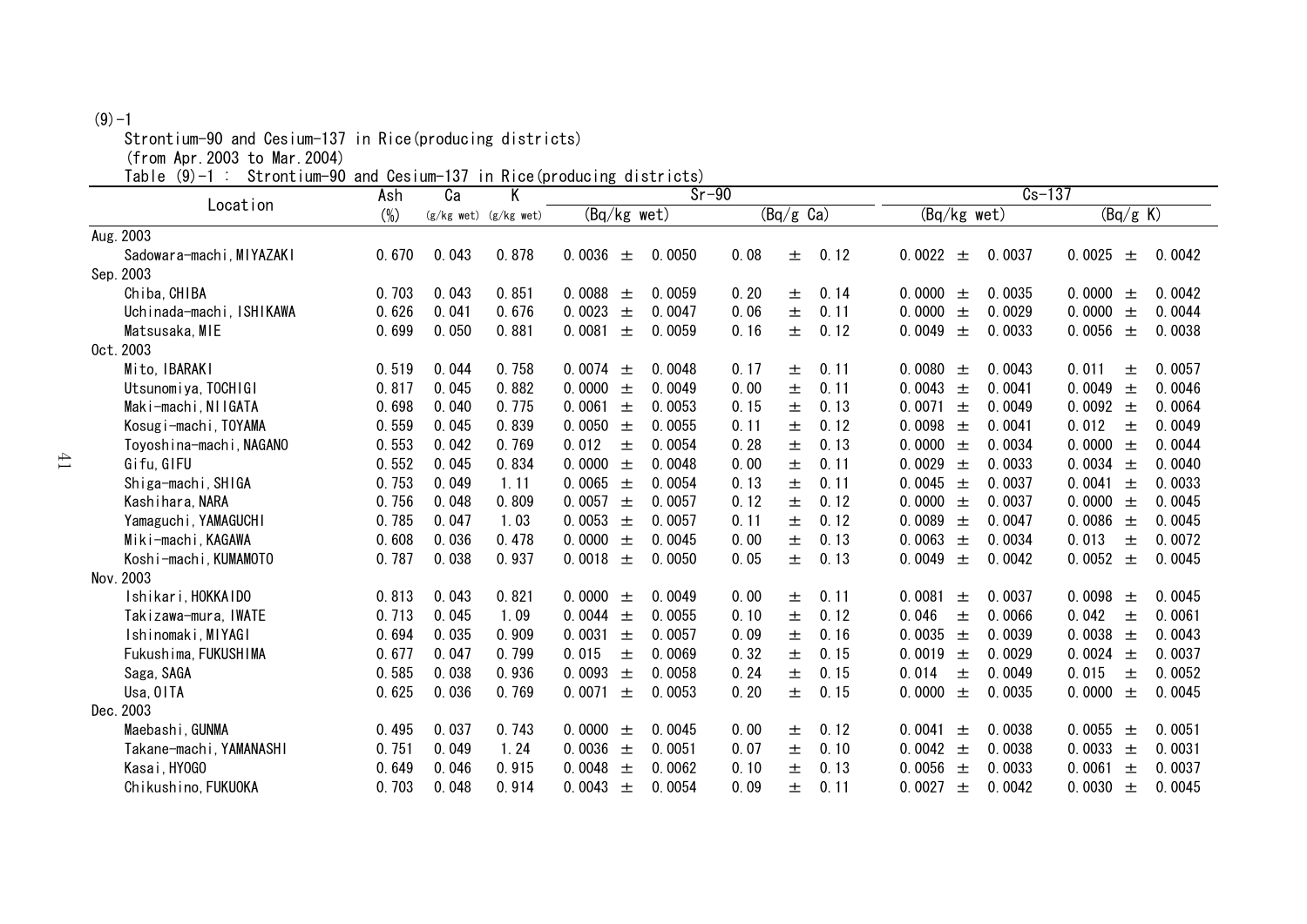### $(9) - 1$

Strontium-90 and Cesium-137 in Rice(producing districts)

(from Apr.2003 to Mar.2004)

Table (9)-1 : Strontium-90 and Cesium-137 in Rice(producing districts)

| $\overline{Sr-90}$<br>K<br>Ca<br>Ash<br>Location |        |       |                           |                 | $Cs - 137$ |      |                     |      |                 |        |                 |        |
|--------------------------------------------------|--------|-------|---------------------------|-----------------|------------|------|---------------------|------|-----------------|--------|-----------------|--------|
|                                                  | $(\%)$ |       | $(g/kg$ wet) $(g/kg$ wet) | (Bq/kg wet)     |            |      | $(Bq/g \text{ Ca})$ |      | (Bq/kg wet)     |        | (Bq/g K)        |        |
| Aug. 2003                                        |        |       |                           |                 |            |      |                     |      |                 |        |                 |        |
| Sadowara-machi, MIYAZAKI                         | 0.670  | 0.043 | 0.878                     | 0.0036<br>士     | 0.0050     | 0.08 | 土                   | 0.12 | 0.0022<br>士     | 0.0037 | 0.0025<br>土     | 0.0042 |
| Sep. 2003                                        |        |       |                           |                 |            |      |                     |      |                 |        |                 |        |
| Chiba, CHIBA                                     | 0.703  | 0.043 | 0.851                     | 0.0088<br>土     | 0.0059     | 0.20 | 士                   | 0.14 | 0.0000<br>土     | 0.0035 | 0.0000<br>土     | 0.0042 |
| Uchinada-machi, ISHIKAWA                         | 0.626  | 0.041 | 0.676                     | 0.0023<br>士     | 0.0047     | 0.06 | 土                   | 0.11 | 0.0000<br>土     | 0.0029 | 0.0000<br>土     | 0.0044 |
| Matsusaka, MIE                                   | 0.699  | 0.050 | 0.881                     | 0.0081<br>士     | 0.0059     | 0.16 | 土                   | 0.12 | 0.0049<br>士     | 0.0033 | 0.0056<br>士     | 0.0038 |
| 0ct. 2003                                        |        |       |                           |                 |            |      |                     |      |                 |        |                 |        |
| Mito, IBARAKI                                    | 0.519  | 0.044 | 0.758                     | 0.0074<br>土     | 0.0048     | 0.17 | 士                   | 0.11 | 0.0080<br>士     | 0.0043 | 0.011<br>土      | 0.0057 |
| Utsunomiya, TOCHIGI                              | 0.817  | 0.045 | 0.882                     | 0.0000<br>$\pm$ | 0.0049     | 0.00 | 土                   | 0.11 | 0.0043<br>土     | 0.0041 | 0.0049<br>土     | 0.0046 |
| Maki-machi, NIIGATA                              | 0.698  | 0.040 | 0.775                     | 0.0061<br>土     | 0.0053     | 0.15 | 士                   | 0.13 | 0.0071<br>士     | 0.0049 | 0.0092<br>土     | 0.0064 |
| Kosugi-machi, TOYAMA                             | 0.559  | 0.045 | 0.839                     | 0.0050<br>$\pm$ | 0.0055     | 0.11 | 土                   | 0.12 | 0.0098<br>土     | 0.0041 | 0.012<br>士      | 0.0049 |
| Toyoshina-machi, NAGANO                          | 0.553  | 0.042 | 0.769                     | 0.012<br>土      | 0.0054     | 0.28 | 土                   | 0.13 | 0.0000<br>土     | 0.0034 | 0.0000<br>土     | 0.0044 |
| Gifu, GIFU                                       | 0.552  | 0.045 | 0.834                     | 0.0000<br>土     | 0.0048     | 0.00 | 土                   | 0.11 | 0.0029<br>土     | 0.0033 | 0.0034<br>土     | 0.0040 |
| Shiga-machi, SHIGA                               | 0.753  | 0.049 | 1.11                      | 0.0065<br>土     | 0.0054     | 0.13 | 士                   | 0.11 | 0.0045<br>土     | 0.0037 | 0.0041<br>$\pm$ | 0.0033 |
| Kashihara, NARA                                  | 0.756  | 0.048 | 0.809                     | 0.0057 $\pm$    | 0.0057     | 0.12 | 土                   | 0.12 | 0.0000<br>土     | 0.0037 | 0.0000<br>土     | 0.0045 |
| Yamaguchi, YAMAGUCHI                             | 0.785  | 0.047 | 1.03                      | 0.0053<br>$\pm$ | 0.0057     | 0.11 | 土                   | 0.12 | 0.0089<br>$\pm$ | 0.0047 | 0.0086<br>土     | 0.0045 |
| Miki-machi, KAGAWA                               | 0.608  | 0.036 | 0.478                     | 0.0000<br>土     | 0.0045     | 0.00 | 士                   | 0.13 | 0.0063<br>土     | 0.0034 | 0.013<br>士      | 0.0072 |
| Koshi-machi, KUMAMOTO                            | 0.787  | 0.038 | 0.937                     | 0.0018<br>士     | 0.0050     | 0.05 | 土                   | 0.13 | 0.0049<br>土     | 0.0042 | 0.0052<br>土     | 0.0045 |
| Nov. 2003                                        |        |       |                           |                 |            |      |                     |      |                 |        |                 |        |
| Ishikari, HOKKAIDO                               | 0.813  | 0.043 | 0.821                     | 0.0000<br>土     | 0.0049     | 0.00 | 士                   | 0.11 | 0.0081<br>土     | 0.0037 | 0.0098<br>土     | 0.0045 |
| Takizawa-mura,IWATE                              | 0.713  | 0.045 | 1.09                      | 0.0044<br>士     | 0.0055     | 0.10 | 士                   | 0.12 | 0.046<br>土      | 0.0066 | 0.042<br>士      | 0.0061 |
| Ishinomaki, MIYAGI                               | 0.694  | 0.035 | 0.909                     | 0.0031<br>土     | 0.0057     | 0.09 | 土                   | 0.16 | 0.0035<br>$\pm$ | 0.0039 | 0.0038<br>士     | 0.0043 |
| Fukushima, FUKUSHIMA                             | 0.677  | 0.047 | 0.799                     | 0.015<br>土      | 0.0069     | 0.32 | 土                   | 0.15 | 0.0019<br>土     | 0.0029 | 0.0024<br>土     | 0.0037 |
| Saga, SAGA                                       | 0.585  | 0.038 | 0.936                     | 0.0093<br>士     | 0.0058     | 0.24 | 士                   | 0.15 | 0.014<br>土      | 0.0049 | 0.015<br>士      | 0.0052 |
| Usa, OITA                                        | 0.625  | 0.036 | 0.769                     | 0.0071<br>$\pm$ | 0.0053     | 0.20 | 土                   | 0.15 | 0.0000<br>土     | 0.0035 | 0.0000<br>土     | 0.0045 |
| Dec. 2003                                        |        |       |                           |                 |            |      |                     |      |                 |        |                 |        |
| Maebashi, GUNMA                                  | 0.495  | 0.037 | 0.743                     | 0.0000<br>士     | 0.0045     | 0.00 | 士                   | 0.12 | 0.0041<br>土     | 0.0038 | 0.0055<br>土     | 0.0051 |
| Takane-machi, YAMANASHI                          | 0.751  | 0.049 | 1.24                      | 0.0036<br>$\pm$ | 0.0051     | 0.07 | 土                   | 0.10 | 0.0042<br>土     | 0.0038 | 0.0033<br>土     | 0.0031 |
| Kasai, HY0GO                                     | 0.649  | 0.046 | 0.915                     | 0.0048<br>土     | 0.0062     | 0.10 | 土                   | 0.13 | 0.0056<br>士     | 0.0033 | 0.0061<br>土     | 0.0037 |
| Chikushino, FUKUOKA                              | 0.703  | 0.048 | 0.914                     | 0.0043<br>$\pm$ | 0.0054     | 0.09 | 士                   | 0.11 | 0.0027<br>土     | 0.0042 | 0.0030<br>士     | 0.0045 |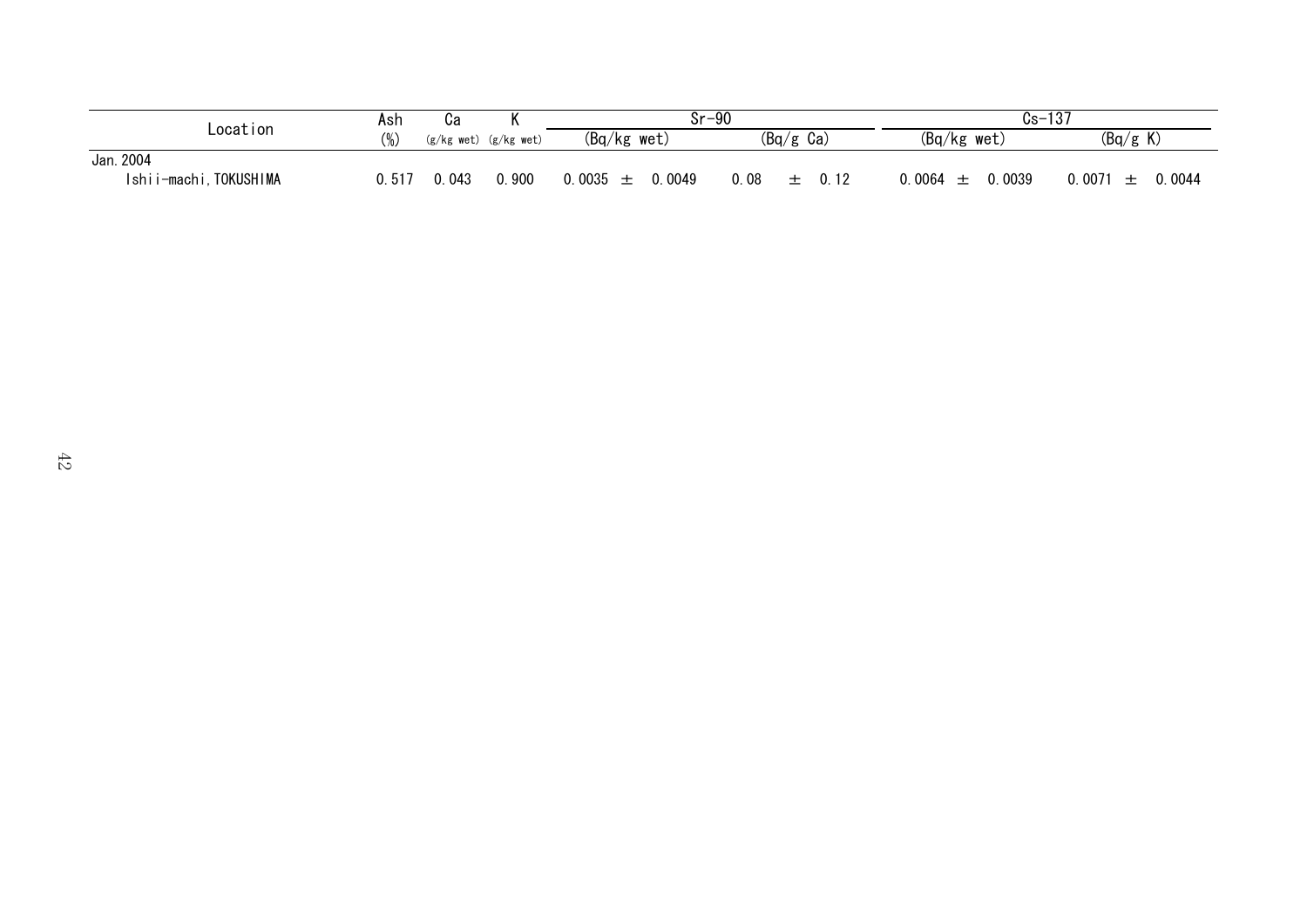|                          | Ash    | uа         | ''         | $Sr-90$                  |                     | $Cs -$                | 107<br>' ا ن     |
|--------------------------|--------|------------|------------|--------------------------|---------------------|-----------------------|------------------|
| Location                 | $(\%)$ | (g/kg wet) | (g/kg wet) | $(Bq/kg$ wet)            | $(Bq/g \text{ Ca})$ | $(Bq/kg$ wet)         | (Bq/g K)         |
| Jan. 2004                |        |            |            |                          |                     |                       |                  |
| Ishii-machi<br>TOKUSHIMA | 0.517  | . 043      | 0.900      | 0.0035<br>0049<br>—<br>— | .08<br>0. 12        | 0039<br><u>ገ 0064</u> | 0.0071<br>0.0044 |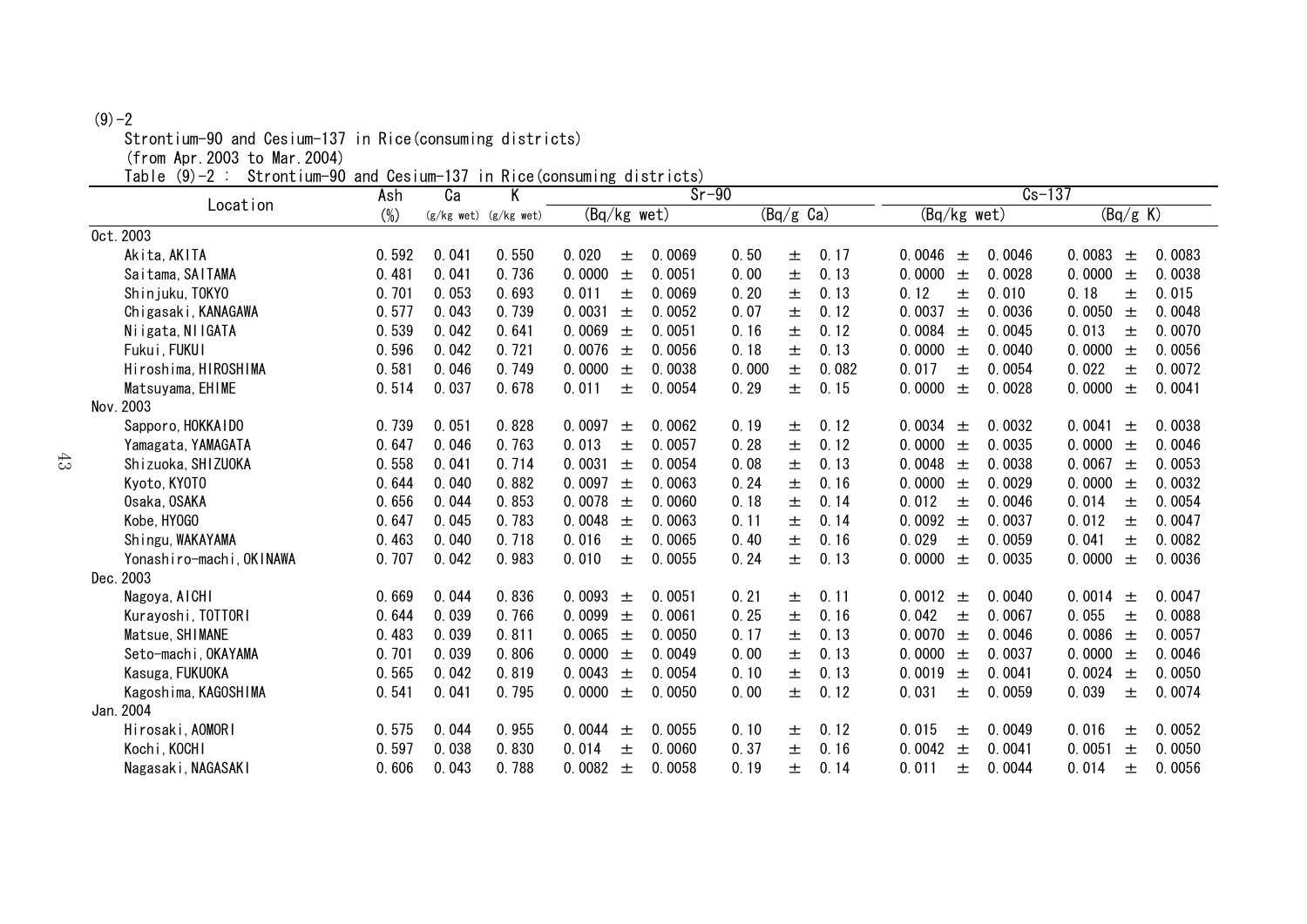#### $(9) - 2$

Strontium-90 and Cesium-137 in Rice(consuming districts)

(from Apr.2003 to Mar.2004)

Table (9)-2 : Strontium-90 and Cesium-137 in Rice(consuming districts)

| OCIOILLIGIII OO GIIGI OOOTGIII | Ash    | .<br>Ca | Κ                         | 111.11.100(0.001100011111)<br><b>GIOCIIUCU</b><br>$Sr-90$ |        |       |                     |       | $Cs - 137$    |       |        |        |          |        |
|--------------------------------|--------|---------|---------------------------|-----------------------------------------------------------|--------|-------|---------------------|-------|---------------|-------|--------|--------|----------|--------|
| Location                       | $(\%)$ |         | $(g/kg$ wet) $(g/kg$ wet) | $(Bq/kg$ wet)                                             |        |       | $(Bq/g \text{ Ca})$ |       | $(Bq/kg$ wet) |       |        |        | (Bq/g K) |        |
| Oct. 2003                      |        |         |                           |                                                           |        |       |                     |       |               |       |        |        |          |        |
| Akita, AKITA                   | 0.592  | 0.041   | 0.550                     | 0.020<br>士                                                | 0.0069 | 0.50  | 土                   | 0.17  | 0.0046        | 土     | 0.0046 | 0.0083 | 土        | 0.0083 |
| Saitama, SAITAMA               | 0.481  | 0.041   | 0.736                     | 0.0000<br>土                                               | 0.0051 | 0.00  | 土                   | 0.13  | 0.0000        | 土     | 0.0028 | 0.0000 | 土        | 0.0038 |
| Shin juku, TOKYO               | 0.701  | 0.053   | 0.693                     | 0.011<br>土                                                | 0.0069 | 0.20  | 土                   | 0.13  | 0.12          | 土     | 0.010  | 0.18   | 土        | 0.015  |
| Chigasaki, KANAGAWA            | 0.577  | 0.043   | 0.739                     | 0.0031<br>$\pm$                                           | 0.0052 | 0.07  | 土                   | 0.12  | 0.0037        | 土     | 0.0036 | 0.0050 | 士        | 0.0048 |
| Niigata, NIIGATA               | 0.539  | 0.042   | 0.641                     | 0.0069<br>$\pm$                                           | 0.0051 | 0.16  | 土                   | 0.12  | 0.0084        | $\pm$ | 0.0045 | 0.013  | 士        | 0.0070 |
| Fukui, FUKUI                   | 0.596  | 0.042   | 0.721                     | 0.0076<br>$\pm$                                           | 0.0056 | 0.18  | 士                   | 0.13  | 0.0000        | $\pm$ | 0.0040 | 0.0000 | $\pm$    | 0.0056 |
| Hiroshima, HIROSHIMA           | 0.581  | 0.046   | 0.749                     | 0.0000<br>土                                               | 0.0038 | 0.000 | 士                   | 0.082 | 0.017         | 士     | 0.0054 | 0.022  | 士        | 0.0072 |
| Matsuyama, EHIME               | 0.514  | 0.037   | 0.678                     | 0.011<br>土                                                | 0.0054 | 0.29  | 土                   | 0.15  | 0.0000        | 土     | 0.0028 | 0.0000 | 土        | 0.0041 |
| Nov. 2003                      |        |         |                           |                                                           |        |       |                     |       |               |       |        |        |          |        |
| Sapporo, HOKKAIDO              | 0.739  | 0.051   | 0.828                     | 0.0097<br>土                                               | 0.0062 | 0.19  | 土                   | 0.12  | 0.0034        | 土     | 0.0032 | 0.0041 | 士        | 0.0038 |
| Yamagata, YAMAGATA             | 0.647  | 0.046   | 0.763                     | 0.013<br>士                                                | 0.0057 | 0.28  | 土                   | 0.12  | 0.0000        | $\pm$ | 0.0035 | 0.0000 | $\pm$    | 0.0046 |
| Shizuoka, SHIZUOKA             | 0.558  | 0.041   | 0.714                     | 0.0031<br>土                                               | 0.0054 | 0.08  | 士                   | 0.13  | 0.0048        | $\pm$ | 0.0038 | 0.0067 | 士        | 0.0053 |
| Kyoto, KYOTO                   | 0.644  | 0.040   | 0.882                     | 0.0097<br>$\pm$                                           | 0.0063 | 0.24  | 士                   | 0.16  | 0.0000        | $\pm$ | 0.0029 | 0.0000 | 士        | 0.0032 |
| Osaka, OSAKA                   | 0.656  | 0.044   | 0.853                     | 0.0078<br>$\pm$                                           | 0.0060 | 0.18  | 士                   | 0.14  | 0.012         | 土     | 0.0046 | 0.014  | 土        | 0.0054 |
| Kobe, HY0GO                    | 0.647  | 0.045   | 0.783                     | 0.0048<br>$\pm$                                           | 0.0063 | 0.11  | 士                   | 0.14  | 0.0092        | $\pm$ | 0.0037 | 0.012  | 土        | 0.0047 |
| Shingu, WAKAYAMA               | 0.463  | 0.040   | 0.718                     | 0.016<br>土                                                | 0.0065 | 0.40  | 士                   | 0.16  | 0.029         | $\pm$ | 0.0059 | 0.041  | 士        | 0.0082 |
| Yonashiro-machi, OKINAWA       | 0.707  | 0.042   | 0.983                     | 0.010<br>土                                                | 0.0055 | 0.24  | 土                   | 0.13  | 0.0000        | $\pm$ | 0.0035 | 0.0000 | 土        | 0.0036 |
| Dec. 2003                      |        |         |                           |                                                           |        |       |                     |       |               |       |        |        |          |        |
| Nagoya, AICHI                  | 0.669  | 0.044   | 0.836                     | 0.0093<br>土                                               | 0.0051 | 0.21  | 土                   | 0.11  | 0.0012        | 土     | 0.0040 | 0.0014 | 士        | 0.0047 |
| Kurayoshi, TOTTORI             | 0.644  | 0.039   | 0.766                     | 0.0099<br>$\pm$                                           | 0.0061 | 0.25  | 土                   | 0.16  | 0.042         | 土     | 0.0067 | 0.055  | 土        | 0.0088 |
| Matsue, SHIMANE                | 0.483  | 0.039   | 0.811                     | 0.0065<br>$\pm$                                           | 0.0050 | 0.17  | 土                   | 0.13  | 0.0070 $\pm$  |       | 0.0046 | 0.0086 | 士        | 0.0057 |
| Seto-machi, OKAYAMA            | 0.701  | 0.039   | 0.806                     | 0.0000<br>$\pm$                                           | 0.0049 | 0.00  | 土                   | 0.13  | 0.0000        | $\pm$ | 0.0037 | 0.0000 | 土        | 0.0046 |
| Kasuga, FUKUOKA                | 0.565  | 0.042   | 0.819                     | 0.0043<br>$\pm$                                           | 0.0054 | 0.10  | 土                   | 0.13  | 0.0019        | $\pm$ | 0.0041 | 0.0024 | 士        | 0.0050 |
| Kagoshima, KAGOSHIMA           | 0.541  | 0.041   | 0.795                     | 0.0000<br>土                                               | 0.0050 | 0.00  | 土                   | 0.12  | 0.031         | 土     | 0.0059 | 0.039  | 士        | 0.0074 |
| Jan. 2004                      |        |         |                           |                                                           |        |       |                     |       |               |       |        |        |          |        |
| Hirosaki, AOMORI               | 0.575  | 0.044   | 0.955                     | 0.0044<br>士                                               | 0.0055 | 0.10  | 土                   | 0.12  | 0.015         | 士     | 0.0049 | 0.016  | 士        | 0.0052 |
| Kochi, KOCHI                   | 0.597  | 0.038   | 0.830                     | 0.014<br>土                                                | 0.0060 | 0.37  | 土                   | 0.16  | 0.0042        | 士     | 0.0041 | 0.0051 | 士        | 0.0050 |
| Nagasaki, NAGASAKI             | 0.606  | 0.043   | 0.788                     | 0.0082<br>土                                               | 0.0058 | 0.19  | 土                   | 0.14  | 0.011         | 士     | 0.0044 | 0.014  | 土        | 0.0056 |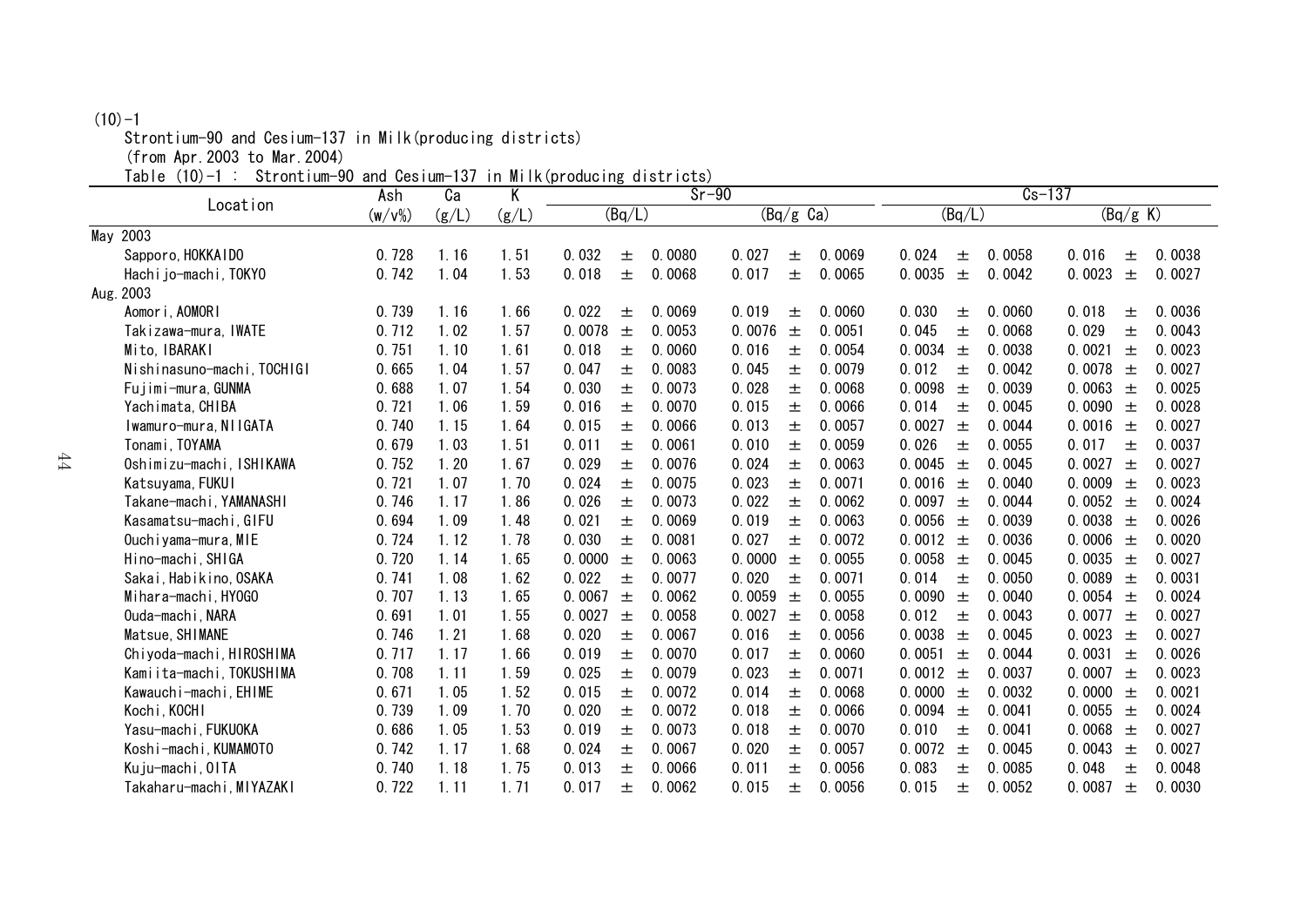#### $(10)-1$

Strontium-90 and Cesium-137 in Milk(producing districts)

(from Apr.2003 to Mar.2004)

Table (10)-1 : Strontium-90 and Cesium-137 in Milk(producing districts)

| $501$ $011$ $011$ $000$ $011$ $000$ $011$ $01$ | Ash       | Ca    | Κ     | סייי ששפט וקן גודוויי ווו<br>3.0011000<br>$Sr-90$ |                           | $Cs-137$                  |                           |  |  |
|------------------------------------------------|-----------|-------|-------|---------------------------------------------------|---------------------------|---------------------------|---------------------------|--|--|
| Location                                       | $(w/v\%)$ | (g/L) | (g/L) | (Bq/L)                                            | $(Bq/g \text{ Ca})$       | (Bq/L)                    | (Bq/g K)                  |  |  |
| May 2003                                       |           |       |       |                                                   |                           |                           |                           |  |  |
| Sapporo, HOKKAIDO                              | 0.728     | 1.16  | 1.51  | 0.032<br>0.0080<br>土                              | 0.0069<br>0.027<br>土      | 0.024<br>0.0058<br>土      | 0.016<br>0.0038<br>土      |  |  |
| Hachijo-machi, TOKYO                           | 0.742     | 1.04  | 1.53  | 0.018<br>士<br>0.0068                              | 0.017<br>0.0065<br>土      | 0.0035<br>土<br>0.0042     | 0.0023<br>0.0027<br>土     |  |  |
| Aug. 2003                                      |           |       |       |                                                   |                           |                           |                           |  |  |
| Aomori, AOMORI                                 | 0.739     | 1.16  | 1.66  | 0.022<br>0.0069<br>土                              | 0.019<br>0.0060<br>土      | 0.030<br>0.0060<br>土      | 0.018<br>0.0036<br>土      |  |  |
| Takizawa-mura,IWATE                            | 0.712     | 1.02  | 1.57  | 0.0078<br>土<br>0.0053                             | 0.0076<br>0.0051<br>土     | 0.045<br>土<br>0.0068      | 0.029<br>0.0043<br>士      |  |  |
| Mito, IBARAKI                                  | 0.751     | 1.10  | 1.61  | 0.018<br>0.0060<br>土                              | 0.016<br>0.0054<br>土      | 0.0034<br>0.0038<br>$\pm$ | 0.0021<br>0.0023<br>土     |  |  |
| Nishinasuno-machi, TOCHIGI                     | 0.665     | 1.04  | 1.57  | 0.047<br>0.0083<br>土                              | 0.045<br>0.0079<br>土      | 0.012<br>0.0042<br>土      | 0.0027<br>0.0078<br>士     |  |  |
| Fujimi-mura, GUNMA                             | 0.688     | 1.07  | 1.54  | 0.030<br>0.0073<br>士                              | 0.028<br>土<br>0.0068      | 0.0098<br>0.0039<br>土     | 0.0063<br>0.0025<br>土     |  |  |
| Yachimata, CHIBA                               | 0.721     | 1.06  | 1.59  | 0.016<br>0.0070<br>士                              | 0.015<br>0.0066<br>士      | 0.014<br>0.0045<br>士      | 0.0028<br>0.0090<br>$\pm$ |  |  |
| Iwamuro-mura, NIIGATA                          | 0.740     | 1.15  | 1.64  | 0.015<br>士<br>0.0066                              | 0.013<br>0.0057<br>土      | 0.0027<br>0.0044<br>土     | 0.0016<br>0.0027<br>土     |  |  |
| Tonami, TOYAMA                                 | 0.679     | 1.03  | 1.51  | 0.011<br>0.0061<br>土                              | 0.010<br>0.0059<br>土      | 0.026<br>0.0055<br>土      | 0.017<br>0.0037<br>土      |  |  |
| Oshimizu-machi, ISHIKAWA                       | 0.752     | 1.20  | 1.67  | 0.029<br>0.0076<br>士                              | 0.024<br>0.0063<br>士      | 0.0045<br>0.0045<br>$\pm$ | 0.0027<br>0.0027<br>$\pm$ |  |  |
| Katsuyama, FUKUI                               | 0.721     | 1.07  | 1.70  | 0.024<br>0.0075<br>士                              | 0.023<br>0.0071<br>土      | 0.0016<br>0.0040<br>士     | 0.0023<br>0.0009<br>土     |  |  |
| Takane-machi, YAMANASHI                        | 0.746     | 1.17  | 1.86  | 0.026<br>0.0073<br>士                              | 0.022<br>0.0062<br>土      | 0.0097<br>0.0044<br>土     | 0.0024<br>0.0052<br>$\pm$ |  |  |
| Kasamatsu-machi, GIFU                          | 0.694     | 1.09  | 1.48  | 0.021<br>0.0069<br>士                              | 0.019<br>0.0063<br>土      | 0.0056<br>0.0039<br>土     | 0.0038<br>0.0026<br>土     |  |  |
| Ouchiyama-mura, MIE                            | 0.724     | 1.12  | 1.78  | 0.030<br>0.0081<br>土                              | 0.027<br>0.0072<br>士      | 0.0012<br>0.0036<br>士     | 0.0006<br>0.0020<br>$\pm$ |  |  |
| Hino-machi, SHIGA                              | 0.720     | 1.14  | 1.65  | 0.0000<br>0.0063<br>土                             | 0.0000<br>0.0055<br>土     | 0.0058<br>0.0045<br>$\pm$ | 0.0027<br>0.0035<br>土     |  |  |
| Sakai, Habikino, OSAKA                         | 0.741     | 1.08  | 1.62  | 0.022<br>0.0077<br>土                              | 0.020<br>0.0071<br>土      | 0.014<br>0.0050<br>土      | 0.0089<br>0.0031<br>土     |  |  |
| Mihara-machi, HYOGO                            | 0.707     | 1.13  | 1.65  | 0.0067<br>0.0062<br>土                             | 0.0059<br>0.0055<br>土     | 0.0090<br>0.0040<br>土     | 0.0024<br>0.0054<br>土     |  |  |
| Ouda-machi, NARA                               | 0.691     | 1.01  | 1.55  | 0.0027<br>0.0058<br>土                             | 0.0027<br>0.0058<br>$\pm$ | 0.012<br>0.0043<br>土      | 0.0027<br>0.0077<br>$\pm$ |  |  |
| Matsue, SHIMANE                                | 0.746     | 1.21  | 1.68  | 0.020<br>0.0067<br>土                              | 0.016<br>0.0056<br>土      | 0.0038<br>0.0045<br>土     | 0.0027<br>0.0023<br>土     |  |  |
| Chiyoda-machi, HIROSHIMA                       | 0.717     | 1.17  | 1.66  | 0.019<br>0.0070<br>土                              | 0.017<br>0.0060<br>士      | 0.0051<br>0.0044<br>土     | 0.0031<br>0.0026<br>土     |  |  |
| Kamiita-machi, TOKUSHIMA                       | 0.708     | 1.11  | 1.59  | 0.025<br>0.0079<br>士                              | 0.023<br>0.0071<br>士      | 0.0012<br>0.0037<br>$\pm$ | 0.0023<br>0.0007<br>士     |  |  |
| Kawauchi-machi, EHIME                          | 0.671     | 1.05  | 1.52  | 0.015<br>0.0072<br>土                              | 0.014<br>土<br>0.0068      | 0.0000<br>0.0032<br>士     | 0.0021<br>0.0000<br>土     |  |  |
| Kochi, KOCHI                                   | 0.739     | 1.09  | 1.70  | 0.020<br>0.0072<br>土                              | 0.018<br>0.0066<br>土      | 0.0094<br>0.0041<br>士     | 0.0024<br>0.0055<br>土     |  |  |
| Yasu-machi, FUKUOKA                            | 0.686     | 1.05  | 1.53  | 0.019<br>0.0073<br>士                              | 0.018<br>0.0070<br>土      | 0.010<br>0.0041<br>土      | 0.0027<br>0.0068<br>土     |  |  |
| Koshi-machi, KUMAMOTO                          | 0.742     | 1.17  | 1.68  | 0.024<br>0.0067<br>士                              | 0.020<br>0.0057<br>士      | 0.0072<br>0.0045<br>土     | 0.0027<br>0.0043<br>土     |  |  |
| Kuju-machi, OITA                               | 0.740     | 1.18  | 1.75  | 0.013<br>0.0066<br>土                              | 0.011<br>0.0056<br>土      | 0.083<br>0.0085<br>士      | 0.048<br>0.0048<br>士      |  |  |
| Takaharu-machi, MIYAZAKI                       | 0.722     | 1.11  | 1.71  | 0.017<br>0.0062<br>士                              | 0.015<br>0.0056<br>士      | 0.015<br>0.0052<br>土      | 0.0087<br>0.0030<br>士     |  |  |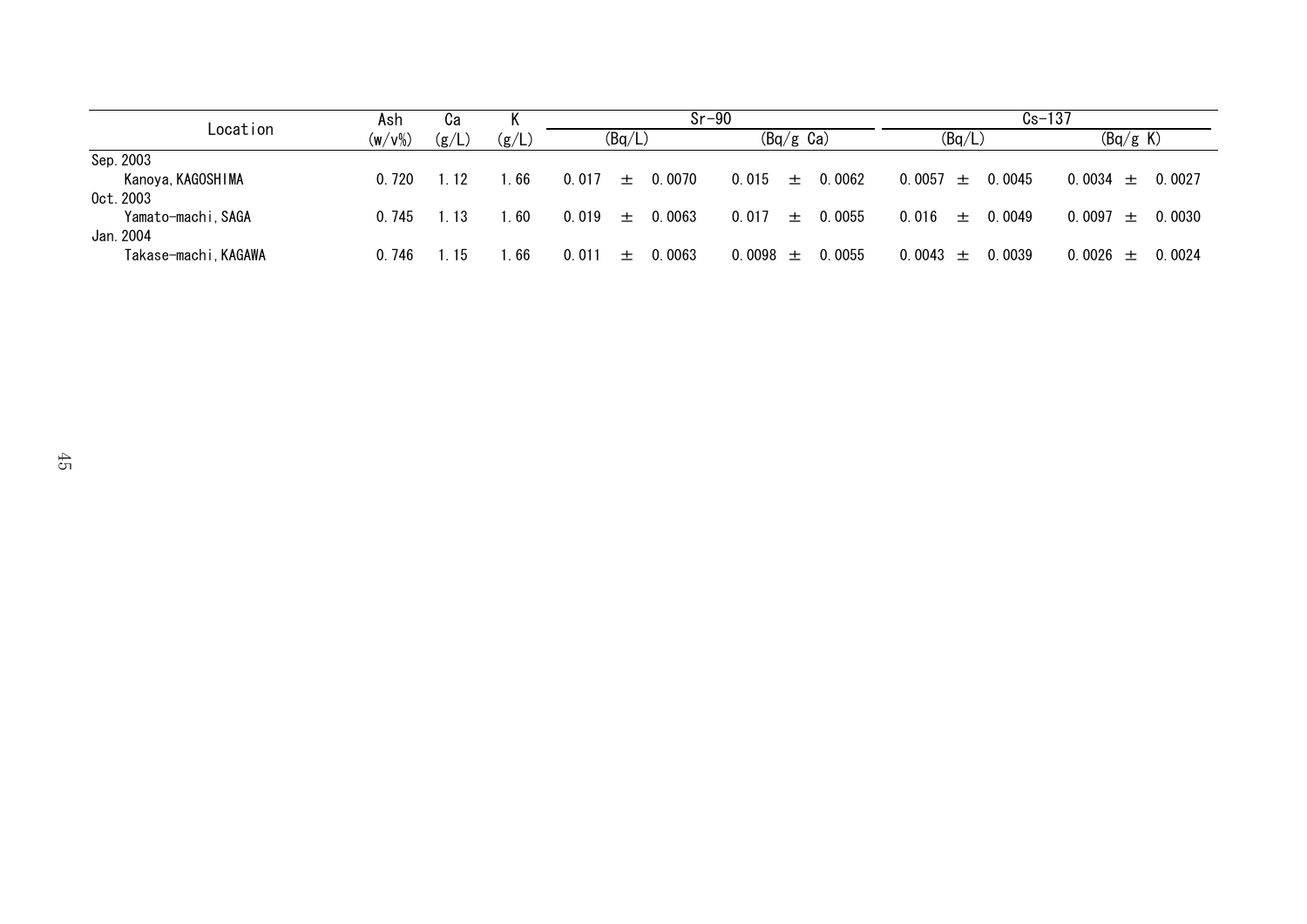|                                 | Ash       | Cа     |       | Sr-90                    |                        | $Cs - 137$             |                        |
|---------------------------------|-----------|--------|-------|--------------------------|------------------------|------------------------|------------------------|
| Location                        | $(w/v\%)$ | (g/L)  | (g/L) | (Bq/L)                   | $(Bq/g \text{ Ca})$    | (Bq/L)                 | (Bq/g K)               |
| Sep. 2003                       |           |        |       |                          |                        |                        |                        |
| Kanoya, KAGOSHIMA<br>0ct. 2003  | 0.720     | 1 12   | . 66  | 0.0070<br>0.017<br>$\pm$ | $0.015 \pm$<br>0.0062  | 0.0045<br>0.0057 $\pm$ | $0.0034 \pm 0.0027$    |
| Yamato-machi, SAGA<br>Jan. 2004 | 0.745     | 1. 13. | . 60  | 0.0063<br>0.019<br>$\pm$ | 0.017<br>0.0055<br>・・土 | $0.016 \pm$<br>0.0049  | $0.0097 \pm 0.0030$    |
| Takase-machi, KAGAWA            | 0.746     | $-15$  | . 66  | 0.0063<br>0.011<br>$+$   | 0.0098 $\pm$<br>0.0055 | 0.0043 $\pm$<br>0.0039 | $0.0026 \pm$<br>0.0024 |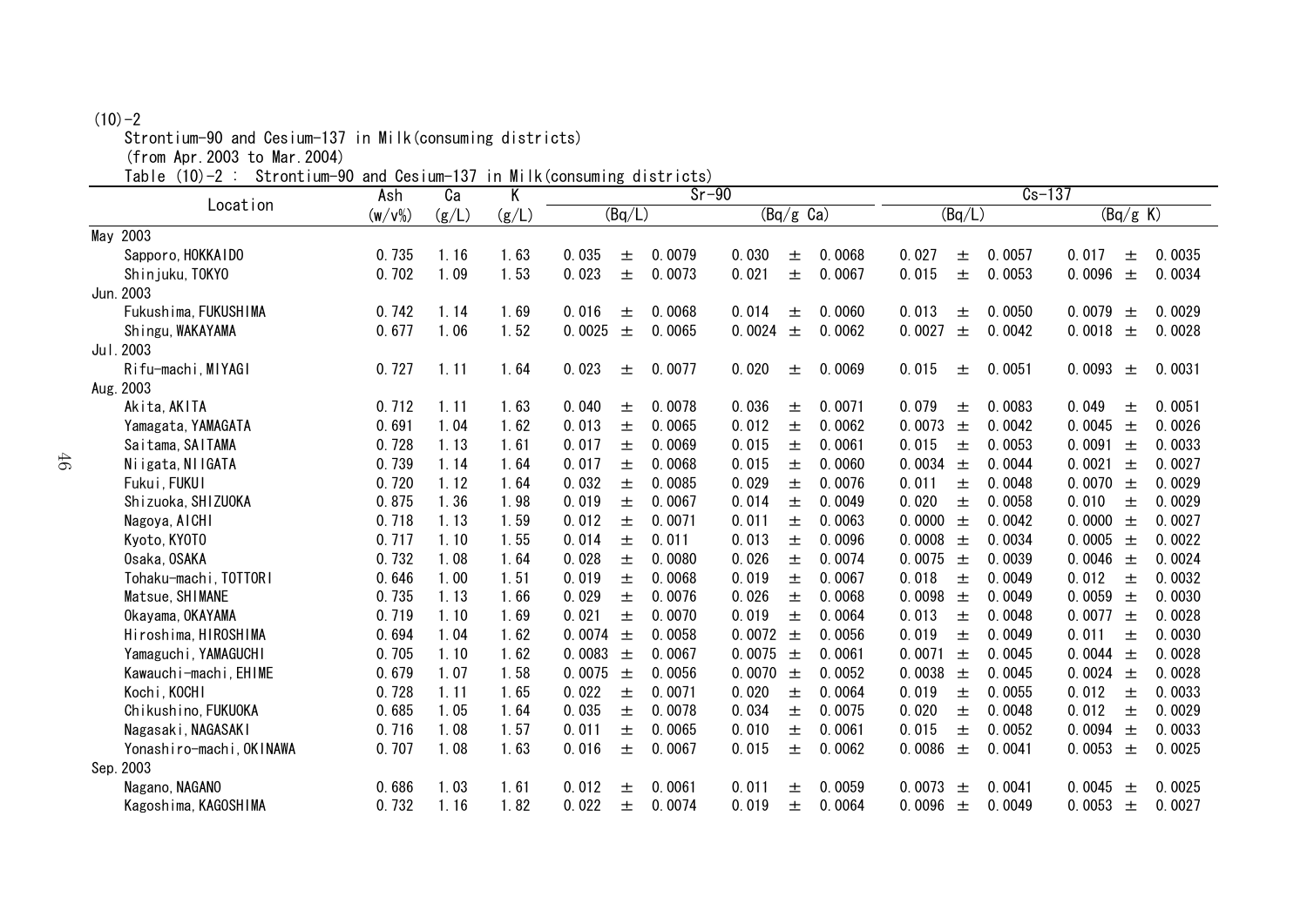#### $(10)-2$

Strontium-90 and Cesium-137 in Milk(consuming districts)

(from Apr.2003 to Mar.2004)

Table (10)-2 : Strontium-90 and Cesium-137 in Milk(consuming districts)

|                          | $10114$ $0001$ $011$ $01$<br>Ash | Ca    | K     | <u>uiveriver</u> | $Sr-90$ |                     | $Cs-137$ |                     |        |                 |        |
|--------------------------|----------------------------------|-------|-------|------------------|---------|---------------------|----------|---------------------|--------|-----------------|--------|
| Location                 | $(w/v\%)$                        | (g/L) | (g/L) | (Bq/L)           |         | $(Bq/g \text{ Ca})$ |          | $\overline{(Bq/L)}$ |        | (Bq/g K)        |        |
| May 2003                 |                                  |       |       |                  |         |                     |          |                     |        |                 |        |
| Sapporo, HOKKAIDO        | 0.735                            | 1.16  | 1.63  | 0.035<br>土       | 0.0079  | 0.030<br>土          | 0.0068   | 0.027<br>土          | 0.0057 | 0.017<br>土      | 0.0035 |
| Shinjuku, TOKYO          | 0.702                            | 1.09  | 1.53  | 0.023<br>土       | 0.0073  | 0.021<br>士          | 0.0067   | 0.015<br>士          | 0.0053 | 0.0096<br>$\pm$ | 0.0034 |
| Jun. 2003                |                                  |       |       |                  |         |                     |          |                     |        |                 |        |
| Fukushima, FUKUSHIMA     | 0.742                            | 1.14  | 1.69  | 0.016<br>土       | 0.0068  | 0.014<br>土          | 0.0060   | 0.013<br>土          | 0.0050 | 0.0079<br>士     | 0.0029 |
| Shingu, WAKAYAMA         | 0.677                            | 1.06  | 1.52  | 0.0025<br>$\pm$  | 0.0065  | 0.0024<br>$\pm$     | 0.0062   | 0.0027<br>$\pm$     | 0.0042 | 0.0018<br>$\pm$ | 0.0028 |
| Jul. 2003                |                                  |       |       |                  |         |                     |          |                     |        |                 |        |
| Rifu-machi, MIYAGI       | 0.727                            | 1.11  | 1.64  | 0.023<br>土       | 0.0077  | 0.020<br>土          | 0.0069   | 0.015<br>土          | 0.0051 | 0.0093<br>土     | 0.0031 |
| Aug. 2003                |                                  |       |       |                  |         |                     |          |                     |        |                 |        |
| Akita, AKITA             | 0.712                            | 1.11  | 1.63  | 0.040<br>土       | 0.0078  | 0.036<br>土          | 0.0071   | 0.079<br>土          | 0.0083 | 0.049<br>土      | 0.0051 |
| Yamagata, YAMAGATA       | 0.691                            | 1.04  | 1.62  | 0.013<br>士       | 0.0065  | 0.012<br>土          | 0.0062   | 0.0073<br>土         | 0.0042 | 0.0045<br>$\pm$ | 0.0026 |
| Saitama, SAITAMA         | 0.728                            | 1.13  | 1.61  | 0.017<br>土       | 0.0069  | 0.015<br>土          | 0.0061   | 0.015<br>土          | 0.0053 | 0.0091<br>$\pm$ | 0.0033 |
| Niigata, NIIGATA         | 0.739                            | 1.14  | 1.64  | 0.017<br>土       | 0.0068  | 0.015<br>士          | 0.0060   | 0.0034<br>$\pm$     | 0.0044 | 0.0021<br>土     | 0.0027 |
| Fukui, FUKUI             | 0.720                            | 1.12  | 1.64  | 0.032<br>士       | 0.0085  | 0.029<br>土          | 0.0076   | 0.011<br>土          | 0.0048 | 0.0070<br>$\pm$ | 0.0029 |
| Shizuoka, SHIZUOKA       | 0.875                            | 1.36  | 1.98  | 0.019<br>士       | 0.0067  | 0.014<br>$\pm$      | 0.0049   | 0.020<br>$\pm$      | 0.0058 | 0.010<br>士      | 0.0029 |
| Nagoya, AICHI            | 0.718                            | 1.13  | 1.59  | 0.012<br>士       | 0.0071  | 0.011<br>士          | 0.0063   | 0.0000<br>$\pm$     | 0.0042 | 0.0000<br>土     | 0.0027 |
| Kyoto, KYOTO             | 0.717                            | 1.10  | 1.55  | 0.014<br>士       | 0.011   | 0.013<br>土          | 0.0096   | 0.0008<br>$\pm$     | 0.0034 | 0.0005<br>土     | 0.0022 |
| Osaka, OSAKA             | 0.732                            | 1.08  | 1.64  | 0.028<br>士       | 0.0080  | 0.026<br>士          | 0.0074   | 0.0075<br>土         | 0.0039 | 0.0046<br>土     | 0.0024 |
| Tohaku-machi, TOTTORI    | 0.646                            | 1.00  | 1.51  | 0.019<br>士       | 0.0068  | 0.019<br>士          | 0.0067   | 0.018<br>土          | 0.0049 | 0.012<br>土      | 0.0032 |
| Matsue, SHIMANE          | 0.735                            | 1.13  | 1.66  | 0.029<br>士       | 0.0076  | 0.026<br>土          | 0.0068   | 0.0098<br>$\pm$     | 0.0049 | 0.0059<br>士     | 0.0030 |
| Okayama, OKAYAMA         | 0.719                            | 1.10  | 1.69  | 0.021<br>土       | 0.0070  | 0.019<br>士          | 0.0064   | 0.013<br>土          | 0.0048 | 0.0077<br>土     | 0.0028 |
| Hiroshima, HIROSHIMA     | 0.694                            | 1.04  | 1.62  | 0.0074<br>土      | 0.0058  | 0.0072<br>士         | 0.0056   | 0.019<br>士          | 0.0049 | 0.011<br>士      | 0.0030 |
| Yamaguchi, YAMAGUCHI     | 0.705                            | 1.10  | 1.62  | 0.0083<br>$\pm$  | 0.0067  | 0.0075<br>$\pm$     | 0.0061   | 0.0071<br>土         | 0.0045 | 0.0044<br>土     | 0.0028 |
| Kawauchi-machi, EHIME    | 0.679                            | 1.07  | 1.58  | 0.0075<br>$\pm$  | 0.0056  | 0.0070<br>$\pm$     | 0.0052   | 0.0038<br>$\pm$     | 0.0045 | 0.0024<br>士     | 0.0028 |
| Kochi, KOCHI             | 0.728                            | 1.11  | 1.65  | 0.022<br>土       | 0.0071  | 0.020<br>土          | 0.0064   | 0.019<br>土          | 0.0055 | 0.012<br>土      | 0.0033 |
| Chikushino, FUKUOKA      | 0.685                            | 1.05  | 1.64  | 0.035<br>土       | 0.0078  | 0.034<br>士          | 0.0075   | 0.020<br>土          | 0.0048 | 0.012<br>士      | 0.0029 |
| Nagasaki, NAGASAKI       | 0.716                            | 1.08  | 1.57  | 0.011<br>土       | 0.0065  | 0.010<br>土          | 0.0061   | 0.015<br>土          | 0.0052 | 0.0094<br>土     | 0.0033 |
| Yonashiro-machi, OKINAWA | 0.707                            | 1.08  | 1.63  | 0.016<br>土       | 0.0067  | 0.015<br>土          | 0.0062   | 0.0086<br>$\pm$     | 0.0041 | 0.0053<br>$\pm$ | 0.0025 |
| Sep. 2003                |                                  |       |       |                  |         |                     |          |                     |        |                 |        |
| Nagano, NAGANO           | 0.686                            | 1.03  | 1.61  | 0.012<br>土       | 0.0061  | 0.011<br>土          | 0.0059   | 0.0073<br>土         | 0.0041 | 0.0045<br>土     | 0.0025 |
| Kagoshima, KAGOSHIMA     | 0.732                            | 1.16  | 1.82  | 0.022<br>士       | 0.0074  | 0.019<br>土          | 0.0064   | 0.0096<br>土         | 0.0049 | 0.0053<br>土     | 0.0027 |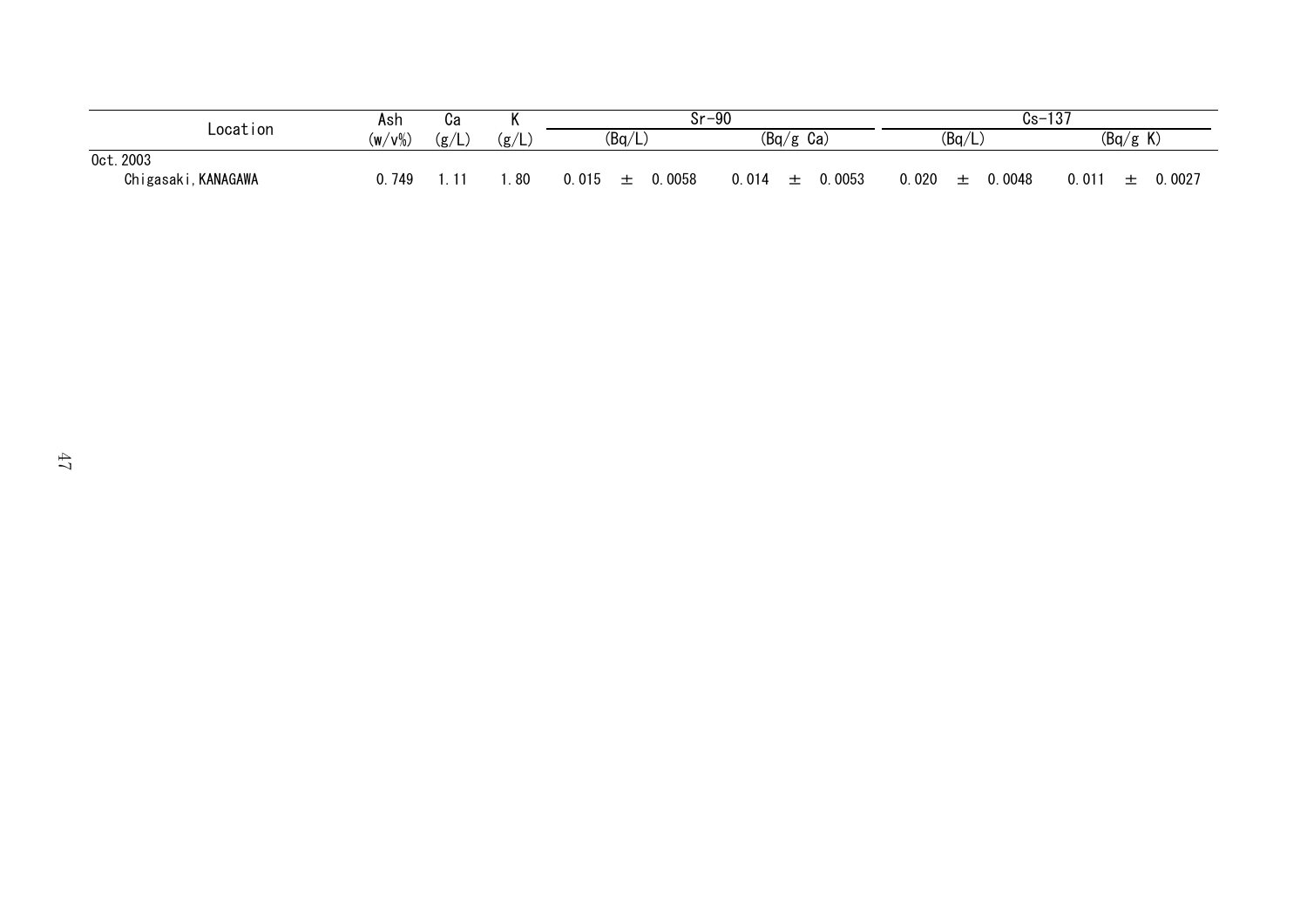|                         | Ash    | cа    | и    | $Sr-90$                 |              | $Cs -$             | 107<br>ାଠା          |
|-------------------------|--------|-------|------|-------------------------|--------------|--------------------|---------------------|
| Location                | (w/v%) | (g/L) | (g/L | (Bq/L)                  | (Bq/g<br>Ca) | (Bq/L)             | (Bq/g K)            |
| Oct. 2003               |        |       |      |                         |              |                    |                     |
| Chigasaki<br>, KANAGAWA | 749    |       | .80  | 0058<br>0.015<br>-<br>– | 0053<br>014  | 0048<br>0.020<br>– | .0027<br>0.011<br>- |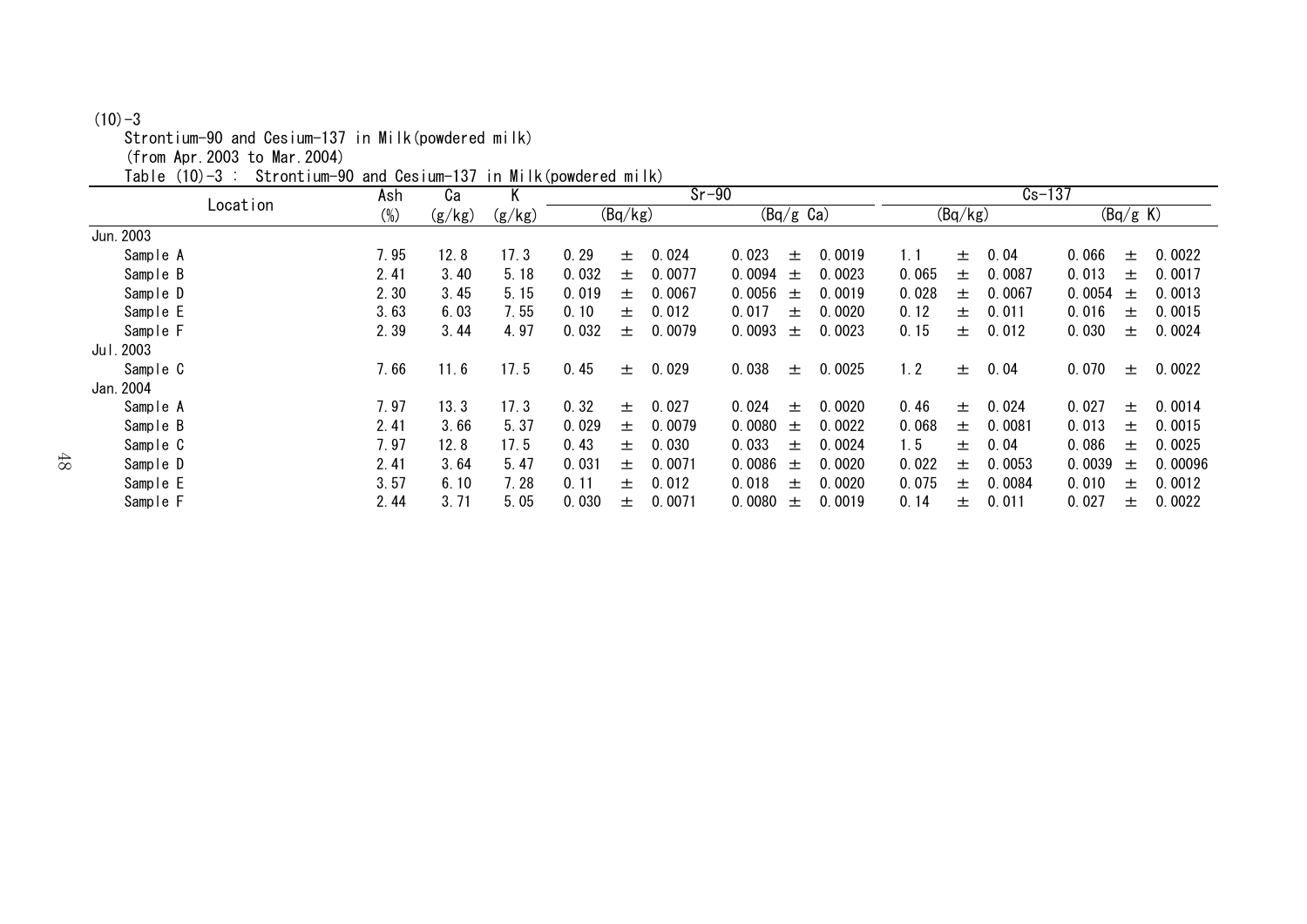#### $(10)-3$

Strontium-90 and Cesium-137 in Milk(powdered milk)

(from Apr.2003 to Mar.2004)

Table (10)-3 : Strontium-90 and Cesium-137 in Milk(powdered milk)

|                |          | Ca     | Κ      |        |       |         | $Sr-90$ |                     |       |        |       | $Cs - 137$ |        |        |          |         |
|----------------|----------|--------|--------|--------|-------|---------|---------|---------------------|-------|--------|-------|------------|--------|--------|----------|---------|
|                | Location | $(\%)$ | (g/kg) | (g/kg) |       | (Bq/kg) |         | $(Bq/g \text{ Ca})$ |       |        |       | (Bq/kg)    |        |        | (Bq/g K) |         |
| Jun. 2003      |          |        |        |        |       |         |         |                     |       |        |       |            |        |        |          |         |
| Sample A       |          | 7.95   | 12.8   | 17.3   | 0.29  | 士       | 0.024   | 0.023               | 土     | 0.0019 | 1.1   | 土          | 0.04   | 0.066  | 士        | 0.0022  |
| Sample B       |          | 2.41   | 3.40   | 5.18   | 0.032 | 土       | 0.0077  | 0.0094              | 土     | 0.0023 | 0.065 | 土          | 0.0087 | 0.013  | 土        | 0.0017  |
| Sample D       |          | 2.30   | 3.45   | 5.15   | 0.019 | 土       | 0.0067  | 0.0056              | 土     | 0.0019 | 0.028 | 土          | 0.0067 | 0.0054 | 土        | 0.0013  |
| Sample E       |          | 3.63   | 6.03   | 7.55   | 0.10  | 土       | 0.012   | 0.017               | 土     | 0.0020 | 0.12  | 土          | 0.011  | 0.016  | 土        | 0.0015  |
| Sample F       |          | 2.39   | 3.44   | 4.97   | 0.032 | 士       | 0.0079  | 0.0093              | $\pm$ | 0.0023 | 0.15  | $\pm$      | 0.012  | 0.030  | 土        | 0.0024  |
| . 2003<br>Jul. |          |        |        |        |       |         |         |                     |       |        |       |            |        |        |          |         |
| Sample C       |          | 7.66   | 11.6   | 17.5   | 0.45  | 士       | 0.029   | 0.038               | $\pm$ | 0.0025 | 1.2   | $\pm$      | 0.04   | 0.070  | $\pm$    | 0.0022  |
| Jan. 2004      |          |        |        |        |       |         |         |                     |       |        |       |            |        |        |          |         |
| Sample A       |          | 7.97   | 13.3   | 17.3   | 0.32  | 士       | 0.027   | 0.024               | $+$   | 0.0020 | 0.46  | 土          | 0.024  | 0.027  | 土        | 0.0014  |
| Sample B       |          | 2.41   | 3.66   | 5.37   | 0.029 | 土       | 0.0079  | 0.0080              | 土     | 0.0022 | 0.068 | 土          | 0.0081 | 0.013  | 土        | 0.0015  |
| Sample C       |          | 7.97   | 12.8   | 17.5   | 0.43  | 士       | 0.030   | 0.033               | 土     | 0.0024 | 1.5   | 士          | 0.04   | 0.086  | 土        | 0.0025  |
| Sample D       |          | 2.41   | 3.64   | 5.47   | 0.031 | 士       | 0.0071  | 0.0086              | 土     | 0.0020 | 0.022 | $\pm$      | 0.0053 | 0.0039 | 土        | 0.00096 |
| Sample E       |          | 3.57   | 6.10   | 7.28   | 0.11  | 士       | 0.012   | 0.018               | 土     | 0.0020 | 0.075 | 土          | 0.0084 | 0.010  | 土        | 0.0012  |
| Sample F       |          | 2.44   | 3.71   | 5.05   | 0.030 | 士       | 0.0071  | 0.0080              | 土     | 0.0019 | 0.14  | 土          | 0.011  | 0.027  | 土        | 0.0022  |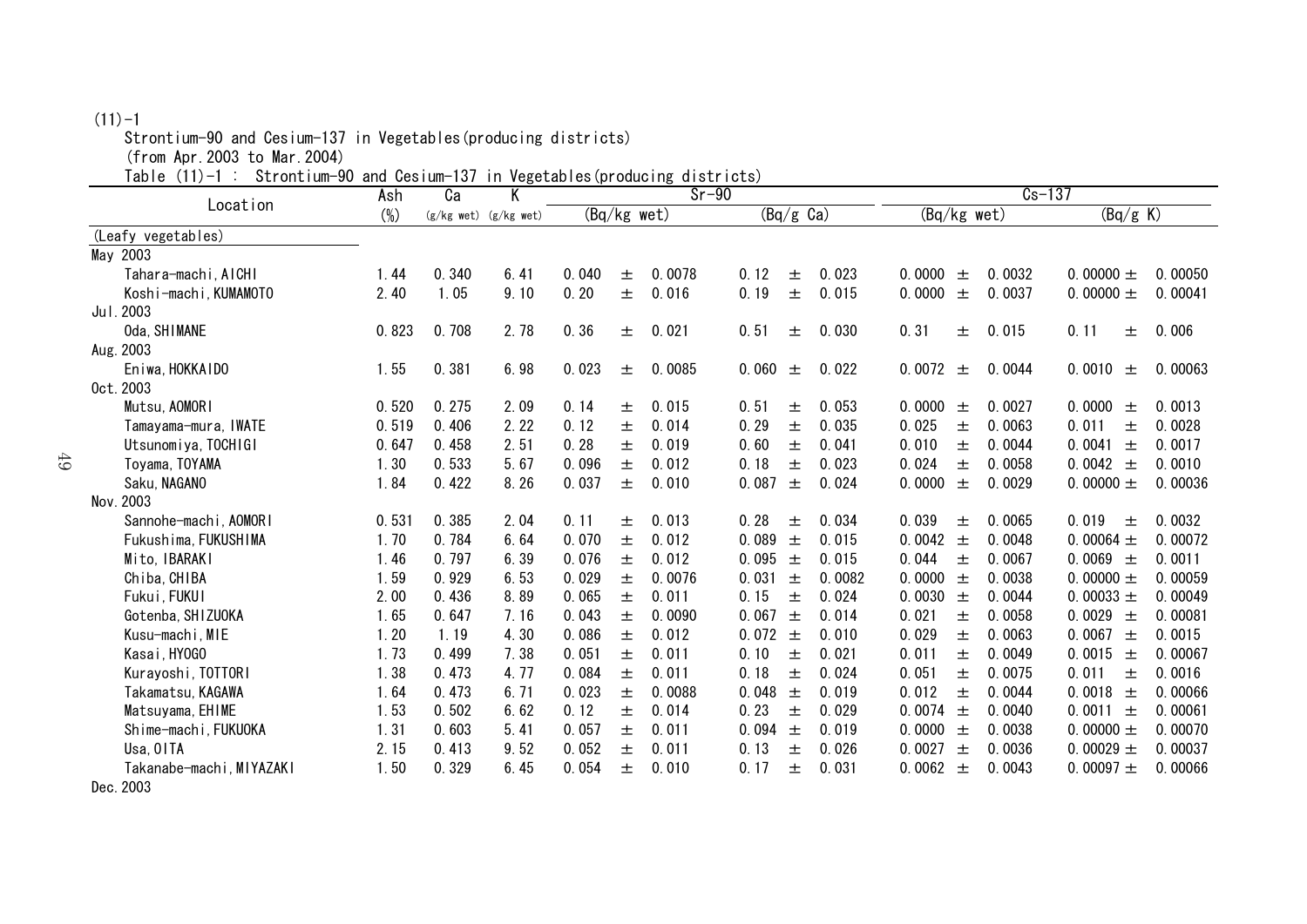## $(11)-1$

Strontium-90 and Cesium-137 in Vegetables(producing districts)

(from Apr.2003 to Mar.2004)

Table (11)-1 : Strontium-90 and Cesium-137 in Vegetables(producing districts)

|                          | and vooram<br>Ash | .<br>Ca | Κ                         | $111.799$ curive<br>V<br>$Sr-90$ |               |        |                     |       |        | $Cs-137$        |        |                 |         |
|--------------------------|-------------------|---------|---------------------------|----------------------------------|---------------|--------|---------------------|-------|--------|-----------------|--------|-----------------|---------|
| Location                 | $(\%)$            |         | $(g/kg$ wet) $(g/kg$ wet) |                                  | $(Bq/kg$ wet) |        | $(Bq/g \text{ Ca})$ |       |        | (Bq/kg wet)     |        | (Bq/g K)        |         |
| (Leafy vegetables)       |                   |         |                           |                                  |               |        |                     |       |        |                 |        |                 |         |
| May 2003                 |                   |         |                           |                                  |               |        |                     |       |        |                 |        |                 |         |
| Tahara-machi, AICHI      | 1.44              | 0.340   | 6.41                      | 0.040                            | 土             | 0.0078 | 0.12                | 土     | 0.023  | 0.0000<br>土     | 0.0032 | 0.00000 $\pm$   | 0.00050 |
| Koshi-machi, KUMAMOTO    | 2.40              | 1.05    | 9.10                      | 0.20                             | 土             | 0.016  | 0.19                | 士     | 0.015  | 0.0000<br>士     | 0.0037 | 0.00000 $\pm$   | 0.00041 |
| Jul. 2003                |                   |         |                           |                                  |               |        |                     |       |        |                 |        |                 |         |
| Oda, SHIMANE             | 0.823             | 0.708   | 2.78                      | 0.36                             | 土             | 0.021  | 0.51                | 土     | 0.030  | 0.31<br>土       | 0.015  | 0.11<br>土       | 0.006   |
| Aug. 2003                |                   |         |                           |                                  |               |        |                     |       |        |                 |        |                 |         |
| Eniwa, HOKKAIDO          | 1.55              | 0.381   | 6.98                      | 0.023                            | 土             | 0.0085 | 0.060               | 土     | 0.022  | 0.0072<br>土     | 0.0044 | 0.0010<br>士     | 0.00063 |
| 0ct. 2003                |                   |         |                           |                                  |               |        |                     |       |        |                 |        |                 |         |
| Mutsu, AOMORI            | 0.520             | 0.275   | 2.09                      | 0.14                             | 土             | 0.015  | 0.51                | 土     | 0.053  | 0.0000<br>士     | 0.0027 | 0.0000<br>士     | 0.0013  |
| Tamayama-mura, IWATE     | 0.519             | 0.406   | 2.22                      | 0.12                             | 土             | 0.014  | 0.29                | 土     | 0.035  | 0.025<br>土      | 0.0063 | 0.011<br>土      | 0.0028  |
| Utsunomiya, TOCHIGI      | 0.647             | 0.458   | 2.51                      | 0.28                             | 土             | 0.019  | 0.60                | 土     | 0.041  | 0.010<br>土      | 0.0044 | 0.0041<br>土     | 0.0017  |
| Toyama, TOYAMA           | 1.30              | 0.533   | 5.67                      | 0.096                            | 土             | 0.012  | 0.18                | 土     | 0.023  | 0.024<br>土      | 0.0058 | 0.0042 $\pm$    | 0.0010  |
| Saku, NAGANO             | 1.84              | 0.422   | 8.26                      | 0.037                            | 士             | 0.010  | 0.087               | $\pm$ | 0.024  | 0.0000<br>士     | 0.0029 | 0.00000 $\pm$   | 0.00036 |
| Nov. 2003                |                   |         |                           |                                  |               |        |                     |       |        |                 |        |                 |         |
| Sannohe-machi, AOMORI    | 0.531             | 0.385   | 2.04                      | 0.11                             | 土             | 0.013  | 0.28                | 土     | 0.034  | 0.039<br>土      | 0.0065 | 0.019<br>士      | 0.0032  |
| Fukushima, FUKUSHIMA     | 1.70              | 0.784   | 6.64                      | 0.070                            | 土             | 0.012  | 0.089               | 土     | 0.015  | 0.0042<br>土     | 0.0048 | 0.00064 $\pm$   | 0.00072 |
| Mito, IBARAKI            | 1.46              | 0.797   | 6.39                      | 0.076                            | 土             | 0.012  | 0.095               | 土     | 0.015  | 0.044<br>土      | 0.0067 | 0.0069 $\pm$    | 0.0011  |
| Chiba, CHIBA             | 1.59              | 0.929   | 6.53                      | 0.029                            | 土             | 0.0076 | 0.031               | $\pm$ | 0.0082 | 0.0000<br>$\pm$ | 0.0038 | 0.00000 $\pm$   | 0.00059 |
| Fukui, FUKUI             | 2.00              | 0.436   | 8.89                      | 0.065                            | 士             | 0.011  | 0.15                | 土     | 0.024  | 0.0030<br>$\pm$ | 0.0044 | 0.00033 $\pm$   | 0.00049 |
| Gotenba, SHIZUOKA        | 1.65              | 0.647   | 7.16                      | 0.043                            | 士             | 0.0090 | 0.067               | 土     | 0.014  | 0.021<br>士      | 0.0058 | 0.0029<br>$\pm$ | 0.00081 |
| Kusu-machi, MIE          | 1.20              | 1.19    | 4.30                      | 0.086                            | 土             | 0.012  | 0.072               | $\pm$ | 0.010  | 0.029<br>士      | 0.0063 | 0.0067<br>$\pm$ | 0.0015  |
| Kasai, HYOGO             | 1.73              | 0.499   | 7.38                      | 0.051                            | 土             | 0.011  | 0.10                | 土     | 0.021  | 0.011<br>士      | 0.0049 | 0.0015<br>土     | 0.00067 |
| Kurayoshi, TOTTORI       | 1.38              | 0.473   | 4.77                      | 0.084                            | 土             | 0.011  | 0.18                | 土     | 0.024  | 0.051<br>士      | 0.0075 | 0.011<br>土      | 0.0016  |
| Takamatsu, KAGAWA        | 1.64              | 0.473   | 6.71                      | 0.023                            | 土             | 0.0088 | 0.048               | $\pm$ | 0.019  | 0.012<br>士      | 0.0044 | 0.0018<br>$\pm$ | 0.00066 |
| Matsuyama, EHIME         | 1.53              | 0.502   | 6.62                      | 0.12                             | 土             | 0.014  | 0.23                | 土     | 0.029  | 0.0074<br>土     | 0.0040 | $0.0011 \pm$    | 0.00061 |
| Shime-machi, FUKUOKA     | 1.31              | 0.603   | 5.41                      | 0.057                            | 士             | 0.011  | 0.094               | $\pm$ | 0.019  | 0.0000<br>$+$   | 0.0038 | 0.00000 $\pm$   | 0.00070 |
| Usa, OITA                | 2.15              | 0.413   | 9.52                      | 0.052                            | 土             | 0.011  | 0.13                | 土     | 0.026  | 0.0027<br>土     | 0.0036 | 0.00029 $\pm$   | 0.00037 |
| Takanabe-machi, MIYAZAKI | 1.50              | 0.329   | 6.45                      | 0.054                            | 士             | 0.010  | 0.17                | 士     | 0.031  | 0.0062<br>土     | 0.0043 | 0.00097 $\pm$   | 0.00066 |
| Dec. 2003                |                   |         |                           |                                  |               |        |                     |       |        |                 |        |                 |         |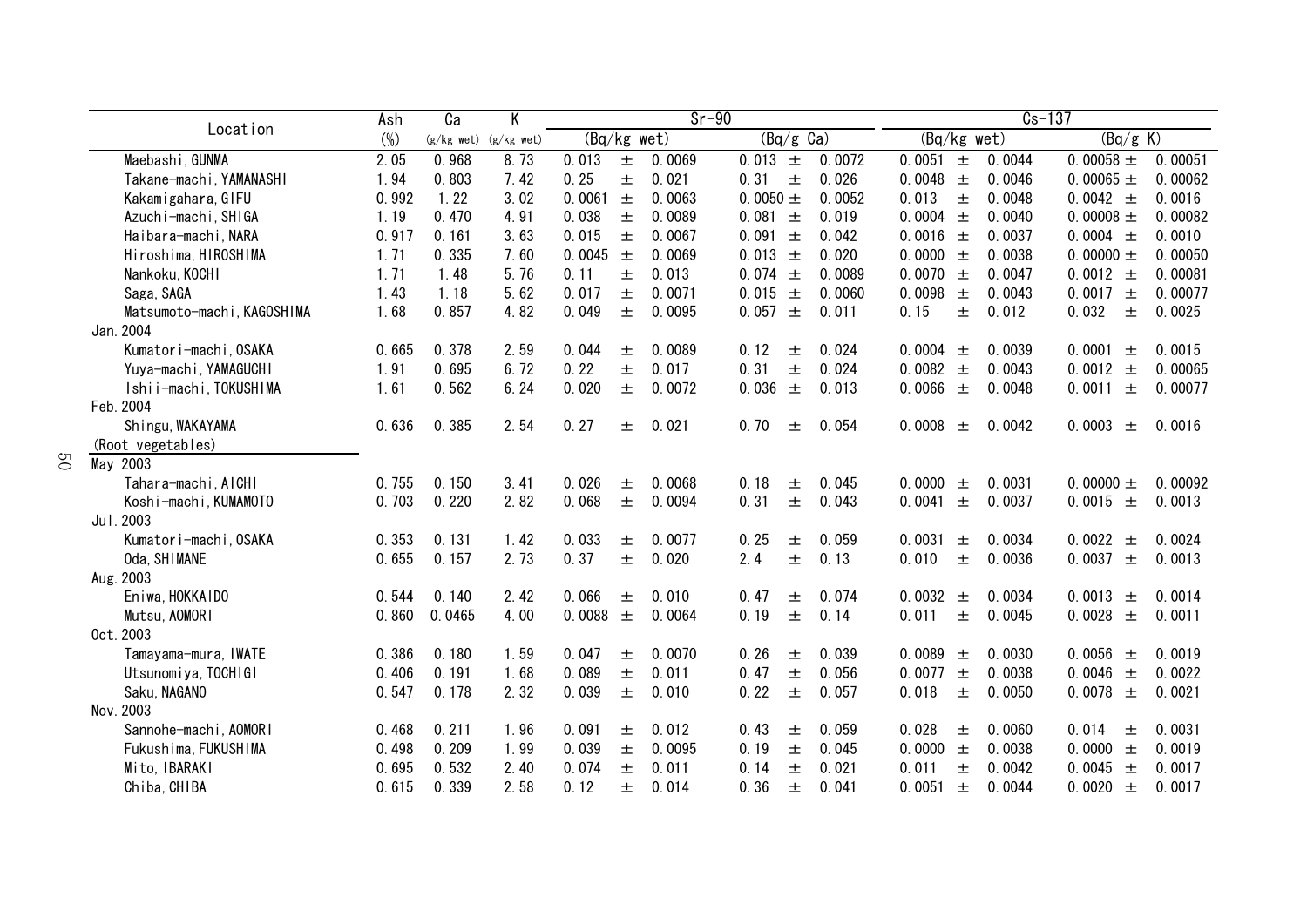|                |                            | Ash    | $\overline{Ca}$ | Κ                         | $Sr-90$<br>(Bq/kg wet) |       |        |                                |        | $Cs-137$        |        |                 |         |
|----------------|----------------------------|--------|-----------------|---------------------------|------------------------|-------|--------|--------------------------------|--------|-----------------|--------|-----------------|---------|
|                | Location                   | $(\%)$ |                 | $(g/kg$ wet) $(g/kg$ wet) |                        |       |        | $\overline{(Bq/g \text{ Ca})}$ |        | (Bq/kg wet)     |        | (Bq/g K)        |         |
|                | Maebashi, GUNMA            | 2.05   | 0.968           | 8.73                      | 0.013                  | $\pm$ | 0.0069 | 0.013 $\pm$                    | 0.0072 | 0.0051 $\pm$    | 0.0044 | 0.00058 $\pm$   | 0.00051 |
|                | Takane-machi, YAMANASHI    | 1.94   | 0.803           | 7.42                      | 0.25                   | $\pm$ | 0.021  | 0.31<br>士                      | 0.026  | 0.0048<br>$\pm$ | 0.0046 | 0.00065 $\pm$   | 0.00062 |
|                | Kakamigahara, GIFU         | 0.992  | 1.22            | 3.02                      | 0.0061                 | $\pm$ | 0.0063 | 0.0050 $\pm$                   | 0.0052 | 0.013<br>$\pm$  | 0.0048 | 0.0042 $\pm$    | 0.0016  |
|                | Azuchi-machi, SHIGA        | 1.19   | 0.470           | 4.91                      | 0.038                  | 土     | 0.0089 | 0.081<br>土                     | 0.019  | 0.0004<br>$\pm$ | 0.0040 | 0.00008 $\pm$   | 0.00082 |
|                | Haibara-machi, NARA        | 0.917  | 0.161           | 3.63                      | 0.015                  | 土     | 0.0067 | 0.091<br>土                     | 0.042  | 0.0016<br>$\pm$ | 0.0037 | 0.0004 $\pm$    | 0.0010  |
|                | Hiroshima, HIROSHIMA       | 1.71   | 0.335           | 7.60                      | 0.0045                 | 土     | 0.0069 | 0.013<br>土                     | 0.020  | 0.0000<br>$\pm$ | 0.0038 | 0.00000 $\pm$   | 0.00050 |
|                | Nankoku, KOCHI             | 1.71   | 1.48            | 5.76                      | 0.11                   | 士     | 0.013  | 0.074<br>$\pm$                 | 0.0089 | 0.0070<br>$\pm$ | 0.0047 | 0.0012 $\pm$    | 0.00081 |
|                | Saga, SAGA                 | 1.43   | 1.18            | 5.62                      | 0.017                  | 士     | 0.0071 | 0.015 $\pm$                    | 0.0060 | 0.0098<br>$\pm$ | 0.0043 | 0.0017<br>$\pm$ | 0.00077 |
|                | Matsumoto-machi, KAGOSHIMA | 1.68   | 0.857           | 4.82                      | 0.049                  | 士     | 0.0095 | 0.057<br>$\pm$                 | 0.011  | 0.15<br>士       | 0.012  | 0.032<br>士      | 0.0025  |
|                | Jan. 2004                  |        |                 |                           |                        |       |        |                                |        |                 |        |                 |         |
|                | Kumatori-machi, OSAKA      | 0.665  | 0.378           | 2.59                      | 0.044                  | 土     | 0.0089 | 0.12<br>土                      | 0.024  | 0.0004<br>士     | 0.0039 | 0.0001<br>士     | 0.0015  |
|                | Yuya-machi, YAMAGUCHI      | 1.91   | 0.695           | 6.72                      | 0.22                   | 土     | 0.017  | 0.31<br>士                      | 0.024  | 0.0082<br>$\pm$ | 0.0043 | 0.0012 $\pm$    | 0.00065 |
|                | Ishii-machi, TOKUSHIMA     | 1.61   | 0.562           | 6.24                      | 0.020                  | 士     | 0.0072 | 0.036 $\pm$                    | 0.013  | 0.0066 $\pm$    | 0.0048 | 0.0011<br>$\pm$ | 0.00077 |
|                | Feb. 2004                  |        |                 |                           |                        |       |        |                                |        |                 |        |                 |         |
|                | Shingu, WAKAYAMA           | 0.636  | 0.385           | 2.54                      | 0.27                   | 士     | 0.021  | 0.70<br>土                      | 0.054  | 0.0008<br>$\pm$ | 0.0042 | 0.0003<br>士     | 0.0016  |
|                | (Root vegetables)          |        |                 |                           |                        |       |        |                                |        |                 |        |                 |         |
| $\overline{S}$ | May 2003                   |        |                 |                           |                        |       |        |                                |        |                 |        |                 |         |
|                | Tahara-machi, AICHI        | 0.755  | 0.150           | 3.41                      | 0.026                  | 土     | 0.0068 | 0.18<br>$\pm$                  | 0.045  | 0.0000<br>士     | 0.0031 | 0.00000 $\pm$   | 0.00092 |
|                | Koshi-machi, KUMAMOTO      | 0.703  | 0.220           | 2.82                      | 0.068                  | $\pm$ | 0.0094 | 0.31<br>士                      | 0.043  | 0.0041<br>$\pm$ | 0.0037 | 0.0015 $\pm$    | 0.0013  |
|                | Jul. 2003                  |        |                 |                           |                        |       |        |                                |        |                 |        |                 |         |
|                | Kumator i-machi, OSAKA     | 0.353  | 0.131           | 1.42                      | 0.033                  | 土     | 0.0077 | 0.25<br>土                      | 0.059  | 0.0031<br>$\pm$ | 0.0034 | 0.0022<br>$\pm$ | 0.0024  |
|                | Oda, SHIMANE               | 0.655  | 0.157           | 2.73                      | 0.37                   | 土     | 0.020  | 2.4<br>士                       | 0.13   | 0.010<br>$\pm$  | 0.0036 | 0.0037<br>$\pm$ | 0.0013  |
|                | Aug. 2003                  |        |                 |                           |                        |       |        |                                |        |                 |        |                 |         |
|                | Eniwa, HOKKAIDO            | 0.544  | 0.140           | 2.42                      | 0.066                  | 土     | 0.010  | 0.47<br>土                      | 0.074  | 0.0032<br>$\pm$ | 0.0034 | 0.0013 $\pm$    | 0.0014  |
|                | Mutsu, AOMORI              | 0.860  | 0.0465          | 4.00                      | 0.0088                 | $\pm$ | 0.0064 | 0.19<br>士                      | 0.14   | 0.011<br>土      | 0.0045 | 0.0028<br>$\pm$ | 0.0011  |
|                | 0ct. 2003                  |        |                 |                           |                        |       |        |                                |        |                 |        |                 |         |
|                | Tamayama-mura, IWATE       | 0.386  | 0.180           | 1.59                      | 0.047                  | 土     | 0.0070 | 0.26<br>士                      | 0.039  | 0.0089<br>$\pm$ | 0.0030 | 0.0056<br>土     | 0.0019  |
|                | Utsunomiya, TOCHIGI        | 0.406  | 0.191           | 1.68                      | 0.089                  | 土     | 0.011  | 0.47<br>士                      | 0.056  | 0.0077<br>士     | 0.0038 | 0.0046<br>$\pm$ | 0.0022  |
|                | Saku, NAGANO               | 0.547  | 0.178           | 2.32                      | 0.039                  | $\pm$ | 0.010  | 0.22<br>士                      | 0.057  | 0.018<br>$\pm$  | 0.0050 | 0.0078 $\pm$    | 0.0021  |
|                | Nov. 2003                  |        |                 |                           |                        |       |        |                                |        |                 |        |                 |         |
|                | Sannohe-machi, AOMORI      | 0.468  | 0.211           | 1.96                      | 0.091                  | 土     | 0.012  | 0.43<br>土                      | 0.059  | 0.028<br>土      | 0.0060 | 0.014<br>士      | 0.0031  |
|                | Fukushima, FUKUSHIMA       | 0.498  | 0.209           | 1.99                      | 0.039                  | 土     | 0.0095 | 0.19<br>土                      | 0.045  | 0.0000<br>$\pm$ | 0.0038 | 0.0000<br>$\pm$ | 0.0019  |
|                | Mito, IBARAKI              | 0.695  | 0.532           | 2.40                      | 0.074                  | 土     | 0.011  | 0.14<br>土                      | 0.021  | 0.011<br>土      | 0.0042 | 0.0045<br>$\pm$ | 0.0017  |
|                | Chiba, CHIBA               | 0.615  | 0.339           | 2.58                      | 0.12                   | 土     | 0.014  | 0.36<br>土                      | 0.041  | 0.0051<br>士     | 0.0044 | 0.0020 $\pm$    | 0.0017  |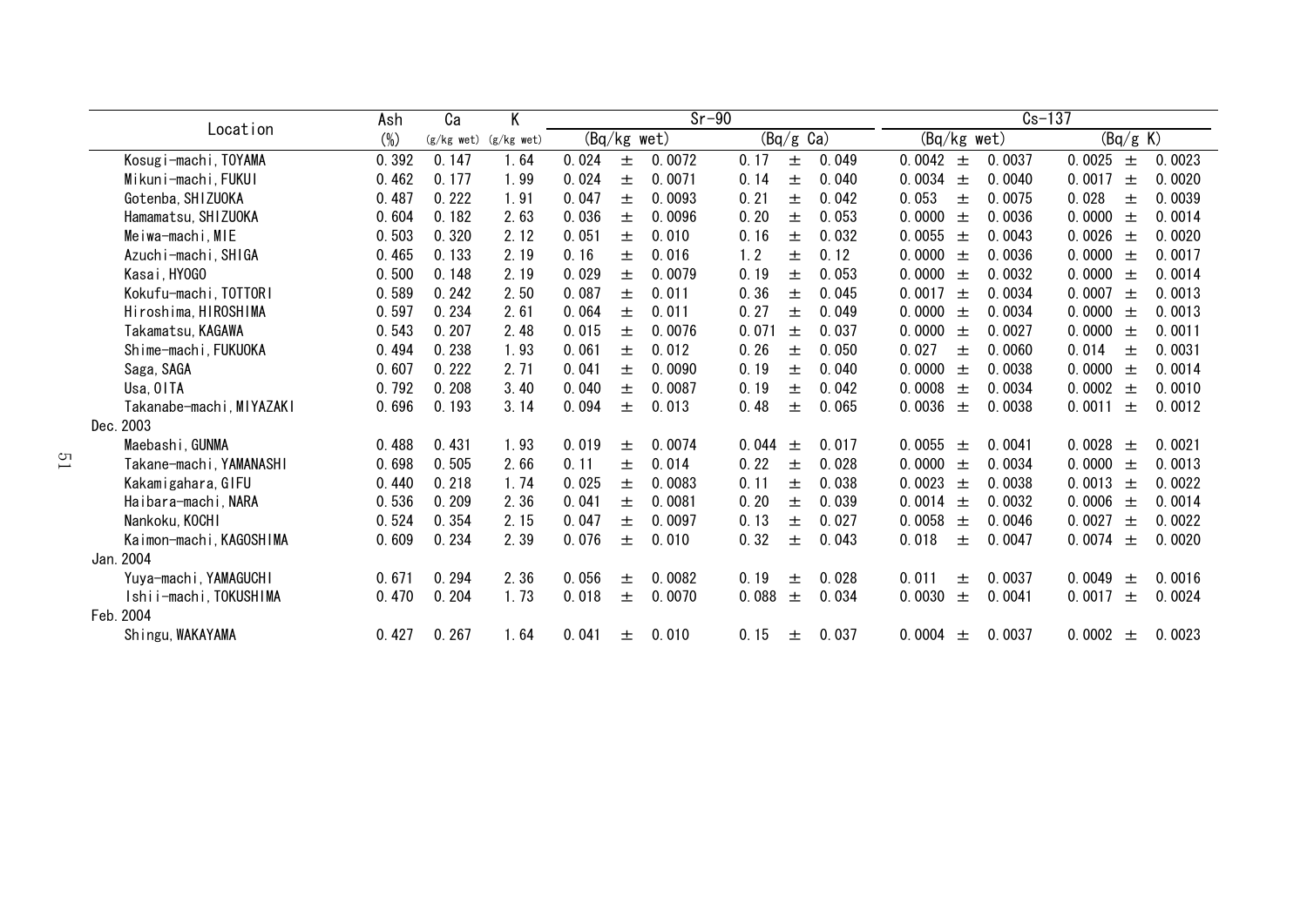|                          | Ash    | Ca           | $\overline{\mathsf{K}}$ | $Sr-90$       |   |        |                     |       | $Cs-137$                   |                           |  |  |
|--------------------------|--------|--------------|-------------------------|---------------|---|--------|---------------------|-------|----------------------------|---------------------------|--|--|
| Location                 | $(\%)$ | $(g/kg$ wet) | $(g/kg$ wet)            | $(Bq/kg$ wet) |   |        | $(Bq/g \text{ Ca})$ |       | (Bq/kg wet)                | (Bq/g K)                  |  |  |
| Kosugi-machi, TOYAMA     | 0.392  | 0.147        | 1.64                    | 0.024         | 土 | 0.0072 | 0.17<br>土           | 0.049 | 0.0042<br>0.0037<br>土      | 0.0025<br>0.0023<br>土     |  |  |
| Mikuni-machi, FUKUI      | 0.462  | 0.177        | 1.99                    | 0.024         | 士 | 0.0071 | 0.14<br>土           | 0.040 | 0.0034<br>0.0040<br>士      | 0.0017<br>0.0020<br>士     |  |  |
| Gotenba, SHIZUOKA        | 0.487  | 0.222        | 1.91                    | 0.047         | 士 | 0.0093 | 0.21<br>士           | 0.042 | 0.053<br>0.0075<br>士       | 0.028<br>0.0039<br>士      |  |  |
| Hamamatsu, SHIZUOKA      | 0.604  | 0.182        | 2.63                    | 0.036         | 土 | 0.0096 | 0.20<br>土           | 0.053 | 0.0000<br>0.0036<br>士      | 0.0014<br>0.0000<br>土     |  |  |
| Meiwa-machi, MIE         | 0.503  | 0.320        | 2.12                    | 0.051         | 士 | 0.010  | 0.16<br>士           | 0.032 | 0.0043<br>0.0055<br>士      | 0.0020<br>0.0026<br>土     |  |  |
| Azuchi-machi, SHIGA      | 0.465  | 0.133        | 2.19                    | 0.16          | 士 | 0.016  | 1.2<br>土            | 0.12  | 0.0000<br>0.0036<br>士      | 0.0000<br>0.0017<br>土     |  |  |
| Kasai, HY0GO             | 0.500  | 0.148        | 2.19                    | 0.029         | 士 | 0.0079 | 0.19<br>土           | 0.053 | 0.0000<br>0.0032<br>$\pm$  | 0.0000<br>0.0014<br>$\pm$ |  |  |
| Kokufu-machi, TOTTORI    | 0.589  | 0.242        | 2.50                    | 0.087         | 士 | 0.011  | 0.36<br>土           | 0.045 | 0.0017<br>0.0034<br>士      | 0.0013<br>0.0007<br>土     |  |  |
| Hiroshima, HIROSHIMA     | 0.597  | 0.234        | 2.61                    | 0.064         | 土 | 0.011  | 0.27<br>土           | 0.049 | 0.0034<br>0.0000<br>士      | 0.0000<br>0.0013<br>土     |  |  |
| Takamatsu, KAGAWA        | 0.543  | 0.207        | 2.48                    | 0.015         | 士 | 0.0076 | 0.071<br>士          | 0.037 | 0.0027<br>0.0000<br>$^{+}$ | 0.0011<br>0.0000<br>土     |  |  |
| Shime-machi, FUKUOKA     | 0.494  | 0.238        | 1.93                    | 0.061         | 士 | 0.012  | 0.26<br>土           | 0.050 | 0.027<br>0.0060<br>士       | 0.014<br>0.0031<br>土      |  |  |
| Saga, SAGA               | 0.607  | 0.222        | 2.71                    | 0.041         | 土 | 0.0090 | 0.19<br>土           | 0.040 | 0.0000<br>0.0038<br>士      | 0.0000<br>0.0014<br>土     |  |  |
| Usa, OITA                | 0.792  | 0.208        | 3.40                    | 0.040         | 士 | 0.0087 | 0.19<br>士           | 0.042 | 0.0034<br>0.0008<br>士      | 0.0010<br>0.0002<br>土     |  |  |
| Takanabe-machi, MIYAZAKI | 0.696  | 0.193        | 3.14                    | 0.094         | 土 | 0.013  | 0.48<br>土           | 0.065 | 0.0036<br>0.0038<br>土      | 0.0011<br>0.0012<br>士     |  |  |
| Dec. 2003                |        |              |                         |               |   |        |                     |       |                            |                           |  |  |
| Maebashi, GUNMA          | 0.488  | 0.431        | 1.93                    | 0.019         | 士 | 0.0074 | 0.044<br>$\pm$      | 0.017 | 0.0055<br>0.0041<br>士      | 0.0028<br>0.0021<br>$\pm$ |  |  |
| Takane-machi, YAMANASHI  | 0.698  | 0.505        | 2.66                    | 0.11          | 士 | 0.014  | 0.22<br>土           | 0.028 | 0.0034<br>0.0000<br>$^{+}$ | 0.0013<br>0.0000<br>土     |  |  |
| Kakamigahara, GIFU       | 0.440  | 0.218        | 1.74                    | 0.025         | 士 | 0.0083 | 0.11<br>土           | 0.038 | 0.0023<br>0.0038<br>士      | 0.0022<br>0.0013<br>土     |  |  |
| Haibara-machi, NARA      | 0.536  | 0.209        | 2.36                    | 0.041         | 土 | 0.0081 | 0.20<br>土           | 0.039 | 0.0032<br>0.0014<br>土      | 0.0014<br>0.0006<br>士     |  |  |
| Nankoku, KOCHI           | 0.524  | 0.354        | 2.15                    | 0.047         | 士 | 0.0097 | 0.13<br>士           | 0.027 | 0.0058<br>0.0046<br>$^{+}$ | 0.0027<br>0.0022<br>士     |  |  |
| Kaimon-machi, KAGOSHIMA  | 0.609  | 0.234        | 2.39                    | 0.076         | 士 | 0.010  | 0.32<br>士           | 0.043 | 0.018<br>0.0047<br>土       | 0.0074<br>0.0020<br>士     |  |  |
| Jan. 2004                |        |              |                         |               |   |        |                     |       |                            |                           |  |  |
| Yuya-machi, YAMAGUCHI    | 0.671  | 0.294        | 2.36                    | 0.056         | 土 | 0.0082 | 0.19<br>土           | 0.028 | 0.011<br>0.0037<br>土       | 0.0049<br>0.0016<br>士     |  |  |
| Ishii-machi, TOKUSHIMA   | 0.470  | 0.204        | 1.73                    | 0.018         | 土 | 0.0070 | 0.088<br>土          | 0.034 | 0.0030<br>0.0041<br>土      | 0.0024<br>0.0017<br>士     |  |  |
| Feb. 2004                |        |              |                         |               |   |        |                     |       |                            |                           |  |  |
| Shingu, WAKAYAMA         | 0.427  | 0.267        | 1.64                    | 0.041         | 土 | 0.010  | 0.15<br>土           | 0.037 | 0.0037<br>0.0004<br>土      | 0.0023<br>0.0002<br>土     |  |  |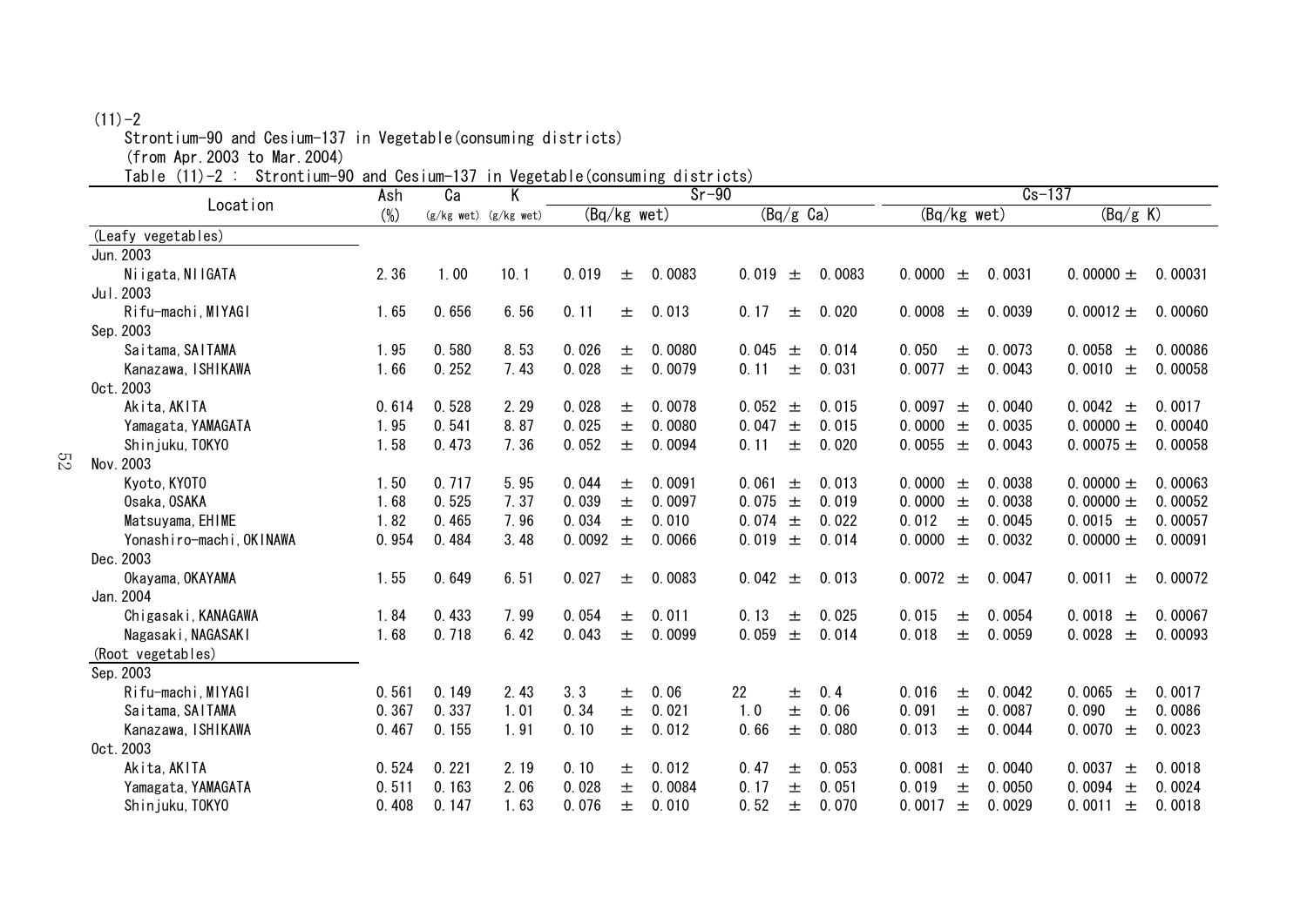## $(11)-2$

Strontium-90 and Cesium-137 in Vegetable(consuming districts)

(from Apr.2003 to Mar.2004)

Table (11)-2 : Strontium-90 and Cesium-137 in Vegetable(consuming districts)

| Location                 | Ash    | Ca    | $111.1959$ curve<br>K     |        | $\sqrt{2}$    | <u>uiveriver</u><br>$Sr-90$ |       |                     |        |             |       | $Cs-137$ |                 |         |
|--------------------------|--------|-------|---------------------------|--------|---------------|-----------------------------|-------|---------------------|--------|-------------|-------|----------|-----------------|---------|
|                          | $(\%)$ |       | $(g/kg$ wet) $(g/kg$ wet) |        | $(Bq/kg$ wet) |                             |       | $(Bq/g \text{ Ca})$ |        | (Bq/kg wet) |       |          | (Bq/g K)        |         |
| (Leafy vegetables)       |        |       |                           |        |               |                             |       |                     |        |             |       |          |                 |         |
| Jun. 2003                |        |       |                           |        |               |                             |       |                     |        |             |       |          |                 |         |
| Niigata, NIIGATA         | 2.36   | 1.00  | 10.1                      | 0.019  | 土             | 0.0083                      | 0.019 | 土                   | 0.0083 | 0.0000      | 土     | 0.0031   | 0.00000 $\pm$   | 0.00031 |
| Jul. 2003                |        |       |                           |        |               |                             |       |                     |        |             |       |          |                 |         |
| Rifu-machi, MIYAGI       | 1.65   | 0.656 | 6.56                      | 0.11   | 士             | 0.013                       | 0.17  | 士                   | 0.020  | 0.0008      | 士     | 0.0039   | 0.00012 $\pm$   | 0.00060 |
| Sep. 2003                |        |       |                           |        |               |                             |       |                     |        |             |       |          |                 |         |
| Saitama, SAITAMA         | 1.95   | 0.580 | 8.53                      | 0.026  | 土             | 0.0080                      | 0.045 | 士                   | 0.014  | 0.050       | 士     | 0.0073   | 0.0058<br>$\pm$ | 0.00086 |
| Kanazawa, ISHIKAWA       | 1.66   | 0.252 | 7.43                      | 0.028  | $\pm$         | 0.0079                      | 0.11  | 士                   | 0.031  | 0.0077      | $\pm$ | 0.0043   | 0.0010<br>$\pm$ | 0.00058 |
| 0ct. 2003                |        |       |                           |        |               |                             |       |                     |        |             |       |          |                 |         |
| Akita, AKITA             | 0.614  | 0.528 | 2.29                      | 0.028  | 土             | 0.0078                      | 0.052 | 土                   | 0.015  | 0.0097      | 土     | 0.0040   | 0.0042 $\pm$    | 0.0017  |
| Yamagata, YAMAGATA       | 1.95   | 0.541 | 8.87                      | 0.025  | $\pm$         | 0.0080                      | 0.047 | 王                   | 0.015  | 0.0000      | $\pm$ | 0.0035   | 0.00000 $\pm$   | 0.00040 |
| Shinjuku, TOKYO          | 1.58   | 0.473 | 7.36                      | 0.052  | $\pm$         | 0.0094                      | 0.11  | 士                   | 0.020  | 0.0055      | $\pm$ | 0.0043   | 0.00075 $\pm$   | 0.00058 |
| Nov. 2003                |        |       |                           |        |               |                             |       |                     |        |             |       |          |                 |         |
| Kyoto, KYOTO             | 1.50   | 0.717 | 5.95                      | 0.044  | 士             | 0.0091                      | 0.061 | 土                   | 0.013  | 0.0000      | 土     | 0.0038   | 0.00000 $\pm$   | 0.00063 |
| Osaka, OSAKA             | 1.68   | 0.525 | 7.37                      | 0.039  | 土             | 0.0097                      | 0.075 | $\pm$               | 0.019  | 0.0000      | $\pm$ | 0.0038   | 0.00000 $\pm$   | 0.00052 |
| Matsuyama, EHIME         | 1.82   | 0.465 | 7.96                      | 0.034  | 士             | 0.010                       | 0.074 | 土                   | 0.022  | 0.012       | $\pm$ | 0.0045   | 0.0015 $\pm$    | 0.00057 |
| Yonashiro-machi, OKINAWA | 0.954  | 0.484 | 3.48                      | 0.0092 | $\pm$         | 0.0066                      | 0.019 | 土                   | 0.014  | 0.0000      | 士     | 0.0032   | 0.00000 $\pm$   | 0.00091 |
| Dec. 2003                |        |       |                           |        |               |                             |       |                     |        |             |       |          |                 |         |
| Okayama, OKAYAMA         | 1.55   | 0.649 | 6.51                      | 0.027  | 土             | 0.0083                      | 0.042 | 土                   | 0.013  | 0.0072      | $\pm$ | 0.0047   | 0.0011<br>士     | 0.00072 |
| Jan. 2004                |        |       |                           |        |               |                             |       |                     |        |             |       |          |                 |         |
| Chigasaki, KANAGAWA      | 1.84   | 0.433 | 7.99                      | 0.054  | 土             | 0.011                       | 0.13  | 士                   | 0.025  | 0.015       | 士     | 0.0054   | 0.0018 $\pm$    | 0.00067 |
| Nagasaki, NAGASAKI       | 1.68   | 0.718 | 6.42                      | 0.043  | 士             | 0.0099                      | 0.059 | 土                   | 0.014  | 0.018       | 士     | 0.0059   | 0.0028<br>$\pm$ | 0.00093 |
| (Root vegetables)        |        |       |                           |        |               |                             |       |                     |        |             |       |          |                 |         |
| Sep. 2003                |        |       |                           |        |               |                             |       |                     |        |             |       |          |                 |         |
| Rifu-machi, MIYAGI       | 0.561  | 0.149 | 2.43                      | 3.3    | 土             | 0.06                        | 22    | 土                   | 0.4    | 0.016       | 士     | 0.0042   | 0.0065<br>土     | 0.0017  |
| Saitama, SAITAMA         | 0.367  | 0.337 | 1.01                      | 0.34   | 士             | 0.021                       | 1.0   | 士                   | 0.06   | 0.091       | 士     | 0.0087   | 0.090<br>土      | 0.0086  |
| Kanazawa, ISHIKAWA       | 0.467  | 0.155 | 1.91                      | 0.10   | 士             | 0.012                       | 0.66  | 士                   | 0.080  | 0.013       | 士     | 0.0044   | 0.0070<br>士     | 0.0023  |
| 0ct. 2003                |        |       |                           |        |               |                             |       |                     |        |             |       |          |                 |         |
| Akita, AKITA             | 0.524  | 0.221 | 2.19                      | 0.10   | 士             | 0.012                       | 0.47  | 士                   | 0.053  | 0.0081      | 土     | 0.0040   | 0.0037<br>士     | 0.0018  |
| Yamagata, YAMAGATA       | 0.511  | 0.163 | 2.06                      | 0.028  | 士             | 0.0084                      | 0.17  | 士                   | 0.051  | 0.019       | 士     | 0.0050   | 0.0094<br>土     | 0.0024  |
| Shinjuku, TOKYO          | 0.408  | 0.147 | 1.63                      | 0.076  | 土             | 0.010                       | 0.52  | 士                   | 0.070  | 0.0017      | 土     | 0.0029   | 0.0011<br>土     | 0.0018  |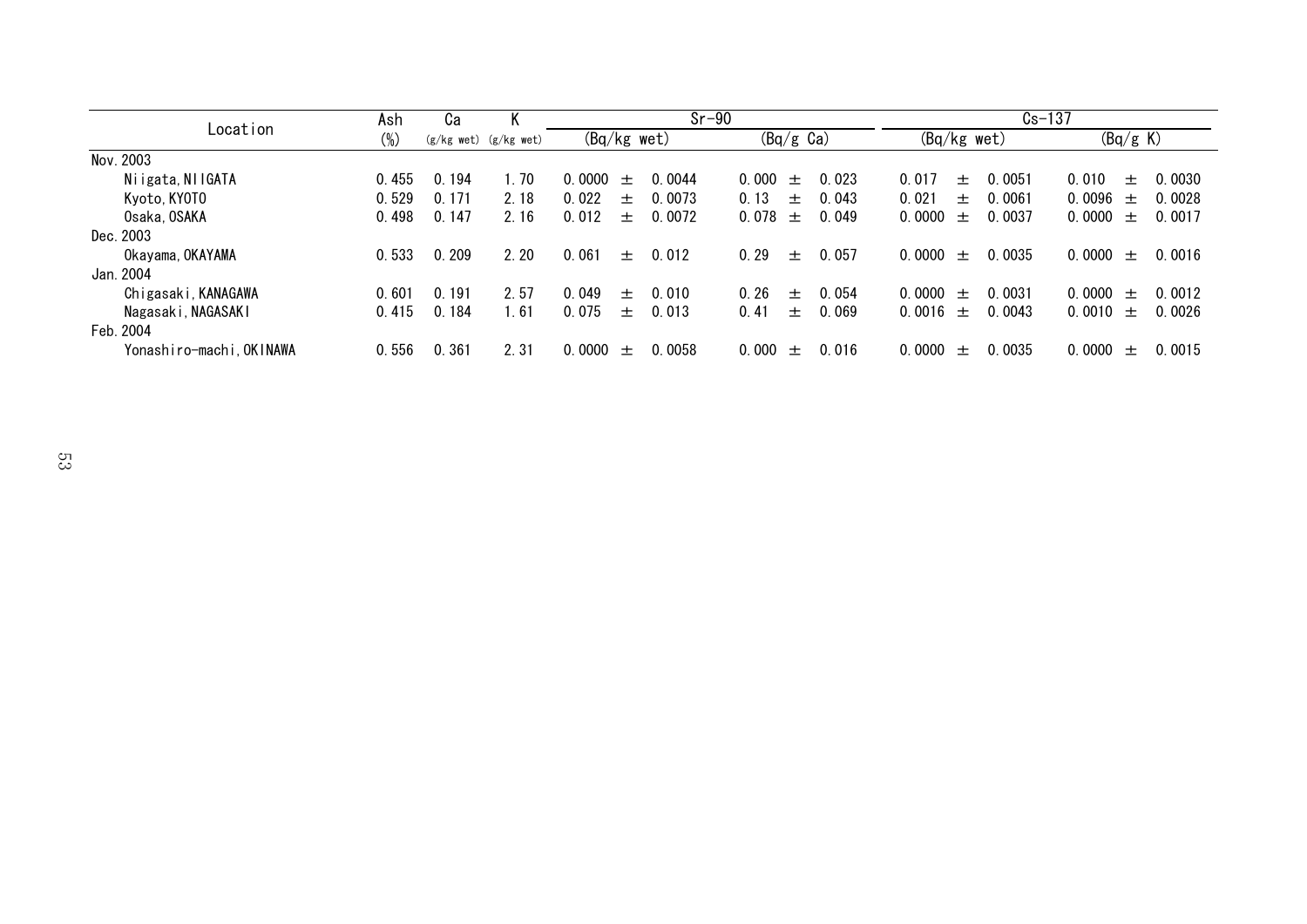|                          | Ash    | Cа    |                           | $Sr-90$                    |                          | $Cs - 137$                 |                            |
|--------------------------|--------|-------|---------------------------|----------------------------|--------------------------|----------------------------|----------------------------|
| Location                 | $(\%)$ |       | $(g/kg$ wet) $(g/kg$ wet) | (Bq/kg wet)                | $(Bq/g \text{ Ca})$      | $(Bq/kg$ wet)              | (Bq/g K)                   |
| Nov. 2003                |        |       |                           |                            |                          |                            |                            |
| Niigata, NIIGATA         | 0.455  | 0.194 | 1.70                      | 0.0044<br>0.0000<br>$+$    | 0.000<br>0.023<br>$^{+}$ | 0.017<br>0.0051<br>$+$     | 0.010<br>0.0030<br>$+$     |
| Kyoto, KYOTO             | 0.529  | 0.171 | 2.18                      | 0.022<br>0.0073<br>$\pm$   | 0.13<br>0.043<br>$\pm$   | 0.021<br>0.0061<br>$+$     | 0.0096<br>0.0028<br>$\pm$  |
| Osaka, OSAKA             | 0.498  | 0.147 | 2.16                      | 0.0072<br>0.012<br>$+$     | 0.078<br>0.049<br>$^{+}$ | 0.0000<br>0.0037<br>$^{+}$ | 0.0000<br>0.0017<br>$+$    |
| Dec. 2003                |        |       |                           |                            |                          |                            |                            |
| Okayama, OKAYAMA         | 0.533  | 0.209 | 2.20                      | 0.061<br>0.012<br>$\pm$    | 0.29<br>0.057<br>$\pm$   | 0.0035<br>0.0000<br>$\pm$  | $0.0000 \pm$<br>0.0016     |
| Jan. 2004                |        |       |                           |                            |                          |                            |                            |
| Chigasaki, KANAGAWA      | 0.601  | 0.191 | 2.57                      | 0.049<br>0.010<br>$+$      | 0.26<br>0.054<br>$^{+}$  | 0.0031<br>0.0000<br>$+$    | 0.0000<br>0.0012<br>$+$    |
| Nagasaki, NAGASAKI       | 0.415  | 0.184 | 1.61                      | 0.075<br>0.013<br>$+$      | 0.069<br>0.41<br>$\pm$   | 0.0043<br>0.0016 $\pm$     | $0.0010 \pm$<br>0.0026     |
| Feb. 2004                |        |       |                           |                            |                          |                            |                            |
| Yonashiro-machi, OKINAWA | 0.556  | 0.361 | 2.31                      | 0.0058<br>0.0000<br>$^{+}$ | 0.000<br>0.016<br>$\pm$  | 0.0035<br>0.0000<br>$^{+}$ | 0.0000<br>0.0015<br>$^{+}$ |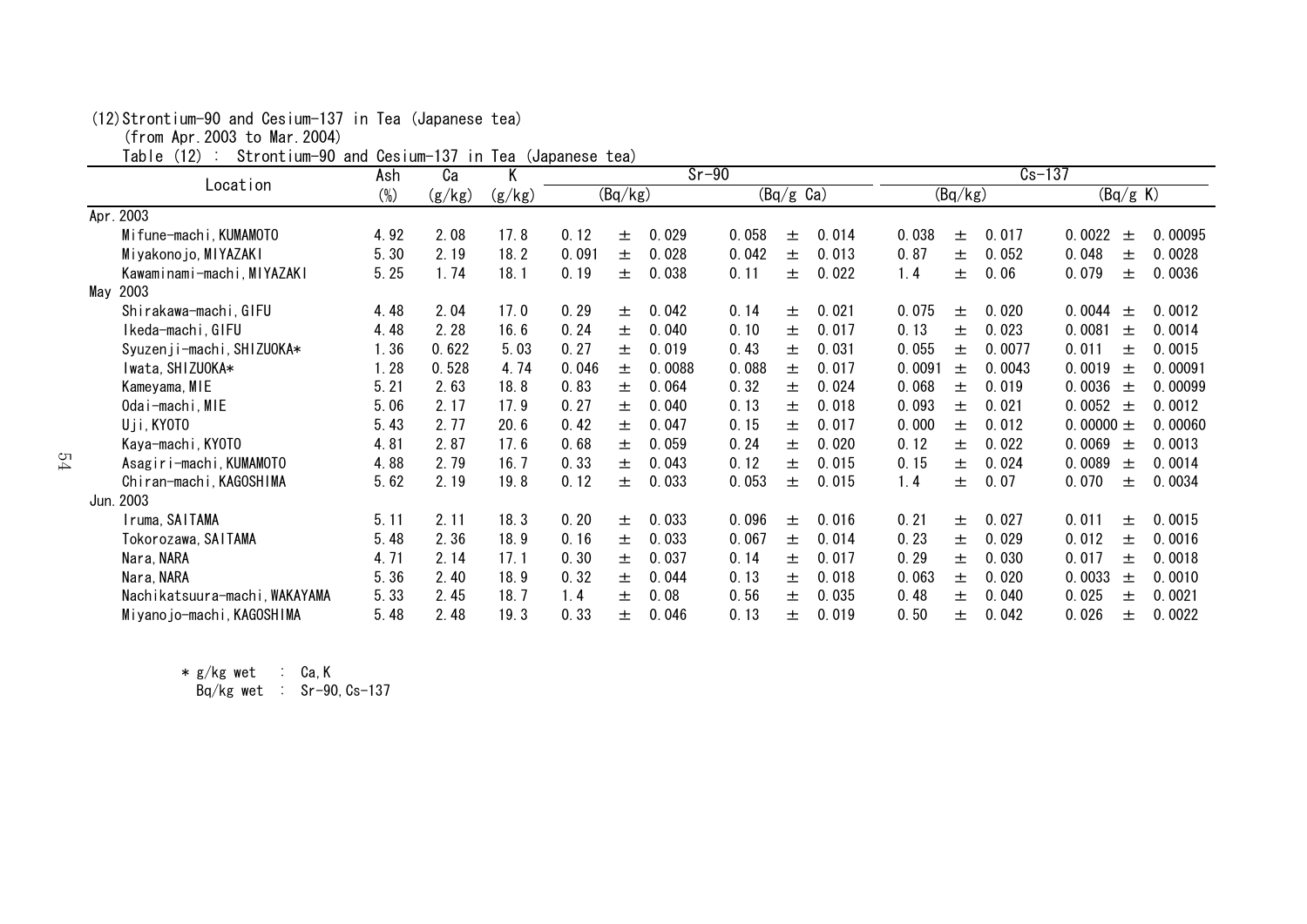#### (12)Strontium-90 and Cesium-137 in Tea (Japanese tea)

(from Apr.2003 to Mar.2004)

Table (12) : Strontium-90 and Cesium-137 in Tea (Japanese tea)

|     | . uv . v<br>OCTORICIANI OU GRIG OUDTANI TUT | Ash    | Сa     | $111$ Tod (odparious cod)<br>K |       |         | $Sr-90$ |       |                                |       |        |         | $Cs-137$ |               |         |
|-----|---------------------------------------------|--------|--------|--------------------------------|-------|---------|---------|-------|--------------------------------|-------|--------|---------|----------|---------------|---------|
|     | Location                                    | $(\%)$ | (g/kg) | (g/kg)                         |       | (Bq/kg) |         |       | $\overline{(Bq/g \text{ Ca})}$ |       |        | (Bq/kg) |          | (Bq/g K)      |         |
|     | Apr. 2003                                   |        |        |                                |       |         |         |       |                                |       |        |         |          |               |         |
|     | Mifune-machi, KUMAMOTO                      | 4.92   | 2.08   | 17.8                           | 0.12  | 土       | 0.029   | 0.058 | 土                              | 0.014 | 0.038  | 土       | 0.017    | 0.0022<br>土   | 0.00095 |
|     | Miyakonojo, MIYAZAKI                        | 5.30   | 2.19   | 18.2                           | 0.091 | 士       | 0.028   | 0.042 | 土                              | 0.013 | 0.87   | 土       | 0.052    | 0.048<br>土    | 0.0028  |
|     | Kawaminami-machi, MIYAZAKI                  | 5.25   | 1.74   | 18.1                           | 0.19  | 土       | 0.038   | 0.11  | 土                              | 0.022 | 1.4    | 土       | 0.06     | 0.079<br>土    | 0.0036  |
| May | 2003                                        |        |        |                                |       |         |         |       |                                |       |        |         |          |               |         |
|     | Shirakawa-machi, GIFU                       | 4.48   | 2.04   | 17.0                           | 0.29  | 土       | 0.042   | 0.14  | 土                              | 0.021 | 0.075  | 土       | 0.020    | 0.0044<br>士   | 0.0012  |
|     | Ikeda-machi,GIFU                            | 4.48   | 2.28   | 16.6                           | 0.24  | 土       | 0.040   | 0.10  | 土                              | 0.017 | 0.13   | 土       | 0.023    | 0.0081<br>土   | 0.0014  |
|     | Syuzenji-machi, SHIZUOKA*                   | 1.36   | 0.622  | 5.03                           | 0.27  | 士       | 0.019   | 0.43  | 土                              | 0.031 | 0.055  | 士       | 0.0077   | 0.011<br>土    | 0.0015  |
|     | Iwata, SHIZUOKA*                            | 1.28   | 0.528  | 4.74                           | 0.046 | 土       | 0.0088  | 0.088 | 土                              | 0.017 | 0.0091 | 土       | 0.0043   | 0.0019<br>土   | 0.00091 |
|     | Kameyama, MIE                               | 5.21   | 2.63   | 18.8                           | 0.83  | 土       | 0.064   | 0.32  | 土                              | 0.024 | 0.068  | 士       | 0.019    | 0.0036<br>士   | 0.00099 |
|     | Odai-machi, MIE                             | 5.06   | 2.17   | 17.9                           | 0.27  | 土       | 0.040   | 0.13  | 土                              | 0.018 | 0.093  | 土       | 0.021    | 0.0052<br>土   | 0.0012  |
|     | Uji, KYOTO                                  | 5.43   | 2.77   | 20.6                           | 0.42  | 土       | 0.047   | 0.15  | 土                              | 0.017 | 0.000  | 土       | 0.012    | 0.00000 $\pm$ | 0.00060 |
|     | Kaya-machi, KYOTO                           | 4.81   | 2.87   | 17.6                           | 0.68  | 土       | 0.059   | 0.24  | 土                              | 0.020 | 0.12   | 土       | 0.022    | 0.0069<br>士   | 0.0013  |
|     | Asagiri-machi, KUMAMOTO                     | 4.88   | 2.79   | 16.7                           | 0.33  | 土       | 0.043   | 0.12  | 士                              | 0.015 | 0.15   | 士       | 0.024    | 0.0089<br>土   | 0.0014  |
|     | Chiran-machi, KAGOSHIMA                     | 5.62   | 2.19   | 19.8                           | 0.12  | 士       | 0.033   | 0.053 | 士                              | 0.015 | 1.4    | 士       | 0.07     | 0.070<br>士    | 0.0034  |
|     | Jun. 2003                                   |        |        |                                |       |         |         |       |                                |       |        |         |          |               |         |
|     | Iruma, SAITAMA                              | 5.11   | 2.11   | 18.3                           | 0.20  | 土       | 0.033   | 0.096 | 土                              | 0.016 | 0.21   | 土       | 0.027    | 0.011<br>土    | 0.0015  |
|     | Tokorozawa, SAITAMA                         | 5.48   | 2.36   | 18.9                           | 0.16  | 土       | 0.033   | 0.067 | 土                              | 0.014 | 0.23   | 土       | 0.029    | 0.012<br>土    | 0.0016  |
|     | Nara, NARA                                  | 4.71   | 2.14   | 17.1                           | 0.30  | 土       | 0.037   | 0.14  | 土                              | 0.017 | 0.29   | 土       | 0.030    | 0.017<br>土    | 0.0018  |
|     | Nara, NARA                                  | 5.36   | 2.40   | 18.9                           | 0.32  | 土       | 0.044   | 0.13  | 士                              | 0.018 | 0.063  | 土       | 0.020    | 0.0033<br>土   | 0.0010  |
|     | Nachikatsuura-machi, WAKAYAMA               | 5.33   | 2.45   | 18.7                           | 1.4   | 土       | 0.08    | 0.56  | 土                              | 0.035 | 0.48   | 土       | 0.040    | 0.025<br>士    | 0.0021  |
|     | Miyanojo-machi, KAGOSHIMA                   | 5.48   | 2.48   | 19.3                           | 0.33  | 土       | 0.046   | 0.13  | 士                              | 0.019 | 0.50   | 土       | 0.042    | 0.026<br>$^+$ | 0.0022  |

\* g/kg wet : Ca,K

Bq/kg wet : Sr-90, Cs-137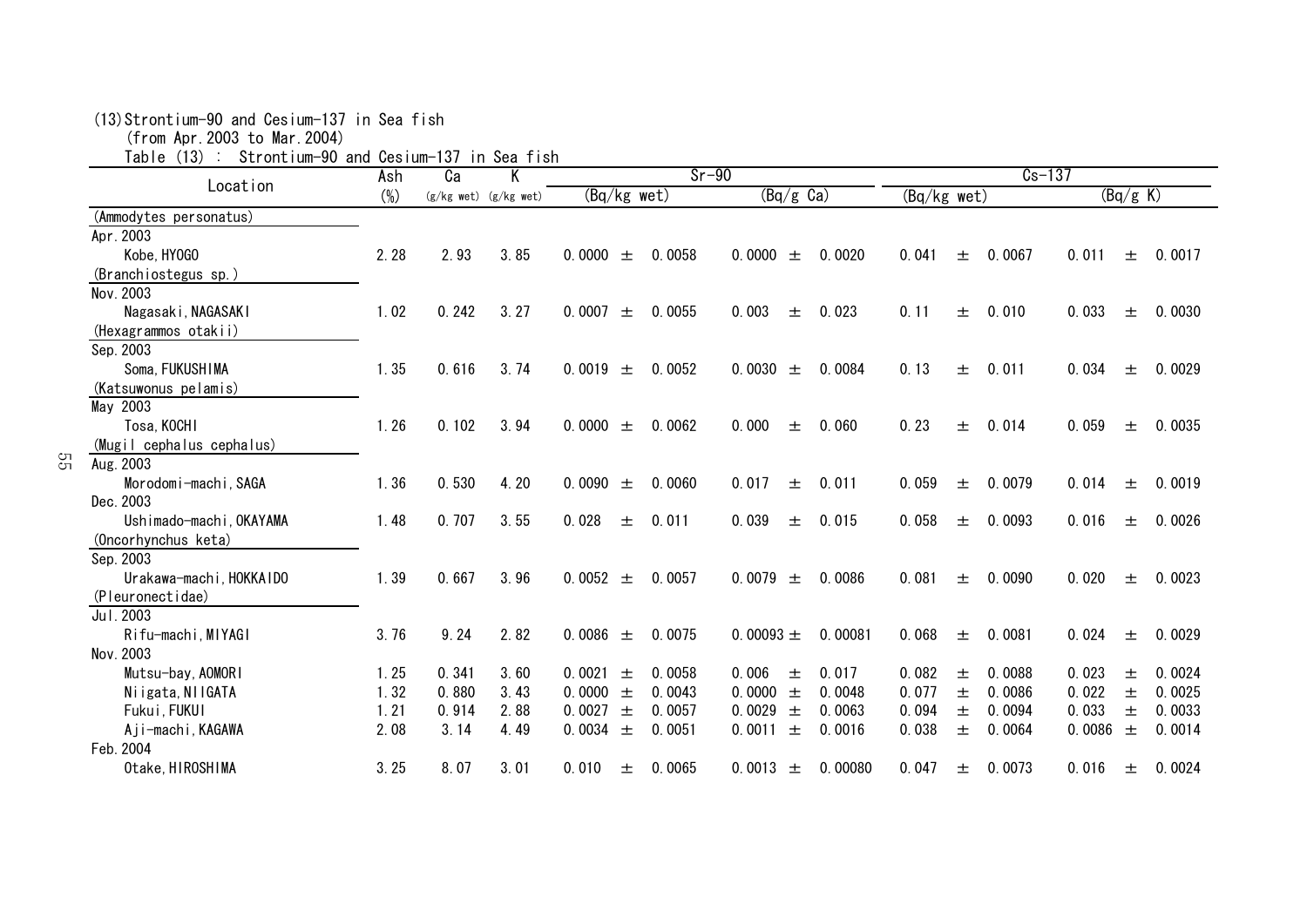| Location                  | Ash    | Сa    |                           |                 | $Sr-90$ |                     |         |             |       | $Cs-137$ |        |          |        |
|---------------------------|--------|-------|---------------------------|-----------------|---------|---------------------|---------|-------------|-------|----------|--------|----------|--------|
|                           | $(\%)$ |       | $(g/kg$ wet) $(g/kg$ wet) | $(Bq/kg$ wet)   |         | $(Bq/g \text{ Ca})$ |         | (Bq/kg wet) |       |          |        | (Bq/g K) |        |
| (Ammodytes personatus)    |        |       |                           |                 |         |                     |         |             |       |          |        |          |        |
| Apr. 2003                 |        |       |                           |                 |         |                     |         |             |       |          |        |          |        |
| Kobe, HY0GO               | 2.28   | 2.93  | 3.85                      | 0.0000<br>士     | 0.0058  | 0.0000<br>土         | 0.0020  | 0.041       | 土     | 0.0067   | 0.011  | 士        | 0.0017 |
| (Branchiostegus sp.)      |        |       |                           |                 |         |                     |         |             |       |          |        |          |        |
| Nov. 2003                 |        |       |                           |                 |         |                     |         |             |       |          |        |          |        |
| Nagasaki, NAGASAKI        | 1.02   | 0.242 | 3.27                      | 0.0007<br>$\pm$ | 0.0055  | 0.003<br>土          | 0.023   | 0.11        | 土     | 0.010    | 0.033  | 土        | 0.0030 |
| (Hexagrammos otakii)      |        |       |                           |                 |         |                     |         |             |       |          |        |          |        |
| Sep. 2003                 |        |       |                           |                 |         |                     |         |             |       |          |        |          |        |
| Soma, FUKUSHIMA           | 1.35   | 0.616 | 3.74                      | 0.0019<br>士     | 0.0052  | 0.0030<br>土         | 0.0084  | 0.13        | 士     | 0.011    | 0.034  | 士        | 0.0029 |
| (Katsuwonus pelamis)      |        |       |                           |                 |         |                     |         |             |       |          |        |          |        |
| May 2003                  |        |       |                           |                 |         |                     |         |             |       |          |        |          |        |
| Tosa, KOCHI               | 1.26   | 0.102 | 3.94                      | 0.0000<br>土     | 0.0062  | 0.000<br>土          | 0.060   | 0.23        | 土     | 0.014    | 0.059  | 土        | 0.0035 |
| (Mugil cephalus cephalus) |        |       |                           |                 |         |                     |         |             |       |          |        |          |        |
| Aug. 2003                 |        |       |                           |                 |         |                     |         |             |       |          |        |          |        |
| Morodomi-machi, SAGA      | 1.36   | 0.530 | 4.20                      | 0.0090<br>土     | 0.0060  | 0.017<br>土          | 0.011   | 0.059       | 士     | 0.0079   | 0.014  | 土        | 0.0019 |
| Dec. 2003                 |        |       |                           |                 |         |                     |         |             |       |          |        |          |        |
| Ushimado-machi, OKAYAMA   | 1.48   | 0.707 | 3.55                      | 0.028<br>士      | 0.011   | 0.039<br>土          | 0.015   | 0.058       | 土     | 0.0093   | 0.016  | 土        | 0.0026 |
| (Oncorhynchus keta)       |        |       |                           |                 |         |                     |         |             |       |          |        |          |        |
| Sep. 2003                 |        |       |                           |                 |         |                     |         |             |       |          |        |          |        |
| Urakawa-machi, HOKKAIDO   | 1.39   | 0.667 | 3.96                      | 0.0052 $\pm$    | 0.0057  | 0.0079<br>土         | 0.0086  | 0.081       | 土     | 0.0090   | 0.020  | 土        | 0.0023 |
| (Pleuronectidae)          |        |       |                           |                 |         |                     |         |             |       |          |        |          |        |
| Jul. 2003                 |        |       |                           |                 |         |                     |         |             |       |          |        |          |        |
| Rifu-machi, MIYAGI        | 3.76   | 9.24  | 2.82                      | 0.0086<br>$\pm$ | 0.0075  | 0.00093 $\pm$       | 0.00081 | 0.068       | $\pm$ | 0.0081   | 0.024  | 土        | 0.0029 |
| Nov. 2003                 |        |       |                           |                 |         |                     |         |             |       |          |        |          |        |
| Mutsu-bay, AOMORI         | 1.25   | 0.341 | 3.60                      | 0.0021<br>土     | 0.0058  | 0.006<br>土          | 0.017   | 0.082       | 土     | 0.0088   | 0.023  | 土        | 0.0024 |
| Niigata, NIIGATA          | 1.32   | 0.880 | 3.43                      | 0.0000<br>$\pm$ | 0.0043  | 0.0000<br>$\pm$     | 0.0048  | 0.077       | 士     | 0.0086   | 0.022  | 士        | 0.0025 |
| Fukui, FUKUI              | 1.21   | 0.914 | 2.88                      | 0.0027<br>土     | 0.0057  | 0.0029<br>土         | 0.0063  | 0.094       | 士     | 0.0094   | 0.033  | 士        | 0.0033 |
| Aji-machi, KAGAWA         | 2.08   | 3.14  | 4.49                      | 0.0034 $\pm$    | 0.0051  | 0.0011<br>士         | 0.0016  | 0.038       | 土     | 0.0064   | 0.0086 | 士        | 0.0014 |
| Feb. 2004                 |        |       |                           |                 |         |                     |         |             |       |          |        |          |        |
| Otake, HIROSHIMA          | 3.25   | 8.07  | 3.01                      | 0.010<br>土      | 0.0065  | 0.0013<br>土         | 0.00080 | 0.047       | 土     | 0.0073   | 0.016  | 土        | 0.0024 |

(13)Strontium-90 and Cesium-137 in Sea fish

55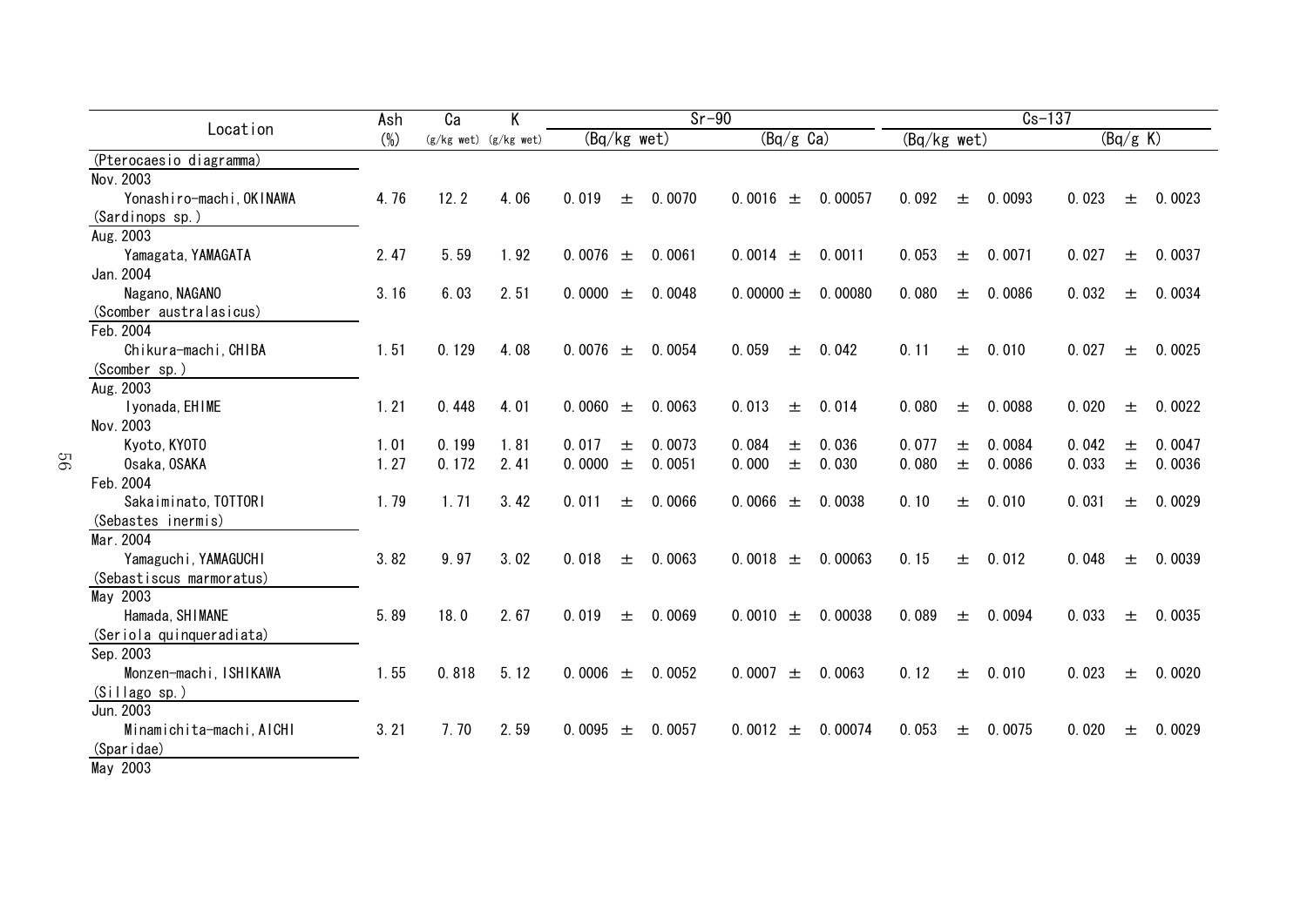|                                  | Ash    | Ca    | Κ                         |               |       | $Sr-90$ |                          |       |         |             |   | $Cs-137$ |       |          |        |
|----------------------------------|--------|-------|---------------------------|---------------|-------|---------|--------------------------|-------|---------|-------------|---|----------|-------|----------|--------|
| Location                         | $(\%)$ |       | $(g/kg$ wet) $(g/kg$ wet) | $(Bq/kg$ wet) |       |         | $\overline{(Bq/g\, Ga)}$ |       |         | (Bq/kg wet) |   |          |       | (Bq/g K) |        |
| (Pterocaesio diagramma)          |        |       |                           |               |       |         |                          |       |         |             |   |          |       |          |        |
| Nov. 2003                        |        |       |                           |               |       |         |                          |       |         |             |   |          |       |          |        |
| Yonashiro-machi, OKINAWA         | 4.76   | 12.2  | 4.06                      | 0.019         | 士     | 0.0070  | 0.0016                   | $\pm$ | 0.00057 | 0.092       | 士 | 0.0093   | 0.023 | 士        | 0.0023 |
| (Sardinops sp.)                  |        |       |                           |               |       |         |                          |       |         |             |   |          |       |          |        |
| Aug. 2003                        |        |       |                           |               |       |         |                          |       |         |             |   |          |       |          |        |
| Yamagata, YAMAGATA               | 2.47   | 5.59  | 1.92                      | 0.0076        | $\pm$ | 0.0061  | 0.0014                   | 土     | 0.0011  | 0.053       | 士 | 0.0071   | 0.027 | 土        | 0.0037 |
| Jan. 2004                        |        |       |                           |               |       |         |                          |       |         |             |   |          |       |          |        |
| Nagano, NAGANO                   | 3.16   | 6.03  | 2.51                      | 0.0000        | $\pm$ | 0.0048  | 0.00000 $\pm$            |       | 0.00080 | 0.080       | 士 | 0.0086   | 0.032 | 土        | 0.0034 |
| (Scomber australasicus)          |        |       |                           |               |       |         |                          |       |         |             |   |          |       |          |        |
| Feb. 2004                        |        |       |                           |               |       |         |                          |       |         |             |   |          |       |          |        |
| Chikura-machi, CHIBA             | 1.51   | 0.129 | 4.08                      | 0.0076        | 土     | 0.0054  | 0.059                    | 土     | 0.042   | 0.11        | 土 | 0.010    | 0.027 | 土        | 0.0025 |
| (Scomber sp.)                    |        |       |                           |               |       |         |                          |       |         |             |   |          |       |          |        |
| Aug. 2003                        |        |       |                           |               |       |         |                          |       |         |             |   |          |       |          |        |
| Iyonada, EHIME                   | 1.21   | 0.448 | 4.01                      | 0.0060        | 士     | 0.0063  | 0.013                    | 土     | 0.014   | 0.080       | 土 | 0.0088   | 0.020 | 土        | 0.0022 |
| Nov. 2003                        |        |       |                           |               |       |         |                          |       |         |             |   |          |       |          |        |
| Kyoto, KYOTO                     | 1.01   | 0.199 | 1.81                      | 0.017         | 土     | 0.0073  | 0.084                    | 土     | 0.036   | 0.077       | 土 | 0.0084   | 0.042 | 土        | 0.0047 |
| Osaka, OSAKA                     | 1.27   | 0.172 | 2.41                      | 0.0000        | 土     | 0.0051  | 0.000                    | 士     | 0.030   | 0.080       | 士 | 0.0086   | 0.033 | $\pm$    | 0.0036 |
| Feb. 2004                        |        |       |                           |               |       |         |                          |       |         |             |   |          |       |          |        |
| Sakaiminato, TOTTORI             | 1.79   | 1.71  | 3.42                      | 0.011         | 土     | 0.0066  | 0.0066                   | 土     | 0.0038  | 0.10        | 土 | 0.010    | 0.031 | 士        | 0.0029 |
| (Sebastes inermis)               |        |       |                           |               |       |         |                          |       |         |             |   |          |       |          |        |
| Mar. 2004                        |        |       |                           |               |       |         |                          |       |         |             |   |          |       |          |        |
| Yamaguchi, YAMAGUCHI             | 3.82   | 9.97  | 3.02                      | 0.018         | 土     | 0.0063  | 0.0018                   | $\pm$ | 0.00063 | 0.15        | 土 | 0.012    | 0.048 | 土        | 0.0039 |
| (Sebastiscus marmoratus)         |        |       |                           |               |       |         |                          |       |         |             |   |          |       |          |        |
| May 2003                         |        |       |                           |               |       |         |                          |       |         |             |   |          |       |          |        |
| Hamada, SHIMANE                  | 5.89   | 18.0  | 2.67                      | 0.019         | 土     | 0.0069  | 0.0010                   | 土     | 0.00038 | 0.089       | 土 | 0.0094   | 0.033 | 土        | 0.0035 |
| (Seriola quinqueradiata)         |        |       |                           |               |       |         |                          |       |         |             |   |          |       |          |        |
| Sep. 2003                        |        |       |                           |               |       |         |                          |       |         |             |   |          |       |          |        |
| Monzen-machi, ISHIKAWA           | 1.55   | 0.818 | 5.12                      | 0.0006        | $\pm$ | 0.0052  | 0.0007                   | 土     | 0.0063  | 0.12        | 士 | 0.010    | 0.023 | 土        | 0.0020 |
| (Sillago sp.)                    |        |       |                           |               |       |         |                          |       |         |             |   |          |       |          |        |
| Jun. 2003                        |        |       |                           |               |       |         |                          |       |         |             |   |          |       |          |        |
| Minamichita-machi, AICHI         | 3.21   | 7.70  | 2.59                      | 0.0095        | 土     | 0.0057  | 0.0012                   | 土     | 0.00074 | 0.053       | 土 | 0.0075   | 0.020 | 士        | 0.0029 |
| (Sparidae)<br>$M_{\odot}$ , 0000 |        |       |                           |               |       |         |                          |       |         |             |   |          |       |          |        |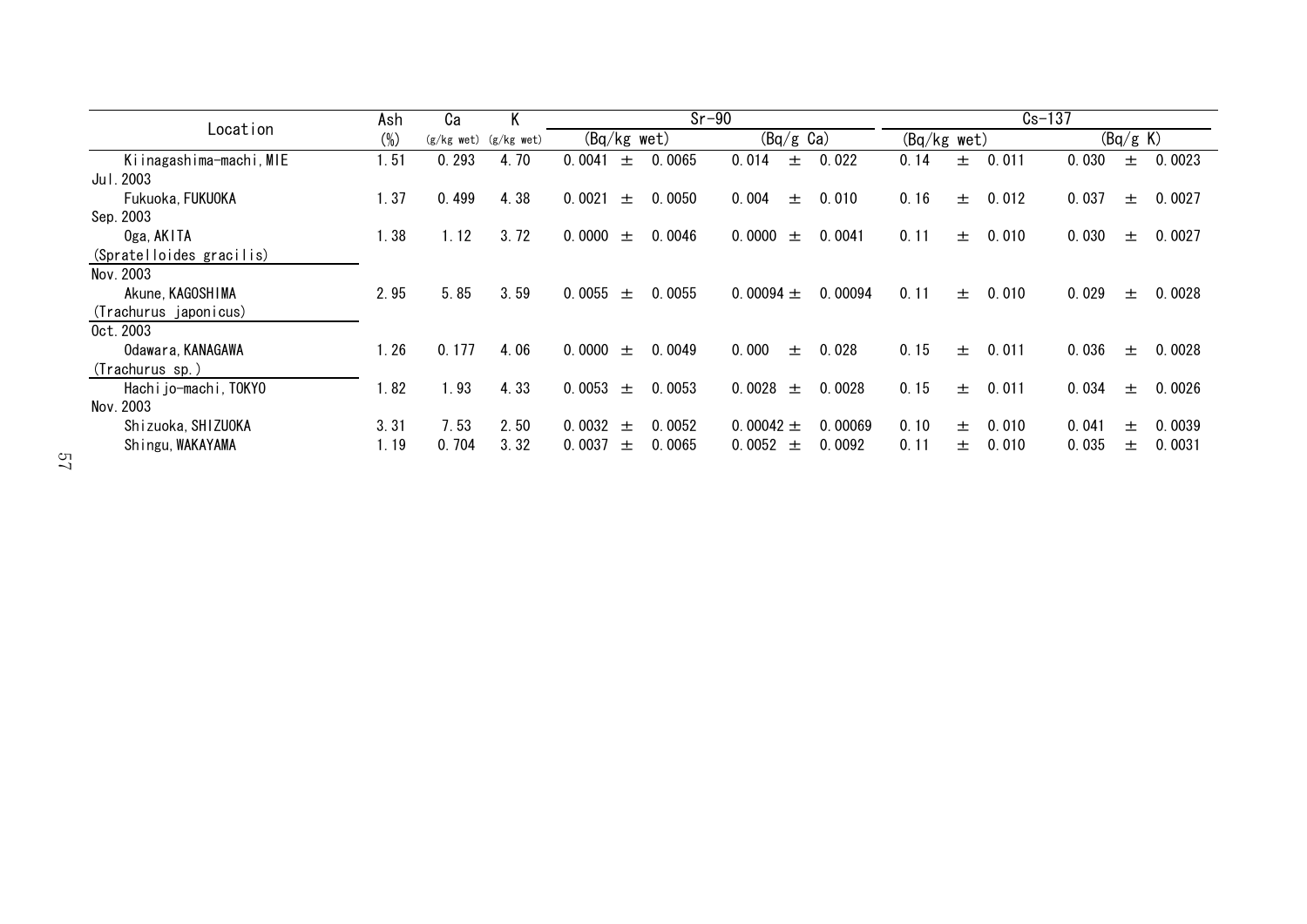|                          | Ash    | Сa                        | Κ    |             |       | $Sr-90$ |                     |         |                                  |    | $Cs - 137$ |       |          |        |
|--------------------------|--------|---------------------------|------|-------------|-------|---------|---------------------|---------|----------------------------------|----|------------|-------|----------|--------|
| Location                 | $(\%)$ | $(g/kg$ wet) $(g/kg$ wet) |      | (Bq/kg wet) |       |         | $(Bq/g \text{ Ca})$ |         | $\overline{(Bq/kg \text{ wet})}$ |    |            |       | (Bq/g K) |        |
| Kiinagashima-machi, MIE  | 1.51   | 0.293                     | 4.70 | 0.0041      | 士     | 0.0065  | 0.014<br>土          | 0.022   | 0.14                             | 土  | 0.011      | 0.030 | 士        | 0.0023 |
| Jul. 2003                |        |                           |      |             |       |         |                     |         |                                  |    |            |       |          |        |
| Fukuoka, FUKUOKA         | 1.37   | 0.499                     | 4.38 | 0.0021      | $\pm$ | 0.0050  | 0.004<br>士          | 0.010   | 0.16                             | 土  | 0.012      | 0.037 | 士        | 0.0027 |
| Sep. 2003                |        |                           |      |             |       |         |                     |         |                                  |    |            |       |          |        |
| Oga, AKITA               | 1.38   | 1.12                      | 3.72 | 0.0000      | $\pm$ | 0.0046  | 0.0000<br>土         | 0.0041  | 0.11                             | 土  | 0.010      | 0.030 | 土        | 0.0027 |
| (Spratelloides gracilis) |        |                           |      |             |       |         |                     |         |                                  |    |            |       |          |        |
| Nov. 2003                |        |                           |      |             |       |         |                     |         |                                  |    |            |       |          |        |
| Akune, KAGOSHIMA         | 2.95   | 5.85                      | 3.59 | 0.0055      | $\pm$ | 0.0055  | 0.00094 $\pm$       | 0.00094 | 0.11                             | 土  | 0.010      | 0.029 | 土        | 0.0028 |
| (Trachurus japonicus)    |        |                           |      |             |       |         |                     |         |                                  |    |            |       |          |        |
| 0ct. 2003                |        |                           |      |             |       |         |                     |         |                                  |    |            |       |          |        |
| Odawara, KANAGAWA        | 1.26   | 0.177                     | 4.06 | 0.0000      | $\pm$ | 0.0049  | 0.000<br>士          | 0.028   | 0.15                             | 士  | 0.011      | 0.036 | 士        | 0.0028 |
| (Trachurus sp.)          |        |                           |      |             |       |         |                     |         |                                  |    |            |       |          |        |
| Hachi jo-machi, TOKYO    | 1.82   | .93                       | 4.33 | 0.0053      | $\pm$ | 0.0053  | 0.0028<br>$\pm$     | 0.0028  | 0.15                             | 土  | 0.011      | 0.034 | 士        | 0.0026 |
| Nov. 2003                |        |                           |      |             |       |         |                     |         |                                  |    |            |       |          |        |
| Shizuoka, SHIZUOKA       | 3.31   | 7.53                      | 2.50 | 0.0032      | $\pm$ | 0.0052  | 0.00042 $\pm$       | 0.00069 | 0.10                             | 士。 | 0.010      | 0.041 | 士        | 0.0039 |
| Shingu, WAKAYAMA         | 1.19   | 0.704                     | 3.32 | 0.0037      | $\pm$ | 0.0065  | 0.0052<br>$\pm$     | 0.0092  | 0.11                             | 土  | 0.010      | 0.035 | 士        | 0.0031 |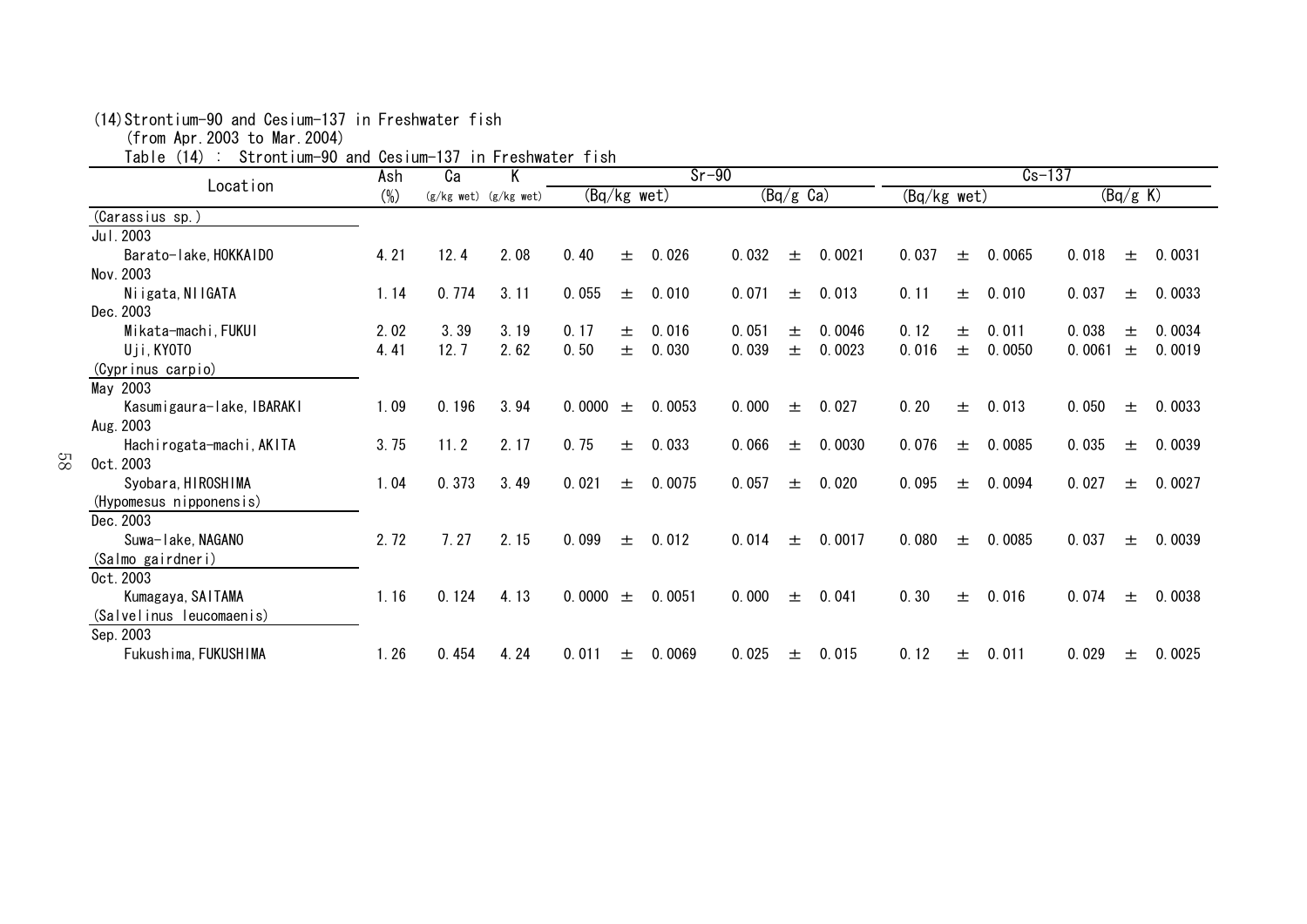| Strontium-90 and Cesium-137<br>「able (14) |        |       | in Freshwater fish        |               |   |         |       |                     |        |             |   |            |        |          |        |
|-------------------------------------------|--------|-------|---------------------------|---------------|---|---------|-------|---------------------|--------|-------------|---|------------|--------|----------|--------|
| Location                                  | Ash    | Ca    | Κ                         |               |   | $Sr-90$ |       |                     |        |             |   | $Cs - 137$ |        |          |        |
|                                           | $(\%)$ |       | $(g/kg$ wet) $(g/kg$ wet) | $(Bq/kg$ wet) |   |         |       | $(Bq/g \text{ Ca})$ |        | (Bq/kg wet) |   |            |        | (Bq/g K) |        |
| (Carassius sp.)                           |        |       |                           |               |   |         |       |                     |        |             |   |            |        |          |        |
| Jul. 2003                                 |        |       |                           |               |   |         |       |                     |        |             |   |            |        |          |        |
| Barato-lake, HOKKAIDO                     | 4.21   | 12.4  | 2.08                      | 0.40          | 士 | 0.026   | 0.032 | 士                   | 0.0021 | 0.037       | 士 | 0.0065     | 0.018  | 土        | 0.0031 |
| Nov. 2003                                 |        |       |                           |               |   |         |       |                     |        |             |   |            |        |          |        |
| Niigata, NIIGATA                          | 1.14   | 0.774 | 3.11                      | 0.055         | 土 | 0.010   | 0.071 | 土                   | 0.013  | 0.11        | 士 | 0.010      | 0.037  | 土        | 0.0033 |
| Dec. 2003                                 |        |       |                           |               |   |         |       |                     |        |             |   |            |        |          |        |
| Mikata-machi, FUKUI                       | 2.02   | 3.39  | 3.19                      | 0.17          | 土 | 0.016   | 0.051 | 土                   | 0.0046 | 0.12        | 土 | 0.011      | 0.038  | 士        | 0.0034 |
| Uji, KYOTO                                | 4.41   | 12.7  | 2.62                      | 0.50          | 士 | 0.030   | 0.039 | 士                   | 0.0023 | 0.016       | 士 | 0.0050     | 0.0061 | 士        | 0.0019 |
| (Cyprinus carpio)                         |        |       |                           |               |   |         |       |                     |        |             |   |            |        |          |        |
| May 2003                                  |        |       |                           |               |   |         |       |                     |        |             |   |            |        |          |        |
| Kasumigaura-lake, IBARAKI                 | 1.09   | 0.196 | 3.94                      | 0.0000        | 土 | 0.0053  | 0.000 | 士                   | 0.027  | 0.20        | 土 | 0.013      | 0.050  | 土        | 0.0033 |
| Aug. 2003                                 |        |       |                           |               |   |         |       |                     |        |             |   |            |        |          |        |
| Hachirogata-machi, AKITA                  | 3.75   | 11.2  | 2.17                      | 0.75          | 士 | 0.033   | 0.066 | 土                   | 0.0030 | 0.076       | 士 | 0.0085     | 0.035  | 土        | 0.0039 |
| 89<br>0ct. 2003                           |        |       |                           |               |   |         |       |                     |        |             |   |            |        |          |        |
| Syobara, HIROSHIMA                        | 1.04   | 0.373 | 3.49                      | 0.021         | 土 | 0.0075  | 0.057 | 士                   | 0.020  | 0.095       | 土 | 0.0094     | 0.027  | 土        | 0.0027 |
| (Hypomesus nipponensis)                   |        |       |                           |               |   |         |       |                     |        |             |   |            |        |          |        |
| Dec. 2003                                 |        |       |                           |               |   |         |       |                     |        |             |   |            |        |          |        |
| Suwa-lake, NAGANO                         | 2.72   | 7.27  | 2.15                      | 0.099         | 土 | 0.012   | 0.014 | 士                   | 0.0017 | 0.080       | 土 | 0.0085     | 0.037  | 土        | 0.0039 |
| (Salmo gairdneri)                         |        |       |                           |               |   |         |       |                     |        |             |   |            |        |          |        |
| 0ct. 2003                                 |        |       |                           |               |   |         |       |                     |        |             |   |            |        |          |        |
| Kumagaya, SAITAMA                         | 1.16   | 0.124 | 4.13                      | 0.0000        | 士 | 0.0051  | 0.000 | 士                   | 0.041  | 0.30        | 士 | 0.016      | 0.074  | 士        | 0.0038 |
| (Salvelinus leucomaenis)                  |        |       |                           |               |   |         |       |                     |        |             |   |            |        |          |        |
| Sep. 2003                                 |        |       |                           |               |   |         |       |                     |        |             |   |            |        |          |        |
| Fukushima, FUKUSHIMA                      | 1.26   | 0.454 | 4.24                      | 0.011         | 土 | 0.0069  | 0.025 | 土                   | 0.015  | 0.12        | 士 | 0.011      | 0.029  | 土        | 0.0025 |

(14)Strontium-90 and Cesium-137 in Freshwater fish

(from Apr.2003 to Mar.2004)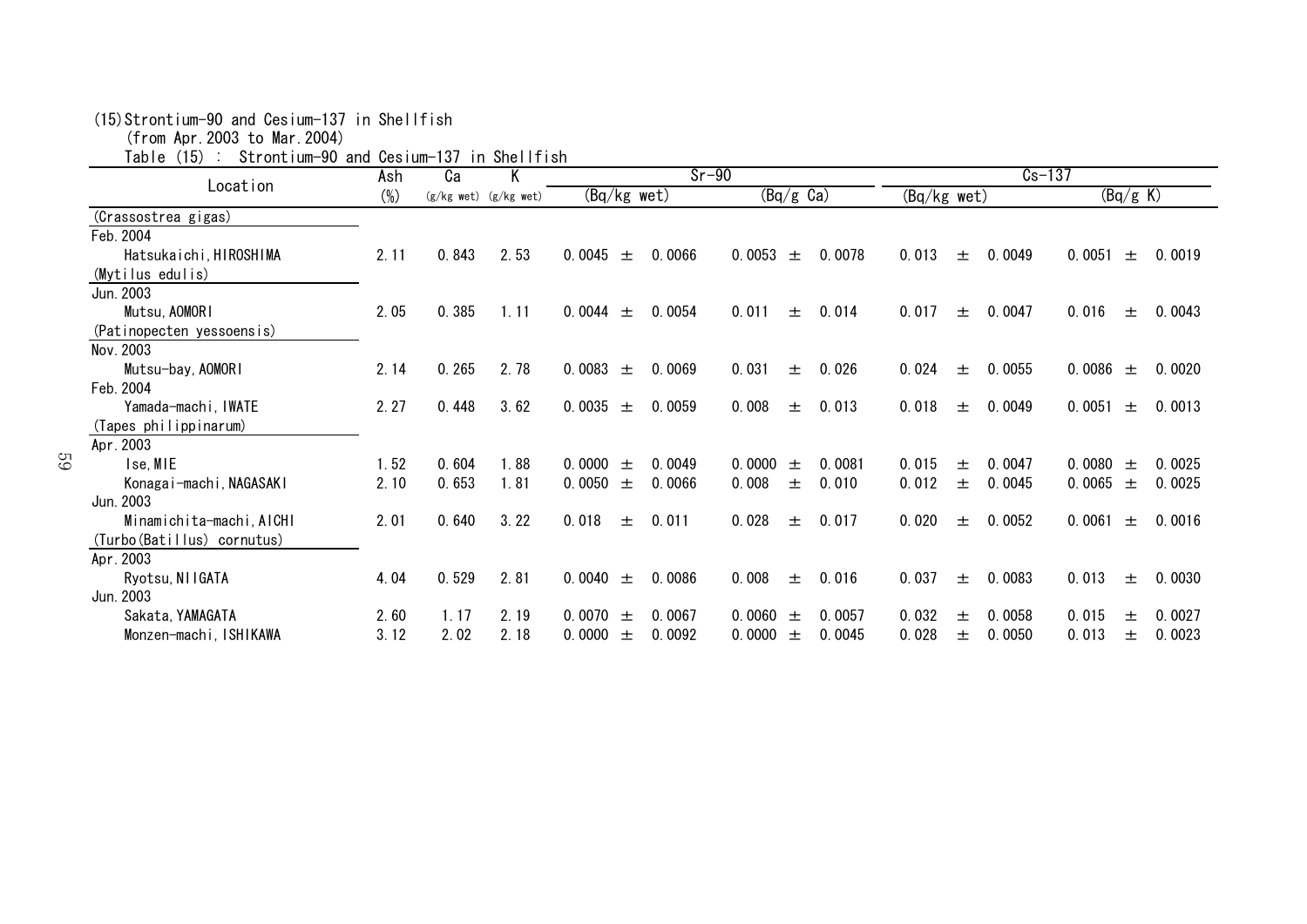| (15) Strontium-90 and Cesium-137 in Shellfish |  |  |
|-----------------------------------------------|--|--|
|-----------------------------------------------|--|--|

(from Apr.2003 to Mar.2004)

Table (15) : Strontium-90 and Cesium-137 in Shellfish

| $\sim$ $\sim$<br>.          | Ash    | Ca    | ----------<br>Κ           |                           | $Sr-90$                   | $Cs - 137$               |                           |
|-----------------------------|--------|-------|---------------------------|---------------------------|---------------------------|--------------------------|---------------------------|
| Location                    | $(\%)$ |       | $(g/kg$ wet) $(g/kg$ wet) | $(Bq/kg$ wet)             | $(Bq/g \text{ Ca})$       | (Bq/kg wet)              | (Bq/g K)                  |
| (Crassostrea gigas)         |        |       |                           |                           |                           |                          |                           |
| Feb. 2004                   |        |       |                           |                           |                           |                          |                           |
| Hatsukaichi, HIROSHIMA      | 2.11   | 0.843 | 2.53                      | 0.0045<br>0.0066<br>$\pm$ | 0.0053<br>0.0078<br>士     | 0.013<br>0.0049<br>$\pm$ | 0.0051<br>0.0019<br>土     |
| (Mytilus edulis)            |        |       |                           |                           |                           |                          |                           |
| Jun. 2003                   |        |       |                           |                           |                           |                          |                           |
| Mutsu, AOMORI               | 2.05   | 0.385 | 1.11                      | 0.0054<br>0.0044<br>$\pm$ | 0.011<br>0.014<br>士       | 0.017<br>0.0047<br>$\pm$ | 0.016<br>0.0043<br>土      |
| (Patinopecten yessoensis)   |        |       |                           |                           |                           |                          |                           |
| Nov. 2003                   |        |       |                           |                           |                           |                          |                           |
| Mutsu-bay, AOMORI           | 2.14   | 0.265 | 2.78                      | 0.0083<br>0.0069<br>士     | 0.031<br>0.026<br>土       | 0.024<br>0.0055<br>土     | 0.0086<br>0.0020<br>$\pm$ |
| Feb. 2004                   |        |       |                           |                           |                           |                          |                           |
| Yamada-machi, IWATE         | 2.27   | 0.448 | 3.62                      | 0.0035 $\pm$<br>0.0059    | 0.008<br>0.013<br>土       | 0.018<br>0.0049<br>土     | 0.0051<br>0.0013<br>土     |
| (Tapes philippinarum)       |        |       |                           |                           |                           |                          |                           |
| Apr. 2003                   |        |       |                           |                           |                           |                          |                           |
| Ise, MIE                    | 1.52   | 0.604 | 1.88                      | 0.0000<br>0.0049<br>士     | 0.0081<br>0.0000<br>士     | 0.0047<br>0.015<br>士     | 0.0080<br>0.0025<br>$\pm$ |
| Konagai-machi, NAGASAKI     | 2.10   | 0.653 | 1.81                      | 0.0050<br>0.0066<br>土     | 0.008<br>0.010<br>土       | 0.012<br>0.0045<br>土     | 0.0065<br>0.0025<br>土     |
| Jun. 2003                   |        |       |                           |                           |                           |                          |                           |
| Minamichita-machi, AICHI    | 2.01   | 0.640 | 3.22                      | 0.018<br>0.011<br>土       | 0.028<br>0.017<br>士       | 0.020<br>0.0052<br>$\pm$ | 0.0061<br>0.0016<br>土     |
| (Turbo (Batillus) cornutus) |        |       |                           |                           |                           |                          |                           |
| Apr. 2003                   |        |       |                           |                           |                           |                          |                           |
| Ryotsu, NIIGATA             | 4.04   | 0.529 | 2.81                      | 0.0040<br>0.0086<br>士     | 0.008<br>0.016<br>士       | 0.037<br>0.0083<br>士     | 0.013<br>0.0030<br>土      |
| Jun. 2003                   |        |       |                           |                           |                           |                          |                           |
| Sakata, YAMAGATA            | 2.60   | 1.17  | 2.19                      | 0.0070<br>0.0067<br>$\pm$ | 0.0057<br>0.0060<br>$\pm$ | 0.032<br>0.0058<br>士     | 0.015<br>0.0027<br>土      |
| Monzen-machi, ISHIKAWA      | 3.12   | 2.02  | 2.18                      | 0.0000<br>0.0092<br>土     | 0.0000<br>0.0045<br>土     | 0.028<br>0.0050<br>土     | 0.013<br>0.0023<br>士      |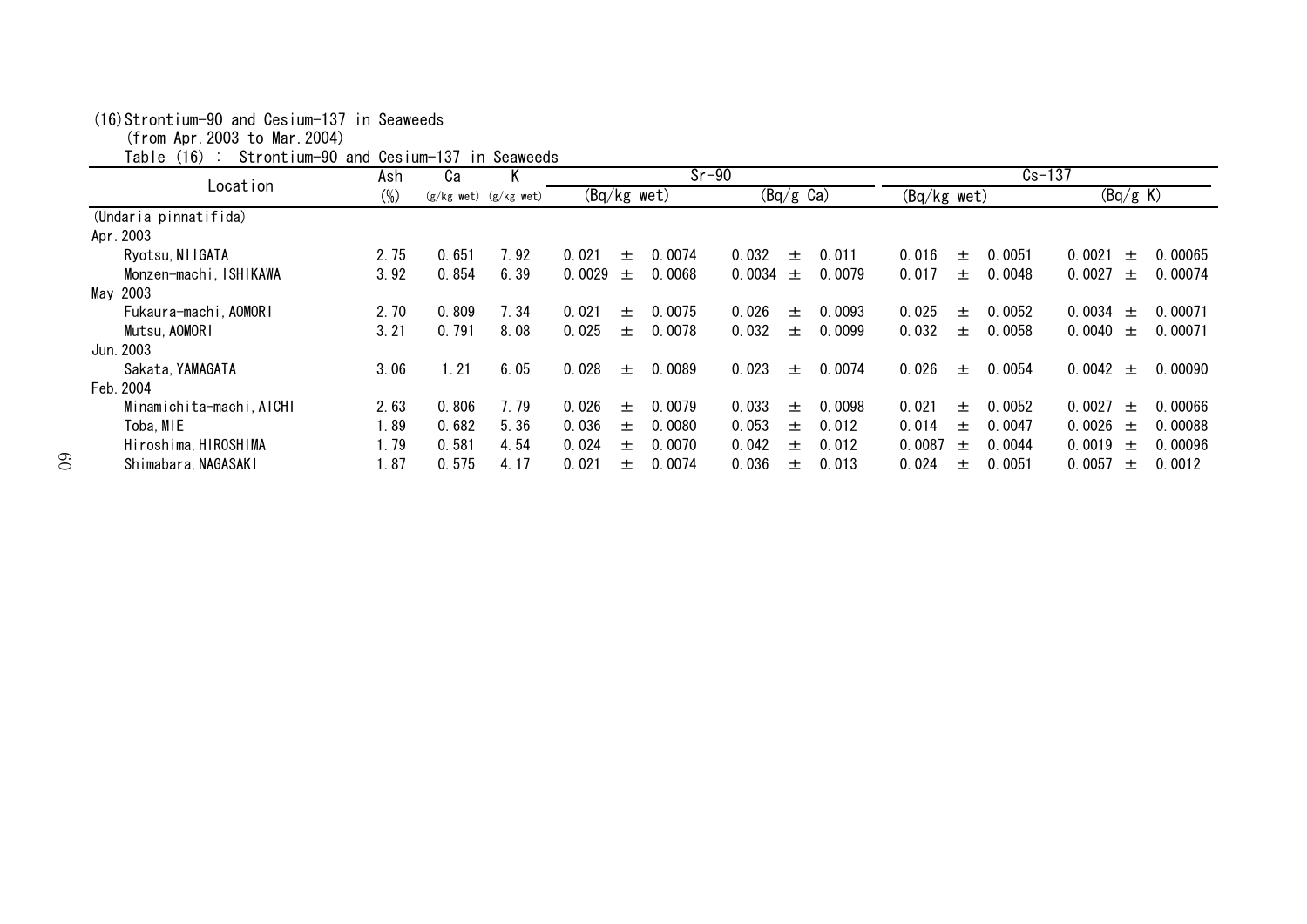|                          | Ash    | Ca    | K                         |               |       | $Sr-90$ |              |                     |        |               |       | $Cs - 137$ |        |          |         |
|--------------------------|--------|-------|---------------------------|---------------|-------|---------|--------------|---------------------|--------|---------------|-------|------------|--------|----------|---------|
| Location                 | $(\%)$ |       | $(g/kg$ wet) $(g/kg$ wet) | $(Bq/kg$ wet) |       |         |              | $(Bq/g \text{ Ca})$ |        | $(Bq/kg$ wet) |       |            |        | (Bq/g K) |         |
| (Undaria pinnatifida)    |        |       |                           |               |       |         |              |                     |        |               |       |            |        |          |         |
| Apr. 2003                |        |       |                           |               |       |         |              |                     |        |               |       |            |        |          |         |
| Ryotsu, NI IGATA         | 2.75   | 0.651 | 7.92                      | 0.021         | $+$   | 0.0074  | 0.032        | $\pm$               | 0.011  | 0.016         | 土     | 0.0051     | 0.0021 | 士        | 0.00065 |
| Monzen-machi, ISHIKAWA   | 3.92   | 0.854 | 6.39                      | 0.0029        | $\pm$ | 0.0068  | 0.0034 $\pm$ |                     | 0.0079 | 0.017         | 土     | 0.0048     | 0.0027 | $\pm$    | 0.00074 |
| May 2003                 |        |       |                           |               |       |         |              |                     |        |               |       |            |        |          |         |
| Fukaura-machi, AOMORI    | 2.70   | 0.809 | 7.34                      | 0.021         | $^+$  | 0.0075  | 0.026        | $^{+}$              | 0.0093 | 0.025         | $+$   | 0.0052     | 0.0034 | 土        | 0.00071 |
| Mutsu, AOMORI            | 3.21   | 0.791 | 8.08                      | 0.025         | 土     | 0.0078  | 0.032        | 土                   | 0.0099 | 0.032         | 土     | 0.0058     | 0.0040 | $\pm$    | 0.00071 |
| Jun. 2003                |        |       |                           |               |       |         |              |                     |        |               |       |            |        |          |         |
| Sakata, YAMAGATA         | 3.06   | 1.21  | 6.05                      | 0.028         | $+$   | 0.0089  | 0.023        | $\pm$               | 0.0074 | 0.026         | $\pm$ | 0.0054     | 0.0042 | $\pm$    | 0.00090 |
| Feb. 2004                |        |       |                           |               |       |         |              |                     |        |               |       |            |        |          |         |
| Minamichita-machi, AICHI | 2.63   | 0.806 | 7.79                      | 0.026         | 士     | 0.0079  | 0.033        | $\pm$               | 0.0098 | 0.021         | 士。    | 0.0052     | 0.0027 | 士        | 0.00066 |
| Toba, MIE                | 1.89   | 0.682 | 5.36                      | 0.036         | $+$   | 0.0080  | 0.053        | $+$                 | 0.012  | 0.014         | $+$   | 0.0047     | 0.0026 | 土        | 0.00088 |
| Hiroshima, HIROSHIMA     | 1.79   | 0.581 | 4.54                      | 0.024         | $+$   | 0.0070  | 0.042        | $^{+}$              | 0.012  | 0.0087        | 土     | 0.0044     | 0.0019 | 土        | 0.00096 |
| Shimabara, NAGASAKI      | 1.87   | 0.575 | 4.17                      | 0.021         | 土     | 0.0074  | 0.036        | 土                   | 0.013  | 0.024         | 土     | 0.0051     | 0.0057 | 土        | 0.0012  |

#### (16)Strontium-90 and Cesium-137 in Seaweeds

(from Apr.2003 to Mar.2004)

Table (16) : Strontium-90 and Cesium-137 in Seaweeds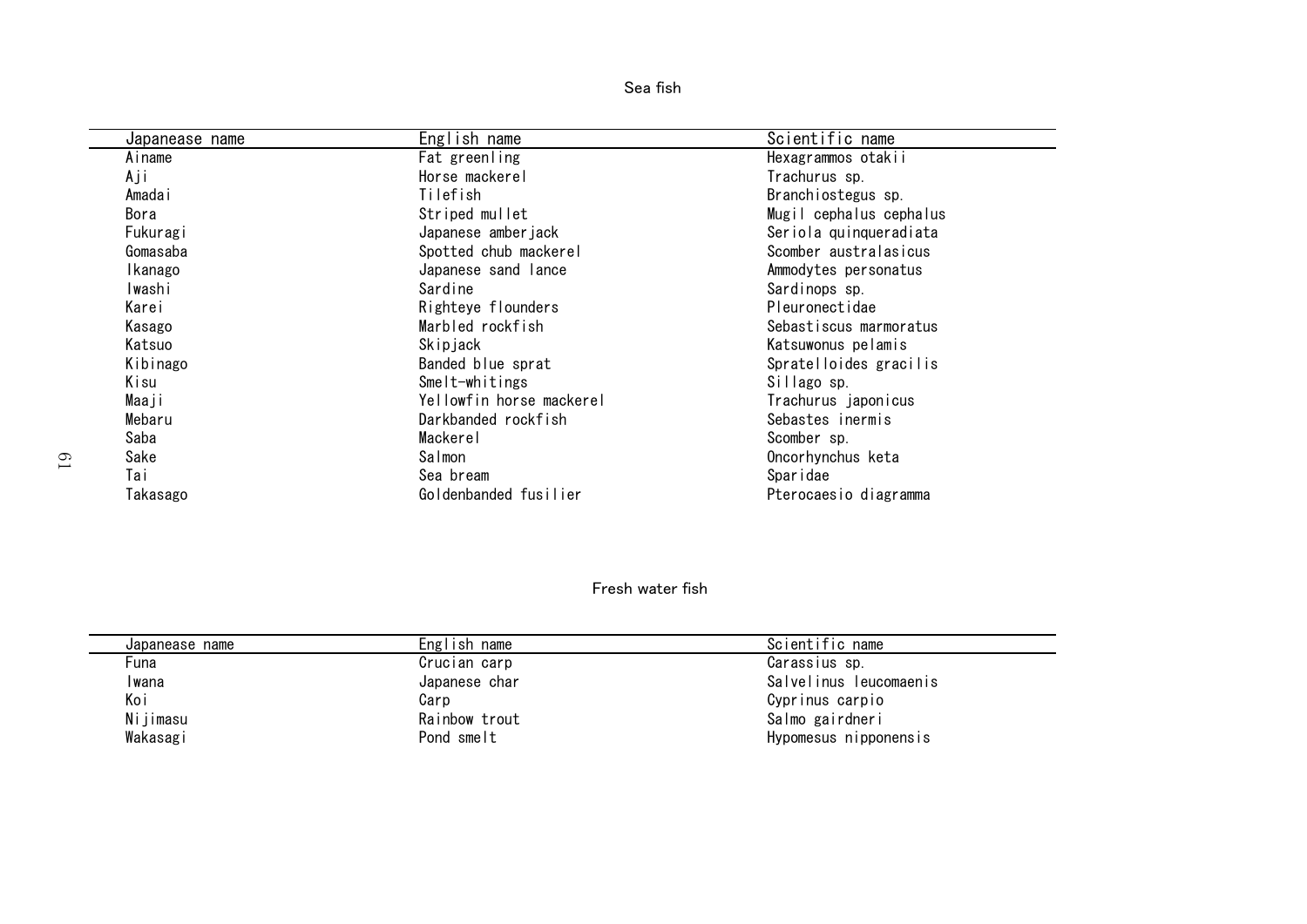| Sea fish |  |
|----------|--|
|          |  |

| Japanease name | English name             | Scientific name         |
|----------------|--------------------------|-------------------------|
| Ainame         | Fat greenling            | Hexagrammos otakii      |
| Aji            | Horse mackerel           | Trachurus sp.           |
| Amadai         | Tilefish                 | Branchiostegus sp.      |
| Bora           | Striped mullet           | Mugil cephalus cephalus |
| Fukuragi       | Japanese amberjack       | Seriola quinqueradiata  |
| Gomasaba       | Spotted chub mackerel    | Scomber australasicus   |
| Ikanago        | Japanese sand lance      | Ammodytes personatus    |
| Iwashi         | Sardine                  | Sardinops sp.           |
| Karei          | Righteye flounders       | Pleuronectidae          |
| Kasago         | Marbled rockfish         | Sebastiscus marmoratus  |
| Katsuo         | Skipjack                 | Katsuwonus pelamis      |
| Kibinago       | Banded blue sprat        | Spratelloides gracilis  |
| Kisu           | Smelt-whitings           | Sillago sp.             |
| Maaji          | Yellowfin horse mackerel | Trachurus japonicus     |
| Mebaru         | Darkbanded rockfish      | Sebastes inermis        |
| Saba           | Mackerel                 | Scomber sp.             |
| Sake           | Salmon                   | Oncorhynchus keta       |
| Tai            | Sea bream                | Sparidae                |
| Takasago       | Goldenbanded fusilier    | Pterocaesio diagramma   |

#### Fresh water fish

| Japanease name | English name  | Scientific name        |
|----------------|---------------|------------------------|
| Funa           | Crucian carp  | Carassius sp.          |
| Iwana          | Japanese char | Salvelinus leucomaenis |
| Koi            | Carp          | Cyprinus carpio        |
| Nijimasu       | Rainbow trout | Salmo gairdneri        |
| Wakasagi       | Pond smelt    | Hypomesus nipponensis  |